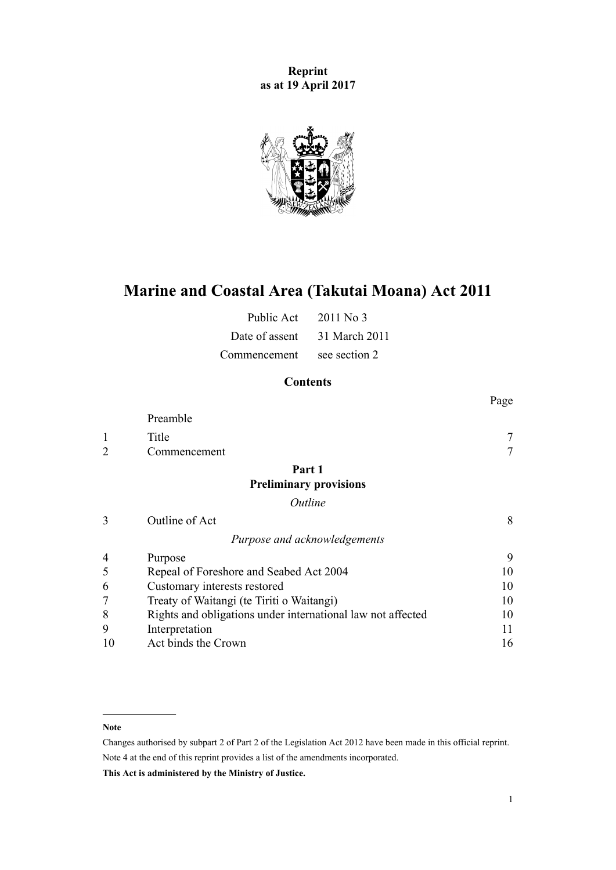**Reprint as at 19 April 2017**



# **Marine and Coastal Area (Takutai Moana) Act 2011**

| Public Act     | $2011$ No 3   |
|----------------|---------------|
| Date of assent | 31 March 2011 |
| Commencement   | see section 2 |

# **Contents**

|                |                                                             | Page   |
|----------------|-------------------------------------------------------------|--------|
|                | Preamble                                                    |        |
| 1              | Title                                                       |        |
| $\overline{2}$ | Commencement                                                | $\tau$ |
|                | Part 1                                                      |        |
|                | <b>Preliminary provisions</b>                               |        |
|                | Outline                                                     |        |
| 3              | Outline of Act                                              | 8      |
|                | Purpose and acknowledgements                                |        |
| 4              | Purpose                                                     | 9      |
| 5              | Repeal of Foreshore and Seabed Act 2004                     | 10     |
| 6              | Customary interests restored                                | 10     |
|                | Treaty of Waitangi (te Tiriti o Waitangi)                   | 10     |
| 8              | Rights and obligations under international law not affected | 10     |
| 9              | Interpretation                                              | 11     |
| 10             | Act binds the Crown                                         | 16     |

#### **Note**

Changes authorised by [subpart 2](http://prd-lgnz-nlb.prd.pco.net.nz/pdflink.aspx?id=DLM2998524) of Part 2 of the Legislation Act 2012 have been made in this official reprint. Note 4 at the end of this reprint provides a list of the amendments incorporated.

**This Act is administered by the Ministry of Justice.**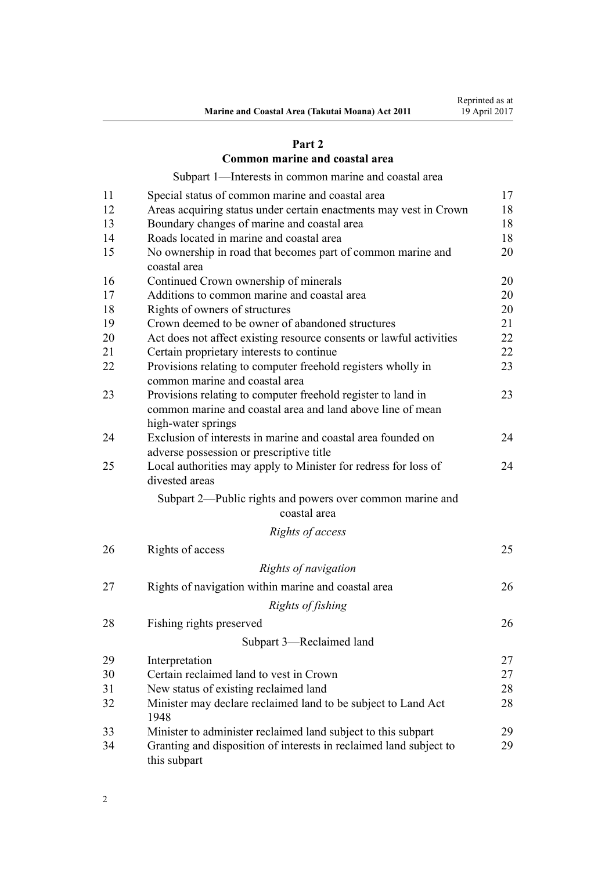# **[Part 2](#page-16-0)**

# **[Common marine and coastal area](#page-16-0)**

[Subpart 1—Interests in common marine and coastal area](#page-16-0)

| 11 | Special status of common marine and coastal area                                                                                                 | 17 |
|----|--------------------------------------------------------------------------------------------------------------------------------------------------|----|
| 12 | Areas acquiring status under certain enactments may vest in Crown                                                                                | 18 |
| 13 | Boundary changes of marine and coastal area                                                                                                      | 18 |
| 14 | Roads located in marine and coastal area                                                                                                         | 18 |
| 15 | No ownership in road that becomes part of common marine and<br>coastal area                                                                      | 20 |
| 16 | Continued Crown ownership of minerals                                                                                                            | 20 |
| 17 | Additions to common marine and coastal area                                                                                                      | 20 |
| 18 | Rights of owners of structures                                                                                                                   | 20 |
| 19 | Crown deemed to be owner of abandoned structures                                                                                                 | 21 |
| 20 | Act does not affect existing resource consents or lawful activities                                                                              | 22 |
| 21 | Certain proprietary interests to continue                                                                                                        | 22 |
| 22 | Provisions relating to computer freehold registers wholly in<br>common marine and coastal area                                                   | 23 |
| 23 | Provisions relating to computer freehold register to land in<br>common marine and coastal area and land above line of mean<br>high-water springs | 23 |
| 24 | Exclusion of interests in marine and coastal area founded on<br>adverse possession or prescriptive title                                         | 24 |
| 25 | Local authorities may apply to Minister for redress for loss of<br>divested areas                                                                | 24 |
|    | Subpart 2—Public rights and powers over common marine and<br>coastal area                                                                        |    |
|    | Rights of access                                                                                                                                 |    |
| 26 | Rights of access                                                                                                                                 | 25 |
|    | Rights of navigation                                                                                                                             |    |
|    |                                                                                                                                                  |    |
| 27 | Rights of navigation within marine and coastal area                                                                                              | 26 |
|    | Rights of fishing                                                                                                                                |    |
| 28 | Fishing rights preserved                                                                                                                         | 26 |
|    | Subpart 3-Reclaimed land                                                                                                                         |    |
| 29 | Interpretation                                                                                                                                   | 27 |
| 30 | Certain reclaimed land to vest in Crown                                                                                                          | 27 |
| 31 | New status of existing reclaimed land                                                                                                            | 28 |
| 32 | Minister may declare reclaimed land to be subject to Land Act<br>1948                                                                            | 28 |
| 33 | Minister to administer reclaimed land subject to this subpart                                                                                    | 29 |
| 34 | Granting and disposition of interests in reclaimed land subject to<br>this subpart                                                               | 29 |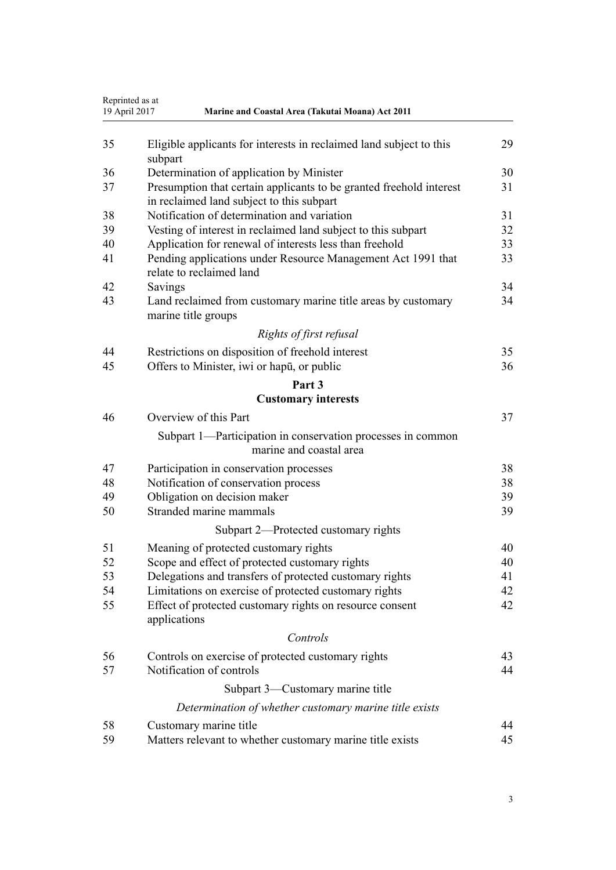| Reprinted as at<br>19 April 2017<br>Marine and Coastal Area (Takutai Moana) Act 2011 |                                                                                                                  |    |
|--------------------------------------------------------------------------------------|------------------------------------------------------------------------------------------------------------------|----|
| 35                                                                                   | Eligible applicants for interests in reclaimed land subject to this<br>subpart                                   | 29 |
| 36                                                                                   | Determination of application by Minister                                                                         | 30 |
| 37                                                                                   | Presumption that certain applicants to be granted freehold interest<br>in reclaimed land subject to this subpart | 31 |
| 38                                                                                   | Notification of determination and variation                                                                      | 31 |
| 39                                                                                   | Vesting of interest in reclaimed land subject to this subpart                                                    | 32 |
| 40                                                                                   | Application for renewal of interests less than freehold                                                          | 33 |
| 41                                                                                   | Pending applications under Resource Management Act 1991 that<br>relate to reclaimed land                         | 33 |
| 42                                                                                   | Savings                                                                                                          | 34 |
| 43                                                                                   | Land reclaimed from customary marine title areas by customary<br>marine title groups                             | 34 |
|                                                                                      | Rights of first refusal                                                                                          |    |
| 44                                                                                   | Restrictions on disposition of freehold interest                                                                 | 35 |
| 45                                                                                   | Offers to Minister, iwi or hapū, or public                                                                       | 36 |
|                                                                                      | Part 3                                                                                                           |    |
|                                                                                      | <b>Customary interests</b>                                                                                       |    |
| 46                                                                                   | Overview of this Part                                                                                            | 37 |
|                                                                                      | Subpart 1—Participation in conservation processes in common<br>marine and coastal area                           |    |
| 47                                                                                   | Participation in conservation processes                                                                          | 38 |
| 48                                                                                   | Notification of conservation process                                                                             | 38 |
| 49                                                                                   | Obligation on decision maker                                                                                     | 39 |
| 50                                                                                   | Stranded marine mammals                                                                                          | 39 |
|                                                                                      | Subpart 2—Protected customary rights                                                                             |    |
| 51                                                                                   | Meaning of protected customary rights                                                                            | 40 |
| 52                                                                                   | Scope and effect of protected customary rights                                                                   | 40 |
| 53                                                                                   | Delegations and transfers of protected customary rights                                                          | 41 |
| 54                                                                                   | Limitations on exercise of protected customary rights                                                            | 42 |
| 55                                                                                   | Effect of protected customary rights on resource consent<br>applications                                         | 42 |
|                                                                                      | Controls                                                                                                         |    |
| 56                                                                                   | Controls on exercise of protected customary rights                                                               | 43 |
| 57                                                                                   | Notification of controls                                                                                         | 44 |
|                                                                                      | Subpart 3—Customary marine title                                                                                 |    |
|                                                                                      | Determination of whether customary marine title exists                                                           |    |
| 58                                                                                   | Customary marine title                                                                                           | 44 |
| 59                                                                                   | Matters relevant to whether customary marine title exists                                                        | 45 |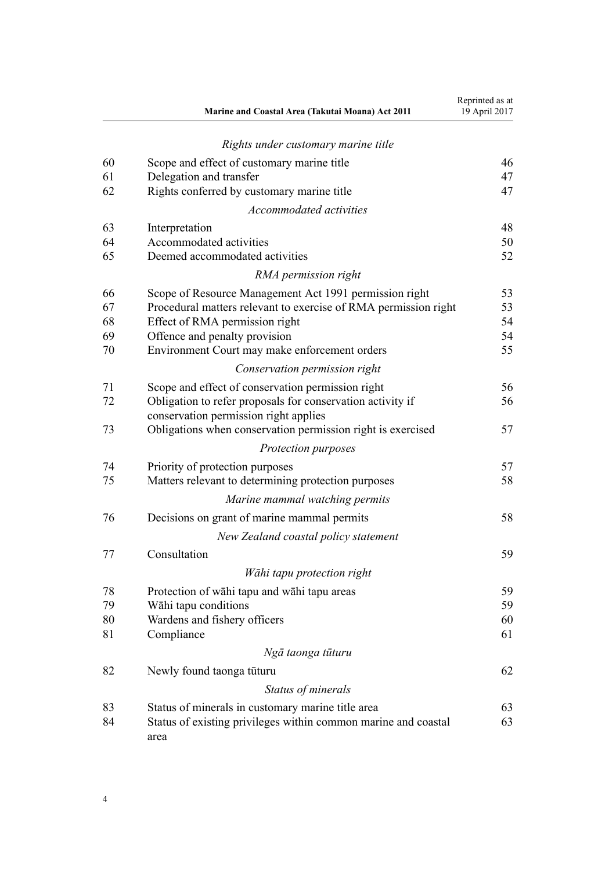|    | Marine and Coastal Area (Takutai Moana) Act 2011                       | Reprinted as at<br>19 April 2017 |
|----|------------------------------------------------------------------------|----------------------------------|
|    | Rights under customary marine title                                    |                                  |
| 60 | Scope and effect of customary marine title                             | 46                               |
| 61 | Delegation and transfer                                                | 47                               |
| 62 | Rights conferred by customary marine title                             | 47                               |
|    | Accommodated activities                                                |                                  |
| 63 | Interpretation                                                         | 48                               |
| 64 | Accommodated activities                                                | 50                               |
| 65 | Deemed accommodated activities                                         | 52                               |
|    | RMA permission right                                                   |                                  |
| 66 | Scope of Resource Management Act 1991 permission right                 | 53                               |
| 67 | Procedural matters relevant to exercise of RMA permission right        | 53                               |
| 68 | Effect of RMA permission right                                         | 54                               |
| 69 | Offence and penalty provision                                          | 54                               |
| 70 | Environment Court may make enforcement orders                          | 55                               |
|    | Conservation permission right                                          |                                  |
| 71 | Scope and effect of conservation permission right                      | 56                               |
| 72 | Obligation to refer proposals for conservation activity if             | 56                               |
|    | conservation permission right applies                                  |                                  |
| 73 | Obligations when conservation permission right is exercised            | 57                               |
|    | Protection purposes                                                    |                                  |
| 74 | Priority of protection purposes                                        | 57                               |
| 75 | Matters relevant to determining protection purposes                    | 58                               |
|    | Marine mammal watching permits                                         |                                  |
| 76 | Decisions on grant of marine mammal permits                            | 58                               |
|    | New Zealand coastal policy statement                                   |                                  |
| 77 | Consultation                                                           | 59                               |
|    | Wāhi tapu protection right                                             |                                  |
| 78 | Protection of wāhi tapu and wāhi tapu areas                            | 59                               |
| 79 | Wāhi tapu conditions                                                   | 59                               |
| 80 | Wardens and fishery officers                                           | 60                               |
| 81 | Compliance                                                             | 61                               |
|    | Ngā taonga tūturu                                                      |                                  |
| 82 | Newly found taonga tūturu                                              | 62                               |
|    | Status of minerals                                                     |                                  |
| 83 | Status of minerals in customary marine title area                      | 63                               |
| 84 | Status of existing privileges within common marine and coastal<br>area | 63                               |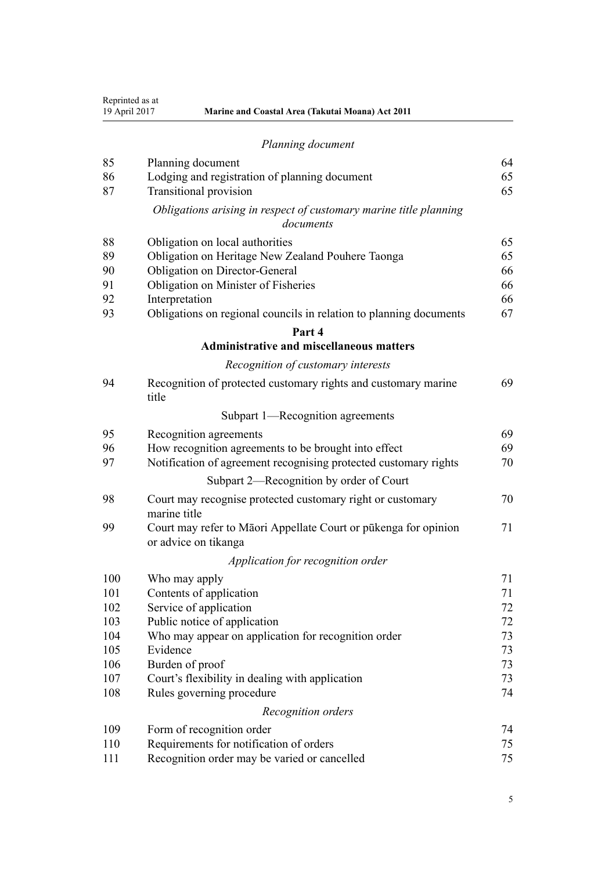| 85  | Planning document                                                                       | 64 |
|-----|-----------------------------------------------------------------------------------------|----|
| 86  | Lodging and registration of planning document                                           | 65 |
| 87  | <b>Transitional provision</b>                                                           | 65 |
|     | Obligations arising in respect of customary marine title planning<br>documents          |    |
| 88  | Obligation on local authorities                                                         | 65 |
| 89  | Obligation on Heritage New Zealand Pouhere Taonga                                       | 65 |
| 90  | Obligation on Director-General                                                          | 66 |
| 91  | Obligation on Minister of Fisheries                                                     | 66 |
| 92  | Interpretation                                                                          | 66 |
| 93  | Obligations on regional councils in relation to planning documents                      | 67 |
|     | Part 4                                                                                  |    |
|     | <b>Administrative and miscellaneous matters</b>                                         |    |
|     | Recognition of customary interests                                                      |    |
| 94  | Recognition of protected customary rights and customary marine<br>title                 | 69 |
|     | Subpart 1—Recognition agreements                                                        |    |
| 95  | Recognition agreements                                                                  | 69 |
| 96  | How recognition agreements to be brought into effect                                    | 69 |
| 97  | Notification of agreement recognising protected customary rights                        | 70 |
|     | Subpart 2—Recognition by order of Court                                                 |    |
| 98  | Court may recognise protected customary right or customary<br>marine title              | 70 |
| 99  | Court may refer to Māori Appellate Court or pūkenga for opinion<br>or advice on tikanga | 71 |
|     | Application for recognition order                                                       |    |
| 100 | Who may apply                                                                           | 71 |
| 101 | Contents of application                                                                 | 71 |
| 102 | Service of application                                                                  | 72 |
| 103 | Public notice of application                                                            | 72 |
| 104 | Who may appear on application for recognition order                                     | 73 |
| 105 | Evidence                                                                                | 73 |
| 106 | Burden of proof                                                                         | 73 |
| 107 | Court's flexibility in dealing with application                                         | 73 |
| 108 | Rules governing procedure                                                               | 74 |
|     | Recognition orders                                                                      |    |
| 109 | Form of recognition order                                                               | 74 |
| 110 | Requirements for notification of orders                                                 | 75 |
| 111 | Recognition order may be varied or cancelled                                            | 75 |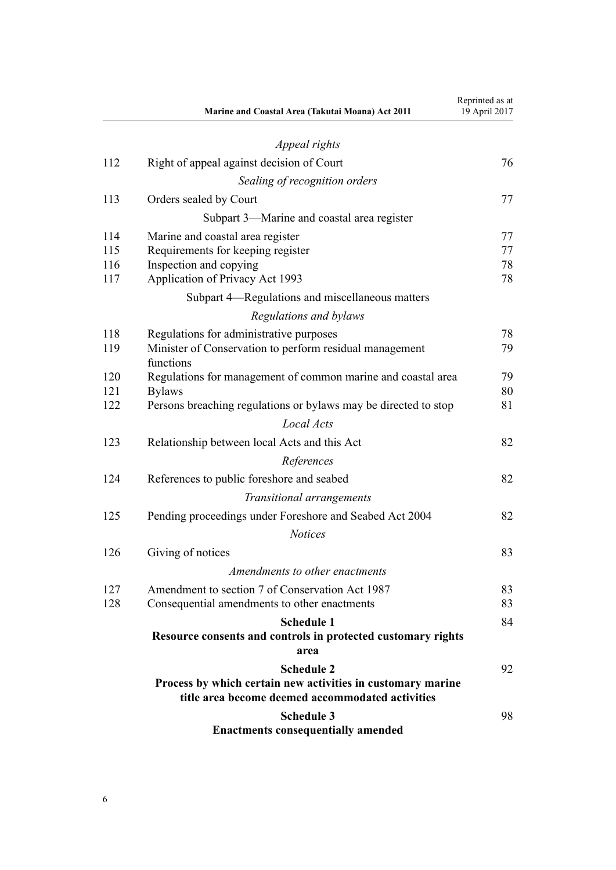|     | Marine and Coastal Area (Takutai Moana) Act 2011                                                                | Reprinted as at<br>19 April 2017 |
|-----|-----------------------------------------------------------------------------------------------------------------|----------------------------------|
|     | Appeal rights                                                                                                   |                                  |
| 112 | Right of appeal against decision of Court                                                                       | 76                               |
|     | Sealing of recognition orders                                                                                   |                                  |
| 113 | Orders sealed by Court                                                                                          | 77                               |
|     | Subpart 3—Marine and coastal area register                                                                      |                                  |
| 114 | Marine and coastal area register                                                                                | 77                               |
| 115 | Requirements for keeping register                                                                               | 77                               |
| 116 | Inspection and copying                                                                                          | 78                               |
| 117 | Application of Privacy Act 1993                                                                                 | 78                               |
|     | Subpart 4—Regulations and miscellaneous matters                                                                 |                                  |
|     | Regulations and bylaws                                                                                          |                                  |
| 118 | Regulations for administrative purposes                                                                         | 78                               |
| 119 | Minister of Conservation to perform residual management<br>functions                                            | 79                               |
| 120 | Regulations for management of common marine and coastal area                                                    | 79                               |
| 121 | <b>Bylaws</b>                                                                                                   | 80                               |
| 122 | Persons breaching regulations or bylaws may be directed to stop                                                 | 81                               |
|     | Local Acts                                                                                                      |                                  |
| 123 | Relationship between local Acts and this Act                                                                    | 82                               |
|     | References                                                                                                      |                                  |
| 124 | References to public foreshore and seabed                                                                       | 82                               |
|     | Transitional arrangements                                                                                       |                                  |
| 125 | Pending proceedings under Foreshore and Seabed Act 2004                                                         | 82                               |
|     | <b>Notices</b>                                                                                                  |                                  |
| 126 | Giving of notices                                                                                               | 83                               |
|     | Amendments to other enactments                                                                                  |                                  |
| 127 | Amendment to section 7 of Conservation Act 1987                                                                 | 83                               |
| 128 | Consequential amendments to other enactments                                                                    | 83                               |
|     | <b>Schedule 1</b>                                                                                               | 84                               |
|     | Resource consents and controls in protected customary rights<br>area                                            |                                  |
|     | <b>Schedule 2</b>                                                                                               | 92                               |
|     | Process by which certain new activities in customary marine<br>title area become deemed accommodated activities |                                  |
|     | <b>Schedule 3</b>                                                                                               | 98                               |
|     | <b>Enactments consequentially amended</b>                                                                       |                                  |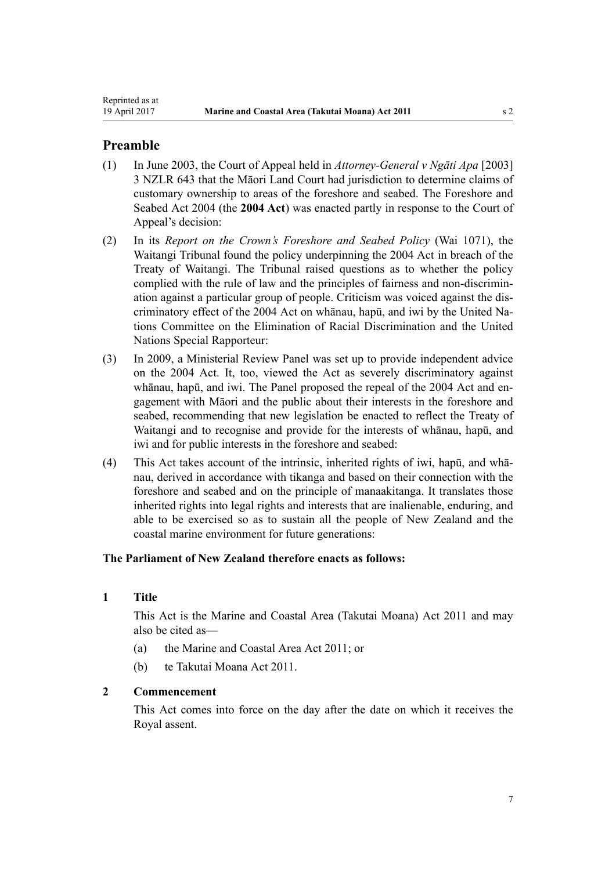# <span id="page-6-0"></span>**Preamble**

- (1) In June 2003, the Court of Appeal held in *Attorney-General v Ngāti Apa* [2003] 3 NZLR 643 that the Māori Land Court had jurisdiction to determine claims of customary ownership to areas of the foreshore and seabed. The [Foreshore and](http://prd-lgnz-nlb.prd.pco.net.nz/pdflink.aspx?id=DLM319838) [Seabed Act 2004](http://prd-lgnz-nlb.prd.pco.net.nz/pdflink.aspx?id=DLM319838) (the **2004 Act**) was enacted partly in response to the Court of Appeal's decision:
- (2) In its *Report on the Crown's Foreshore and Seabed Policy* (Wai 1071), the Waitangi Tribunal found the policy underpinning the [2004 Act](http://prd-lgnz-nlb.prd.pco.net.nz/pdflink.aspx?id=DLM319838) in breach of the Treaty of Waitangi. The Tribunal raised questions as to whether the policy complied with the rule of law and the principles of fairness and non-discrimination against a particular group of people. Criticism was voiced against the discriminatory effect of the 2004 Act on whānau, hapū, and iwi by the United Nations Committee on the Elimination of Racial Discrimination and the United Nations Special Rapporteur:
- (3) In 2009, a Ministerial Review Panel was set up to provide independent advice on the 2004 Act. It, too, viewed the Act as severely discriminatory against whānau, hapū, and iwi. The Panel proposed the repeal of the [2004 Act](http://prd-lgnz-nlb.prd.pco.net.nz/pdflink.aspx?id=DLM319838) and engagement with Māori and the public about their interests in the foreshore and seabed, recommending that new legislation be enacted to reflect the Treaty of Waitangi and to recognise and provide for the interests of whānau, hapū, and iwi and for public interests in the foreshore and seabed:
- (4) This Act takes account of the intrinsic, inherited rights of iwi, hapū, and whānau, derived in accordance with tikanga and based on their connection with the foreshore and seabed and on the principle of manaakitanga. It translates those inherited rights into legal rights and interests that are inalienable, enduring, and able to be exercised so as to sustain all the people of New Zealand and the coastal marine environment for future generations:

# **The Parliament of New Zealand therefore enacts as follows:**

# **1 Title**

This Act is the Marine and Coastal Area (Takutai Moana) Act 2011 and may also be cited as—

- (a) the Marine and Coastal Area Act 2011; or
- (b) te Takutai Moana Act 2011.

# **2 Commencement**

This Act comes into force on the day after the date on which it receives the Royal assent.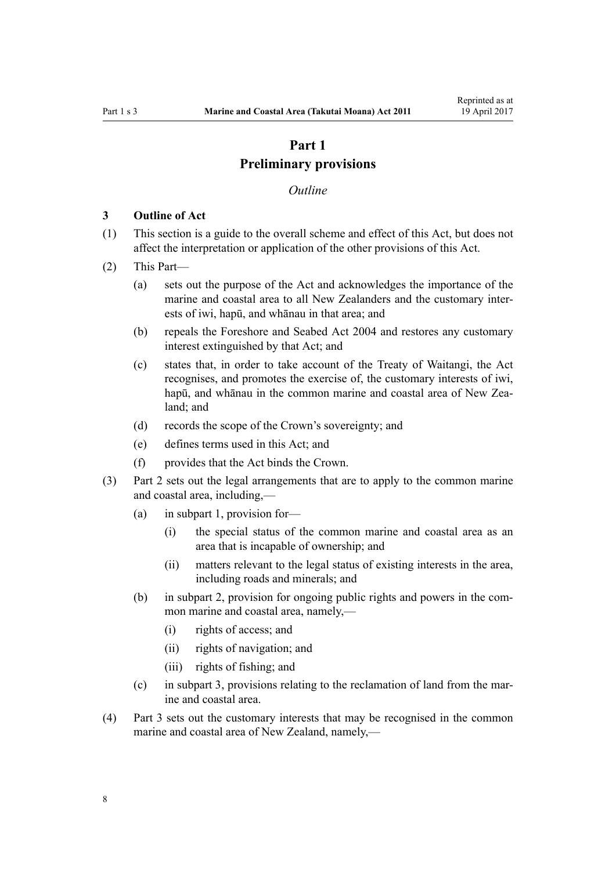# **Part 1 Preliminary provisions**

#### *Outline*

#### <span id="page-7-0"></span>**3 Outline of Act**

- (1) This section is a guide to the overall scheme and effect of this Act, but does not affect the interpretation or application of the other provisions of this Act.
- (2) This Part—
	- (a) sets out the purpose of the Act and acknowledges the importance of the marine and coastal area to all New Zealanders and the customary interests of iwi, hapū, and whānau in that area; and
	- (b) repeals the [Foreshore and Seabed Act 2004](http://prd-lgnz-nlb.prd.pco.net.nz/pdflink.aspx?id=DLM319838) and restores any customary interest extinguished by that Act; and
	- (c) states that, in order to take account of the Treaty of Waitangi, the Act recognises, and promotes the exercise of, the customary interests of iwi, hapū, and whānau in the common marine and coastal area of New Zealand; and
	- (d) records the scope of the Crown's sovereignty; and
	- (e) defines terms used in this Act; and
	- (f) provides that the Act binds the Crown.
- (3) [Part 2](#page-16-0) sets out the legal arrangements that are to apply to the common marine and coastal area, including,—
	- (a) in [subpart 1,](#page-16-0) provision for—
		- (i) the special status of the common marine and coastal area as an area that is incapable of ownership; and
		- (ii) matters relevant to the legal status of existing interests in the area, including roads and minerals; and
	- (b) in [subpart 2](#page-24-0), provision for ongoing public rights and powers in the common marine and coastal area, namely,—
		- (i) rights of access; and
		- (ii) rights of navigation; and
		- (iii) rights of fishing; and
	- (c) in [subpart 3](#page-26-0), provisions relating to the reclamation of land from the marine and coastal area.
- (4) [Part 3](#page-36-0) sets out the customary interests that may be recognised in the common marine and coastal area of New Zealand, namely,—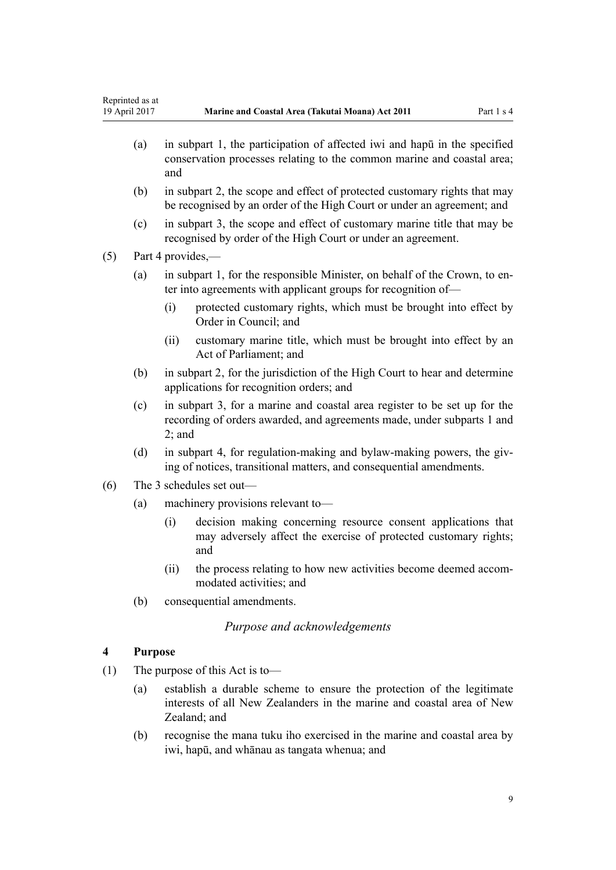- <span id="page-8-0"></span>(a) in [subpart 1,](#page-37-0) the participation of affected iwi and hapū in the specified conservation processes relating to the common marine and coastal area; and
- (b) in [subpart 2](#page-39-0), the scope and effect of protected customary rights that may be recognised by an order of the High Court or under an agreement; and
- (c) in [subpart 3](#page-43-0), the scope and effect of customary marine title that may be recognised by order of the High Court or under an agreement.

(5) [Part 4](#page-68-0) provides,—

- (a) in [subpart 1](#page-68-0), for the responsible Minister, on behalf of the Crown, to enter into agreements with applicant groups for recognition of—
	- (i) protected customary rights, which must be brought into effect by Order in Council; and
	- (ii) customary marine title, which must be brought into effect by an Act of Parliament; and
- (b) in [subpart 2](#page-69-0), for the jurisdiction of the High Court to hear and determine applications for recognition orders; and
- (c) in [subpart 3,](#page-76-0) for a marine and coastal area register to be set up for the recording of orders awarded, and agreements made, under [subparts 1](#page-68-0) and [2;](#page-69-0) and
- (d) in [subpart 4,](#page-77-0) for regulation-making and bylaw-making powers, the giving of notices, transitional matters, and consequential amendments.
- (6) The 3 schedules set out—
	- (a) machinery provisions relevant to—
		- (i) decision making concerning resource consent applications that may adversely affect the exercise of protected customary rights; and
		- (ii) the process relating to how new activities become deemed accommodated activities; and
	- (b) consequential amendments.

# *Purpose and acknowledgements*

# **4 Purpose**

- (1) The purpose of this Act is to—
	- (a) establish a durable scheme to ensure the protection of the legitimate interests of all New Zealanders in the marine and coastal area of New Zealand; and
	- (b) recognise the mana tuku iho exercised in the marine and coastal area by iwi, hapū, and whānau as tangata whenua; and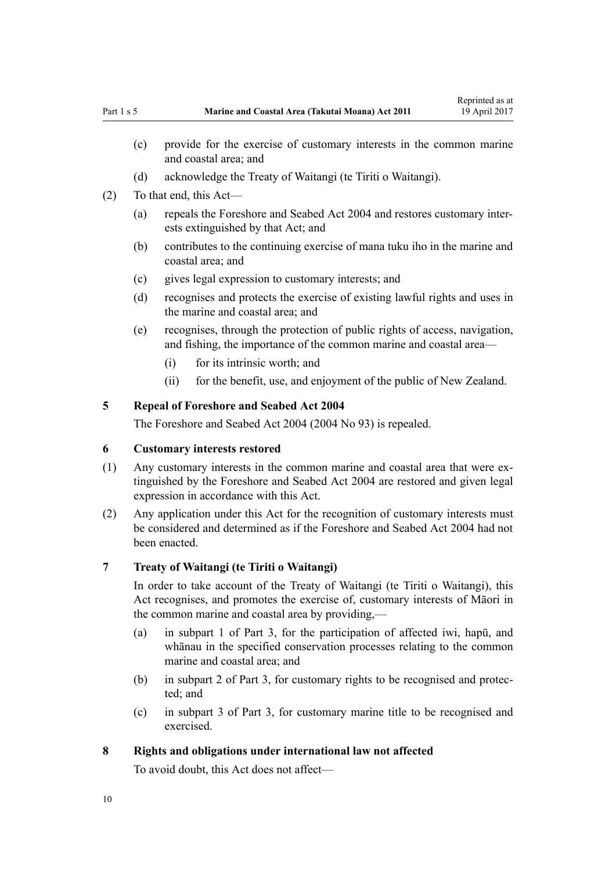- <span id="page-9-0"></span>(c) provide for the exercise of customary interests in the common marine and coastal area; and
- (d) acknowledge the Treaty of Waitangi (te Tiriti o Waitangi).
- (2) To that end, this Act—
	- (a) repeals the [Foreshore and Seabed Act 2004](http://prd-lgnz-nlb.prd.pco.net.nz/pdflink.aspx?id=DLM319838) and restores customary interests extinguished by that Act; and
	- (b) contributes to the continuing exercise of mana tuku iho in the marine and coastal area; and
	- (c) gives legal expression to customary interests; and
	- (d) recognises and protects the exercise of existing lawful rights and uses in the marine and coastal area; and
	- (e) recognises, through the protection of public rights of access, navigation, and fishing, the importance of the common marine and coastal area—
		- (i) for its intrinsic worth; and
		- (ii) for the benefit, use, and enjoyment of the public of New Zealand.

# **5 Repeal of Foreshore and Seabed Act 2004**

The [Foreshore and Seabed Act 2004](http://prd-lgnz-nlb.prd.pco.net.nz/pdflink.aspx?id=DLM319838) (2004 No 93) is repealed.

# **6 Customary interests restored**

- (1) Any customary interests in the common marine and coastal area that were extinguished by the [Foreshore and Seabed Act 2004](http://prd-lgnz-nlb.prd.pco.net.nz/pdflink.aspx?id=DLM319838) are restored and given legal expression in accordance with this Act.
- (2) Any application under this Act for the recognition of customary interests must be considered and determined as if the [Foreshore and Seabed Act 2004](http://prd-lgnz-nlb.prd.pco.net.nz/pdflink.aspx?id=DLM319838) had not been enacted.

#### **7 Treaty of Waitangi (te Tiriti o Waitangi)**

In order to take account of the Treaty of Waitangi (te Tiriti o Waitangi), this Act recognises, and promotes the exercise of, customary interests of Māori in the common marine and coastal area by providing,—

- (a) in [subpart 1 of Part 3,](#page-37-0) for the participation of affected iwi, hapū, and whānau in the specified conservation processes relating to the common marine and coastal area; and
- (b) in [subpart 2 of Part 3](#page-39-0), for customary rights to be recognised and protected; and
- (c) in [subpart 3 of Part 3](#page-43-0), for customary marine title to be recognised and exercised.

### **8 Rights and obligations under international law not affected**

To avoid doubt, this Act does not affect—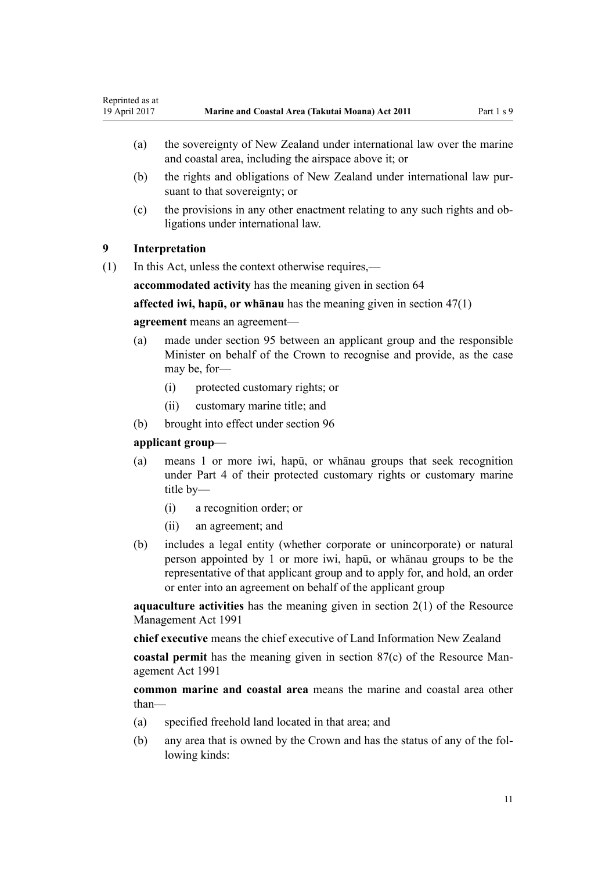- <span id="page-10-0"></span>(a) the sovereignty of New Zealand under international law over the marine and coastal area, including the airspace above it; or
- (b) the rights and obligations of New Zealand under international law pursuant to that sovereignty; or
- (c) the provisions in any other enactment relating to any such rights and obligations under international law.

# **9 Interpretation**

(1) In this Act, unless the context otherwise requires,—

**accommodated activity** has the meaning given in [section 64](#page-49-0)

**affected iwi, hapū, or whānau** has the meaning given in [section 47\(1\)](#page-37-0)

#### **agreement** means an agreement—

- (a) made under [section 95](#page-68-0) between an applicant group and the responsible Minister on behalf of the Crown to recognise and provide, as the case may be, for-
	- (i) protected customary rights; or
	- (ii) customary marine title; and
- (b) brought into effect under [section 96](#page-68-0)

### **applicant group**—

- (a) means 1 or more iwi, hapū, or whānau groups that seek recognition under [Part 4](#page-68-0) of their protected customary rights or customary marine title by—
	- (i) a recognition order; or
	- (ii) an agreement; and
- (b) includes a legal entity (whether corporate or unincorporate) or natural person appointed by 1 or more iwi, hapū, or whānau groups to be the representative of that applicant group and to apply for, and hold, an order or enter into an agreement on behalf of the applicant group

**aquaculture activities** has the meaning given in [section 2\(1\)](http://prd-lgnz-nlb.prd.pco.net.nz/pdflink.aspx?id=DLM230272) of the Resource Management Act 1991

**chief executive** means the chief executive of Land Information New Zealand

**coastal permit** has the meaning given in [section 87\(c\)](http://prd-lgnz-nlb.prd.pco.net.nz/pdflink.aspx?id=DLM233848) of the Resource Management Act 1991

**common marine and coastal area** means the marine and coastal area other than—

- (a) specified freehold land located in that area; and
- (b) any area that is owned by the Crown and has the status of any of the following kinds: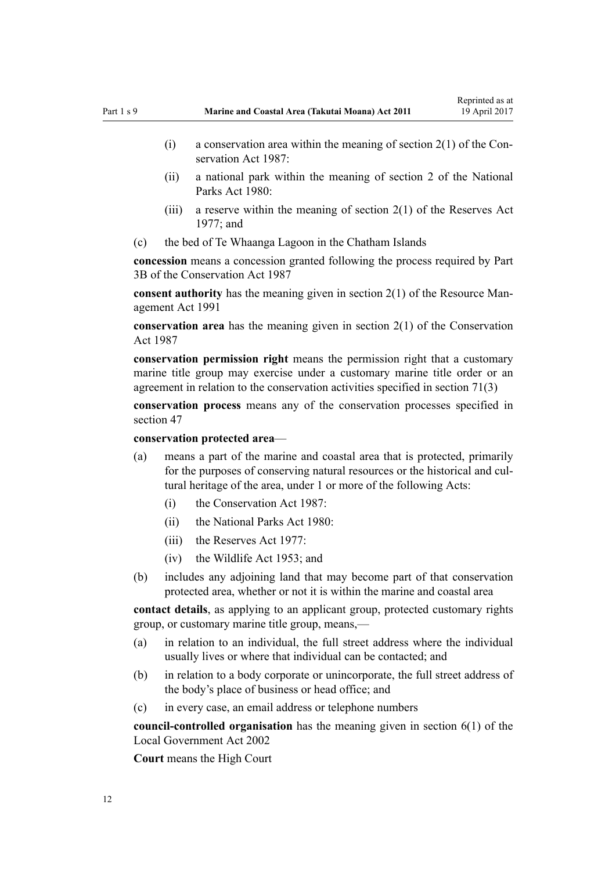- (i) a conservation area within the meaning of section  $2(1)$  of the Conservation Act 1987:
- (ii) a national park within the meaning of [section 2](http://prd-lgnz-nlb.prd.pco.net.nz/pdflink.aspx?id=DLM36968) of the National Parks Act 1980:
- (iii) a reserve within the meaning of section  $2(1)$  of the Reserves Act 1977; and
- (c) the bed of Te Whaanga Lagoon in the Chatham Islands

**concession** means a concession granted following the process required by [Part](http://prd-lgnz-nlb.prd.pco.net.nz/pdflink.aspx?id=DLM104633) [3B](http://prd-lgnz-nlb.prd.pco.net.nz/pdflink.aspx?id=DLM104633) of the Conservation Act 1987

**consent authority** has the meaning given in [section 2\(1\)](http://prd-lgnz-nlb.prd.pco.net.nz/pdflink.aspx?id=DLM230272) of the Resource Management Act 1991

**conservation area** has the meaning given in [section 2\(1\)](http://prd-lgnz-nlb.prd.pco.net.nz/pdflink.aspx?id=DLM103616) of the Conservation Act 1987

**conservation permission right** means the permission right that a customary marine title group may exercise under a customary marine title order or an agreement in relation to the conservation activities specified in [section 71\(3\)](#page-55-0)

**conservation process** means any of the conservation processes specified in [section 47](#page-37-0)

**conservation protected area**—

- (a) means a part of the marine and coastal area that is protected, primarily for the purposes of conserving natural resources or the historical and cultural heritage of the area, under 1 or more of the following Acts:
	- (i) the [Conservation Act 1987:](http://prd-lgnz-nlb.prd.pco.net.nz/pdflink.aspx?id=DLM103609)
	- (ii) the [National Parks Act 1980:](http://prd-lgnz-nlb.prd.pco.net.nz/pdflink.aspx?id=DLM36962)
	- $(iii)$  the [Reserves Act 1977](http://prd-lgnz-nlb.prd.pco.net.nz/pdflink.aspx?id=DLM444304).
	- (iv) the [Wildlife Act 1953](http://prd-lgnz-nlb.prd.pco.net.nz/pdflink.aspx?id=DLM276813); and
- (b) includes any adjoining land that may become part of that conservation protected area, whether or not it is within the marine and coastal area

**contact details**, as applying to an applicant group, protected customary rights group, or customary marine title group, means,—

- (a) in relation to an individual, the full street address where the individual usually lives or where that individual can be contacted; and
- (b) in relation to a body corporate or unincorporate, the full street address of the body's place of business or head office; and
- (c) in every case, an email address or telephone numbers

**council-controlled organisation** has the meaning given in [section 6\(1\)](http://prd-lgnz-nlb.prd.pco.net.nz/pdflink.aspx?id=DLM171482) of the Local Government Act 2002

**Court** means the High Court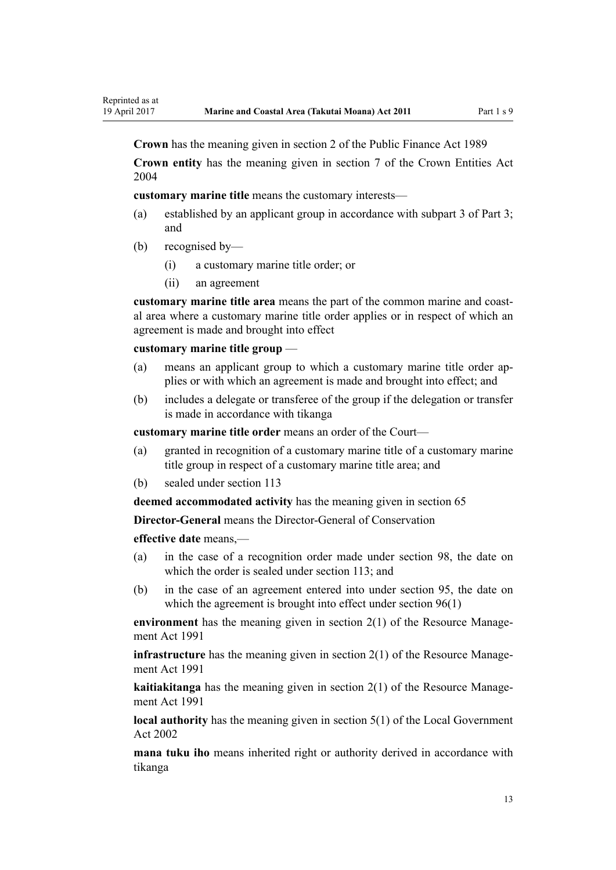**Crown** has the meaning given in [section 2](http://prd-lgnz-nlb.prd.pco.net.nz/pdflink.aspx?id=DLM160819) of the Public Finance Act 1989

**Crown entity** has the meaning given in [section 7](http://prd-lgnz-nlb.prd.pco.net.nz/pdflink.aspx?id=DLM329641) of the Crown Entities Act 2004

**customary marine title** means the customary interests—

- (a) established by an applicant group in accordance with [subpart 3 of Part 3;](#page-43-0) and
- (b) recognised by—
	- (i) a customary marine title order; or
	- (ii) an agreement

**customary marine title area** means the part of the common marine and coastal area where a customary marine title order applies or in respect of which an agreement is made and brought into effect

#### **customary marine title group** —

- (a) means an applicant group to which a customary marine title order applies or with which an agreement is made and brought into effect; and
- (b) includes a delegate or transferee of the group if the delegation or transfer is made in accordance with tikanga

**customary marine title order** means an order of the Court—

- (a) granted in recognition of a customary marine title of a customary marine title group in respect of a customary marine title area; and
- (b) sealed under [section 113](#page-76-0)

**deemed accommodated activity** has the meaning given in [section 65](#page-51-0)

**Director-General** means the Director-General of Conservation

**effective date** means,—

- (a) in the case of a recognition order made under [section 98,](#page-69-0) the date on which the order is sealed under [section 113;](#page-76-0) and
- (b) in the case of an agreement entered into under [section 95,](#page-68-0) the date on which the agreement is brought into effect under [section 96\(1\)](#page-68-0)

**environment** has the meaning given in [section 2\(1\)](http://prd-lgnz-nlb.prd.pco.net.nz/pdflink.aspx?id=DLM230272) of the Resource Management Act 1991

**infrastructure** has the meaning given in [section 2\(1\)](http://prd-lgnz-nlb.prd.pco.net.nz/pdflink.aspx?id=DLM230272) of the Resource Management Act 1991

**kaitiakitanga** has the meaning given in [section 2\(1\)](http://prd-lgnz-nlb.prd.pco.net.nz/pdflink.aspx?id=DLM230272) of the Resource Management Act 1991

**local authority** has the meaning given in [section 5\(1\)](http://prd-lgnz-nlb.prd.pco.net.nz/pdflink.aspx?id=DLM170881) of the Local Government Act 2002

**mana tuku iho** means inherited right or authority derived in accordance with tikanga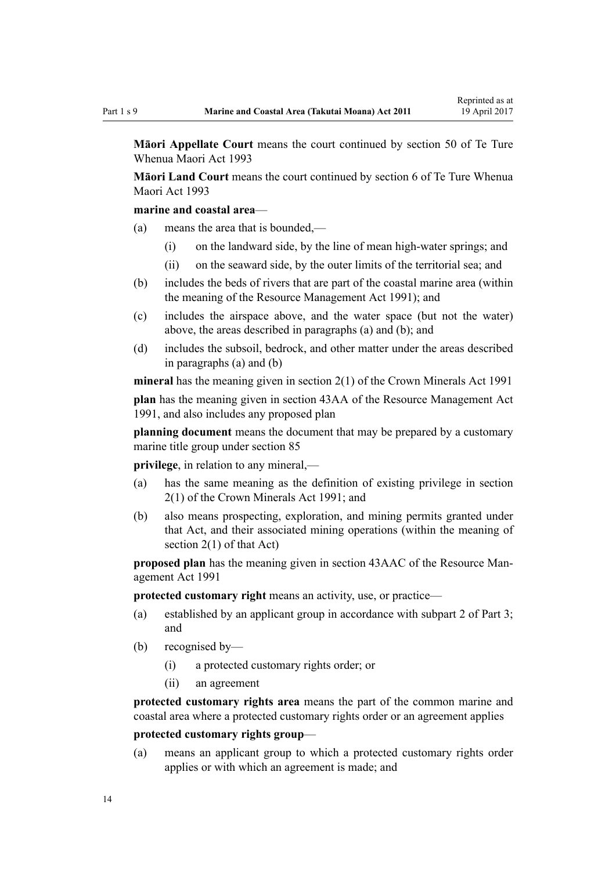**Māori Appellate Court** means the court continued by [section 50](http://prd-lgnz-nlb.prd.pco.net.nz/pdflink.aspx?id=DLM290929) of Te Ture Whenua Maori Act 1993

**Māori Land Court** means the court continued by [section 6](http://prd-lgnz-nlb.prd.pco.net.nz/pdflink.aspx?id=DLM290517) of Te Ture Whenua Maori Act 1993

### **marine and coastal area**—

- (a) means the area that is bounded,—
	- (i) on the landward side, by the line of mean high-water springs; and
	- (ii) on the seaward side, by the outer limits of the territorial sea; and
- (b) includes the beds of rivers that are part of the coastal marine area (within the meaning of the [Resource Management Act 1991](http://prd-lgnz-nlb.prd.pco.net.nz/pdflink.aspx?id=DLM230264)); and
- (c) includes the airspace above, and the water space (but not the water) above, the areas described in paragraphs (a) and (b); and
- (d) includes the subsoil, bedrock, and other matter under the areas described in paragraphs (a) and (b)

**mineral** has the meaning given in [section 2\(1\)](http://prd-lgnz-nlb.prd.pco.net.nz/pdflink.aspx?id=DLM242543) of the Crown Minerals Act 1991

**plan** has the meaning given in [section 43AA](http://prd-lgnz-nlb.prd.pco.net.nz/pdflink.aspx?id=DLM2412743) of the Resource Management Act 1991, and also includes any proposed plan

**planning document** means the document that may be prepared by a customary marine title group under [section 85](#page-63-0)

**privilege**, in relation to any mineral,—

- (a) has the same meaning as the definition of existing privilege in [section](http://prd-lgnz-nlb.prd.pco.net.nz/pdflink.aspx?id=DLM242543) [2\(1\)](http://prd-lgnz-nlb.prd.pco.net.nz/pdflink.aspx?id=DLM242543) of the Crown Minerals Act 1991; and
- (b) also means prospecting, exploration, and mining permits granted under that Act, and their associated mining operations (within the meaning of [section 2\(1\)](http://prd-lgnz-nlb.prd.pco.net.nz/pdflink.aspx?id=DLM242543) of that Act)

**proposed plan** has the meaning given in [section 43AAC](http://prd-lgnz-nlb.prd.pco.net.nz/pdflink.aspx?id=DLM2412769) of the Resource Management Act 1991

**protected customary right** means an activity, use, or practice—

- (a) established by an applicant group in accordance with [subpart 2 of Part 3;](#page-39-0) and
- (b) recognised by—
	- (i) a protected customary rights order; or
	- (ii) an agreement

**protected customary rights area** means the part of the common marine and coastal area where a protected customary rights order or an agreement applies

# **protected customary rights group**—

(a) means an applicant group to which a protected customary rights order applies or with which an agreement is made; and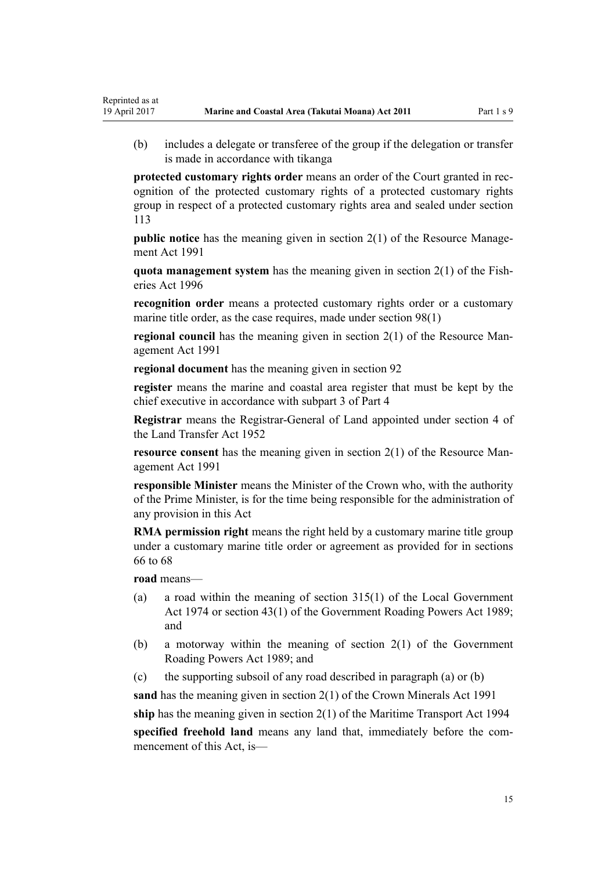(b) includes a delegate or transferee of the group if the delegation or transfer is made in accordance with tikanga

**protected customary rights order** means an order of the Court granted in recognition of the protected customary rights of a protected customary rights group in respect of a protected customary rights area and sealed under [section](#page-76-0) [113](#page-76-0)

**public notice** has the meaning given in [section 2\(1\)](http://prd-lgnz-nlb.prd.pco.net.nz/pdflink.aspx?id=DLM230272) of the Resource Management Act 1991

**quota management system** has the meaning given in [section 2\(1\)](http://prd-lgnz-nlb.prd.pco.net.nz/pdflink.aspx?id=DLM394199) of the Fisheries Act 1996

**recognition order** means a protected customary rights order or a customary marine title order, as the case requires, made under [section 98\(1\)](#page-69-0)

**regional council** has the meaning given in [section 2\(1\)](http://prd-lgnz-nlb.prd.pco.net.nz/pdflink.aspx?id=DLM230272) of the Resource Management Act 1991

**regional document** has the meaning given in [section 92](#page-65-0)

**register** means the marine and coastal area register that must be kept by the chief executive in accordance with [subpart 3 of Part 4](#page-76-0)

**Registrar** means the Registrar-General of Land appointed under [section 4](http://prd-lgnz-nlb.prd.pco.net.nz/pdflink.aspx?id=DLM270019) of the Land Transfer Act 1952

**resource consent** has the meaning given in [section 2\(1\)](http://prd-lgnz-nlb.prd.pco.net.nz/pdflink.aspx?id=DLM230272) of the Resource Management Act 1991

**responsible Minister** means the Minister of the Crown who, with the authority of the Prime Minister, is for the time being responsible for the administration of any provision in this Act

**RMA permission right** means the right held by a customary marine title group under a customary marine title order or agreement as provided for in [sections](#page-52-0) [66 to 68](#page-52-0)

**road** means—

Reprinted as at

- (a) a road within the meaning of [section 315\(1\)](http://prd-lgnz-nlb.prd.pco.net.nz/pdflink.aspx?id=DLM420326) of the Local Government Act 1974 or [section 43\(1\)](http://prd-lgnz-nlb.prd.pco.net.nz/pdflink.aspx?id=DLM175232) of the Government Roading Powers Act 1989; and
- (b) a motorway within the meaning of [section 2\(1\)](http://prd-lgnz-nlb.prd.pco.net.nz/pdflink.aspx?id=DLM173374) of the Government Roading Powers Act 1989; and
- (c) the supporting subsoil of any road described in paragraph (a) or (b)

**sand** has the meaning given in [section 2\(1\)](http://prd-lgnz-nlb.prd.pco.net.nz/pdflink.aspx?id=DLM242543) of the Crown Minerals Act 1991

**ship** has the meaning given in [section 2\(1\)](http://prd-lgnz-nlb.prd.pco.net.nz/pdflink.aspx?id=DLM334667) of the Maritime Transport Act 1994

**specified freehold land** means any land that, immediately before the commencement of this Act, is—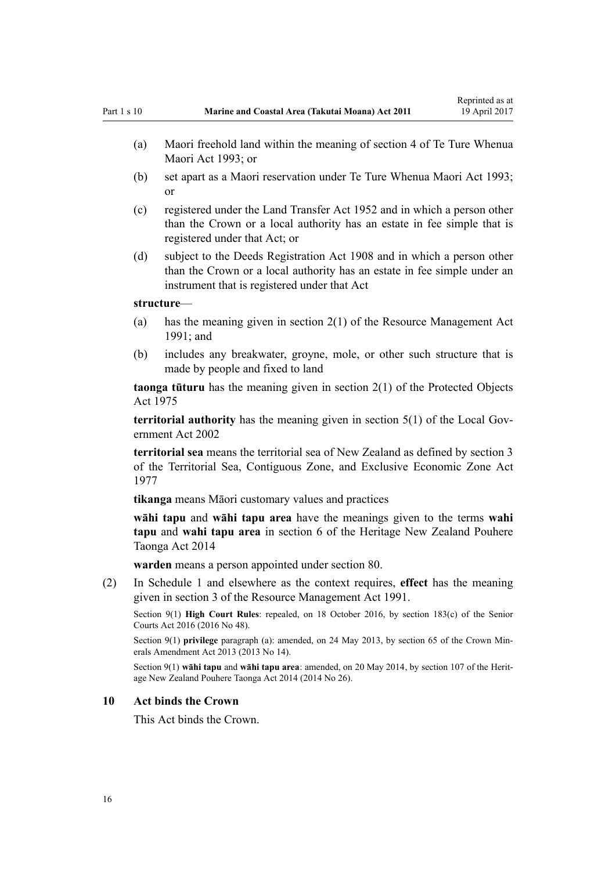- <span id="page-15-0"></span>(a) Maori freehold land within the meaning of [section 4](http://prd-lgnz-nlb.prd.pco.net.nz/pdflink.aspx?id=DLM289897) of Te Ture Whenua Maori Act 1993; or
- (b) set apart as a Maori reservation under [Te Ture Whenua Maori Act 1993;](http://prd-lgnz-nlb.prd.pco.net.nz/pdflink.aspx?id=DLM289881) or
- (c) registered under the [Land Transfer Act 1952](http://prd-lgnz-nlb.prd.pco.net.nz/pdflink.aspx?id=DLM269031) and in which a person other than the Crown or a local authority has an estate in fee simple that is registered under that Act; or
- (d) subject to the [Deeds Registration Act 1908](http://prd-lgnz-nlb.prd.pco.net.nz/pdflink.aspx?id=DLM141134) and in which a person other than the Crown or a local authority has an estate in fee simple under an instrument that is registered under that Act

#### **structure**—

- (a) has the meaning given in [section 2\(1\)](http://prd-lgnz-nlb.prd.pco.net.nz/pdflink.aspx?id=DLM230272) of the Resource Management Act 1991; and
- (b) includes any breakwater, groyne, mole, or other such structure that is made by people and fixed to land

**taonga tūturu** has the meaning given in [section 2\(1\)](http://prd-lgnz-nlb.prd.pco.net.nz/pdflink.aspx?id=DLM432125) of the Protected Objects Act 1975

**territorial authority** has the meaning given in [section 5\(1\)](http://prd-lgnz-nlb.prd.pco.net.nz/pdflink.aspx?id=DLM170881) of the Local Government Act 2002

**territorial sea** means the territorial sea of New Zealand as defined by [section 3](http://prd-lgnz-nlb.prd.pco.net.nz/pdflink.aspx?id=DLM442665) of the Territorial Sea, Contiguous Zone, and Exclusive Economic Zone Act 1977

**tikanga** means Māori customary values and practices

**wāhi tapu** and **wāhi tapu area** have the meanings given to the terms **wahi tapu** and **wahi tapu area** in [section 6](http://prd-lgnz-nlb.prd.pco.net.nz/pdflink.aspx?id=DLM4005423) of the Heritage New Zealand Pouhere Taonga Act 2014

**warden** means a person appointed under [section 80](#page-59-0).

(2) In [Schedule 1](#page-83-0) and elsewhere as the context requires, **effect** has the meaning given in [section 3](http://prd-lgnz-nlb.prd.pco.net.nz/pdflink.aspx?id=DLM231795) of the Resource Management Act 1991.

Section 9(1) **High Court Rules**: repealed, on 18 October 2016, by [section 183\(c\)](http://prd-lgnz-nlb.prd.pco.net.nz/pdflink.aspx?id=DLM5759564) of the Senior Courts Act 2016 (2016 No 48).

Section 9(1) **privilege** paragraph (a): amended, on 24 May 2013, by [section 65](http://prd-lgnz-nlb.prd.pco.net.nz/pdflink.aspx?id=DLM5081570) of the Crown Minerals Amendment Act 2013 (2013 No 14).

Section 9(1) **wāhi tapu** and **wāhi tapu area**: amended, on 20 May 2014, by [section 107](http://prd-lgnz-nlb.prd.pco.net.nz/pdflink.aspx?id=DLM4005646) of the Heritage New Zealand Pouhere Taonga Act 2014 (2014 No 26).

#### **10 Act binds the Crown**

This Act binds the Crown.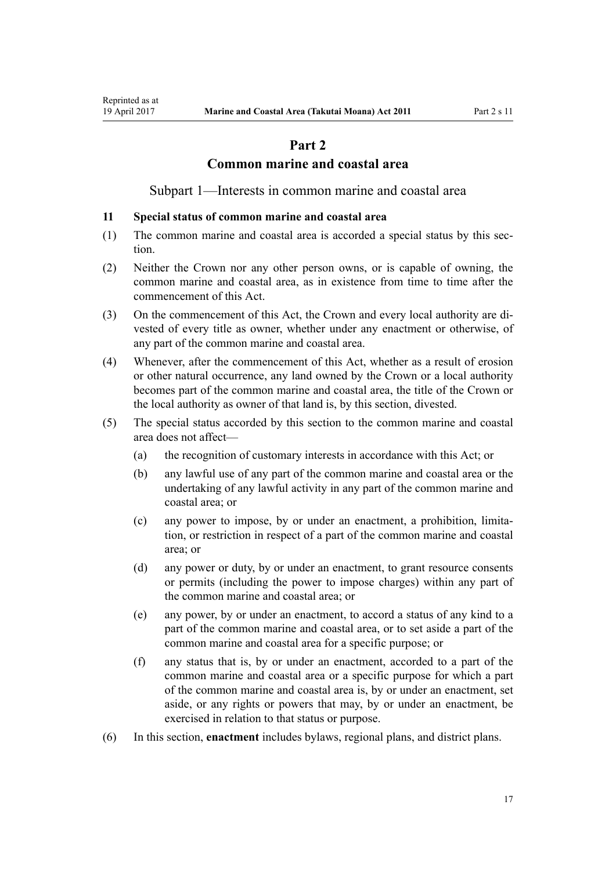# **Part 2**

# **Common marine and coastal area**

Subpart 1—Interests in common marine and coastal area

#### <span id="page-16-0"></span>**11 Special status of common marine and coastal area**

- (1) The common marine and coastal area is accorded a special status by this section.
- (2) Neither the Crown nor any other person owns, or is capable of owning, the common marine and coastal area, as in existence from time to time after the commencement of this Act.
- (3) On the commencement of this Act, the Crown and every local authority are divested of every title as owner, whether under any enactment or otherwise, of any part of the common marine and coastal area.
- (4) Whenever, after the commencement of this Act, whether as a result of erosion or other natural occurrence, any land owned by the Crown or a local authority becomes part of the common marine and coastal area, the title of the Crown or the local authority as owner of that land is, by this section, divested.
- (5) The special status accorded by this section to the common marine and coastal area does not affect—
	- (a) the recognition of customary interests in accordance with this Act; or
	- (b) any lawful use of any part of the common marine and coastal area or the undertaking of any lawful activity in any part of the common marine and coastal area; or
	- (c) any power to impose, by or under an enactment, a prohibition, limitation, or restriction in respect of a part of the common marine and coastal area; or
	- (d) any power or duty, by or under an enactment, to grant resource consents or permits (including the power to impose charges) within any part of the common marine and coastal area; or
	- (e) any power, by or under an enactment, to accord a status of any kind to a part of the common marine and coastal area, or to set aside a part of the common marine and coastal area for a specific purpose; or
	- (f) any status that is, by or under an enactment, accorded to a part of the common marine and coastal area or a specific purpose for which a part of the common marine and coastal area is, by or under an enactment, set aside, or any rights or powers that may, by or under an enactment, be exercised in relation to that status or purpose.
- (6) In this section, **enactment** includes bylaws, regional plans, and district plans.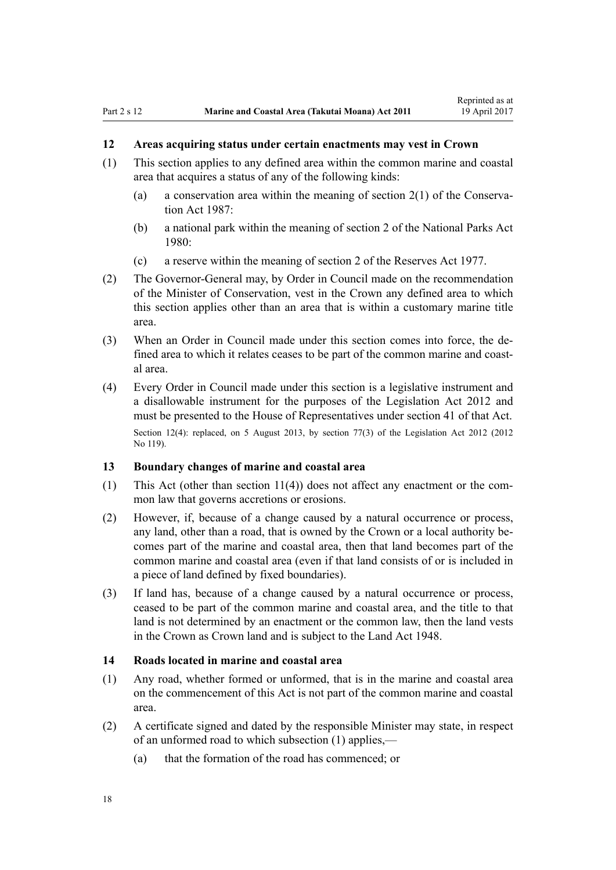# <span id="page-17-0"></span>**12 Areas acquiring status under certain enactments may vest in Crown**

- (1) This section applies to any defined area within the common marine and coastal area that acquires a status of any of the following kinds:
	- (a) a conservation area within the meaning of [section 2\(1\)](http://prd-lgnz-nlb.prd.pco.net.nz/pdflink.aspx?id=DLM103616) of the Conservation Act 1987:
	- (b) a national park within the meaning of [section 2](http://prd-lgnz-nlb.prd.pco.net.nz/pdflink.aspx?id=DLM36968) of the National Parks Act 1980:
	- (c) a reserve within the meaning of [section 2](http://prd-lgnz-nlb.prd.pco.net.nz/pdflink.aspx?id=DLM444310) of the Reserves Act 1977.
- (2) The Governor-General may, by Order in Council made on the recommendation of the Minister of Conservation, vest in the Crown any defined area to which this section applies other than an area that is within a customary marine title area.
- (3) When an Order in Council made under this section comes into force, the defined area to which it relates ceases to be part of the common marine and coastal area.
- (4) Every Order in Council made under this section is a legislative instrument and a disallowable instrument for the purposes of the [Legislation Act 2012](http://prd-lgnz-nlb.prd.pco.net.nz/pdflink.aspx?id=DLM2997643) and must be presented to the House of Representatives under [section 41](http://prd-lgnz-nlb.prd.pco.net.nz/pdflink.aspx?id=DLM2998573) of that Act. Section 12(4): replaced, on 5 August 2013, by [section 77\(3\)](http://prd-lgnz-nlb.prd.pco.net.nz/pdflink.aspx?id=DLM2998633) of the Legislation Act 2012 (2012) No 119).

#### **13 Boundary changes of marine and coastal area**

- (1) This Act (other than [section 11\(4\)](#page-16-0)) does not affect any enactment or the common law that governs accretions or erosions.
- (2) However, if, because of a change caused by a natural occurrence or process, any land, other than a road, that is owned by the Crown or a local authority becomes part of the marine and coastal area, then that land becomes part of the common marine and coastal area (even if that land consists of or is included in a piece of land defined by fixed boundaries).
- (3) If land has, because of a change caused by a natural occurrence or process, ceased to be part of the common marine and coastal area, and the title to that land is not determined by an enactment or the common law, then the land vests in the Crown as Crown land and is subject to the [Land Act 1948.](http://prd-lgnz-nlb.prd.pco.net.nz/pdflink.aspx?id=DLM250585)

### **14 Roads located in marine and coastal area**

- (1) Any road, whether formed or unformed, that is in the marine and coastal area on the commencement of this Act is not part of the common marine and coastal area.
- (2) A certificate signed and dated by the responsible Minister may state, in respect of an unformed road to which subsection (1) applies,—
	- (a) that the formation of the road has commenced; or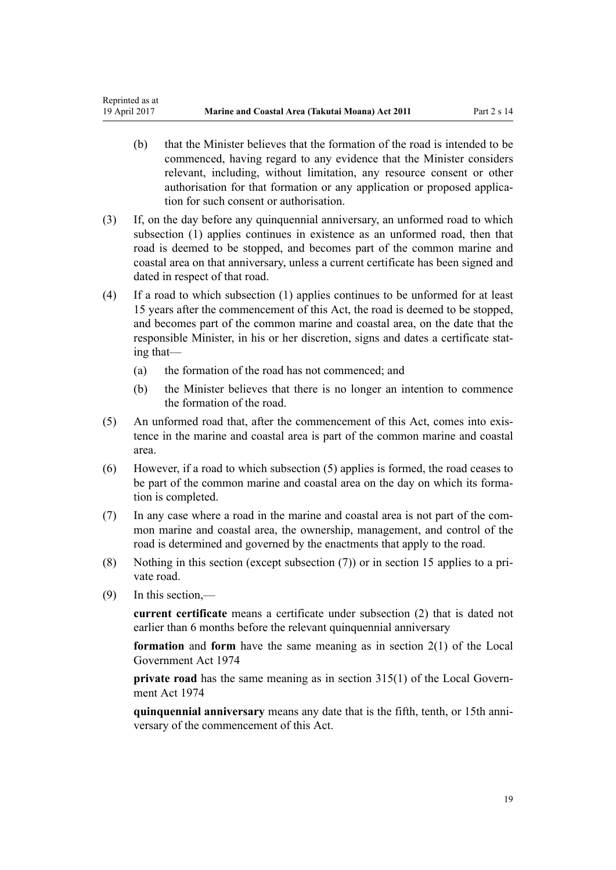- (b) that the Minister believes that the formation of the road is intended to be commenced, having regard to any evidence that the Minister considers relevant, including, without limitation, any resource consent or other authorisation for that formation or any application or proposed application for such consent or authorisation.
- (3) If, on the day before any quinquennial anniversary, an unformed road to which subsection (1) applies continues in existence as an unformed road, then that road is deemed to be stopped, and becomes part of the common marine and coastal area on that anniversary, unless a current certificate has been signed and dated in respect of that road.
- (4) If a road to which subsection (1) applies continues to be unformed for at least 15 years after the commencement of this Act, the road is deemed to be stopped, and becomes part of the common marine and coastal area, on the date that the responsible Minister, in his or her discretion, signs and dates a certificate stating that—
	- (a) the formation of the road has not commenced; and
	- (b) the Minister believes that there is no longer an intention to commence the formation of the road.
- (5) An unformed road that, after the commencement of this Act, comes into existence in the marine and coastal area is part of the common marine and coastal area.
- (6) However, if a road to which subsection (5) applies is formed, the road ceases to be part of the common marine and coastal area on the day on which its formation is completed.
- (7) In any case where a road in the marine and coastal area is not part of the common marine and coastal area, the ownership, management, and control of the road is determined and governed by the enactments that apply to the road.
- (8) Nothing in this section (except subsection (7)) or in [section 15](#page-19-0) applies to a private road.
- (9) In this section,—

**current certificate** means a certificate under subsection (2) that is dated not earlier than 6 months before the relevant quinquennial anniversary

**formation** and **form** have the same meaning as in [section 2\(1\)](http://prd-lgnz-nlb.prd.pco.net.nz/pdflink.aspx?id=DLM415539) of the Local Government Act 1974

**private road** has the same meaning as in [section 315\(1\)](http://prd-lgnz-nlb.prd.pco.net.nz/pdflink.aspx?id=DLM420326) of the Local Government Act 1974

**quinquennial anniversary** means any date that is the fifth, tenth, or 15th anniversary of the commencement of this Act.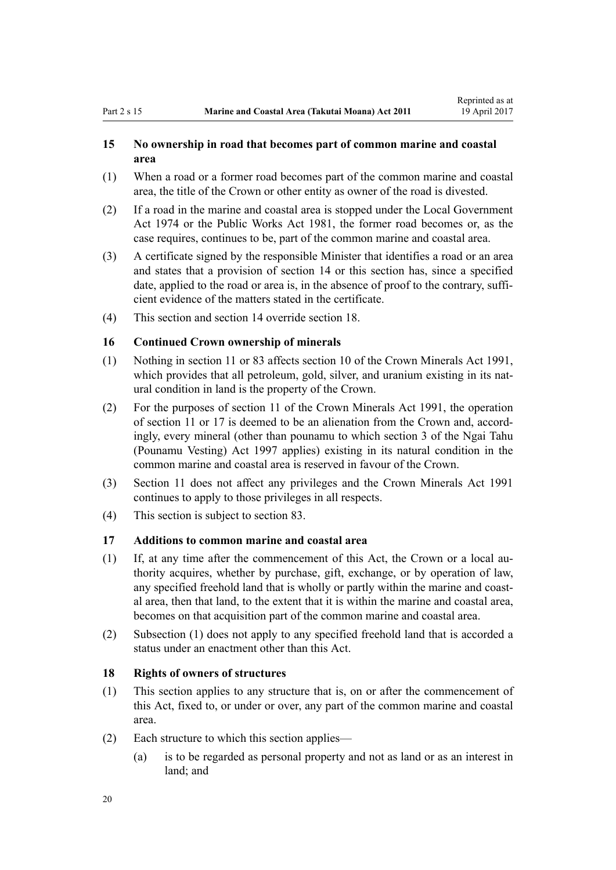# <span id="page-19-0"></span>**15 No ownership in road that becomes part of common marine and coastal area**

- (1) When a road or a former road becomes part of the common marine and coastal area, the title of the Crown or other entity as owner of the road is divested.
- (2) If a road in the marine and coastal area is stopped under the [Local Government](http://prd-lgnz-nlb.prd.pco.net.nz/pdflink.aspx?id=DLM415531) [Act 1974](http://prd-lgnz-nlb.prd.pco.net.nz/pdflink.aspx?id=DLM415531) or the [Public Works Act 1981](http://prd-lgnz-nlb.prd.pco.net.nz/pdflink.aspx?id=DLM45426), the former road becomes or, as the case requires, continues to be, part of the common marine and coastal area.
- (3) A certificate signed by the responsible Minister that identifies a road or an area and states that a provision of [section 14](#page-17-0) or this section has, since a specified date, applied to the road or area is, in the absence of proof to the contrary, sufficient evidence of the matters stated in the certificate.
- (4) This section and [section 14](#page-17-0) override section 18.

# **16 Continued Crown ownership of minerals**

- (1) Nothing in [section 11](#page-16-0) or [83](#page-62-0) affects [section 10](http://prd-lgnz-nlb.prd.pco.net.nz/pdflink.aspx?id=DLM246310) of the Crown Minerals Act 1991, which provides that all petroleum, gold, silver, and uranium existing in its natural condition in land is the property of the Crown.
- (2) For the purposes of [section 11](http://prd-lgnz-nlb.prd.pco.net.nz/pdflink.aspx?id=DLM246311) of the Crown Minerals Act 1991, the operation of [section 11](#page-16-0) or 17 is deemed to be an alienation from the Crown and, accordingly, every mineral (other than pounamu to which [section 3](http://prd-lgnz-nlb.prd.pco.net.nz/pdflink.aspx?id=DLM413605) of the Ngai Tahu (Pounamu Vesting) Act 1997 applies) existing in its natural condition in the common marine and coastal area is reserved in favour of the Crown.
- (3) [Section 11](#page-16-0) does not affect any privileges and the [Crown Minerals Act 1991](http://prd-lgnz-nlb.prd.pco.net.nz/pdflink.aspx?id=DLM242535) continues to apply to those privileges in all respects.
- (4) This section is subject to [section 83.](#page-62-0)

### **17 Additions to common marine and coastal area**

- (1) If, at any time after the commencement of this Act, the Crown or a local authority acquires, whether by purchase, gift, exchange, or by operation of law, any specified freehold land that is wholly or partly within the marine and coastal area, then that land, to the extent that it is within the marine and coastal area, becomes on that acquisition part of the common marine and coastal area.
- (2) Subsection (1) does not apply to any specified freehold land that is accorded a status under an enactment other than this Act.

### **18 Rights of owners of structures**

- (1) This section applies to any structure that is, on or after the commencement of this Act, fixed to, or under or over, any part of the common marine and coastal area.
- (2) Each structure to which this section applies—
	- (a) is to be regarded as personal property and not as land or as an interest in land; and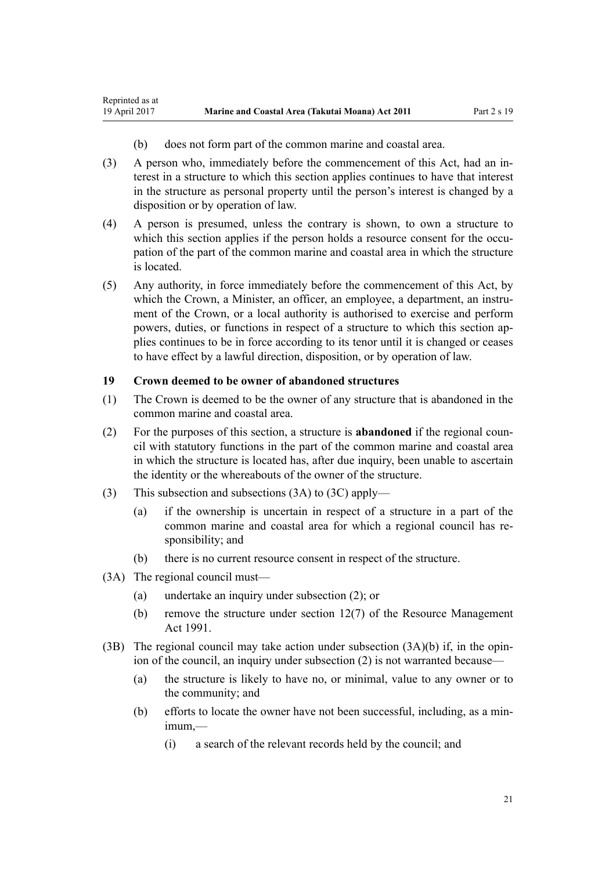- (b) does not form part of the common marine and coastal area.
- <span id="page-20-0"></span>(3) A person who, immediately before the commencement of this Act, had an interest in a structure to which this section applies continues to have that interest in the structure as personal property until the person's interest is changed by a disposition or by operation of law.
- (4) A person is presumed, unless the contrary is shown, to own a structure to which this section applies if the person holds a resource consent for the occupation of the part of the common marine and coastal area in which the structure is located.
- (5) Any authority, in force immediately before the commencement of this Act, by which the Crown, a Minister, an officer, an employee, a department, an instrument of the Crown, or a local authority is authorised to exercise and perform powers, duties, or functions in respect of a structure to which this section applies continues to be in force according to its tenor until it is changed or ceases to have effect by a lawful direction, disposition, or by operation of law.

# **19 Crown deemed to be owner of abandoned structures**

- (1) The Crown is deemed to be the owner of any structure that is abandoned in the common marine and coastal area.
- (2) For the purposes of this section, a structure is **abandoned** if the regional council with statutory functions in the part of the common marine and coastal area in which the structure is located has, after due inquiry, been unable to ascertain the identity or the whereabouts of the owner of the structure.
- (3) This subsection and subsections (3A) to (3C) apply—
	- (a) if the ownership is uncertain in respect of a structure in a part of the common marine and coastal area for which a regional council has responsibility; and
	- (b) there is no current resource consent in respect of the structure.
- (3A) The regional council must—
	- (a) undertake an inquiry under subsection (2); or
	- (b) remove the structure under [section 12\(7\)](http://prd-lgnz-nlb.prd.pco.net.nz/pdflink.aspx?id=DLM231949) of the Resource Management Act 1991.
- (3B) The regional council may take action under subsection  $(3A)(b)$  if, in the opinion of the council, an inquiry under subsection (2) is not warranted because—
	- (a) the structure is likely to have no, or minimal, value to any owner or to the community; and
	- (b) efforts to locate the owner have not been successful, including, as a minimum,—
		- (i) a search of the relevant records held by the council; and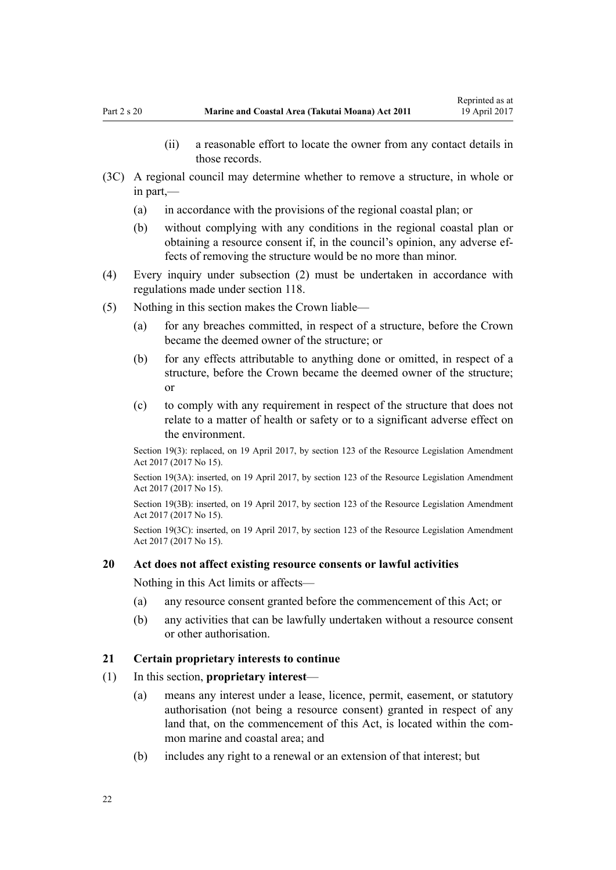- (ii) a reasonable effort to locate the owner from any contact details in those records.
- <span id="page-21-0"></span>(3C) A regional council may determine whether to remove a structure, in whole or in part,—
	- (a) in accordance with the provisions of the regional coastal plan; or
	- (b) without complying with any conditions in the regional coastal plan or obtaining a resource consent if, in the council's opinion, any adverse effects of removing the structure would be no more than minor.
- (4) Every inquiry under subsection (2) must be undertaken in accordance with regulations made under [section 118](#page-77-0).
- (5) Nothing in this section makes the Crown liable—
	- (a) for any breaches committed, in respect of a structure, before the Crown became the deemed owner of the structure; or
	- (b) for any effects attributable to anything done or omitted, in respect of a structure, before the Crown became the deemed owner of the structure; or
	- (c) to comply with any requirement in respect of the structure that does not relate to a matter of health or safety or to a significant adverse effect on the environment.

Section 19(3): replaced, on 19 April 2017, by [section 123](http://prd-lgnz-nlb.prd.pco.net.nz/pdflink.aspx?id=DLM6669356) of the Resource Legislation Amendment Act 2017 (2017 No 15).

Section 19(3A): inserted, on 19 April 2017, by [section 123](http://prd-lgnz-nlb.prd.pco.net.nz/pdflink.aspx?id=DLM6669356) of the Resource Legislation Amendment Act 2017 (2017 No 15).

Section 19(3B): inserted, on 19 April 2017, by [section 123](http://prd-lgnz-nlb.prd.pco.net.nz/pdflink.aspx?id=DLM6669356) of the Resource Legislation Amendment Act 2017 (2017 No 15).

Section 19(3C): inserted, on 19 April 2017, by [section 123](http://prd-lgnz-nlb.prd.pco.net.nz/pdflink.aspx?id=DLM6669356) of the Resource Legislation Amendment Act 2017 (2017 No 15).

#### **20 Act does not affect existing resource consents or lawful activities**

Nothing in this Act limits or affects—

- (a) any resource consent granted before the commencement of this Act; or
- (b) any activities that can be lawfully undertaken without a resource consent or other authorisation.

#### **21 Certain proprietary interests to continue**

- (1) In this section, **proprietary interest**
	- (a) means any interest under a lease, licence, permit, easement, or statutory authorisation (not being a resource consent) granted in respect of any land that, on the commencement of this Act, is located within the common marine and coastal area; and
	- (b) includes any right to a renewal or an extension of that interest; but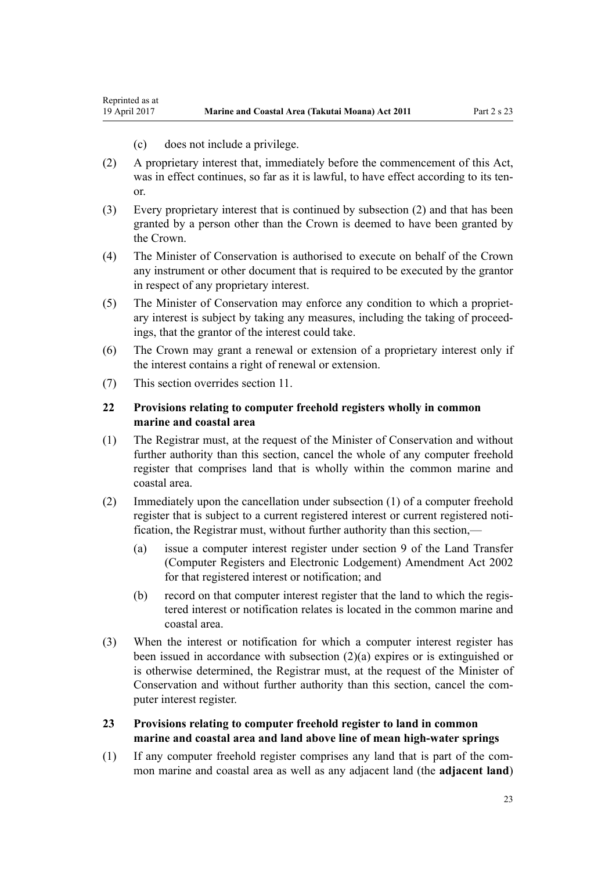(c) does not include a privilege.

<span id="page-22-0"></span>Reprinted as at

- (2) A proprietary interest that, immediately before the commencement of this Act, was in effect continues, so far as it is lawful, to have effect according to its tenor.
- (3) Every proprietary interest that is continued by subsection (2) and that has been granted by a person other than the Crown is deemed to have been granted by the Crown.
- (4) The Minister of Conservation is authorised to execute on behalf of the Crown any instrument or other document that is required to be executed by the grantor in respect of any proprietary interest.
- (5) The Minister of Conservation may enforce any condition to which a proprietary interest is subject by taking any measures, including the taking of proceedings, that the grantor of the interest could take.
- (6) The Crown may grant a renewal or extension of a proprietary interest only if the interest contains a right of renewal or extension.
- (7) This section overrides [section 11](#page-16-0).

# **22 Provisions relating to computer freehold registers wholly in common marine and coastal area**

- (1) The Registrar must, at the request of the Minister of Conservation and without further authority than this section, cancel the whole of any computer freehold register that comprises land that is wholly within the common marine and coastal area.
- (2) Immediately upon the cancellation under subsection (1) of a computer freehold register that is subject to a current registered interest or current registered notification, the Registrar must, without further authority than this section,—
	- (a) issue a computer interest register under [section 9](http://prd-lgnz-nlb.prd.pco.net.nz/pdflink.aspx?id=DLM140179) of the Land Transfer (Computer Registers and Electronic Lodgement) Amendment Act 2002 for that registered interest or notification; and
	- (b) record on that computer interest register that the land to which the registered interest or notification relates is located in the common marine and coastal area.
- (3) When the interest or notification for which a computer interest register has been issued in accordance with subsection (2)(a) expires or is extinguished or is otherwise determined, the Registrar must, at the request of the Minister of Conservation and without further authority than this section, cancel the computer interest register.
- **23 Provisions relating to computer freehold register to land in common marine and coastal area and land above line of mean high-water springs**
- (1) If any computer freehold register comprises any land that is part of the common marine and coastal area as well as any adjacent land (the **adjacent land**)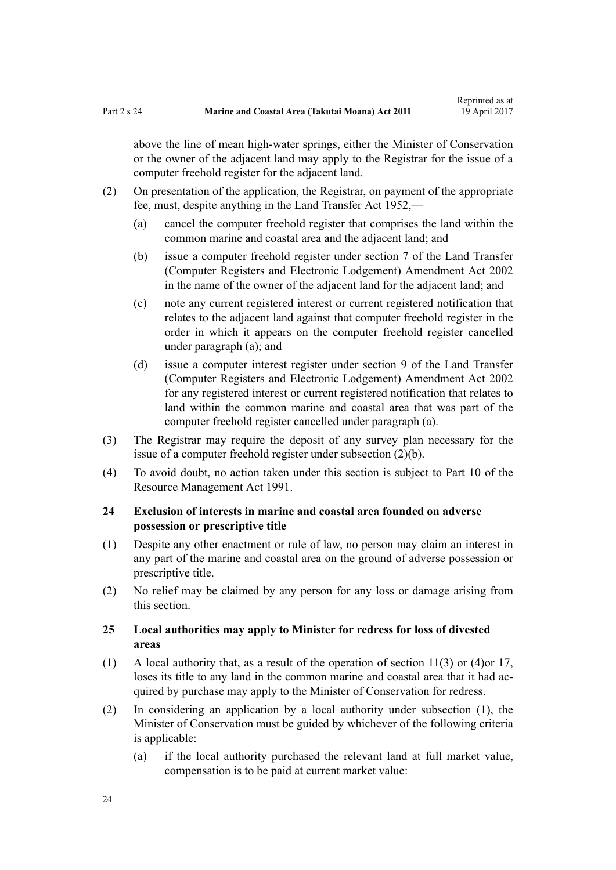<span id="page-23-0"></span>above the line of mean high-water springs, either the Minister of Conservation or the owner of the adjacent land may apply to the Registrar for the issue of a computer freehold register for the adjacent land.

- (2) On presentation of the application, the Registrar, on payment of the appropriate fee, must, despite anything in the [Land Transfer Act 1952,](http://prd-lgnz-nlb.prd.pco.net.nz/pdflink.aspx?id=DLM269031)—
	- (a) cancel the computer freehold register that comprises the land within the common marine and coastal area and the adjacent land; and
	- (b) issue a computer freehold register under [section 7](http://prd-lgnz-nlb.prd.pco.net.nz/pdflink.aspx?id=DLM140177) of the Land Transfer (Computer Registers and Electronic Lodgement) Amendment Act 2002 in the name of the owner of the adjacent land for the adjacent land; and
	- (c) note any current registered interest or current registered notification that relates to the adjacent land against that computer freehold register in the order in which it appears on the computer freehold register cancelled under paragraph (a); and
	- (d) issue a computer interest register under [section 9](http://prd-lgnz-nlb.prd.pco.net.nz/pdflink.aspx?id=DLM140179) of the Land Transfer (Computer Registers and Electronic Lodgement) Amendment Act 2002 for any registered interest or current registered notification that relates to land within the common marine and coastal area that was part of the computer freehold register cancelled under paragraph (a).
- (3) The Registrar may require the deposit of any survey plan necessary for the issue of a computer freehold register under subsection (2)(b).
- (4) To avoid doubt, no action taken under this section is subject to [Part 10](http://prd-lgnz-nlb.prd.pco.net.nz/pdflink.aspx?id=DLM236786) of the Resource Management Act 1991.

# **24 Exclusion of interests in marine and coastal area founded on adverse possession or prescriptive title**

- (1) Despite any other enactment or rule of law, no person may claim an interest in any part of the marine and coastal area on the ground of adverse possession or prescriptive title.
- (2) No relief may be claimed by any person for any loss or damage arising from this section.

# **25 Local authorities may apply to Minister for redress for loss of divested areas**

- (1) A local authority that, as a result of the operation of [section 11\(3\) or \(4\)o](#page-16-0)r [17](#page-19-0), loses its title to any land in the common marine and coastal area that it had acquired by purchase may apply to the Minister of Conservation for redress.
- (2) In considering an application by a local authority under subsection (1), the Minister of Conservation must be guided by whichever of the following criteria is applicable:
	- (a) if the local authority purchased the relevant land at full market value, compensation is to be paid at current market value: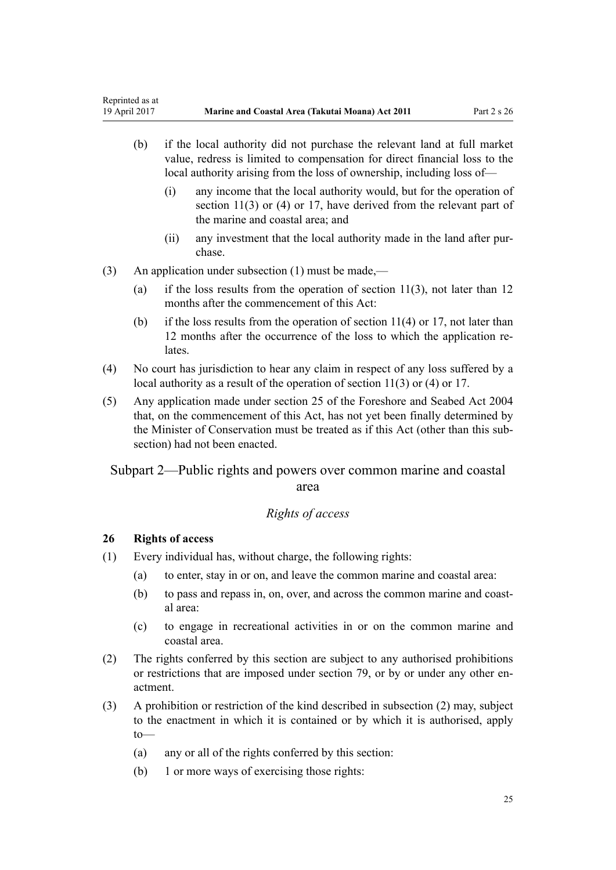- <span id="page-24-0"></span>(b) if the local authority did not purchase the relevant land at full market value, redress is limited to compensation for direct financial loss to the local authority arising from the loss of ownership, including loss of—
	- (i) any income that the local authority would, but for the operation of [section 11\(3\) or \(4\)](#page-16-0) or [17](#page-19-0), have derived from the relevant part of the marine and coastal area; and
	- (ii) any investment that the local authority made in the land after purchase.
- (3) An application under subsection (1) must be made,—
	- (a) if the loss results from the operation of [section 11\(3\),](#page-16-0) not later than 12 months after the commencement of this Act:
	- (b) if the loss results from the operation of section  $11(4)$  or [17](#page-19-0), not later than 12 months after the occurrence of the loss to which the application relates.
- (4) No court has jurisdiction to hear any claim in respect of any loss suffered by a local authority as a result of the operation of [section 11\(3\) or \(4\)](#page-16-0) or [17](#page-19-0).
- (5) Any application made under [section 25](http://prd-lgnz-nlb.prd.pco.net.nz/pdflink.aspx?id=DLM320246) of the Foreshore and Seabed Act 2004 that, on the commencement of this Act, has not yet been finally determined by the Minister of Conservation must be treated as if this Act (other than this subsection) had not been enacted.

# Subpart 2—Public rights and powers over common marine and coastal area

### *Rights of access*

# **26 Rights of access**

- (1) Every individual has, without charge, the following rights:
	- (a) to enter, stay in or on, and leave the common marine and coastal area:
	- (b) to pass and repass in, on, over, and across the common marine and coastal area:
	- (c) to engage in recreational activities in or on the common marine and coastal area.
- (2) The rights conferred by this section are subject to any authorised prohibitions or restrictions that are imposed under [section 79,](#page-58-0) or by or under any other enactment.
- (3) A prohibition or restriction of the kind described in subsection (2) may, subject to the enactment in which it is contained or by which it is authorised, apply to—
	- (a) any or all of the rights conferred by this section:
	- (b) 1 or more ways of exercising those rights: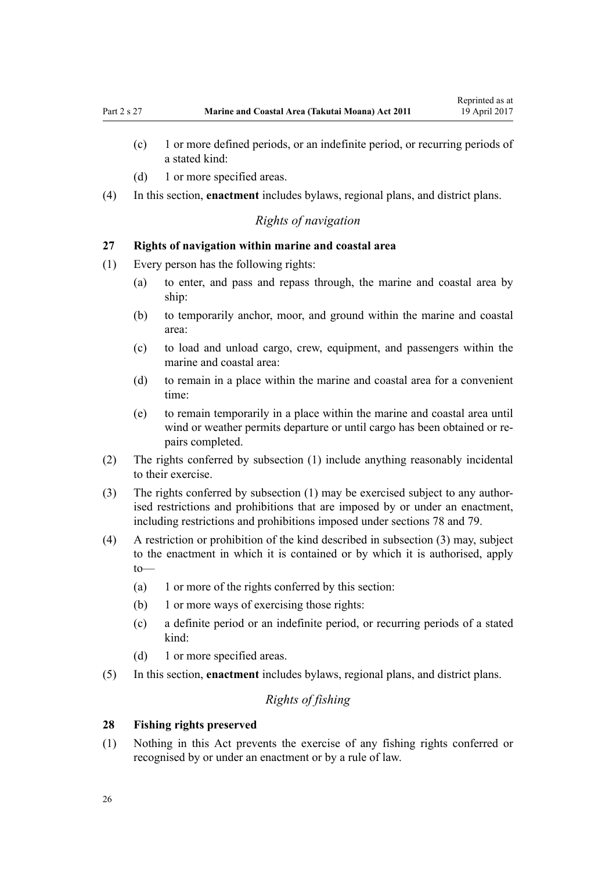- <span id="page-25-0"></span>(c) 1 or more defined periods, or an indefinite period, or recurring periods of a stated kind:
- (d) 1 or more specified areas.
- (4) In this section, **enactment** includes bylaws, regional plans, and district plans.

# *Rights of navigation*

# **27 Rights of navigation within marine and coastal area**

- (1) Every person has the following rights:
	- (a) to enter, and pass and repass through, the marine and coastal area by ship:
	- (b) to temporarily anchor, moor, and ground within the marine and coastal area:
	- (c) to load and unload cargo, crew, equipment, and passengers within the marine and coastal area:
	- (d) to remain in a place within the marine and coastal area for a convenient time:
	- (e) to remain temporarily in a place within the marine and coastal area until wind or weather permits departure or until cargo has been obtained or repairs completed.
- (2) The rights conferred by subsection (1) include anything reasonably incidental to their exercise.
- (3) The rights conferred by subsection (1) may be exercised subject to any authorised restrictions and prohibitions that are imposed by or under an enactment, including restrictions and prohibitions imposed under [sections 78](#page-58-0) and [79.](#page-58-0)
- (4) A restriction or prohibition of the kind described in subsection (3) may, subject to the enactment in which it is contained or by which it is authorised, apply to—
	- (a) 1 or more of the rights conferred by this section:
	- (b) 1 or more ways of exercising those rights:
	- (c) a definite period or an indefinite period, or recurring periods of a stated kind:
	- (d) 1 or more specified areas.
- (5) In this section, **enactment** includes bylaws, regional plans, and district plans.

# *Rights of fishing*

#### **28 Fishing rights preserved**

(1) Nothing in this Act prevents the exercise of any fishing rights conferred or recognised by or under an enactment or by a rule of law.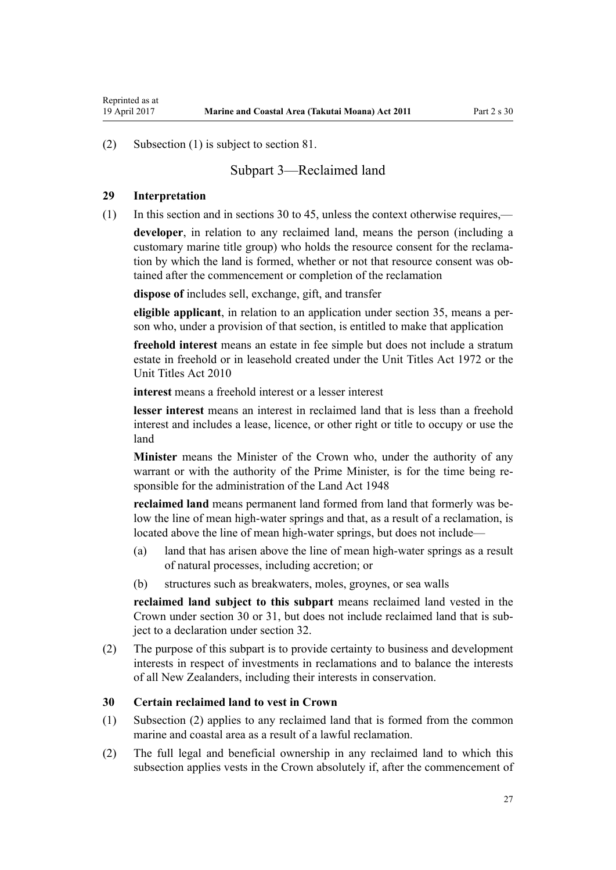<span id="page-26-0"></span>(2) Subsection (1) is subject to [section 81.](#page-60-0)

# Subpart 3—Reclaimed land

#### **29 Interpretation**

(1) In this section and in sections 30 to 45, unless the context otherwise requires,—

**developer**, in relation to any reclaimed land, means the person (including a customary marine title group) who holds the resource consent for the reclamation by which the land is formed, whether or not that resource consent was obtained after the commencement or completion of the reclamation

**dispose of** includes sell, exchange, gift, and transfer

**eligible applicant**, in relation to an application under [section 35,](#page-28-0) means a person who, under a provision of that section, is entitled to make that application

**freehold interest** means an estate in fee simple but does not include a stratum estate in freehold or in leasehold created under the [Unit Titles Act 1972](http://prd-lgnz-nlb.prd.pco.net.nz/pdflink.aspx?id=DLM405590) or the [Unit Titles Act 2010](http://prd-lgnz-nlb.prd.pco.net.nz/pdflink.aspx?id=DLM1160400)

**interest** means a freehold interest or a lesser interest

**lesser interest** means an interest in reclaimed land that is less than a freehold interest and includes a lease, licence, or other right or title to occupy or use the land

**Minister** means the Minister of the Crown who, under the authority of any warrant or with the authority of the Prime Minister, is for the time being responsible for the administration of the [Land Act 1948](http://prd-lgnz-nlb.prd.pco.net.nz/pdflink.aspx?id=DLM250585)

**reclaimed land** means permanent land formed from land that formerly was below the line of mean high-water springs and that, as a result of a reclamation, is located above the line of mean high-water springs, but does not include—

- (a) land that has arisen above the line of mean high-water springs as a result of natural processes, including accretion; or
- (b) structures such as breakwaters, moles, groynes, or sea walls

**reclaimed land subject to this subpart** means reclaimed land vested in the Crown under section 30 or [31,](#page-27-0) but does not include reclaimed land that is subject to a declaration under [section 32](#page-27-0).

(2) The purpose of this subpart is to provide certainty to business and development interests in respect of investments in reclamations and to balance the interests of all New Zealanders, including their interests in conservation.

#### **30 Certain reclaimed land to vest in Crown**

- (1) Subsection (2) applies to any reclaimed land that is formed from the common marine and coastal area as a result of a lawful reclamation.
- (2) The full legal and beneficial ownership in any reclaimed land to which this subsection applies vests in the Crown absolutely if, after the commencement of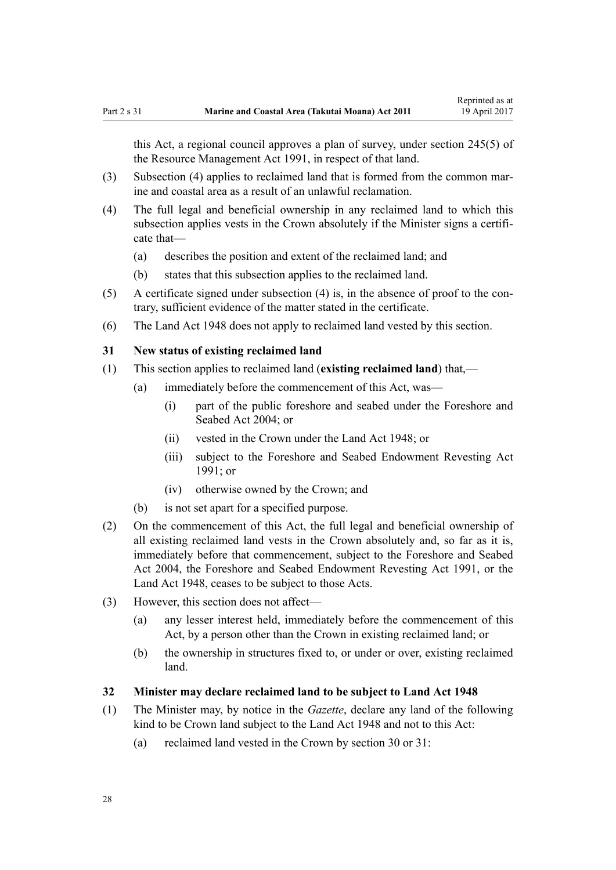<span id="page-27-0"></span>this Act, a regional council approves a plan of survey, under [section 245\(5\)](http://prd-lgnz-nlb.prd.pco.net.nz/pdflink.aspx?id=DLM237630) of the Resource Management Act 1991, in respect of that land.

- (3) Subsection (4) applies to reclaimed land that is formed from the common marine and coastal area as a result of an unlawful reclamation.
- (4) The full legal and beneficial ownership in any reclaimed land to which this subsection applies vests in the Crown absolutely if the Minister signs a certificate that—
	- (a) describes the position and extent of the reclaimed land; and
	- (b) states that this subsection applies to the reclaimed land.
- (5) A certificate signed under subsection (4) is, in the absence of proof to the contrary, sufficient evidence of the matter stated in the certificate.
- (6) The [Land Act 1948](http://prd-lgnz-nlb.prd.pco.net.nz/pdflink.aspx?id=DLM250585) does not apply to reclaimed land vested by this section.

#### **31 New status of existing reclaimed land**

- (1) This section applies to reclaimed land (**existing reclaimed land**) that,—
	- (a) immediately before the commencement of this Act, was—
		- (i) part of the public foreshore and seabed under the [Foreshore and](http://prd-lgnz-nlb.prd.pco.net.nz/pdflink.aspx?id=DLM319838) [Seabed Act 2004;](http://prd-lgnz-nlb.prd.pco.net.nz/pdflink.aspx?id=DLM319838) or
		- (ii) vested in the Crown under the [Land Act 1948](http://prd-lgnz-nlb.prd.pco.net.nz/pdflink.aspx?id=DLM250585); or
		- (iii) subject to the Foreshore and Seabed Endowment Revesting Act 1991; or
		- (iv) otherwise owned by the Crown; and
	- (b) is not set apart for a specified purpose.
- (2) On the commencement of this Act, the full legal and beneficial ownership of all existing reclaimed land vests in the Crown absolutely and, so far as it is, immediately before that commencement, subject to the [Foreshore and Seabed](http://prd-lgnz-nlb.prd.pco.net.nz/pdflink.aspx?id=DLM319838) [Act 2004](http://prd-lgnz-nlb.prd.pco.net.nz/pdflink.aspx?id=DLM319838), the Foreshore and Seabed Endowment Revesting Act 1991, or the [Land Act 1948](http://prd-lgnz-nlb.prd.pco.net.nz/pdflink.aspx?id=DLM250585), ceases to be subject to those Acts.
- (3) However, this section does not affect—
	- (a) any lesser interest held, immediately before the commencement of this Act, by a person other than the Crown in existing reclaimed land; or
	- (b) the ownership in structures fixed to, or under or over, existing reclaimed land.

#### **32 Minister may declare reclaimed land to be subject to Land Act 1948**

- (1) The Minister may, by notice in the *Gazette*, declare any land of the following kind to be Crown land subject to the [Land Act 1948](http://prd-lgnz-nlb.prd.pco.net.nz/pdflink.aspx?id=DLM250585) and not to this Act:
	- (a) reclaimed land vested in the Crown by [section 30](#page-26-0) or 31: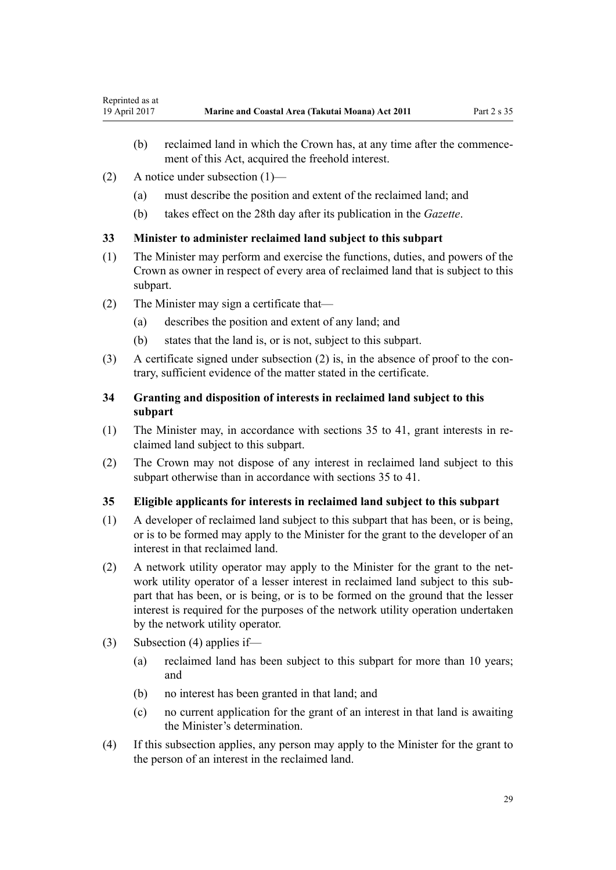- <span id="page-28-0"></span>(b) reclaimed land in which the Crown has, at any time after the commencement of this Act, acquired the freehold interest.
- (2) A notice under subsection (1)—
	- (a) must describe the position and extent of the reclaimed land; and
	- (b) takes effect on the 28th day after its publication in the *Gazette*.

# **33 Minister to administer reclaimed land subject to this subpart**

- (1) The Minister may perform and exercise the functions, duties, and powers of the Crown as owner in respect of every area of reclaimed land that is subject to this subpart.
- (2) The Minister may sign a certificate that—
	- (a) describes the position and extent of any land; and
	- (b) states that the land is, or is not, subject to this subpart.
- (3) A certificate signed under subsection (2) is, in the absence of proof to the contrary, sufficient evidence of the matter stated in the certificate.

# **34 Granting and disposition of interests in reclaimed land subject to this subpart**

- (1) The Minister may, in accordance with sections 35 to 41, grant interests in reclaimed land subject to this subpart.
- (2) The Crown may not dispose of any interest in reclaimed land subject to this subpart otherwise than in accordance with sections 35 to 41.

### **35 Eligible applicants for interests in reclaimed land subject to this subpart**

- (1) A developer of reclaimed land subject to this subpart that has been, or is being, or is to be formed may apply to the Minister for the grant to the developer of an interest in that reclaimed land.
- (2) A network utility operator may apply to the Minister for the grant to the network utility operator of a lesser interest in reclaimed land subject to this subpart that has been, or is being, or is to be formed on the ground that the lesser interest is required for the purposes of the network utility operation undertaken by the network utility operator.
- (3) Subsection (4) applies if—
	- (a) reclaimed land has been subject to this subpart for more than 10 years; and
	- (b) no interest has been granted in that land; and
	- (c) no current application for the grant of an interest in that land is awaiting the Minister's determination.
- (4) If this subsection applies, any person may apply to the Minister for the grant to the person of an interest in the reclaimed land.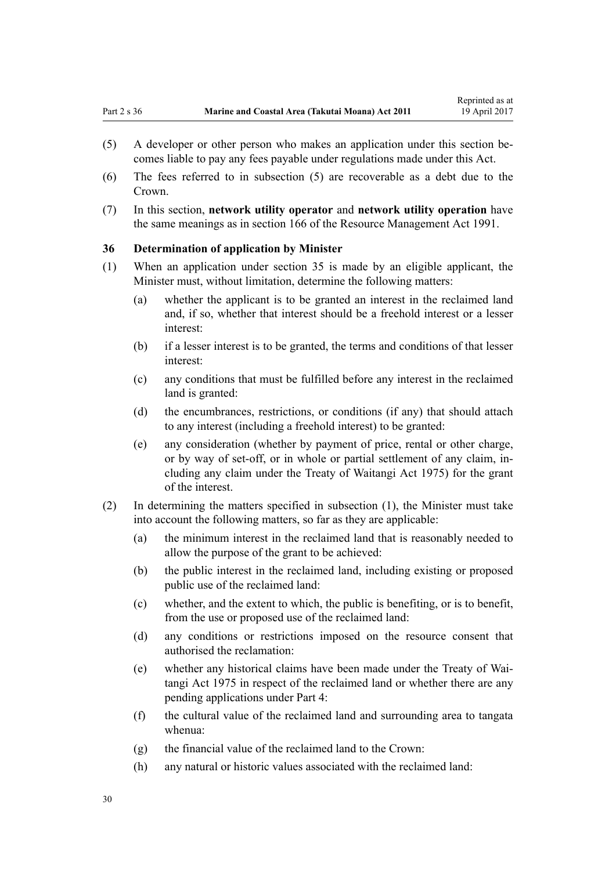- <span id="page-29-0"></span>(5) A developer or other person who makes an application under this section becomes liable to pay any fees payable under regulations made under this Act.
- (6) The fees referred to in subsection (5) are recoverable as a debt due to the Crown.
- (7) In this section, **network utility operator** and **network utility operation** have the same meanings as in [section 166](http://prd-lgnz-nlb.prd.pco.net.nz/pdflink.aspx?id=DLM236206) of the Resource Management Act 1991.

### **36 Determination of application by Minister**

- (1) When an application under [section 35](#page-28-0) is made by an eligible applicant, the Minister must, without limitation, determine the following matters:
	- (a) whether the applicant is to be granted an interest in the reclaimed land and, if so, whether that interest should be a freehold interest or a lesser interest:
	- (b) if a lesser interest is to be granted, the terms and conditions of that lesser interest:
	- (c) any conditions that must be fulfilled before any interest in the reclaimed land is granted:
	- (d) the encumbrances, restrictions, or conditions (if any) that should attach to any interest (including a freehold interest) to be granted:
	- (e) any consideration (whether by payment of price, rental or other charge, or by way of set-off, or in whole or partial settlement of any claim, including any claim under the [Treaty of Waitangi Act 1975\)](http://prd-lgnz-nlb.prd.pco.net.nz/pdflink.aspx?id=DLM435367) for the grant of the interest.
- (2) In determining the matters specified in subsection (1), the Minister must take into account the following matters, so far as they are applicable:
	- (a) the minimum interest in the reclaimed land that is reasonably needed to allow the purpose of the grant to be achieved:
	- (b) the public interest in the reclaimed land, including existing or proposed public use of the reclaimed land:
	- (c) whether, and the extent to which, the public is benefiting, or is to benefit, from the use or proposed use of the reclaimed land:
	- (d) any conditions or restrictions imposed on the resource consent that authorised the reclamation:
	- (e) whether any historical claims have been made under the [Treaty of Wai](http://prd-lgnz-nlb.prd.pco.net.nz/pdflink.aspx?id=DLM435367)[tangi Act 1975](http://prd-lgnz-nlb.prd.pco.net.nz/pdflink.aspx?id=DLM435367) in respect of the reclaimed land or whether there are any pending applications under [Part 4:](#page-68-0)
	- (f) the cultural value of the reclaimed land and surrounding area to tangata whenua:
	- (g) the financial value of the reclaimed land to the Crown:
	- (h) any natural or historic values associated with the reclaimed land: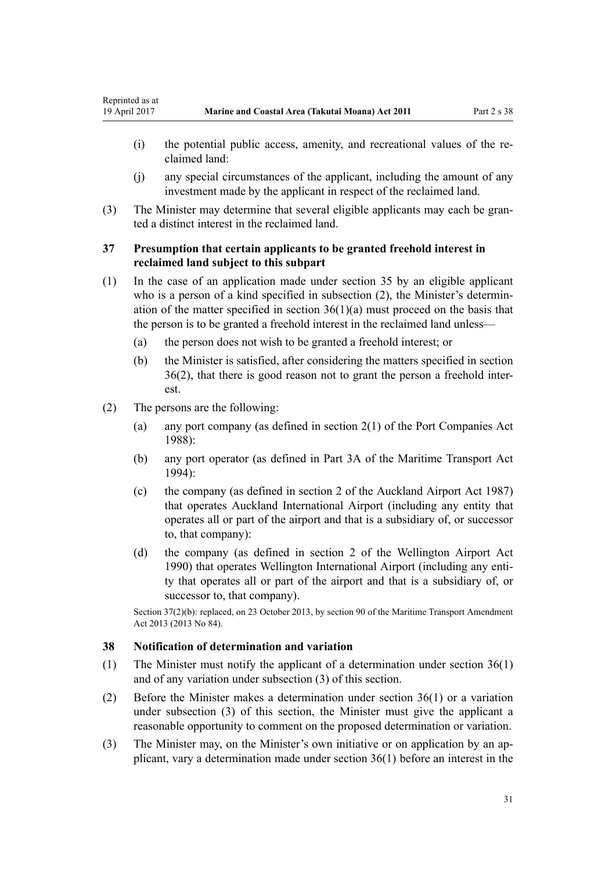- <span id="page-30-0"></span>(i) the potential public access, amenity, and recreational values of the reclaimed land:
- (j) any special circumstances of the applicant, including the amount of any investment made by the applicant in respect of the reclaimed land.
- (3) The Minister may determine that several eligible applicants may each be granted a distinct interest in the reclaimed land.

# **37 Presumption that certain applicants to be granted freehold interest in reclaimed land subject to this subpart**

- (1) In the case of an application made under [section 35](#page-28-0) by an eligible applicant who is a person of a kind specified in subsection (2), the Minister's determination of the matter specified in section  $36(1)(a)$  must proceed on the basis that the person is to be granted a freehold interest in the reclaimed land unless—
	- (a) the person does not wish to be granted a freehold interest; or
	- (b) the Minister is satisfied, after considering the matters specified in [section](#page-29-0) [36\(2\)](#page-29-0), that there is good reason not to grant the person a freehold interest.
- (2) The persons are the following:
	- (a) any port company (as defined in [section 2\(1\)](http://prd-lgnz-nlb.prd.pco.net.nz/pdflink.aspx?id=DLM131688) of the Port Companies Act 1988):
	- (b) any port operator (as defined in [Part 3A](http://prd-lgnz-nlb.prd.pco.net.nz/pdflink.aspx?id=DLM5689750) of the Maritime Transport Act  $1994$
	- (c) the company (as defined in [section 2](http://prd-lgnz-nlb.prd.pco.net.nz/pdflink.aspx?id=DLM125376) of the Auckland Airport Act 1987) that operates Auckland International Airport (including any entity that operates all or part of the airport and that is a subsidiary of, or successor to, that company):
	- (d) the company (as defined in [section 2](http://prd-lgnz-nlb.prd.pco.net.nz/pdflink.aspx?id=DLM211896) of the Wellington Airport Act 1990) that operates Wellington International Airport (including any entity that operates all or part of the airport and that is a subsidiary of, or successor to, that company).

Section 37(2)(b): replaced, on 23 October 2013, by [section 90](http://prd-lgnz-nlb.prd.pco.net.nz/pdflink.aspx?id=DLM4698973) of the Maritime Transport Amendment Act 2013 (2013 No 84).

### **38 Notification of determination and variation**

- (1) The Minister must notify the applicant of a determination under [section 36\(1\)](#page-29-0) and of any variation under subsection (3) of this section.
- (2) Before the Minister makes a determination under [section 36\(1\)](#page-29-0) or a variation under subsection (3) of this section, the Minister must give the applicant a reasonable opportunity to comment on the proposed determination or variation.
- (3) The Minister may, on the Minister's own initiative or on application by an applicant, vary a determination made under [section 36\(1\)](#page-29-0) before an interest in the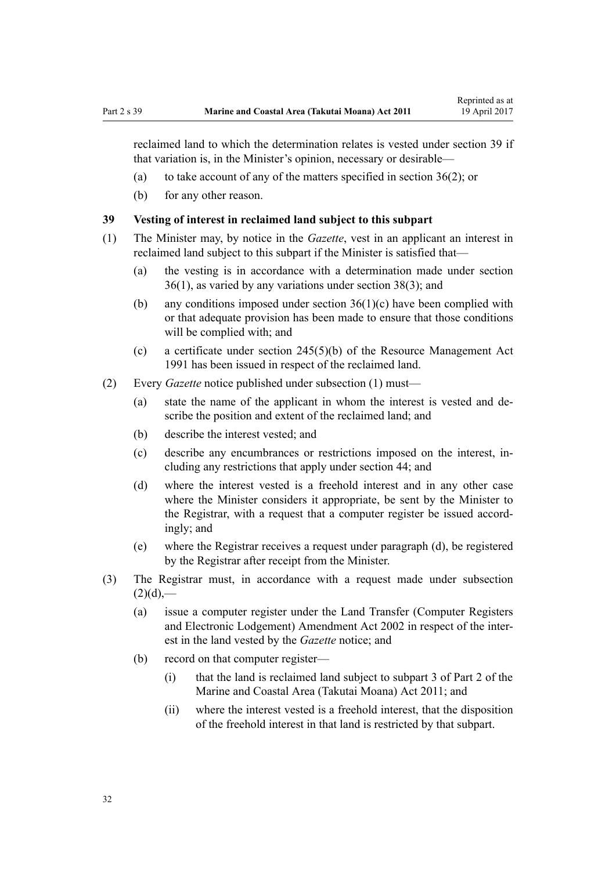<span id="page-31-0"></span>reclaimed land to which the determination relates is vested under section 39 if that variation is, in the Minister's opinion, necessary or desirable—

- (a) to take account of any of the matters specified in [section 36\(2\)](#page-29-0); or
- (b) for any other reason.

### **39 Vesting of interest in reclaimed land subject to this subpart**

- (1) The Minister may, by notice in the *Gazette*, vest in an applicant an interest in reclaimed land subject to this subpart if the Minister is satisfied that—
	- (a) the vesting is in accordance with a determination made under [section](#page-29-0) [36\(1\)](#page-29-0), as varied by any variations under [section 38\(3\)](#page-30-0); and
	- (b) any conditions imposed under [section 36\(1\)\(c\)](#page-29-0) have been complied with or that adequate provision has been made to ensure that those conditions will be complied with; and
	- (c) a certificate under [section 245\(5\)\(b\)](http://prd-lgnz-nlb.prd.pco.net.nz/pdflink.aspx?id=DLM237630) of the Resource Management Act 1991 has been issued in respect of the reclaimed land.
- (2) Every *Gazette* notice published under subsection (1) must—
	- (a) state the name of the applicant in whom the interest is vested and describe the position and extent of the reclaimed land; and
	- (b) describe the interest vested; and
	- (c) describe any encumbrances or restrictions imposed on the interest, including any restrictions that apply under [section 44;](#page-34-0) and
	- (d) where the interest vested is a freehold interest and in any other case where the Minister considers it appropriate, be sent by the Minister to the Registrar, with a request that a computer register be issued accordingly; and
	- (e) where the Registrar receives a request under paragraph (d), be registered by the Registrar after receipt from the Minister.
- (3) The Registrar must, in accordance with a request made under subsection  $(2)(d)$ ,—
	- (a) issue a computer register under the [Land Transfer \(Computer Registers](http://prd-lgnz-nlb.prd.pco.net.nz/pdflink.aspx?id=DLM140136) [and Electronic Lodgement\) Amendment Act 2002](http://prd-lgnz-nlb.prd.pco.net.nz/pdflink.aspx?id=DLM140136) in respect of the interest in the land vested by the *Gazette* notice; and
	- (b) record on that computer register—
		- (i) that the land is reclaimed land subject to [subpart 3 of Part 2](#page-26-0) of the Marine and Coastal Area (Takutai Moana) Act 2011; and
		- (ii) where the interest vested is a freehold interest, that the disposition of the freehold interest in that land is restricted by that subpart.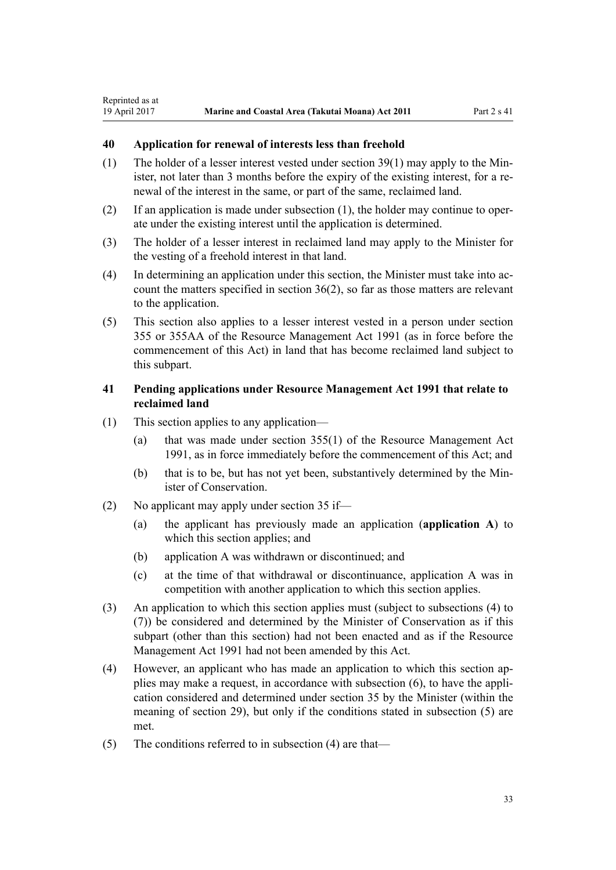# <span id="page-32-0"></span>**40 Application for renewal of interests less than freehold**

- (1) The holder of a lesser interest vested under [section 39\(1\)](#page-31-0) may apply to the Minister, not later than 3 months before the expiry of the existing interest, for a renewal of the interest in the same, or part of the same, reclaimed land.
- (2) If an application is made under subsection (1), the holder may continue to operate under the existing interest until the application is determined.
- (3) The holder of a lesser interest in reclaimed land may apply to the Minister for the vesting of a freehold interest in that land.
- (4) In determining an application under this section, the Minister must take into account the matters specified in [section 36\(2\)](#page-29-0), so far as those matters are relevant to the application.
- (5) This section also applies to a lesser interest vested in a person under [section](http://prd-lgnz-nlb.prd.pco.net.nz/pdflink.aspx?id=DLM239322) [355](http://prd-lgnz-nlb.prd.pco.net.nz/pdflink.aspx?id=DLM239322) or [355AA](http://prd-lgnz-nlb.prd.pco.net.nz/pdflink.aspx?id=DLM239326) of the Resource Management Act 1991 (as in force before the commencement of this Act) in land that has become reclaimed land subject to this subpart.

# **41 Pending applications under Resource Management Act 1991 that relate to reclaimed land**

- (1) This section applies to any application—
	- (a) that was made under [section 355\(1\)](http://prd-lgnz-nlb.prd.pco.net.nz/pdflink.aspx?id=DLM239322) of the Resource Management Act 1991, as in force immediately before the commencement of this Act; and
	- (b) that is to be, but has not yet been, substantively determined by the Minister of Conservation.
- (2) No applicant may apply under [section 35](#page-28-0) if—
	- (a) the applicant has previously made an application (**application A**) to which this section applies; and
	- (b) application A was withdrawn or discontinued; and
	- (c) at the time of that withdrawal or discontinuance, application A was in competition with another application to which this section applies.
- (3) An application to which this section applies must (subject to subsections (4) to (7)) be considered and determined by the Minister of Conservation as if this subpart (other than this section) had not been enacted and as if the [Resource](http://prd-lgnz-nlb.prd.pco.net.nz/pdflink.aspx?id=DLM230264) [Management Act 1991](http://prd-lgnz-nlb.prd.pco.net.nz/pdflink.aspx?id=DLM230264) had not been amended by this Act.
- (4) However, an applicant who has made an application to which this section applies may make a request, in accordance with subsection (6), to have the application considered and determined under [section 35](#page-28-0) by the Minister (within the meaning of [section 29](#page-26-0)), but only if the conditions stated in subsection (5) are met.
- (5) The conditions referred to in subsection (4) are that—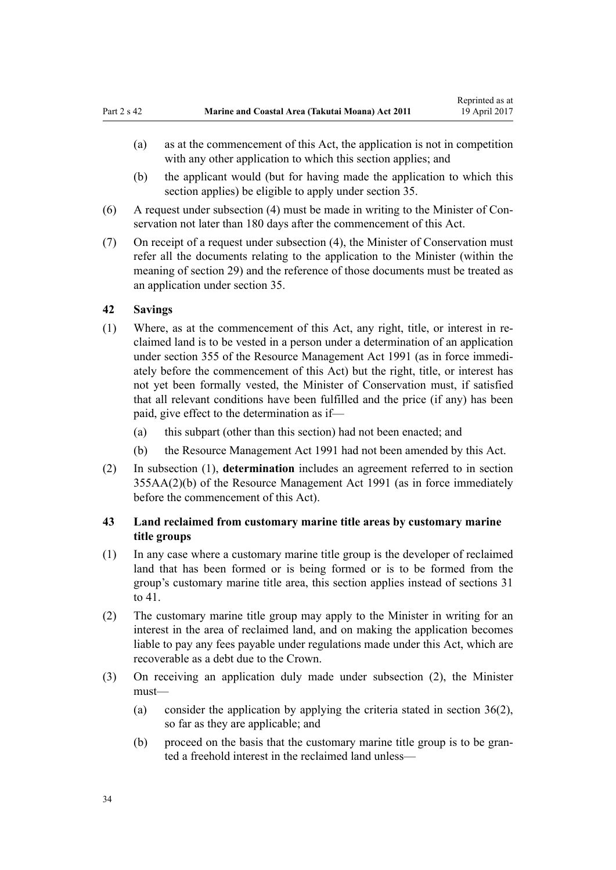- <span id="page-33-0"></span>(a) as at the commencement of this Act, the application is not in competition with any other application to which this section applies; and
- (b) the applicant would (but for having made the application to which this section applies) be eligible to apply under [section 35](#page-28-0).
- (6) A request under subsection (4) must be made in writing to the Minister of Conservation not later than 180 days after the commencement of this Act.
- (7) On receipt of a request under subsection (4), the Minister of Conservation must refer all the documents relating to the application to the Minister (within the meaning of [section 29](#page-26-0)) and the reference of those documents must be treated as an application under [section 35.](#page-28-0)

### **42 Savings**

- (1) Where, as at the commencement of this Act, any right, title, or interest in reclaimed land is to be vested in a person under a determination of an application under [section 355](http://prd-lgnz-nlb.prd.pco.net.nz/pdflink.aspx?id=DLM239322) of the Resource Management Act 1991 (as in force immediately before the commencement of this Act) but the right, title, or interest has not yet been formally vested, the Minister of Conservation must, if satisfied that all relevant conditions have been fulfilled and the price (if any) has been paid, give effect to the determination as if—
	- (a) this subpart (other than this section) had not been enacted; and
	- (b) the [Resource Management Act 1991](http://prd-lgnz-nlb.prd.pco.net.nz/pdflink.aspx?id=DLM230264) had not been amended by this Act.
- (2) In subsection (1), **determination** includes an agreement referred to in [section](http://prd-lgnz-nlb.prd.pco.net.nz/pdflink.aspx?id=DLM239326) [355AA\(2\)\(b\)](http://prd-lgnz-nlb.prd.pco.net.nz/pdflink.aspx?id=DLM239326) of the Resource Management Act 1991 (as in force immediately before the commencement of this Act).

# **43 Land reclaimed from customary marine title areas by customary marine title groups**

- (1) In any case where a customary marine title group is the developer of reclaimed land that has been formed or is being formed or is to be formed from the group's customary marine title area, this section applies instead of [sections 31](#page-27-0) [to 41.](#page-27-0)
- (2) The customary marine title group may apply to the Minister in writing for an interest in the area of reclaimed land, and on making the application becomes liable to pay any fees payable under regulations made under this Act, which are recoverable as a debt due to the Crown.
- (3) On receiving an application duly made under subsection (2), the Minister must—
	- (a) consider the application by applying the criteria stated in [section 36\(2\)](#page-29-0), so far as they are applicable; and
	- (b) proceed on the basis that the customary marine title group is to be granted a freehold interest in the reclaimed land unless—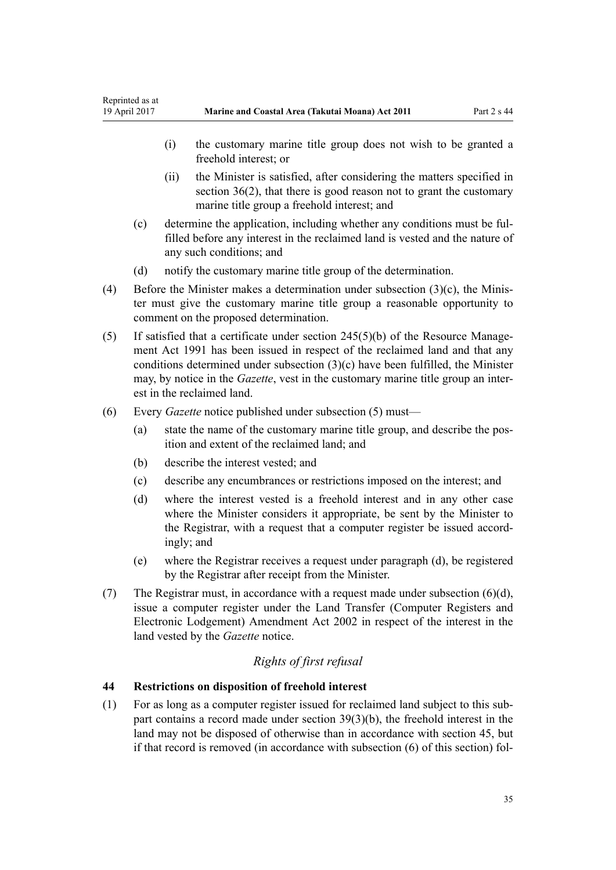- <span id="page-34-0"></span>(i) the customary marine title group does not wish to be granted a freehold interest; or
- (ii) the Minister is satisfied, after considering the matters specified in [section 36\(2\),](#page-29-0) that there is good reason not to grant the customary marine title group a freehold interest; and
- (c) determine the application, including whether any conditions must be fulfilled before any interest in the reclaimed land is vested and the nature of any such conditions; and
- (d) notify the customary marine title group of the determination.
- (4) Before the Minister makes a determination under subsection (3)(c), the Minister must give the customary marine title group a reasonable opportunity to comment on the proposed determination.
- (5) If satisfied that a certificate under [section 245\(5\)\(b\)](http://prd-lgnz-nlb.prd.pco.net.nz/pdflink.aspx?id=DLM237630) of the Resource Management Act 1991 has been issued in respect of the reclaimed land and that any conditions determined under subsection (3)(c) have been fulfilled, the Minister may, by notice in the *Gazette*, vest in the customary marine title group an interest in the reclaimed land.
- (6) Every *Gazette* notice published under subsection (5) must—
	- (a) state the name of the customary marine title group, and describe the position and extent of the reclaimed land; and
	- (b) describe the interest vested; and
	- (c) describe any encumbrances or restrictions imposed on the interest; and
	- (d) where the interest vested is a freehold interest and in any other case where the Minister considers it appropriate, be sent by the Minister to the Registrar, with a request that a computer register be issued accordingly; and
	- (e) where the Registrar receives a request under paragraph (d), be registered by the Registrar after receipt from the Minister.
- (7) The Registrar must, in accordance with a request made under subsection  $(6)(d)$ , issue a computer register under the [Land Transfer \(Computer Registers and](http://prd-lgnz-nlb.prd.pco.net.nz/pdflink.aspx?id=DLM140136) [Electronic Lodgement\) Amendment Act 2002](http://prd-lgnz-nlb.prd.pco.net.nz/pdflink.aspx?id=DLM140136) in respect of the interest in the land vested by the *Gazette* notice.

# *Rights of first refusal*

# **44 Restrictions on disposition of freehold interest**

(1) For as long as a computer register issued for reclaimed land subject to this subpart contains a record made under [section 39\(3\)\(b\)](#page-31-0), the freehold interest in the land may not be disposed of otherwise than in accordance with [section 45](#page-35-0), but if that record is removed (in accordance with subsection (6) of this section) fol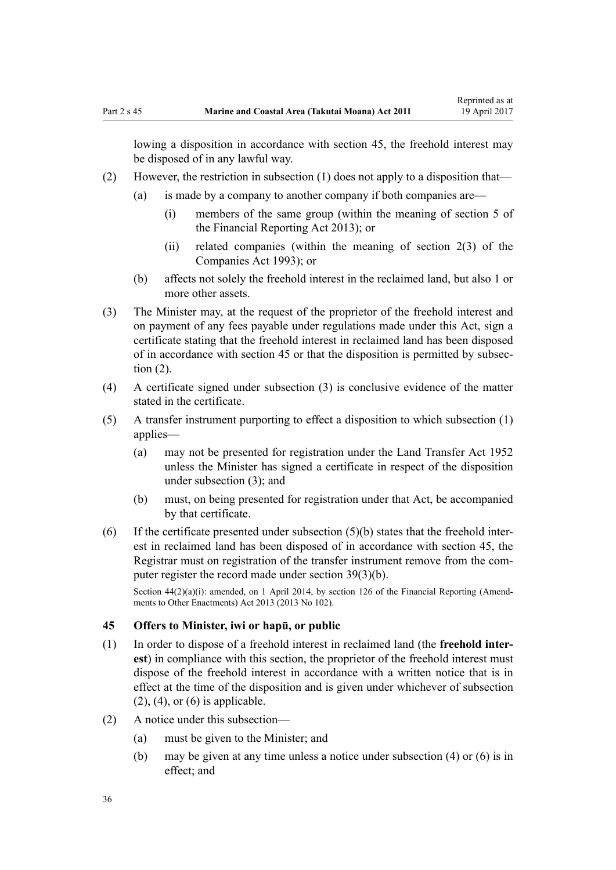<span id="page-35-0"></span>lowing a disposition in accordance with section 45, the freehold interest may be disposed of in any lawful way.

- (2) However, the restriction in subsection (1) does not apply to a disposition that—
	- (a) is made by a company to another company if both companies are—
		- (i) members of the same group (within the meaning of [section 5](http://prd-lgnz-nlb.prd.pco.net.nz/pdflink.aspx?id=DLM4632837) of the Financial Reporting Act 2013); or
		- (ii) related companies (within the meaning of [section 2\(3\)](http://prd-lgnz-nlb.prd.pco.net.nz/pdflink.aspx?id=DLM319576) of the Companies Act 1993); or
	- (b) affects not solely the freehold interest in the reclaimed land, but also 1 or more other assets.
- (3) The Minister may, at the request of the proprietor of the freehold interest and on payment of any fees payable under regulations made under this Act, sign a certificate stating that the freehold interest in reclaimed land has been disposed of in accordance with section 45 or that the disposition is permitted by subsection (2).
- (4) A certificate signed under subsection (3) is conclusive evidence of the matter stated in the certificate.
- (5) A transfer instrument purporting to effect a disposition to which subsection (1) applies—
	- (a) may not be presented for registration under the [Land Transfer Act 1952](http://prd-lgnz-nlb.prd.pco.net.nz/pdflink.aspx?id=DLM269031) unless the Minister has signed a certificate in respect of the disposition under subsection (3); and
	- (b) must, on being presented for registration under that Act, be accompanied by that certificate.
- $(6)$  If the certificate presented under subsection  $(5)(b)$  states that the freehold interest in reclaimed land has been disposed of in accordance with section 45, the Registrar must on registration of the transfer instrument remove from the computer register the record made under [section 39\(3\)\(b\).](#page-31-0)

Section  $44(2)(a)(i)$ : amended, on 1 April 2014, by [section 126](http://prd-lgnz-nlb.prd.pco.net.nz/pdflink.aspx?id=DLM5740665) of the Financial Reporting (Amendments to Other Enactments) Act 2013 (2013 No 102).

#### **45 Offers to Minister, iwi or hapū, or public**

- (1) In order to dispose of a freehold interest in reclaimed land (the **freehold interest**) in compliance with this section, the proprietor of the freehold interest must dispose of the freehold interest in accordance with a written notice that is in effect at the time of the disposition and is given under whichever of subsection  $(2)$ ,  $(4)$ , or  $(6)$  is applicable.
- (2) A notice under this subsection—
	- (a) must be given to the Minister; and
	- (b) may be given at any time unless a notice under subsection (4) or (6) is in effect; and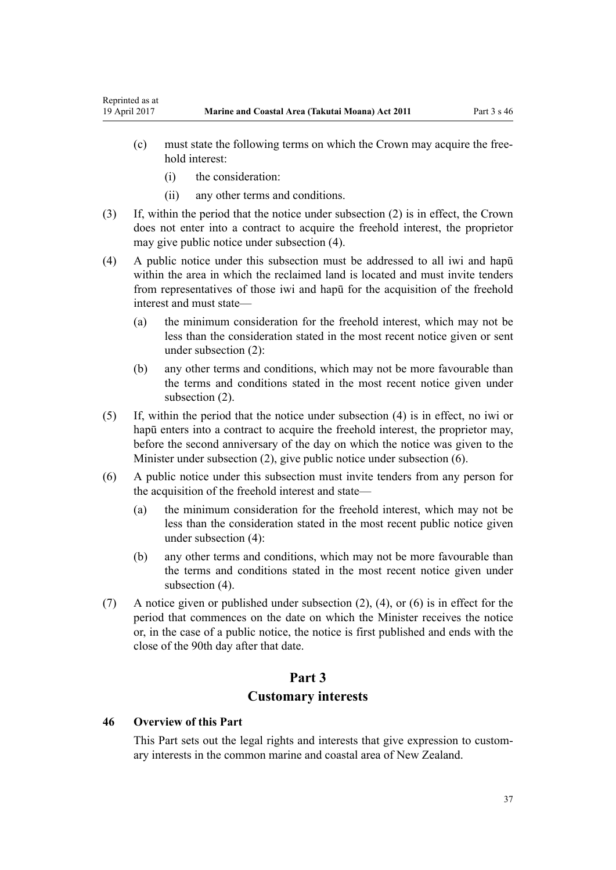- (c) must state the following terms on which the Crown may acquire the freehold interest:
	- (i) the consideration:

Reprinted as at

- (ii) any other terms and conditions.
- (3) If, within the period that the notice under subsection (2) is in effect, the Crown does not enter into a contract to acquire the freehold interest, the proprietor may give public notice under subsection (4).
- (4) A public notice under this subsection must be addressed to all iwi and hapū within the area in which the reclaimed land is located and must invite tenders from representatives of those iwi and hapū for the acquisition of the freehold interest and must state—
	- (a) the minimum consideration for the freehold interest, which may not be less than the consideration stated in the most recent notice given or sent under subsection (2):
	- (b) any other terms and conditions, which may not be more favourable than the terms and conditions stated in the most recent notice given under subsection (2).
- (5) If, within the period that the notice under subsection (4) is in effect, no iwi or hapū enters into a contract to acquire the freehold interest, the proprietor may, before the second anniversary of the day on which the notice was given to the Minister under subsection (2), give public notice under subsection (6).
- (6) A public notice under this subsection must invite tenders from any person for the acquisition of the freehold interest and state—
	- (a) the minimum consideration for the freehold interest, which may not be less than the consideration stated in the most recent public notice given under subsection (4):
	- (b) any other terms and conditions, which may not be more favourable than the terms and conditions stated in the most recent notice given under subsection  $(4)$ .
- (7) A notice given or published under subsection (2), (4), or (6) is in effect for the period that commences on the date on which the Minister receives the notice or, in the case of a public notice, the notice is first published and ends with the close of the 90th day after that date.

# **Part 3 Customary interests**

#### **46 Overview of this Part**

This Part sets out the legal rights and interests that give expression to customary interests in the common marine and coastal area of New Zealand.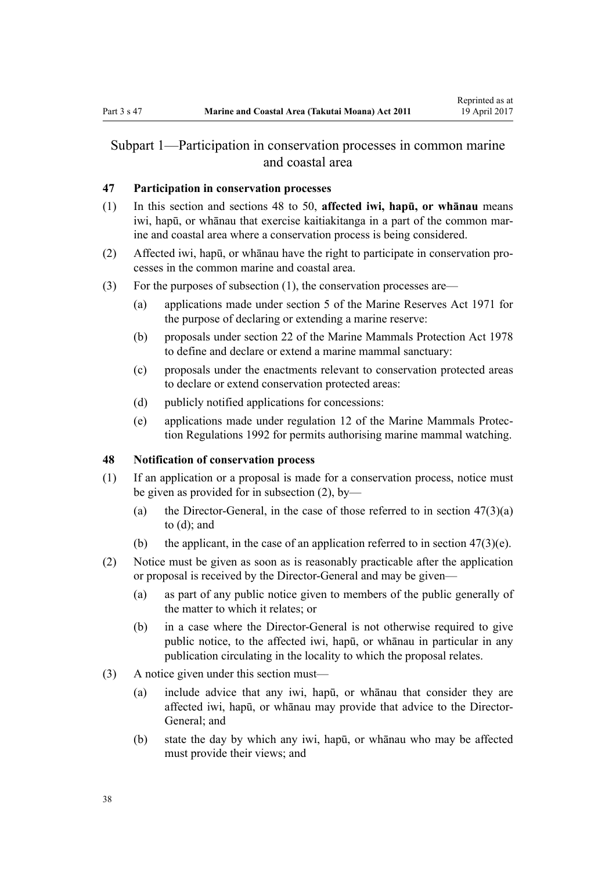## <span id="page-37-0"></span>Subpart 1—Participation in conservation processes in common marine and coastal area

### **47 Participation in conservation processes**

- (1) In this section and sections 48 to 50, **affected iwi, hapū, or whānau** means iwi, hapū, or whānau that exercise kaitiakitanga in a part of the common marine and coastal area where a conservation process is being considered.
- (2) Affected iwi, hapū, or whānau have the right to participate in conservation processes in the common marine and coastal area.
- (3) For the purposes of subsection (1), the conservation processes are—
	- (a) applications made under [section 5](http://prd-lgnz-nlb.prd.pco.net.nz/pdflink.aspx?id=DLM398113) of the Marine Reserves Act 1971 for the purpose of declaring or extending a marine reserve:
	- (b) proposals under [section 22](http://prd-lgnz-nlb.prd.pco.net.nz/pdflink.aspx?id=DLM25372) of the Marine Mammals Protection Act 1978 to define and declare or extend a marine mammal sanctuary:
	- (c) proposals under the enactments relevant to conservation protected areas to declare or extend conservation protected areas:
	- (d) publicly notified applications for concessions:
	- (e) applications made under [regulation 12](http://prd-lgnz-nlb.prd.pco.net.nz/pdflink.aspx?id=DLM168830) of the Marine Mammals Protection Regulations 1992 for permits authorising marine mammal watching.

## **48 Notification of conservation process**

- (1) If an application or a proposal is made for a conservation process, notice must be given as provided for in subsection (2), by—
	- (a) the Director-General, in the case of those referred to in section  $47(3)(a)$ to (d); and
	- (b) the applicant, in the case of an application referred to in section  $47(3)(e)$ .
- (2) Notice must be given as soon as is reasonably practicable after the application or proposal is received by the Director-General and may be given—
	- (a) as part of any public notice given to members of the public generally of the matter to which it relates; or
	- (b) in a case where the Director-General is not otherwise required to give public notice, to the affected iwi, hapū, or whānau in particular in any publication circulating in the locality to which the proposal relates.
- (3) A notice given under this section must—
	- (a) include advice that any iwi, hapū, or whānau that consider they are affected iwi, hapū, or whānau may provide that advice to the Director-General; and
	- (b) state the day by which any iwi, hapū, or whānau who may be affected must provide their views; and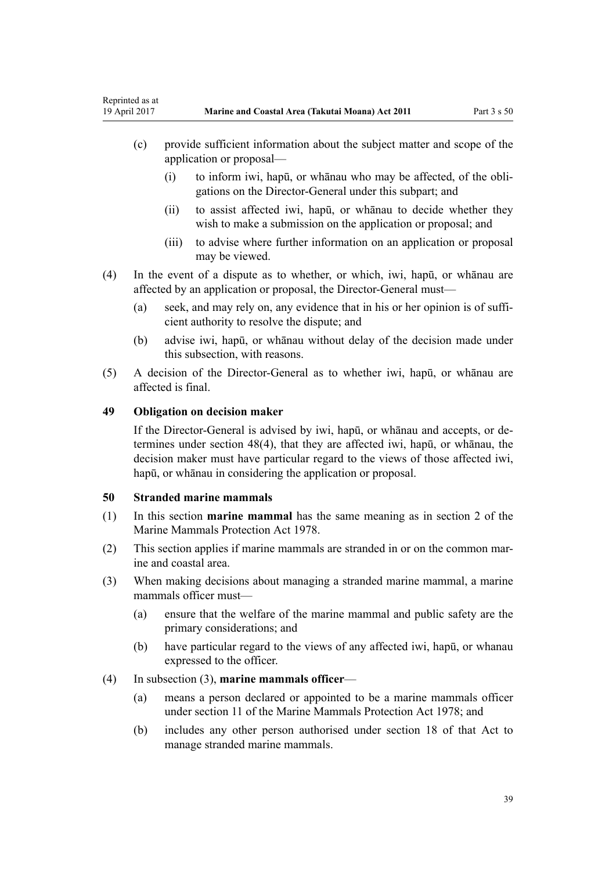- (c) provide sufficient information about the subject matter and scope of the application or proposal—
	- (i) to inform iwi, hapū, or whānau who may be affected, of the obligations on the Director-General under this subpart; and
	- (ii) to assist affected iwi, hapū, or whānau to decide whether they wish to make a submission on the application or proposal; and
	- (iii) to advise where further information on an application or proposal may be viewed.
- (4) In the event of a dispute as to whether, or which, iwi, hapū, or whānau are affected by an application or proposal, the Director-General must—
	- (a) seek, and may rely on, any evidence that in his or her opinion is of sufficient authority to resolve the dispute; and
	- (b) advise iwi, hapū, or whānau without delay of the decision made under this subsection, with reasons.
- (5) A decision of the Director-General as to whether iwi, hapū, or whānau are affected is final.

#### **49 Obligation on decision maker**

If the Director-General is advised by iwi, hapū, or whānau and accepts, or determines under [section 48\(4\)](#page-37-0), that they are affected iwi, hapū, or whānau, the decision maker must have particular regard to the views of those affected iwi, hapū, or whānau in considering the application or proposal.

#### **50 Stranded marine mammals**

- (1) In this section **marine mammal** has the same meaning as in [section 2](http://prd-lgnz-nlb.prd.pco.net.nz/pdflink.aspx?id=DLM25116) of the Marine Mammals Protection Act 1978.
- (2) This section applies if marine mammals are stranded in or on the common marine and coastal area.
- (3) When making decisions about managing a stranded marine mammal, a marine mammals officer must—
	- (a) ensure that the welfare of the marine mammal and public safety are the primary considerations; and
	- (b) have particular regard to the views of any affected iwi, hapū, or whanau expressed to the officer.

#### (4) In subsection (3), **marine mammals officer**—

- (a) means a person declared or appointed to be a marine mammals officer under [section 11](http://prd-lgnz-nlb.prd.pco.net.nz/pdflink.aspx?id=DLM25336) of the Marine Mammals Protection Act 1978; and
- (b) includes any other person authorised under [section 18](http://prd-lgnz-nlb.prd.pco.net.nz/pdflink.aspx?id=DLM25362) of that Act to manage stranded marine mammals.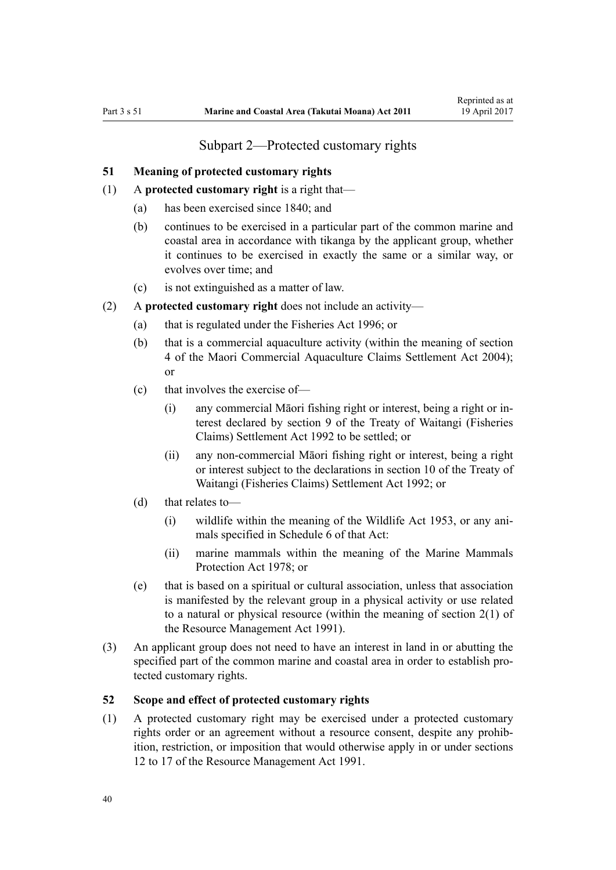## Subpart 2—Protected customary rights

#### <span id="page-39-0"></span>**51 Meaning of protected customary rights**

- (1) A **protected customary right** is a right that—
	- (a) has been exercised since 1840; and
	- (b) continues to be exercised in a particular part of the common marine and coastal area in accordance with tikanga by the applicant group, whether it continues to be exercised in exactly the same or a similar way, or evolves over time; and
	- (c) is not extinguished as a matter of law.
- (2) A **protected customary right** does not include an activity—
	- (a) that is regulated under the [Fisheries Act 1996](http://prd-lgnz-nlb.prd.pco.net.nz/pdflink.aspx?id=DLM394191); or
	- (b) that is a commercial aquaculture activity (within the meaning of [section](http://prd-lgnz-nlb.prd.pco.net.nz/pdflink.aspx?id=DLM324356) [4](http://prd-lgnz-nlb.prd.pco.net.nz/pdflink.aspx?id=DLM324356) of the Maori Commercial Aquaculture Claims Settlement Act 2004); or
	- (c) that involves the exercise of—
		- (i) any commercial Māori fishing right or interest, being a right or interest declared by [section 9](http://prd-lgnz-nlb.prd.pco.net.nz/pdflink.aspx?id=DLM281460) of the Treaty of Waitangi (Fisheries Claims) Settlement Act 1992 to be settled; or
		- (ii) any non-commercial Māori fishing right or interest, being a right or interest subject to the declarations in [section 10](http://prd-lgnz-nlb.prd.pco.net.nz/pdflink.aspx?id=DLM281461) of the Treaty of Waitangi (Fisheries Claims) Settlement Act 1992; or
	- (d) that relates to—
		- (i) wildlife within the meaning of the [Wildlife Act 1953](http://prd-lgnz-nlb.prd.pco.net.nz/pdflink.aspx?id=DLM276813), or any animals specified in [Schedule 6](http://prd-lgnz-nlb.prd.pco.net.nz/pdflink.aspx?id=DLM278592) of that Act:
		- (ii) marine mammals within the meaning of the [Marine Mammals](http://prd-lgnz-nlb.prd.pco.net.nz/pdflink.aspx?id=DLM25110) [Protection Act 1978;](http://prd-lgnz-nlb.prd.pco.net.nz/pdflink.aspx?id=DLM25110) or
	- (e) that is based on a spiritual or cultural association, unless that association is manifested by the relevant group in a physical activity or use related to a natural or physical resource (within the meaning of [section 2\(1\)](http://prd-lgnz-nlb.prd.pco.net.nz/pdflink.aspx?id=DLM230272) of the Resource Management Act 1991).
- (3) An applicant group does not need to have an interest in land in or abutting the specified part of the common marine and coastal area in order to establish protected customary rights.

### **52 Scope and effect of protected customary rights**

(1) A protected customary right may be exercised under a protected customary rights order or an agreement without a resource consent, despite any prohibition, restriction, or imposition that would otherwise apply in or under [sections](http://prd-lgnz-nlb.prd.pco.net.nz/pdflink.aspx?id=DLM231949) [12 to 17](http://prd-lgnz-nlb.prd.pco.net.nz/pdflink.aspx?id=DLM231949) of the Resource Management Act 1991.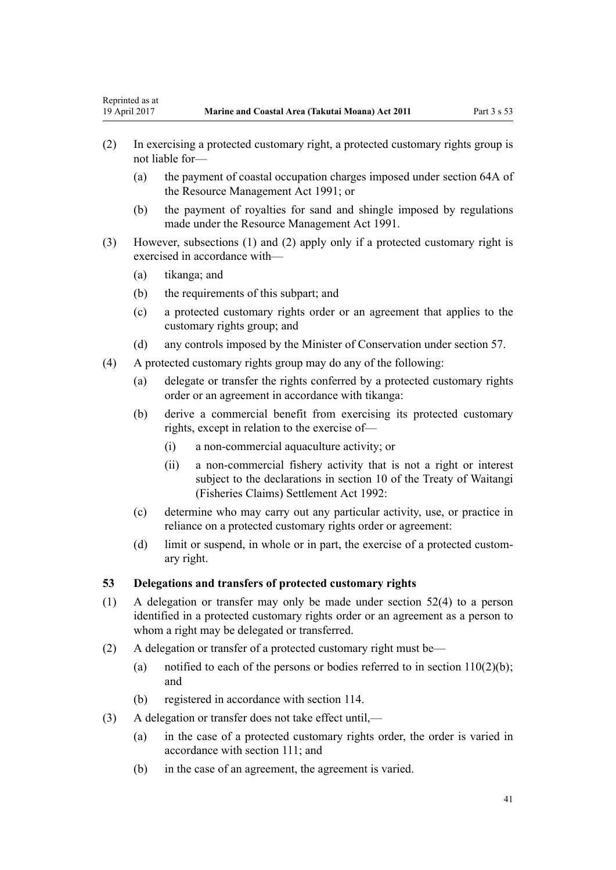- (2) In exercising a protected customary right, a protected customary rights group is not liable for—
	- (a) the payment of coastal occupation charges imposed under [section 64A](http://prd-lgnz-nlb.prd.pco.net.nz/pdflink.aspx?id=DLM233610) of the Resource Management Act 1991; or
	- (b) the payment of royalties for sand and shingle imposed by regulations made under the [Resource Management Act 1991](http://prd-lgnz-nlb.prd.pco.net.nz/pdflink.aspx?id=DLM230264).
- (3) However, subsections (1) and (2) apply only if a protected customary right is exercised in accordance with—
	- (a) tikanga; and
	- (b) the requirements of this subpart; and
	- (c) a protected customary rights order or an agreement that applies to the customary rights group; and
	- (d) any controls imposed by the Minister of Conservation under [section 57](#page-43-0).
- (4) A protected customary rights group may do any of the following:
	- (a) delegate or transfer the rights conferred by a protected customary rights order or an agreement in accordance with tikanga:
	- (b) derive a commercial benefit from exercising its protected customary rights, except in relation to the exercise of—
		- (i) a non-commercial aquaculture activity; or
		- (ii) a non-commercial fishery activity that is not a right or interest subject to the declarations in [section 10](http://prd-lgnz-nlb.prd.pco.net.nz/pdflink.aspx?id=DLM281461) of the Treaty of Waitangi (Fisheries Claims) Settlement Act 1992:
	- (c) determine who may carry out any particular activity, use, or practice in reliance on a protected customary rights order or agreement:
	- (d) limit or suspend, in whole or in part, the exercise of a protected customary right.

#### **53 Delegations and transfers of protected customary rights**

- (1) A delegation or transfer may only be made under [section 52\(4\)](#page-39-0) to a person identified in a protected customary rights order or an agreement as a person to whom a right may be delegated or transferred.
- (2) A delegation or transfer of a protected customary right must be—
	- (a) notified to each of the persons or bodies referred to in section  $110(2)(b)$ ; and
	- (b) registered in accordance with [section 114](#page-76-0).
- (3) A delegation or transfer does not take effect until,—
	- (a) in the case of a protected customary rights order, the order is varied in accordance with [section 111;](#page-74-0) and
	- (b) in the case of an agreement, the agreement is varied.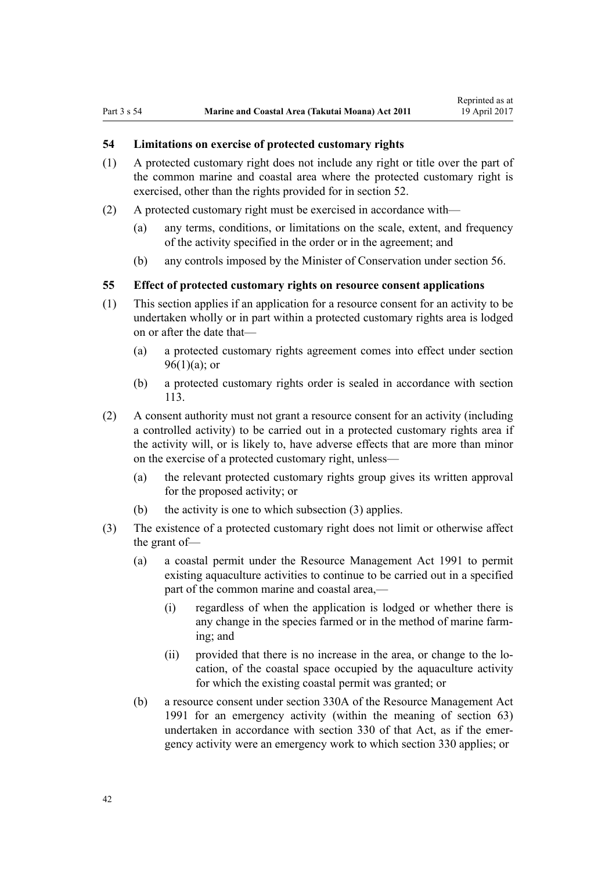## **54 Limitations on exercise of protected customary rights**

- (1) A protected customary right does not include any right or title over the part of the common marine and coastal area where the protected customary right is exercised, other than the rights provided for in [section 52](#page-39-0).
- (2) A protected customary right must be exercised in accordance with—
	- (a) any terms, conditions, or limitations on the scale, extent, and frequency of the activity specified in the order or in the agreement; and
	- (b) any controls imposed by the Minister of Conservation under [section 56](#page-42-0).

#### **55 Effect of protected customary rights on resource consent applications**

- (1) This section applies if an application for a resource consent for an activity to be undertaken wholly or in part within a protected customary rights area is lodged on or after the date that—
	- (a) a protected customary rights agreement comes into effect under [section](#page-68-0)  $96(1)(a)$ ; or
	- (b) a protected customary rights order is sealed in accordance with [section](#page-76-0) [113](#page-76-0).
- (2) A consent authority must not grant a resource consent for an activity (including a controlled activity) to be carried out in a protected customary rights area if the activity will, or is likely to, have adverse effects that are more than minor on the exercise of a protected customary right, unless—
	- (a) the relevant protected customary rights group gives its written approval for the proposed activity; or
	- (b) the activity is one to which subsection (3) applies.
- (3) The existence of a protected customary right does not limit or otherwise affect the grant of—
	- (a) a coastal permit under the [Resource Management Act 1991](http://prd-lgnz-nlb.prd.pco.net.nz/pdflink.aspx?id=DLM230264) to permit existing aquaculture activities to continue to be carried out in a specified part of the common marine and coastal area,-
		- (i) regardless of when the application is lodged or whether there is any change in the species farmed or in the method of marine farming; and
		- (ii) provided that there is no increase in the area, or change to the location, of the coastal space occupied by the aquaculture activity for which the existing coastal permit was granted; or
	- (b) a resource consent under [section 330A](http://prd-lgnz-nlb.prd.pco.net.nz/pdflink.aspx?id=DLM239008) of the Resource Management Act 1991 for an emergency activity (within the meaning of [section 63](#page-47-0)) undertaken in accordance with [section 330](http://prd-lgnz-nlb.prd.pco.net.nz/pdflink.aspx?id=DLM239003) of that Act, as if the emergency activity were an emergency work to which section 330 applies; or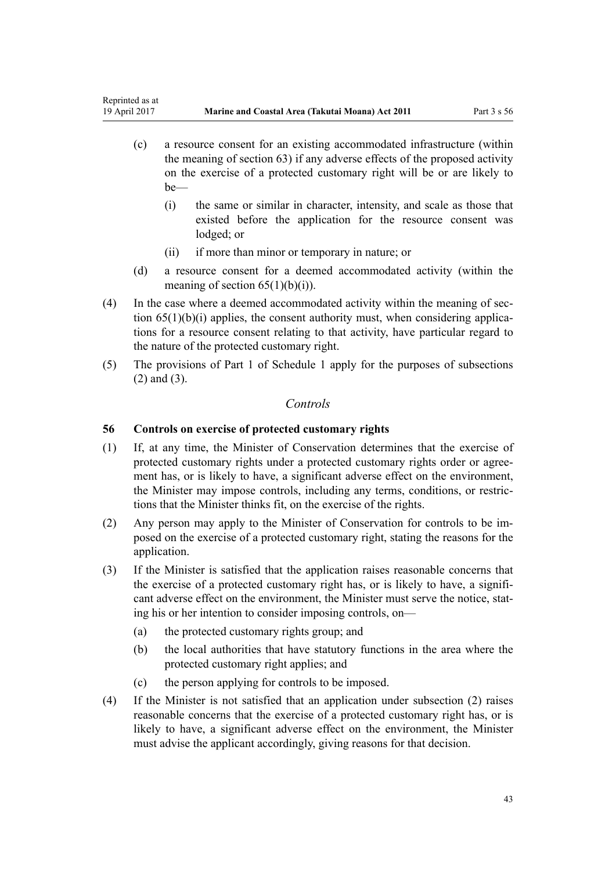- <span id="page-42-0"></span>(c) a resource consent for an existing accommodated infrastructure (within the meaning of [section 63\)](#page-47-0) if any adverse effects of the proposed activity on the exercise of a protected customary right will be or are likely to be—
	- (i) the same or similar in character, intensity, and scale as those that existed before the application for the resource consent was lodged; or
	- (ii) if more than minor or temporary in nature; or
- (d) a resource consent for a deemed accommodated activity (within the meaning of section  $65(1)(b)(i)$ .
- (4) In the case where a deemed accommodated activity within the meaning of [sec](#page-51-0)tion  $65(1)(b)(i)$  applies, the consent authority must, when considering applications for a resource consent relating to that activity, have particular regard to the nature of the protected customary right.
- (5) The provisions of [Part 1](#page-83-0) of Schedule 1 apply for the purposes of subsections (2) and (3).

## *Controls*

## **56 Controls on exercise of protected customary rights**

- (1) If, at any time, the Minister of Conservation determines that the exercise of protected customary rights under a protected customary rights order or agreement has, or is likely to have, a significant adverse effect on the environment, the Minister may impose controls, including any terms, conditions, or restrictions that the Minister thinks fit, on the exercise of the rights.
- (2) Any person may apply to the Minister of Conservation for controls to be imposed on the exercise of a protected customary right, stating the reasons for the application.
- (3) If the Minister is satisfied that the application raises reasonable concerns that the exercise of a protected customary right has, or is likely to have, a significant adverse effect on the environment, the Minister must serve the notice, stating his or her intention to consider imposing controls, on—
	- (a) the protected customary rights group; and
	- (b) the local authorities that have statutory functions in the area where the protected customary right applies; and
	- (c) the person applying for controls to be imposed.
- (4) If the Minister is not satisfied that an application under subsection (2) raises reasonable concerns that the exercise of a protected customary right has, or is likely to have, a significant adverse effect on the environment, the Minister must advise the applicant accordingly, giving reasons for that decision.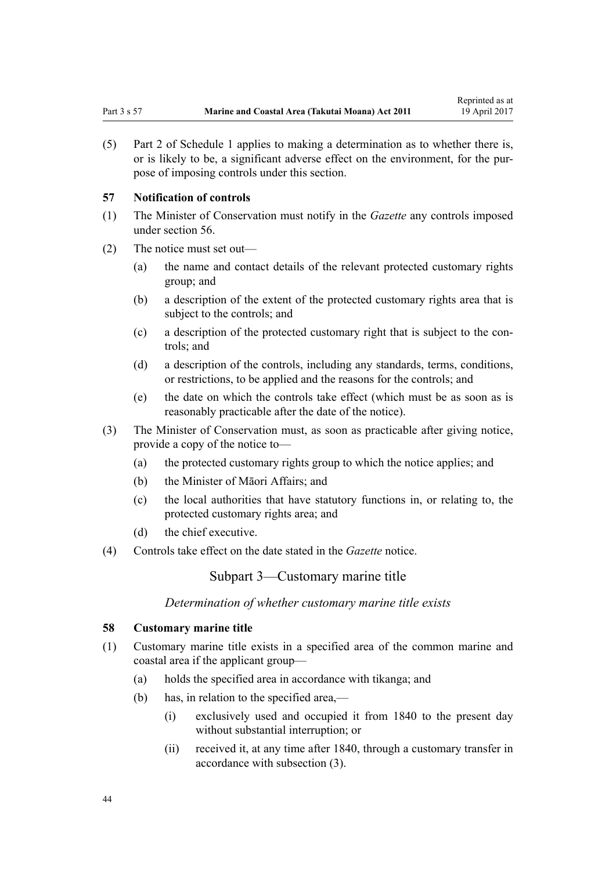<span id="page-43-0"></span>(5) [Part 2](#page-85-0) of Schedule 1 applies to making a determination as to whether there is, or is likely to be, a significant adverse effect on the environment, for the purpose of imposing controls under this section.

#### **57 Notification of controls**

- (1) The Minister of Conservation must notify in the *Gazette* any controls imposed under [section 56](#page-42-0).
- (2) The notice must set out—
	- (a) the name and contact details of the relevant protected customary rights group; and
	- (b) a description of the extent of the protected customary rights area that is subject to the controls; and
	- (c) a description of the protected customary right that is subject to the controls; and
	- (d) a description of the controls, including any standards, terms, conditions, or restrictions, to be applied and the reasons for the controls; and
	- (e) the date on which the controls take effect (which must be as soon as is reasonably practicable after the date of the notice).
- (3) The Minister of Conservation must, as soon as practicable after giving notice, provide a copy of the notice to—
	- (a) the protected customary rights group to which the notice applies; and
	- (b) the Minister of Māori Affairs; and
	- (c) the local authorities that have statutory functions in, or relating to, the protected customary rights area; and
	- (d) the chief executive.
- (4) Controls take effect on the date stated in the *Gazette* notice.

Subpart 3—Customary marine title

*Determination of whether customary marine title exists*

#### **58 Customary marine title**

- (1) Customary marine title exists in a specified area of the common marine and coastal area if the applicant group—
	- (a) holds the specified area in accordance with tikanga; and
	- (b) has, in relation to the specified area,—
		- (i) exclusively used and occupied it from 1840 to the present day without substantial interruption; or
		- (ii) received it, at any time after 1840, through a customary transfer in accordance with subsection (3).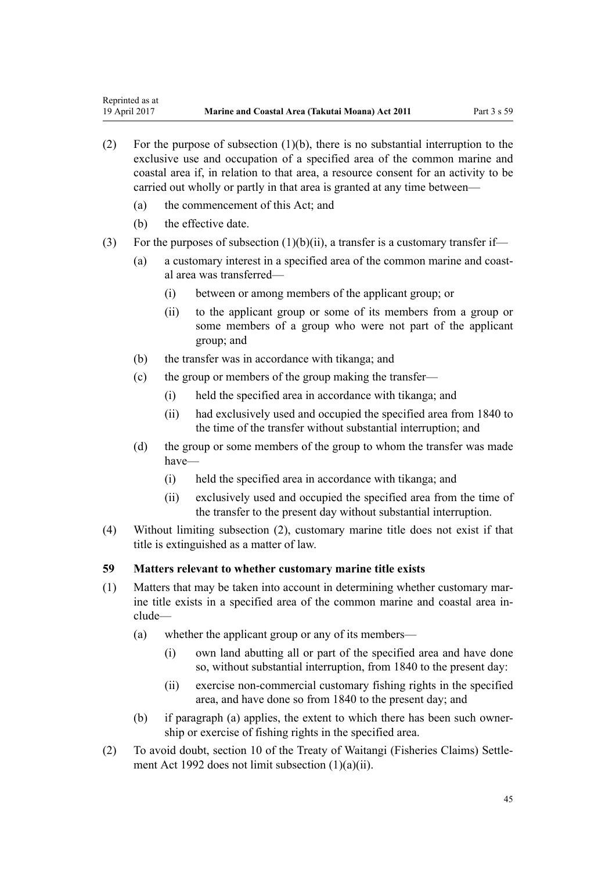- (2) For the purpose of subsection (1)(b), there is no substantial interruption to the exclusive use and occupation of a specified area of the common marine and coastal area if, in relation to that area, a resource consent for an activity to be carried out wholly or partly in that area is granted at any time between—
	- (a) the commencement of this Act; and
	- (b) the effective date.
- (3) For the purposes of subsection  $(1)(b)(ii)$ , a transfer is a customary transfer if—
	- (a) a customary interest in a specified area of the common marine and coastal area was transferred—
		- (i) between or among members of the applicant group; or
		- (ii) to the applicant group or some of its members from a group or some members of a group who were not part of the applicant group; and
	- (b) the transfer was in accordance with tikanga; and
	- (c) the group or members of the group making the transfer—
		- (i) held the specified area in accordance with tikanga; and
		- (ii) had exclusively used and occupied the specified area from 1840 to the time of the transfer without substantial interruption; and
	- (d) the group or some members of the group to whom the transfer was made have—
		- (i) held the specified area in accordance with tikanga; and
		- (ii) exclusively used and occupied the specified area from the time of the transfer to the present day without substantial interruption.
- (4) Without limiting subsection (2), customary marine title does not exist if that title is extinguished as a matter of law.

#### **59 Matters relevant to whether customary marine title exists**

- (1) Matters that may be taken into account in determining whether customary marine title exists in a specified area of the common marine and coastal area include—
	- (a) whether the applicant group or any of its members—
		- (i) own land abutting all or part of the specified area and have done so, without substantial interruption, from 1840 to the present day:
		- (ii) exercise non-commercial customary fishing rights in the specified area, and have done so from 1840 to the present day; and
	- (b) if paragraph (a) applies, the extent to which there has been such ownership or exercise of fishing rights in the specified area.
- (2) To avoid doubt, [section 10](http://prd-lgnz-nlb.prd.pco.net.nz/pdflink.aspx?id=DLM281461) of the Treaty of Waitangi (Fisheries Claims) Settlement Act 1992 does not limit subsection (1)(a)(ii).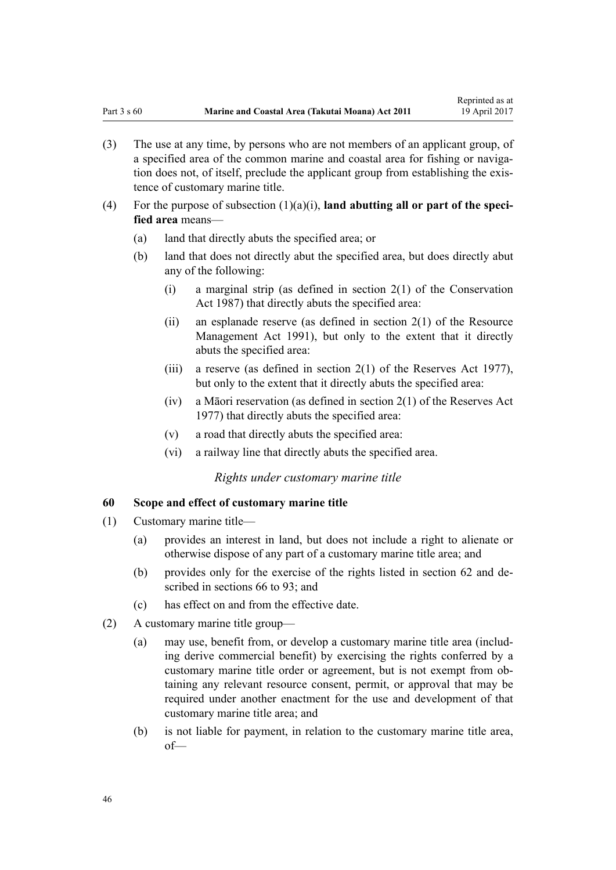- <span id="page-45-0"></span>(3) The use at any time, by persons who are not members of an applicant group, of a specified area of the common marine and coastal area for fishing or navigation does not, of itself, preclude the applicant group from establishing the existence of customary marine title.
- (4) For the purpose of subsection (1)(a)(i), **land abutting all or part of the specified area** means—
	- (a) land that directly abuts the specified area; or
	- (b) land that does not directly abut the specified area, but does directly abut any of the following:
		- (i) a marginal strip (as defined in [section 2\(1\)](http://prd-lgnz-nlb.prd.pco.net.nz/pdflink.aspx?id=DLM103616) of the Conservation Act 1987) that directly abuts the specified area:
		- (ii) an esplanade reserve (as defined in section  $2(1)$  of the Resource Management Act 1991), but only to the extent that it directly abuts the specified area:
		- (iii) a reserve (as defined in [section 2\(1\)](http://prd-lgnz-nlb.prd.pco.net.nz/pdflink.aspx?id=DLM444310) of the Reserves Act 1977), but only to the extent that it directly abuts the specified area:
		- (iv) a Māori reservation (as defined in [section 2\(1\)](http://prd-lgnz-nlb.prd.pco.net.nz/pdflink.aspx?id=DLM444310) of the Reserves Act 1977) that directly abuts the specified area:
		- (v) a road that directly abuts the specified area:
		- (vi) a railway line that directly abuts the specified area.

#### *Rights under customary marine title*

#### **60 Scope and effect of customary marine title**

- (1) Customary marine title—
	- (a) provides an interest in land, but does not include a right to alienate or otherwise dispose of any part of a customary marine title area; and
	- (b) provides only for the exercise of the rights listed in [section 62](#page-46-0) and described in [sections 66 to 93;](#page-52-0) and
	- (c) has effect on and from the effective date.
- (2) A customary marine title group—
	- (a) may use, benefit from, or develop a customary marine title area (including derive commercial benefit) by exercising the rights conferred by a customary marine title order or agreement, but is not exempt from obtaining any relevant resource consent, permit, or approval that may be required under another enactment for the use and development of that customary marine title area; and
	- (b) is not liable for payment, in relation to the customary marine title area, of—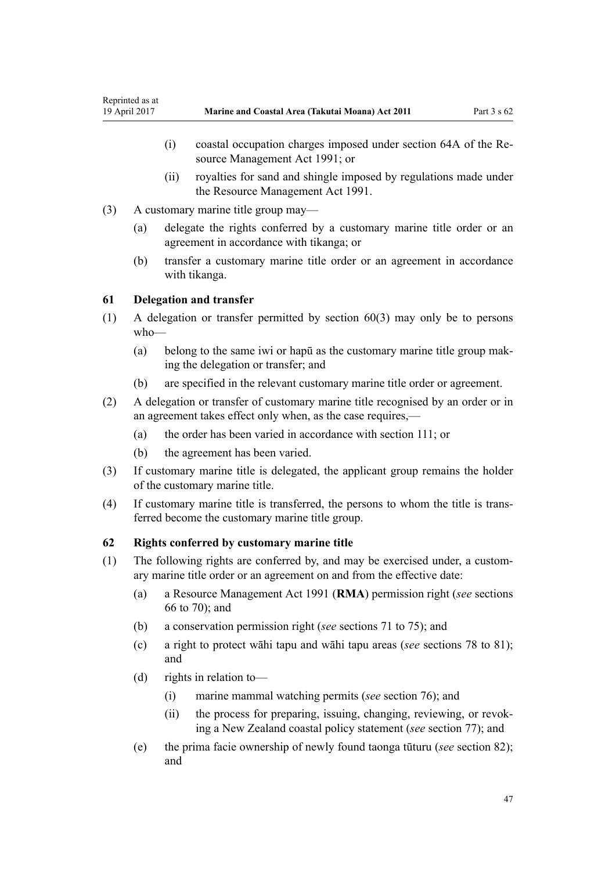- <span id="page-46-0"></span>(i) coastal occupation charges imposed under [section 64A](http://prd-lgnz-nlb.prd.pco.net.nz/pdflink.aspx?id=DLM233610) of the Resource Management Act 1991; or
- (ii) royalties for sand and shingle imposed by regulations made under the [Resource Management Act 1991](http://prd-lgnz-nlb.prd.pco.net.nz/pdflink.aspx?id=DLM230264).
- (3) A customary marine title group may—
	- (a) delegate the rights conferred by a customary marine title order or an agreement in accordance with tikanga; or
	- (b) transfer a customary marine title order or an agreement in accordance with tikanga.

### **61 Delegation and transfer**

- (1) A delegation or transfer permitted by [section 60\(3\)](#page-45-0) may only be to persons who—
	- (a) belong to the same iwi or hapū as the customary marine title group making the delegation or transfer; and
	- (b) are specified in the relevant customary marine title order or agreement.
- (2) A delegation or transfer of customary marine title recognised by an order or in an agreement takes effect only when, as the case requires,—
	- (a) the order has been varied in accordance with [section 111](#page-74-0); or
	- (b) the agreement has been varied.
- (3) If customary marine title is delegated, the applicant group remains the holder of the customary marine title.
- (4) If customary marine title is transferred, the persons to whom the title is transferred become the customary marine title group.

#### **62 Rights conferred by customary marine title**

- (1) The following rights are conferred by, and may be exercised under, a customary marine title order or an agreement on and from the effective date:
	- (a) a [Resource Management Act 1991](http://prd-lgnz-nlb.prd.pco.net.nz/pdflink.aspx?id=DLM230264) (**RMA**) permission right (*see* [sections](#page-52-0) [66 to 70\)](#page-52-0); and
	- (b) a conservation permission right (*see* [sections 71 to 75\)](#page-55-0); and
	- (c) a right to protect wāhi tapu and wāhi tapu areas (*see* [sections 78 to 81](#page-58-0)); and
	- (d) rights in relation to—
		- (i) marine mammal watching permits (*see* [section 76\)](#page-57-0); and
		- (ii) the process for preparing, issuing, changing, reviewing, or revoking a New Zealand coastal policy statement (*see* [section 77\)](#page-58-0); and
	- (e) the prima facie ownership of newly found taonga tūturu (*see* [section 82](#page-61-0)); and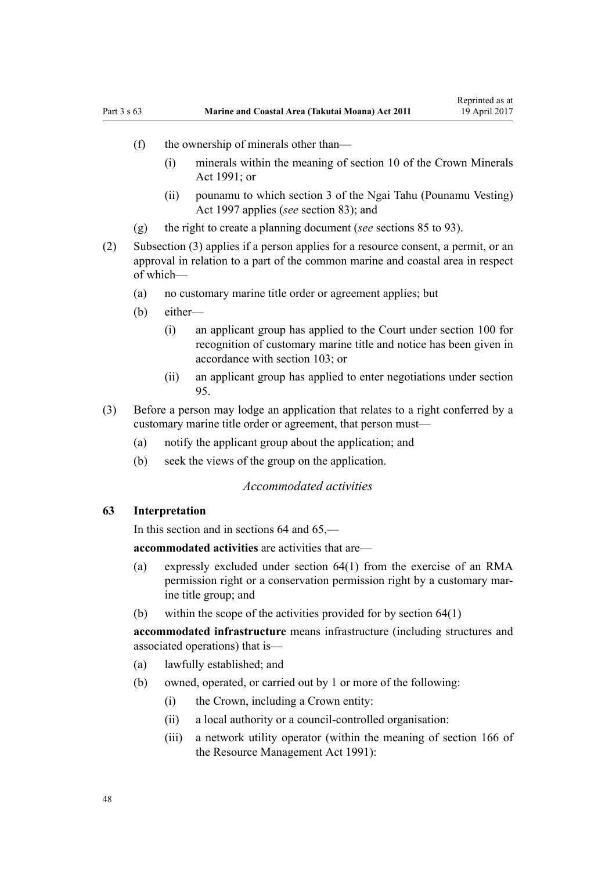- <span id="page-47-0"></span>(f) the ownership of minerals other than—
	- (i) minerals within the meaning of [section 10](http://prd-lgnz-nlb.prd.pco.net.nz/pdflink.aspx?id=DLM246310) of the Crown Minerals Act  $1991$ ; or
	- (ii) pounamu to which [section 3](http://prd-lgnz-nlb.prd.pco.net.nz/pdflink.aspx?id=DLM413605) of the Ngai Tahu (Pounamu Vesting) Act 1997 applies (*see* [section 83](#page-62-0)); and
- (g) the right to create a planning document (*see* [sections 85 to 93](#page-63-0)).
- (2) Subsection (3) applies if a person applies for a resource consent, a permit, or an approval in relation to a part of the common marine and coastal area in respect of which—
	- (a) no customary marine title order or agreement applies; but
	- (b) either—
		- (i) an applicant group has applied to the Court under [section 100](#page-70-0) for recognition of customary marine title and notice has been given in accordance with [section 103;](#page-71-0) or
		- (ii) an applicant group has applied to enter negotiations under [section](#page-68-0) [95.](#page-68-0)
- (3) Before a person may lodge an application that relates to a right conferred by a customary marine title order or agreement, that person must—
	- (a) notify the applicant group about the application; and
	- (b) seek the views of the group on the application.

#### *Accommodated activities*

### **63 Interpretation**

In this section and in sections 64 and 65,—

**accommodated activities** are activities that are—

- (a) expressly excluded under [section 64\(1\)](#page-49-0) from the exercise of an RMA permission right or a conservation permission right by a customary marine title group; and
- (b) within the scope of the activities provided for by [section 64\(1\)](#page-49-0)

**accommodated infrastructure** means infrastructure (including structures and associated operations) that is—

- (a) lawfully established; and
- (b) owned, operated, or carried out by 1 or more of the following:
	- (i) the Crown, including a Crown entity:
	- (ii) a local authority or a council-controlled organisation:
	- (iii) a network utility operator (within the meaning of [section 166](http://prd-lgnz-nlb.prd.pco.net.nz/pdflink.aspx?id=DLM236206) of the Resource Management Act 1991):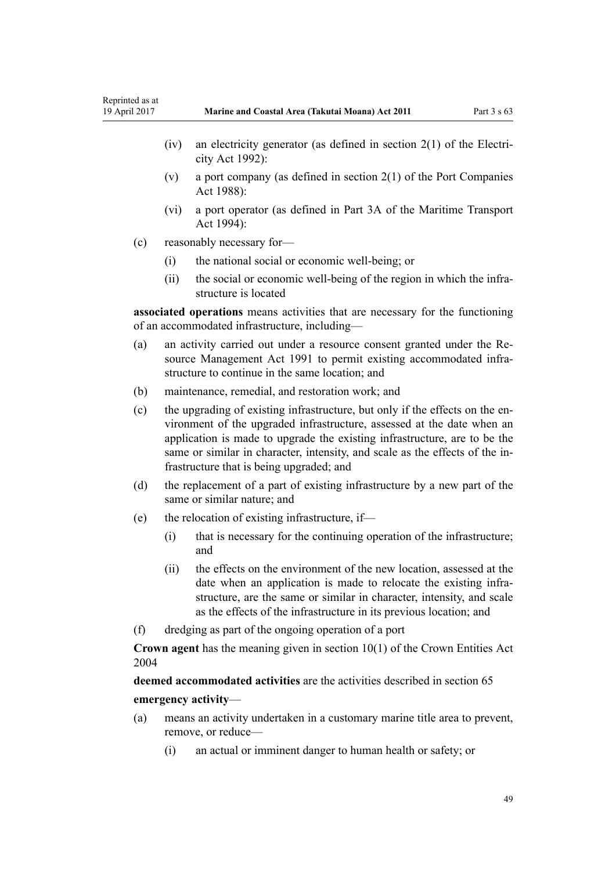- (iv) an electricity generator (as defined in [section 2\(1\)](http://prd-lgnz-nlb.prd.pco.net.nz/pdflink.aspx?id=DLM281866) of the Electricity Act 1992):
- (v) a port company (as defined in [section 2\(1\)](http://prd-lgnz-nlb.prd.pco.net.nz/pdflink.aspx?id=DLM131688) of the Port Companies Act 1988):
- (vi) a port operator (as defined in [Part 3A](http://prd-lgnz-nlb.prd.pco.net.nz/pdflink.aspx?id=DLM5689750) of the Maritime Transport Act 1994):
- (c) reasonably necessary for—
	- (i) the national social or economic well-being; or
	- (ii) the social or economic well-being of the region in which the infrastructure is located

**associated operations** means activities that are necessary for the functioning of an accommodated infrastructure, including—

- (a) an activity carried out under a resource consent granted under the [Re](http://prd-lgnz-nlb.prd.pco.net.nz/pdflink.aspx?id=DLM230264)[source Management Act 1991](http://prd-lgnz-nlb.prd.pco.net.nz/pdflink.aspx?id=DLM230264) to permit existing accommodated infrastructure to continue in the same location; and
- (b) maintenance, remedial, and restoration work; and
- (c) the upgrading of existing infrastructure, but only if the effects on the environment of the upgraded infrastructure, assessed at the date when an application is made to upgrade the existing infrastructure, are to be the same or similar in character, intensity, and scale as the effects of the infrastructure that is being upgraded; and
- (d) the replacement of a part of existing infrastructure by a new part of the same or similar nature; and
- (e) the relocation of existing infrastructure, if—
	- (i) that is necessary for the continuing operation of the infrastructure; and
	- (ii) the effects on the environment of the new location, assessed at the date when an application is made to relocate the existing infrastructure, are the same or similar in character, intensity, and scale as the effects of the infrastructure in its previous location; and
- (f) dredging as part of the ongoing operation of a port

**Crown agent** has the meaning given in [section 10\(1\)](http://prd-lgnz-nlb.prd.pco.net.nz/pdflink.aspx?id=DLM329649) of the Crown Entities Act 2004

**deemed accommodated activities** are the activities described in [section 65](#page-51-0) **emergency activity**—

- (a) means an activity undertaken in a customary marine title area to prevent, remove, or reduce—
	- (i) an actual or imminent danger to human health or safety; or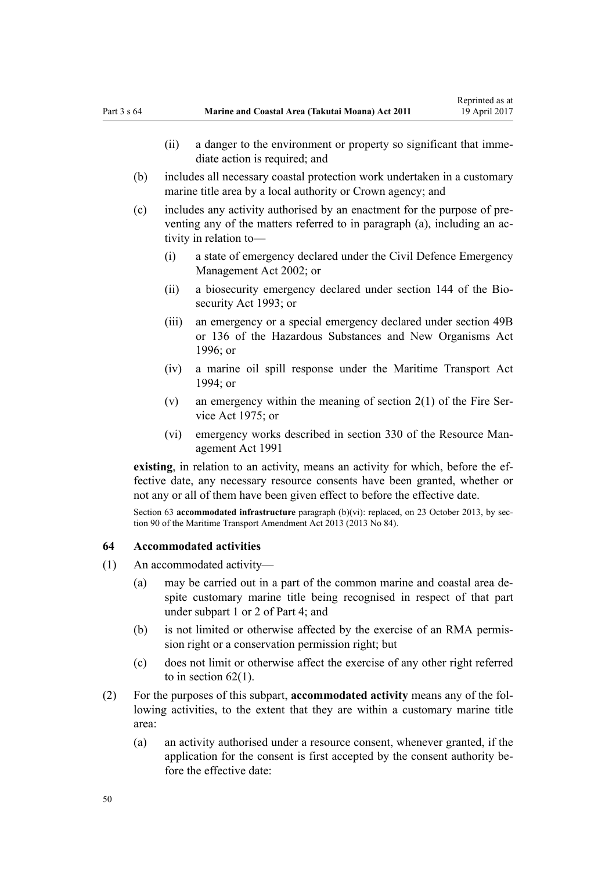- <span id="page-49-0"></span>(ii) a danger to the environment or property so significant that immediate action is required; and
- (b) includes all necessary coastal protection work undertaken in a customary marine title area by a local authority or Crown agency; and
- (c) includes any activity authorised by an enactment for the purpose of preventing any of the matters referred to in paragraph (a), including an activity in relation to—
	- (i) a state of emergency declared under the [Civil Defence Emergency](http://prd-lgnz-nlb.prd.pco.net.nz/pdflink.aspx?id=DLM149788) [Management Act 2002;](http://prd-lgnz-nlb.prd.pco.net.nz/pdflink.aspx?id=DLM149788) or
	- (ii) a biosecurity emergency declared under [section 144](http://prd-lgnz-nlb.prd.pco.net.nz/pdflink.aspx?id=DLM149788) of the Biosecurity Act 1993; or
	- (iii) an emergency or a special emergency declared under [section 49B](http://prd-lgnz-nlb.prd.pco.net.nz/pdflink.aspx?id=DLM384019) or [136](http://prd-lgnz-nlb.prd.pco.net.nz/pdflink.aspx?id=DLM384998) of the Hazardous Substances and New Organisms Act  $1996$ ; or
	- (iv) a marine oil spill response under the [Maritime Transport Act](http://prd-lgnz-nlb.prd.pco.net.nz/pdflink.aspx?id=DLM334659)  $1994$ ; or
	- (v) an emergency within the meaning of [section 2\(1\)](http://prd-lgnz-nlb.prd.pco.net.nz/pdflink.aspx?id=DLM432653) of the Fire Service Act 1975; or
	- (vi) emergency works described in [section 330](http://prd-lgnz-nlb.prd.pco.net.nz/pdflink.aspx?id=DLM239003) of the Resource Management Act 1991

**existing**, in relation to an activity, means an activity for which, before the effective date, any necessary resource consents have been granted, whether or not any or all of them have been given effect to before the effective date.

Section 63 **accommodated infrastructure** paragraph (b)(vi): replaced, on 23 October 2013, by [sec](http://prd-lgnz-nlb.prd.pco.net.nz/pdflink.aspx?id=DLM4698973)[tion 90](http://prd-lgnz-nlb.prd.pco.net.nz/pdflink.aspx?id=DLM4698973) of the Maritime Transport Amendment Act 2013 (2013 No 84).

#### **64 Accommodated activities**

- (1) An accommodated activity—
	- (a) may be carried out in a part of the common marine and coastal area despite customary marine title being recognised in respect of that part under [subpart 1](#page-68-0) or [2](#page-69-0) of Part 4; and
	- (b) is not limited or otherwise affected by the exercise of an RMA permission right or a conservation permission right; but
	- (c) does not limit or otherwise affect the exercise of any other right referred to in section  $62(1)$ .
- (2) For the purposes of this subpart, **accommodated activity** means any of the following activities, to the extent that they are within a customary marine title area:
	- (a) an activity authorised under a resource consent, whenever granted, if the application for the consent is first accepted by the consent authority before the effective date: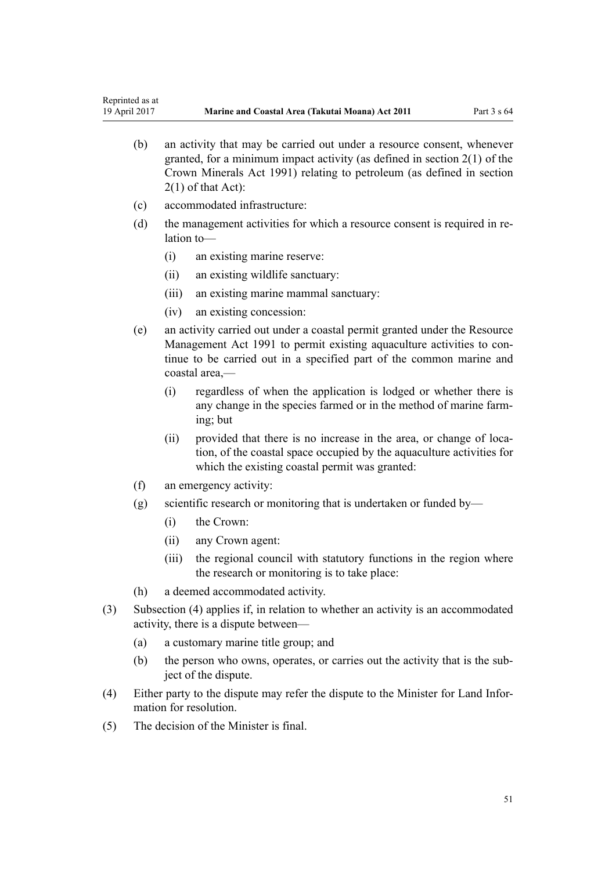- (b) an activity that may be carried out under a resource consent, whenever granted, for a minimum impact activity (as defined in [section 2\(1\)](http://prd-lgnz-nlb.prd.pco.net.nz/pdflink.aspx?id=DLM242543) of the Crown Minerals Act 1991) relating to petroleum (as defined in section 2(1) of that Act):
- (c) accommodated infrastructure:
- (d) the management activities for which a resource consent is required in relation to—
	- (i) an existing marine reserve:
	- (ii) an existing wildlife sanctuary:
	- (iii) an existing marine mammal sanctuary:
	- (iv) an existing concession:
- (e) an activity carried out under a coastal permit granted under the [Resource](http://prd-lgnz-nlb.prd.pco.net.nz/pdflink.aspx?id=DLM230264) [Management Act 1991](http://prd-lgnz-nlb.prd.pco.net.nz/pdflink.aspx?id=DLM230264) to permit existing aquaculture activities to continue to be carried out in a specified part of the common marine and coastal area,—
	- (i) regardless of when the application is lodged or whether there is any change in the species farmed or in the method of marine farming; but
	- (ii) provided that there is no increase in the area, or change of location, of the coastal space occupied by the aquaculture activities for which the existing coastal permit was granted:
- (f) an emergency activity:
- (g) scientific research or monitoring that is undertaken or funded by—
	- (i) the Crown:
	- (ii) any Crown agent:
	- (iii) the regional council with statutory functions in the region where the research or monitoring is to take place:
- (h) a deemed accommodated activity.
- (3) Subsection (4) applies if, in relation to whether an activity is an accommodated activity, there is a dispute between—
	- (a) a customary marine title group; and
	- (b) the person who owns, operates, or carries out the activity that is the subject of the dispute.
- (4) Either party to the dispute may refer the dispute to the Minister for Land Information for resolution.
- (5) The decision of the Minister is final.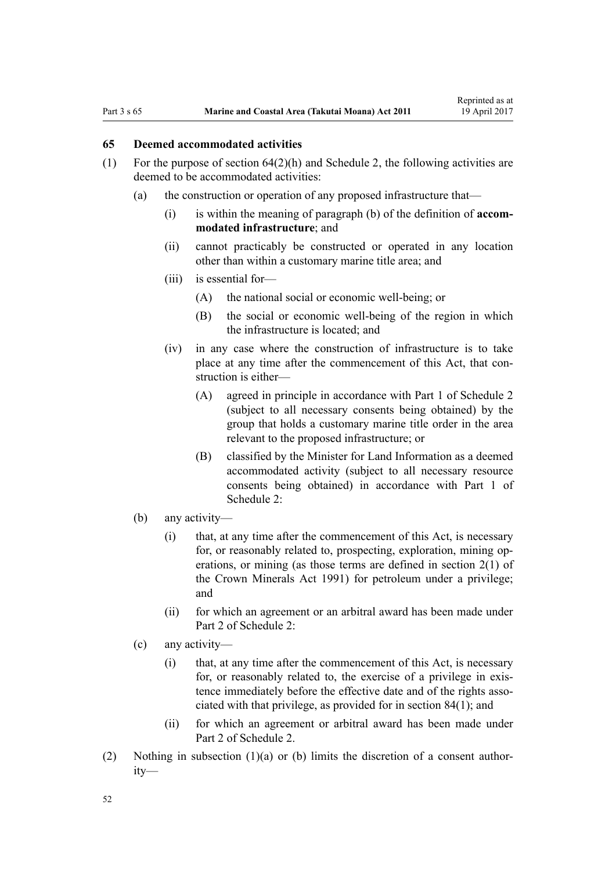### <span id="page-51-0"></span>**65 Deemed accommodated activities**

- (1) For the purpose of section  $64(2)(h)$  and [Schedule 2](#page-91-0), the following activities are deemed to be accommodated activities:
	- (a) the construction or operation of any proposed infrastructure that—
		- (i) is within the meaning of paragraph (b) of the definition of **accommodated infrastructure**; and
		- (ii) cannot practicably be constructed or operated in any location other than within a customary marine title area; and
		- (iii) is essential for—
			- (A) the national social or economic well-being; or
			- (B) the social or economic well-being of the region in which the infrastructure is located; and
		- (iv) in any case where the construction of infrastructure is to take place at any time after the commencement of this Act, that construction is either—
			- (A) agreed in principle in accordance with [Part 1](#page-91-0) of Schedule 2 (subject to all necessary consents being obtained) by the group that holds a customary marine title order in the area relevant to the proposed infrastructure; or
			- (B) classified by the Minister for Land Information as a deemed accommodated activity (subject to all necessary resource consents being obtained) in accordance with [Part 1](#page-91-0) of Schedule 2:
	- (b) any activity—
		- (i) that, at any time after the commencement of this Act, is necessary for, or reasonably related to, prospecting, exploration, mining operations, or mining (as those terms are defined in [section 2\(1\)](http://prd-lgnz-nlb.prd.pco.net.nz/pdflink.aspx?id=DLM242543) of the Crown Minerals Act 1991) for petroleum under a privilege; and
		- (ii) for which an agreement or an arbitral award has been made under [Part 2](#page-94-0) of Schedule 2:
	- (c) any activity—
		- (i) that, at any time after the commencement of this Act, is necessary for, or reasonably related to, the exercise of a privilege in existence immediately before the effective date and of the rights associated with that privilege, as provided for in [section 84\(1\)](#page-62-0); and
		- (ii) for which an agreement or arbitral award has been made under [Part 2](#page-94-0) of Schedule 2.
- (2) Nothing in subsection (1)(a) or (b) limits the discretion of a consent authority—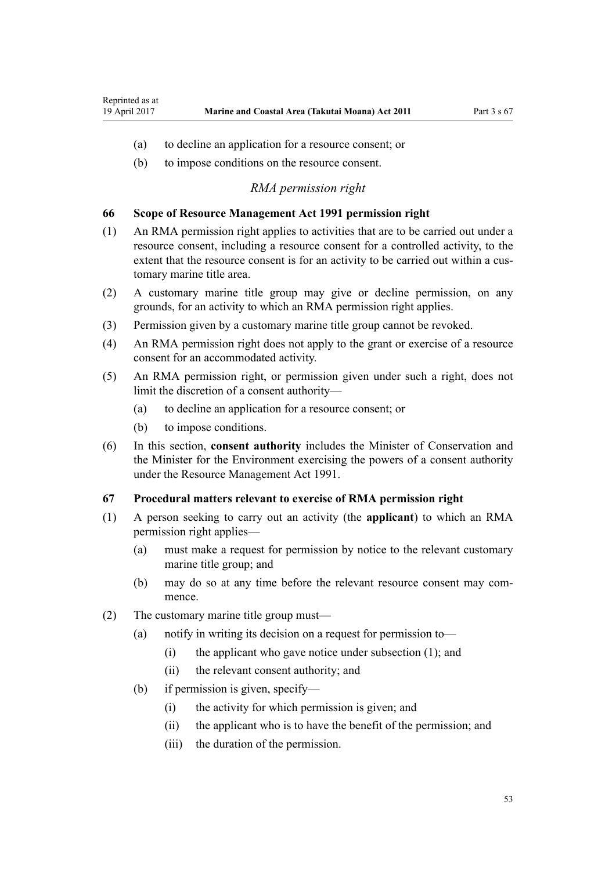- <span id="page-52-0"></span>(a) to decline an application for a resource consent; or
- (b) to impose conditions on the resource consent.

#### *RMA permission right*

#### **66 Scope of Resource Management Act 1991 permission right**

- (1) An RMA permission right applies to activities that are to be carried out under a resource consent, including a resource consent for a controlled activity, to the extent that the resource consent is for an activity to be carried out within a customary marine title area.
- (2) A customary marine title group may give or decline permission, on any grounds, for an activity to which an RMA permission right applies.
- (3) Permission given by a customary marine title group cannot be revoked.
- (4) An RMA permission right does not apply to the grant or exercise of a resource consent for an accommodated activity.
- (5) An RMA permission right, or permission given under such a right, does not limit the discretion of a consent authority—
	- (a) to decline an application for a resource consent; or
	- (b) to impose conditions.
- (6) In this section, **consent authority** includes the Minister of Conservation and the Minister for the Environment exercising the powers of a consent authority under the [Resource Management Act 1991](http://prd-lgnz-nlb.prd.pco.net.nz/pdflink.aspx?id=DLM230264).

#### **67 Procedural matters relevant to exercise of RMA permission right**

- (1) A person seeking to carry out an activity (the **applicant**) to which an RMA permission right applies—
	- (a) must make a request for permission by notice to the relevant customary marine title group; and
	- (b) may do so at any time before the relevant resource consent may commence.
- (2) The customary marine title group must—
	- (a) notify in writing its decision on a request for permission to—
		- (i) the applicant who gave notice under subsection (1); and
		- (ii) the relevant consent authority; and
	- (b) if permission is given, specify—
		- (i) the activity for which permission is given; and
		- (ii) the applicant who is to have the benefit of the permission; and
		- (iii) the duration of the permission.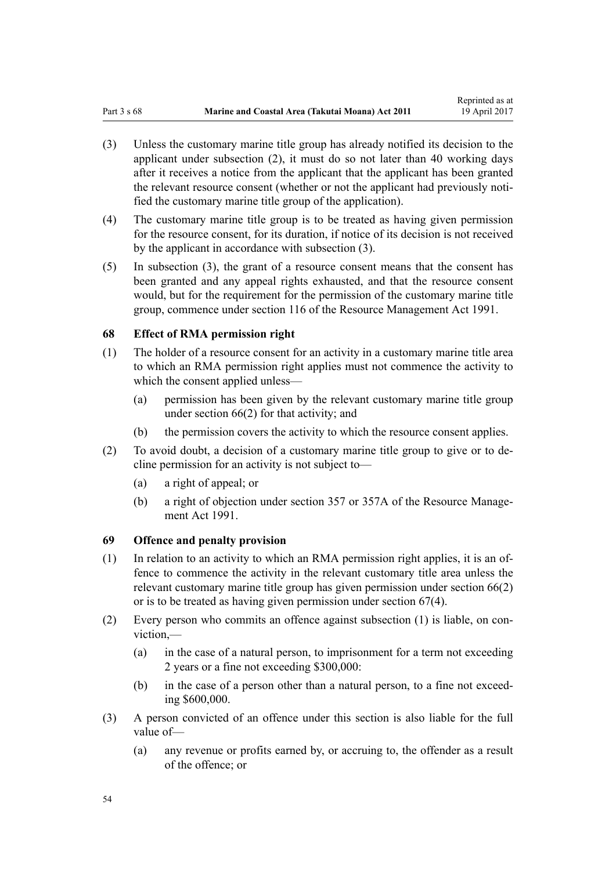- (3) Unless the customary marine title group has already notified its decision to the applicant under subsection (2), it must do so not later than 40 working days after it receives a notice from the applicant that the applicant has been granted the relevant resource consent (whether or not the applicant had previously notified the customary marine title group of the application).
- (4) The customary marine title group is to be treated as having given permission for the resource consent, for its duration, if notice of its decision is not received by the applicant in accordance with subsection (3).
- (5) In subsection (3), the grant of a resource consent means that the consent has been granted and any appeal rights exhausted, and that the resource consent would, but for the requirement for the permission of the customary marine title group, commence under [section 116](http://prd-lgnz-nlb.prd.pco.net.nz/pdflink.aspx?id=DLM234865) of the Resource Management Act 1991.

#### **68 Effect of RMA permission right**

- (1) The holder of a resource consent for an activity in a customary marine title area to which an RMA permission right applies must not commence the activity to which the consent applied unless—
	- (a) permission has been given by the relevant customary marine title group under [section 66\(2\)](#page-52-0) for that activity; and
	- (b) the permission covers the activity to which the resource consent applies.
- (2) To avoid doubt, a decision of a customary marine title group to give or to decline permission for an activity is not subject to—
	- (a) a right of appeal; or
	- (b) a right of objection under [section 357](http://prd-lgnz-nlb.prd.pco.net.nz/pdflink.aspx?id=DLM239342) or [357A](http://prd-lgnz-nlb.prd.pco.net.nz/pdflink.aspx?id=DLM239356) of the Resource Management Act 1991.

#### **69 Offence and penalty provision**

- (1) In relation to an activity to which an RMA permission right applies, it is an offence to commence the activity in the relevant customary title area unless the relevant customary marine title group has given permission under [section 66\(2\)](#page-52-0) or is to be treated as having given permission under [section 67\(4\).](#page-52-0)
- (2) Every person who commits an offence against subsection (1) is liable, on conviction,—
	- (a) in the case of a natural person, to imprisonment for a term not exceeding 2 years or a fine not exceeding \$300,000:
	- (b) in the case of a person other than a natural person, to a fine not exceeding \$600,000.
- (3) A person convicted of an offence under this section is also liable for the full value of—
	- (a) any revenue or profits earned by, or accruing to, the offender as a result of the offence; or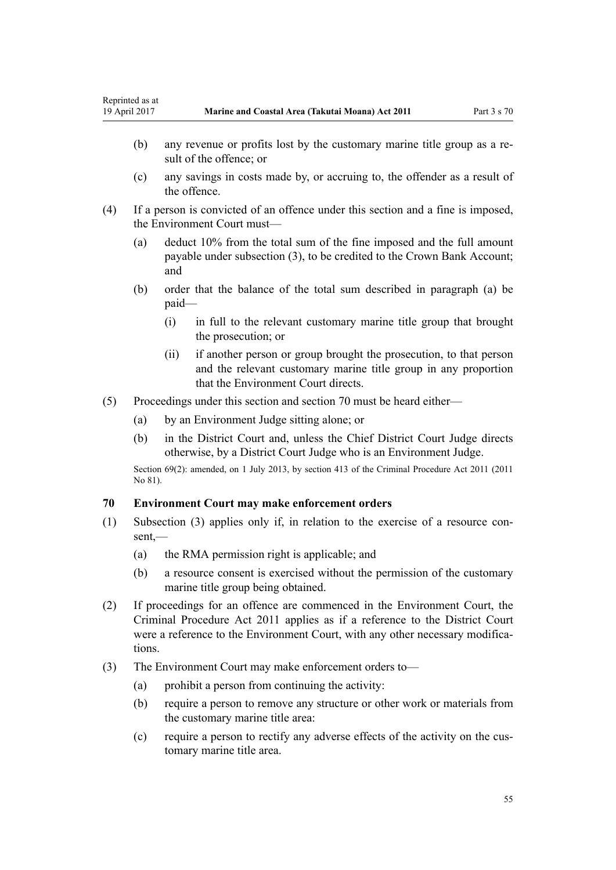- (b) any revenue or profits lost by the customary marine title group as a result of the offence; or
- (c) any savings in costs made by, or accruing to, the offender as a result of the offence.
- (4) If a person is convicted of an offence under this section and a fine is imposed, the Environment Court must—
	- (a) deduct 10% from the total sum of the fine imposed and the full amount payable under subsection (3), to be credited to the Crown Bank Account; and
	- (b) order that the balance of the total sum described in paragraph (a) be paid—
		- (i) in full to the relevant customary marine title group that brought the prosecution; or
		- (ii) if another person or group brought the prosecution, to that person and the relevant customary marine title group in any proportion that the Environment Court directs.
- (5) Proceedings under this section and section 70 must be heard either—
	- (a) by an Environment Judge sitting alone; or
	- (b) in the District Court and, unless the Chief District Court Judge directs otherwise, by a District Court Judge who is an Environment Judge.

Section 69(2): amended, on 1 July 2013, by [section 413](http://prd-lgnz-nlb.prd.pco.net.nz/pdflink.aspx?id=DLM3360714) of the Criminal Procedure Act 2011 (2011) No 81).

## **70 Environment Court may make enforcement orders**

- (1) Subsection (3) applies only if, in relation to the exercise of a resource consent,—
	- (a) the RMA permission right is applicable; and
	- (b) a resource consent is exercised without the permission of the customary marine title group being obtained.
- (2) If proceedings for an offence are commenced in the Environment Court, the [Criminal Procedure Act 2011](http://prd-lgnz-nlb.prd.pco.net.nz/pdflink.aspx?id=DLM3359902) applies as if a reference to the District Court were a reference to the Environment Court, with any other necessary modifications.
- (3) The Environment Court may make enforcement orders to—
	- $(a)$  prohibit a person from continuing the activity:
	- (b) require a person to remove any structure or other work or materials from the customary marine title area:
	- (c) require a person to rectify any adverse effects of the activity on the customary marine title area.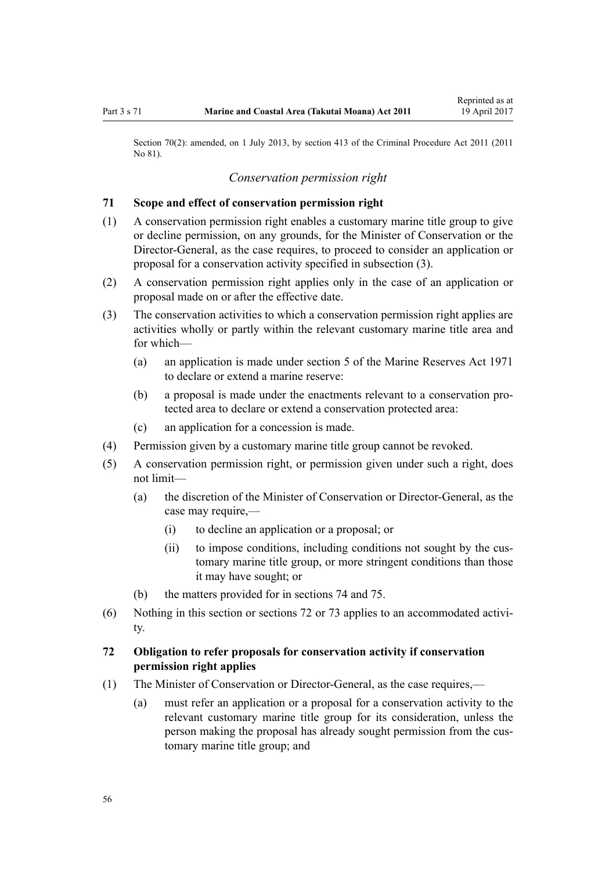<span id="page-55-0"></span>Section 70(2): amended, on 1 July 2013, by [section 413](http://prd-lgnz-nlb.prd.pco.net.nz/pdflink.aspx?id=DLM3360714) of the Criminal Procedure Act 2011 (2011) No 81).

### *Conservation permission right*

#### **71 Scope and effect of conservation permission right**

- (1) A conservation permission right enables a customary marine title group to give or decline permission, on any grounds, for the Minister of Conservation or the Director-General, as the case requires, to proceed to consider an application or proposal for a conservation activity specified in subsection (3).
- (2) A conservation permission right applies only in the case of an application or proposal made on or after the effective date.
- (3) The conservation activities to which a conservation permission right applies are activities wholly or partly within the relevant customary marine title area and for which—
	- (a) an application is made under [section 5](http://prd-lgnz-nlb.prd.pco.net.nz/pdflink.aspx?id=DLM398113) of the Marine Reserves Act 1971 to declare or extend a marine reserve:
	- (b) a proposal is made under the enactments relevant to a conservation protected area to declare or extend a conservation protected area:
	- (c) an application for a concession is made.
- (4) Permission given by a customary marine title group cannot be revoked.
- (5) A conservation permission right, or permission given under such a right, does not limit—
	- (a) the discretion of the Minister of Conservation or Director-General, as the case may require,—
		- (i) to decline an application or a proposal; or
		- (ii) to impose conditions, including conditions not sought by the customary marine title group, or more stringent conditions than those it may have sought; or
	- (b) the matters provided for in [sections 74](#page-56-0) and [75.](#page-57-0)
- (6) Nothing in this section or sections 72 or [73](#page-56-0) applies to an accommodated activity.

## **72 Obligation to refer proposals for conservation activity if conservation permission right applies**

- (1) The Minister of Conservation or Director-General, as the case requires,—
	- (a) must refer an application or a proposal for a conservation activity to the relevant customary marine title group for its consideration, unless the person making the proposal has already sought permission from the customary marine title group; and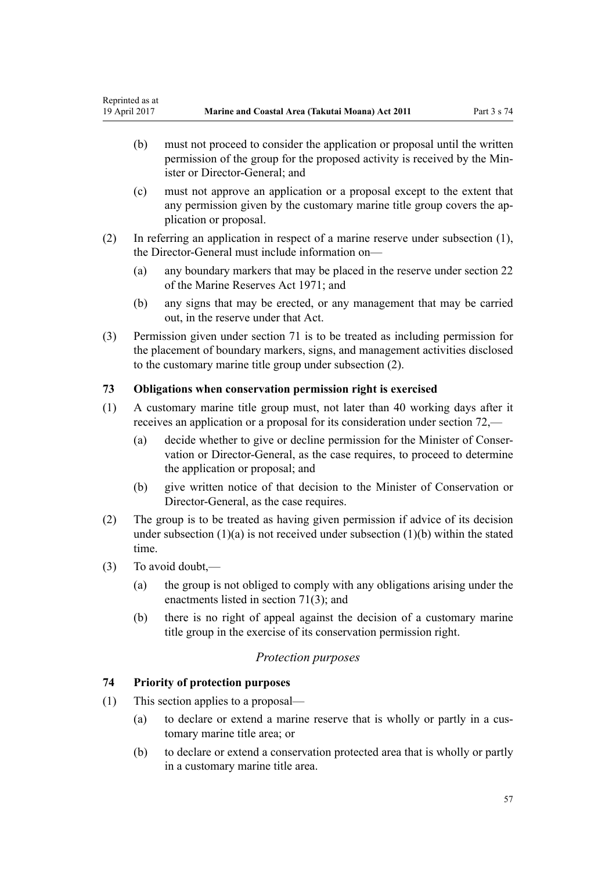- <span id="page-56-0"></span>(b) must not proceed to consider the application or proposal until the written permission of the group for the proposed activity is received by the Minister or Director-General; and
- (c) must not approve an application or a proposal except to the extent that any permission given by the customary marine title group covers the application or proposal.
- (2) In referring an application in respect of a marine reserve under subsection (1), the Director-General must include information on—
	- (a) any boundary markers that may be placed in the reserve under [section 22](http://prd-lgnz-nlb.prd.pco.net.nz/pdflink.aspx?id=DLM398410) of the Marine Reserves Act 1971; and
	- (b) any signs that may be erected, or any management that may be carried out, in the reserve under that Act.
- (3) Permission given under [section 71](#page-55-0) is to be treated as including permission for the placement of boundary markers, signs, and management activities disclosed to the customary marine title group under subsection (2).

## **73 Obligations when conservation permission right is exercised**

- (1) A customary marine title group must, not later than 40 working days after it receives an application or a proposal for its consideration under [section 72](#page-55-0),—
	- (a) decide whether to give or decline permission for the Minister of Conservation or Director-General, as the case requires, to proceed to determine the application or proposal; and
	- (b) give written notice of that decision to the Minister of Conservation or Director-General, as the case requires.
- (2) The group is to be treated as having given permission if advice of its decision under subsection  $(1)(a)$  is not received under subsection  $(1)(b)$  within the stated time.
- (3) To avoid doubt,—
	- (a) the group is not obliged to comply with any obligations arising under the enactments listed in [section 71\(3\);](#page-55-0) and
	- (b) there is no right of appeal against the decision of a customary marine title group in the exercise of its conservation permission right.

## *Protection purposes*

## **74 Priority of protection purposes**

- (1) This section applies to a proposal—
	- (a) to declare or extend a marine reserve that is wholly or partly in a customary marine title area; or
	- (b) to declare or extend a conservation protected area that is wholly or partly in a customary marine title area.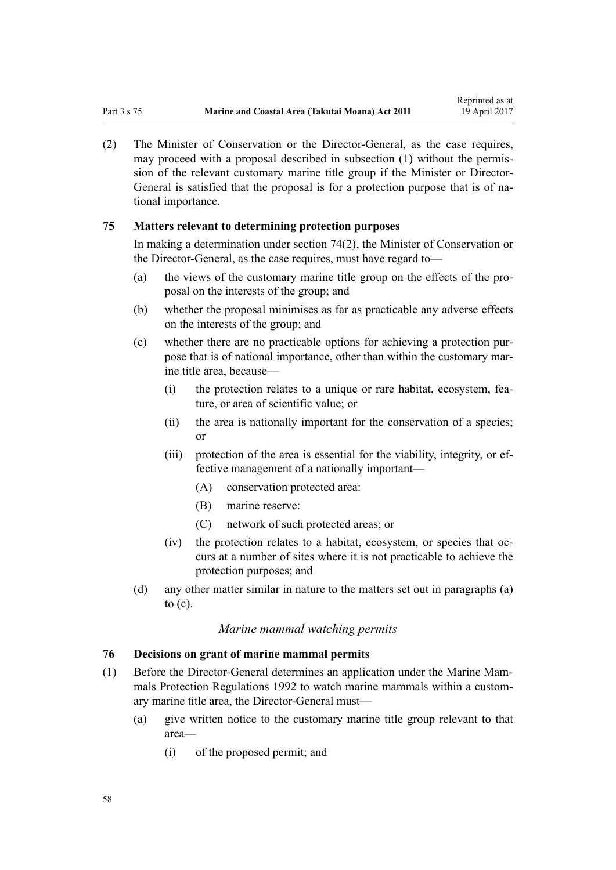<span id="page-57-0"></span>(2) The Minister of Conservation or the Director-General, as the case requires, may proceed with a proposal described in subsection (1) without the permission of the relevant customary marine title group if the Minister or Director-General is satisfied that the proposal is for a protection purpose that is of national importance.

### **75 Matters relevant to determining protection purposes**

In making a determination under [section 74\(2\)](#page-56-0), the Minister of Conservation or the Director-General, as the case requires, must have regard to—

- (a) the views of the customary marine title group on the effects of the proposal on the interests of the group; and
- (b) whether the proposal minimises as far as practicable any adverse effects on the interests of the group; and
- (c) whether there are no practicable options for achieving a protection purpose that is of national importance, other than within the customary marine title area, because—
	- (i) the protection relates to a unique or rare habitat, ecosystem, feature, or area of scientific value; or
	- (ii) the area is nationally important for the conservation of a species; or
	- (iii) protection of the area is essential for the viability, integrity, or effective management of a nationally important—
		- (A) conservation protected area:
		- (B) marine reserve:
		- (C) network of such protected areas; or
	- (iv) the protection relates to a habitat, ecosystem, or species that occurs at a number of sites where it is not practicable to achieve the protection purposes; and
- (d) any other matter similar in nature to the matters set out in paragraphs (a) to (c).

#### *Marine mammal watching permits*

#### **76 Decisions on grant of marine mammal permits**

- (1) Before the Director-General determines an application under the [Marine Mam](http://prd-lgnz-nlb.prd.pco.net.nz/pdflink.aspx?id=DLM168285)[mals Protection Regulations 1992](http://prd-lgnz-nlb.prd.pco.net.nz/pdflink.aspx?id=DLM168285) to watch marine mammals within a customary marine title area, the Director-General must—
	- (a) give written notice to the customary marine title group relevant to that area—
		- (i) of the proposed permit; and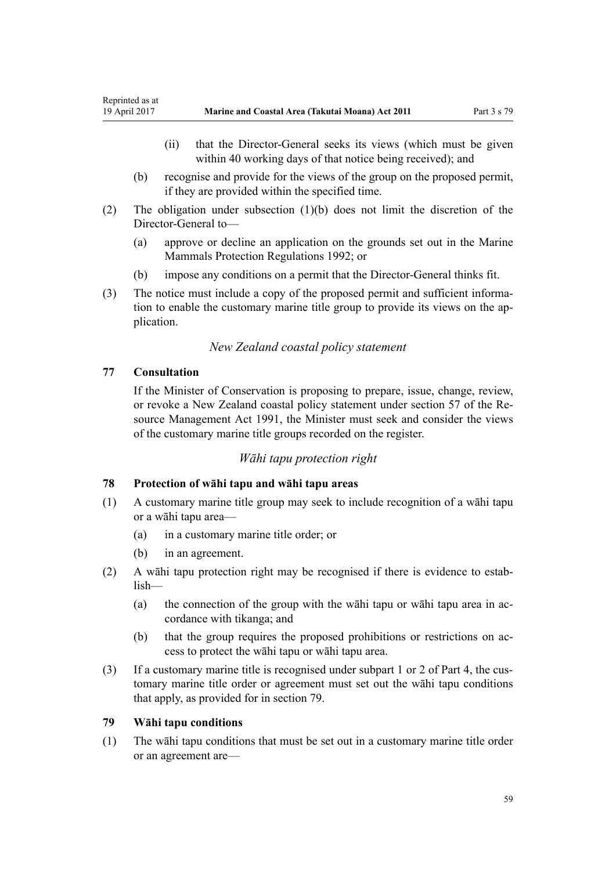- <span id="page-58-0"></span>(ii) that the Director-General seeks its views (which must be given within 40 working days of that notice being received); and
- (b) recognise and provide for the views of the group on the proposed permit, if they are provided within the specified time.
- (2) The obligation under subsection (1)(b) does not limit the discretion of the Director-General to—
	- (a) approve or decline an application on the grounds set out in the [Marine](http://prd-lgnz-nlb.prd.pco.net.nz/pdflink.aspx?id=DLM168285) [Mammals Protection Regulations 1992](http://prd-lgnz-nlb.prd.pco.net.nz/pdflink.aspx?id=DLM168285); or
	- (b) impose any conditions on a permit that the Director-General thinks fit.
- (3) The notice must include a copy of the proposed permit and sufficient information to enable the customary marine title group to provide its views on the application.

#### *New Zealand coastal policy statement*

#### **77 Consultation**

If the Minister of Conservation is proposing to prepare, issue, change, review, or revoke a New Zealand coastal policy statement under [section 57](http://prd-lgnz-nlb.prd.pco.net.nz/pdflink.aspx?id=DLM233379) of the Resource Management Act 1991, the Minister must seek and consider the views of the customary marine title groups recorded on the register.

#### *Wāhi tapu protection right*

#### **78 Protection of wāhi tapu and wāhi tapu areas**

- (1) A customary marine title group may seek to include recognition of a wāhi tapu or a wāhi tapu area—
	- (a) in a customary marine title order; or
	- (b) in an agreement.
- (2) A wāhi tapu protection right may be recognised if there is evidence to establish—
	- (a) the connection of the group with the wāhi tapu or wāhi tapu area in accordance with tikanga; and
	- (b) that the group requires the proposed prohibitions or restrictions on access to protect the wāhi tapu or wāhi tapu area.
- (3) If a customary marine title is recognised under [subpart 1](#page-68-0) or [2](#page-69-0) of Part 4, the customary marine title order or agreement must set out the wāhi tapu conditions that apply, as provided for in section 79.

#### **79 Wāhi tapu conditions**

(1) The wāhi tapu conditions that must be set out in a customary marine title order or an agreement are—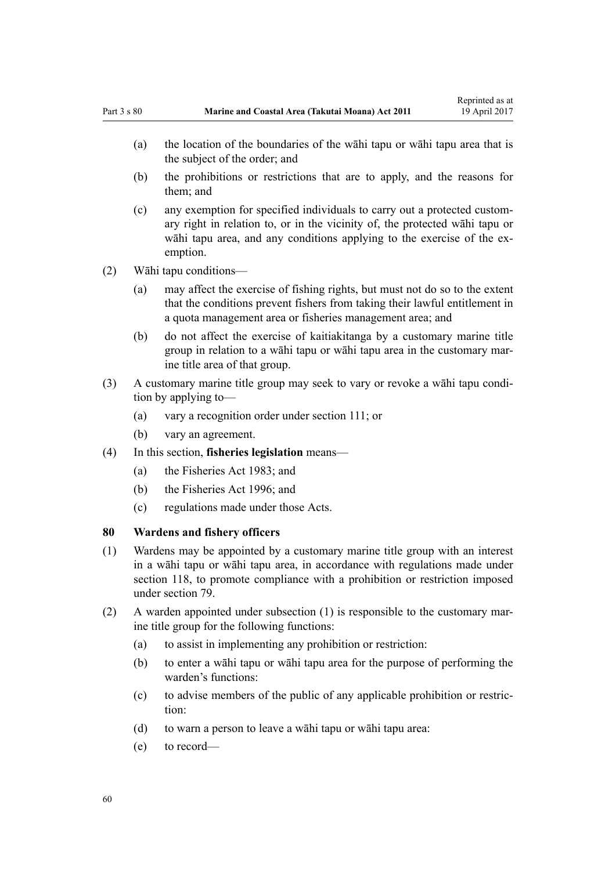- (b) the prohibitions or restrictions that are to apply, and the reasons for them; and
- (c) any exemption for specified individuals to carry out a protected customary right in relation to, or in the vicinity of, the protected wāhi tapu or wāhi tapu area, and any conditions applying to the exercise of the exemption.
- (2) Wāhi tapu conditions—
	- (a) may affect the exercise of fishing rights, but must not do so to the extent that the conditions prevent fishers from taking their lawful entitlement in a quota management area or fisheries management area; and
	- (b) do not affect the exercise of kaitiakitanga by a customary marine title group in relation to a wāhi tapu or wāhi tapu area in the customary marine title area of that group.
- (3) A customary marine title group may seek to vary or revoke a wāhi tapu condition by applying to—
	- (a) vary a recognition order under [section 111;](#page-74-0) or
	- (b) vary an agreement.
- (4) In this section, **fisheries legislation** means—
	- (a) the [Fisheries Act 1983](http://prd-lgnz-nlb.prd.pco.net.nz/pdflink.aspx?id=DLM66581); and
	- (b) the [Fisheries Act 1996](http://prd-lgnz-nlb.prd.pco.net.nz/pdflink.aspx?id=DLM394191); and
	- (c) regulations made under those Acts.

### **80 Wardens and fishery officers**

- (1) Wardens may be appointed by a customary marine title group with an interest in a wāhi tapu or wāhi tapu area, in accordance with regulations made under [section 118,](#page-77-0) to promote compliance with a prohibition or restriction imposed under [section 79](#page-58-0).
- (2) A warden appointed under subsection (1) is responsible to the customary marine title group for the following functions:
	- (a) to assist in implementing any prohibition or restriction:
	- (b) to enter a wāhi tapu or wāhi tapu area for the purpose of performing the warden's functions:
	- (c) to advise members of the public of any applicable prohibition or restriction:
	- (d) to warn a person to leave a wāhi tapu or wāhi tapu area:
	- (e) to record—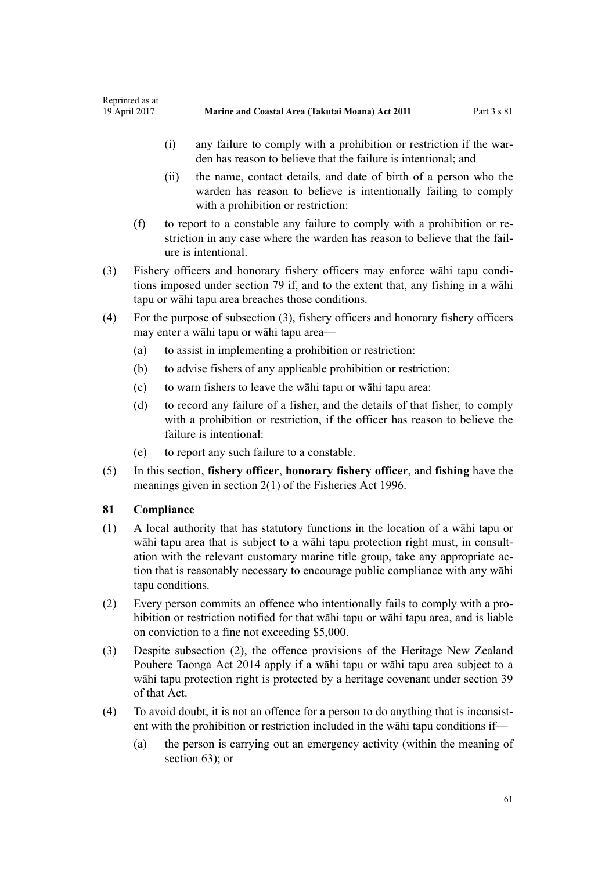- (i) any failure to comply with a prohibition or restriction if the warden has reason to believe that the failure is intentional; and
- (ii) the name, contact details, and date of birth of a person who the warden has reason to believe is intentionally failing to comply with a prohibition or restriction:
- (f) to report to a constable any failure to comply with a prohibition or restriction in any case where the warden has reason to believe that the failure is intentional.
- (3) Fishery officers and honorary fishery officers may enforce wāhi tapu conditions imposed under [section 79](#page-58-0) if, and to the extent that, any fishing in a wāhi tapu or wāhi tapu area breaches those conditions.
- (4) For the purpose of subsection (3), fishery officers and honorary fishery officers may enter a wāhi tapu or wāhi tapu area—
	- (a) to assist in implementing a prohibition or restriction:
	- (b) to advise fishers of any applicable prohibition or restriction:
	- (c) to warn fishers to leave the wāhi tapu or wāhi tapu area:
	- (d) to record any failure of a fisher, and the details of that fisher, to comply with a prohibition or restriction, if the officer has reason to believe the failure is intentional:
	- (e) to report any such failure to a constable.
- (5) In this section, **fishery officer**, **honorary fishery officer**, and **fishing** have the meanings given in [section 2\(1\)](http://prd-lgnz-nlb.prd.pco.net.nz/pdflink.aspx?id=DLM394199) of the Fisheries Act 1996.

## **81 Compliance**

- (1) A local authority that has statutory functions in the location of a wāhi tapu or wāhi tapu area that is subject to a wāhi tapu protection right must, in consultation with the relevant customary marine title group, take any appropriate action that is reasonably necessary to encourage public compliance with any wāhi tapu conditions.
- (2) Every person commits an offence who intentionally fails to comply with a prohibition or restriction notified for that wāhi tapu or wāhi tapu area, and is liable on conviction to a fine not exceeding \$5,000.
- (3) Despite subsection (2), the offence provisions of the [Heritage New Zealand](http://prd-lgnz-nlb.prd.pco.net.nz/pdflink.aspx?id=DLM4005402) [Pouhere Taonga Act 2014](http://prd-lgnz-nlb.prd.pco.net.nz/pdflink.aspx?id=DLM4005402) apply if a wāhi tapu or wāhi tapu area subject to a wāhi tapu protection right is protected by a heritage covenant under [section 39](http://prd-lgnz-nlb.prd.pco.net.nz/pdflink.aspx?id=DLM4005548) of that Act.
- (4) To avoid doubt, it is not an offence for a person to do anything that is inconsistent with the prohibition or restriction included in the wāhi tapu conditions if—
	- (a) the person is carrying out an emergency activity (within the meaning of [section 63](#page-47-0)); or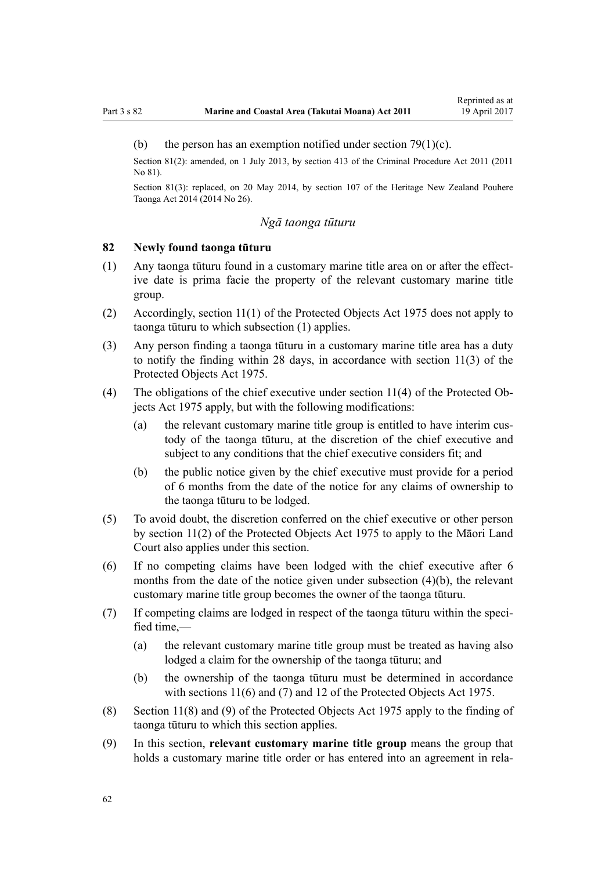#### <span id="page-61-0"></span>(b) the person has an exemption notified under section  $79(1)(c)$ .

Section 81(2): amended, on 1 July 2013, by [section 413](http://prd-lgnz-nlb.prd.pco.net.nz/pdflink.aspx?id=DLM3360714) of the Criminal Procedure Act 2011 (2011 No 81).

Section 81(3): replaced, on 20 May 2014, by [section 107](http://prd-lgnz-nlb.prd.pco.net.nz/pdflink.aspx?id=DLM4005646) of the Heritage New Zealand Pouhere Taonga Act 2014 (2014 No 26).

## *Ngā taonga tūturu*

### **82 Newly found taonga tūturu**

- (1) Any taonga tūturu found in a customary marine title area on or after the effective date is prima facie the property of the relevant customary marine title group.
- (2) Accordingly, [section 11\(1\)](http://prd-lgnz-nlb.prd.pco.net.nz/pdflink.aspx?id=DLM432422) of the Protected Objects Act 1975 does not apply to taonga tūturu to which subsection (1) applies.
- (3) Any person finding a taonga tūturu in a customary marine title area has a duty to notify the finding within 28 days, in accordance with [section 11\(3\)](http://prd-lgnz-nlb.prd.pco.net.nz/pdflink.aspx?id=DLM432422) of the Protected Objects Act 1975.
- (4) The obligations of the chief executive under [section 11\(4\)](http://prd-lgnz-nlb.prd.pco.net.nz/pdflink.aspx?id=DLM432422) of the Protected Objects Act 1975 apply, but with the following modifications:
	- (a) the relevant customary marine title group is entitled to have interim custody of the taonga tūturu, at the discretion of the chief executive and subject to any conditions that the chief executive considers fit; and
	- (b) the public notice given by the chief executive must provide for a period of 6 months from the date of the notice for any claims of ownership to the taonga tūturu to be lodged.
- (5) To avoid doubt, the discretion conferred on the chief executive or other person by [section 11\(2\)](http://prd-lgnz-nlb.prd.pco.net.nz/pdflink.aspx?id=DLM432422) of the Protected Objects Act 1975 to apply to the Māori Land Court also applies under this section.
- (6) If no competing claims have been lodged with the chief executive after 6 months from the date of the notice given under subsection (4)(b), the relevant customary marine title group becomes the owner of the taonga tūturu.
- (7) If competing claims are lodged in respect of the taonga tūturu within the specified time,—
	- (a) the relevant customary marine title group must be treated as having also lodged a claim for the ownership of the taonga tūturu; and
	- (b) the ownership of the taonga tūturu must be determined in accordance with [sections 11\(6\) and \(7\)](http://prd-lgnz-nlb.prd.pco.net.nz/pdflink.aspx?id=DLM432422) and [12](http://prd-lgnz-nlb.prd.pco.net.nz/pdflink.aspx?id=DLM432435) of the Protected Objects Act 1975.
- (8) [Section 11\(8\) and \(9\)](http://prd-lgnz-nlb.prd.pco.net.nz/pdflink.aspx?id=DLM432422) of the Protected Objects Act 1975 apply to the finding of taonga tūturu to which this section applies.
- (9) In this section, **relevant customary marine title group** means the group that holds a customary marine title order or has entered into an agreement in rela-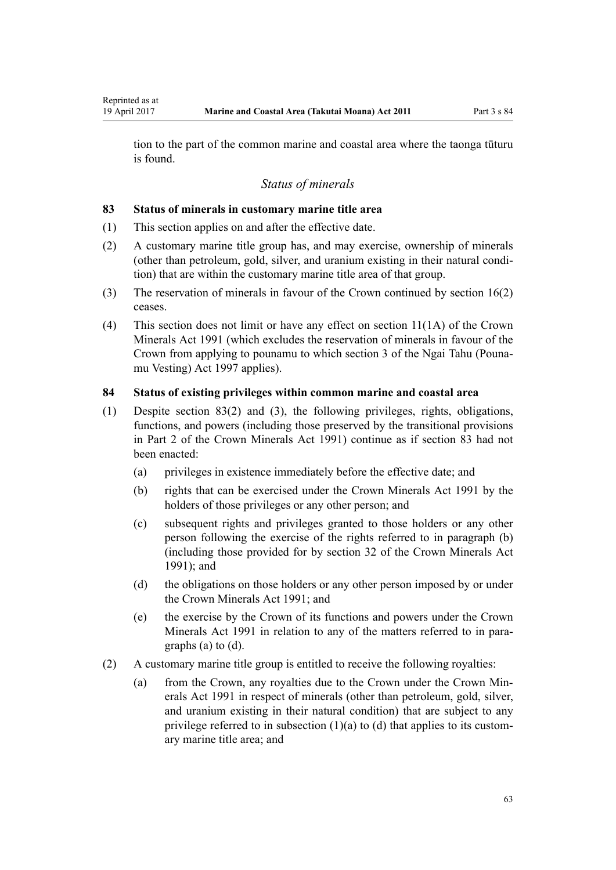<span id="page-62-0"></span>tion to the part of the common marine and coastal area where the taonga tūturu is found.

### *Status of minerals*

#### **83 Status of minerals in customary marine title area**

- (1) This section applies on and after the effective date.
- (2) A customary marine title group has, and may exercise, ownership of minerals (other than petroleum, gold, silver, and uranium existing in their natural condition) that are within the customary marine title area of that group.
- (3) The reservation of minerals in favour of the Crown continued by [section 16\(2\)](#page-19-0) ceases.
- (4) This section does not limit or have any effect on [section 11\(1A\)](http://prd-lgnz-nlb.prd.pco.net.nz/pdflink.aspx?id=DLM246311) of the Crown Minerals Act 1991 (which excludes the reservation of minerals in favour of the Crown from applying to pounamu to which [section 3](http://prd-lgnz-nlb.prd.pco.net.nz/pdflink.aspx?id=DLM413605) of the Ngai Tahu (Pounamu Vesting) Act 1997 applies).

#### **84 Status of existing privileges within common marine and coastal area**

- (1) Despite section 83(2) and (3), the following privileges, rights, obligations, functions, and powers (including those preserved by the transitional provisions in [Part 2](http://prd-lgnz-nlb.prd.pco.net.nz/pdflink.aspx?id=DLM247305) of the Crown Minerals Act 1991) continue as if section 83 had not been enacted:
	- (a) privileges in existence immediately before the effective date; and
	- (b) rights that can be exercised under the [Crown Minerals Act 1991](http://prd-lgnz-nlb.prd.pco.net.nz/pdflink.aspx?id=DLM242535) by the holders of those privileges or any other person; and
	- (c) subsequent rights and privileges granted to those holders or any other person following the exercise of the rights referred to in paragraph (b) (including those provided for by [section 32](http://prd-lgnz-nlb.prd.pco.net.nz/pdflink.aspx?id=DLM246341) of the Crown Minerals Act 1991); and
	- (d) the obligations on those holders or any other person imposed by or under the [Crown Minerals Act 1991;](http://prd-lgnz-nlb.prd.pco.net.nz/pdflink.aspx?id=DLM242535) and
	- (e) the exercise by the Crown of its functions and powers under the [Crown](http://prd-lgnz-nlb.prd.pco.net.nz/pdflink.aspx?id=DLM242535) [Minerals Act 1991](http://prd-lgnz-nlb.prd.pco.net.nz/pdflink.aspx?id=DLM242535) in relation to any of the matters referred to in paragraphs (a) to (d).
- (2) A customary marine title group is entitled to receive the following royalties:
	- (a) from the Crown, any royalties due to the Crown under the [Crown Min](http://prd-lgnz-nlb.prd.pco.net.nz/pdflink.aspx?id=DLM242535)[erals Act 1991](http://prd-lgnz-nlb.prd.pco.net.nz/pdflink.aspx?id=DLM242535) in respect of minerals (other than petroleum, gold, silver, and uranium existing in their natural condition) that are subject to any privilege referred to in subsection  $(1)(a)$  to  $(d)$  that applies to its customary marine title area; and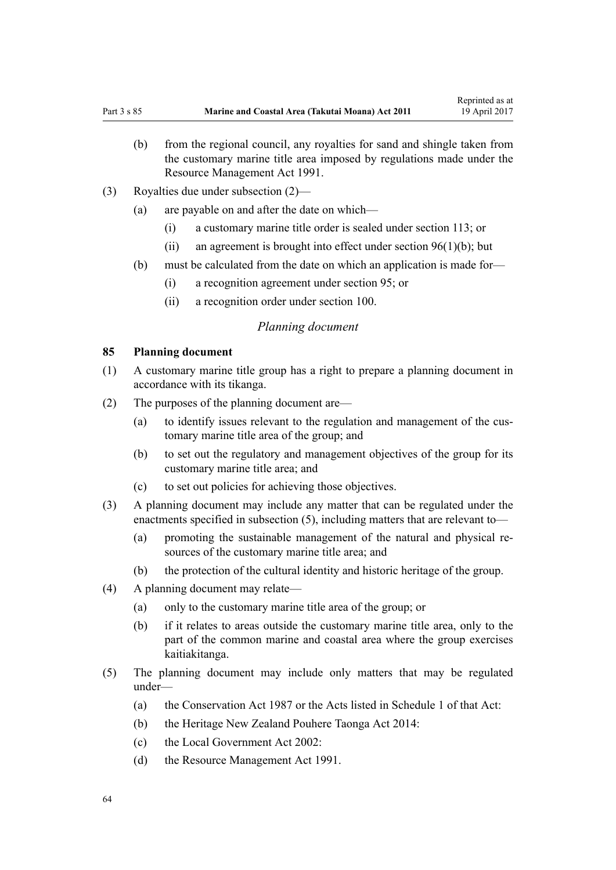- <span id="page-63-0"></span>(b) from the regional council, any royalties for sand and shingle taken from the customary marine title area imposed by regulations made under the [Resource Management Act 1991](http://prd-lgnz-nlb.prd.pco.net.nz/pdflink.aspx?id=DLM230264).
- (3) Royalties due under subsection (2)—
	- (a) are payable on and after the date on which—
		- (i) a customary marine title order is sealed under [section 113](#page-68-0); or
		- (ii) an agreement is brought into effect under section  $96(1)(b)$ ; but
	- (b) must be calculated from the date on which an application is made for—
		- (i) a recognition agreement under [section 95](#page-68-0); or
		- (ii) a recognition order under [section 100](#page-70-0).

#### *Planning document*

#### **85 Planning document**

- (1) A customary marine title group has a right to prepare a planning document in accordance with its tikanga.
- (2) The purposes of the planning document are—
	- (a) to identify issues relevant to the regulation and management of the customary marine title area of the group; and
	- (b) to set out the regulatory and management objectives of the group for its customary marine title area; and
	- (c) to set out policies for achieving those objectives.
- (3) A planning document may include any matter that can be regulated under the enactments specified in subsection (5), including matters that are relevant to—
	- (a) promoting the sustainable management of the natural and physical resources of the customary marine title area; and
	- (b) the protection of the cultural identity and historic heritage of the group.
- (4) A planning document may relate—
	- (a) only to the customary marine title area of the group; or
	- (b) if it relates to areas outside the customary marine title area, only to the part of the common marine and coastal area where the group exercises kaitiakitanga.
- (5) The planning document may include only matters that may be regulated under—
	- (a) the [Conservation Act 1987](http://prd-lgnz-nlb.prd.pco.net.nz/pdflink.aspx?id=DLM103609) or the Acts listed in [Schedule 1](http://prd-lgnz-nlb.prd.pco.net.nz/pdflink.aspx?id=DLM107200) of that Act:
	- (b) the [Heritage New Zealand Pouhere Taonga Act 2014:](http://prd-lgnz-nlb.prd.pco.net.nz/pdflink.aspx?id=DLM4005402)
	- (c) the [Local Government Act 2002](http://prd-lgnz-nlb.prd.pco.net.nz/pdflink.aspx?id=DLM170872):
	- (d) the [Resource Management Act 1991](http://prd-lgnz-nlb.prd.pco.net.nz/pdflink.aspx?id=DLM230264).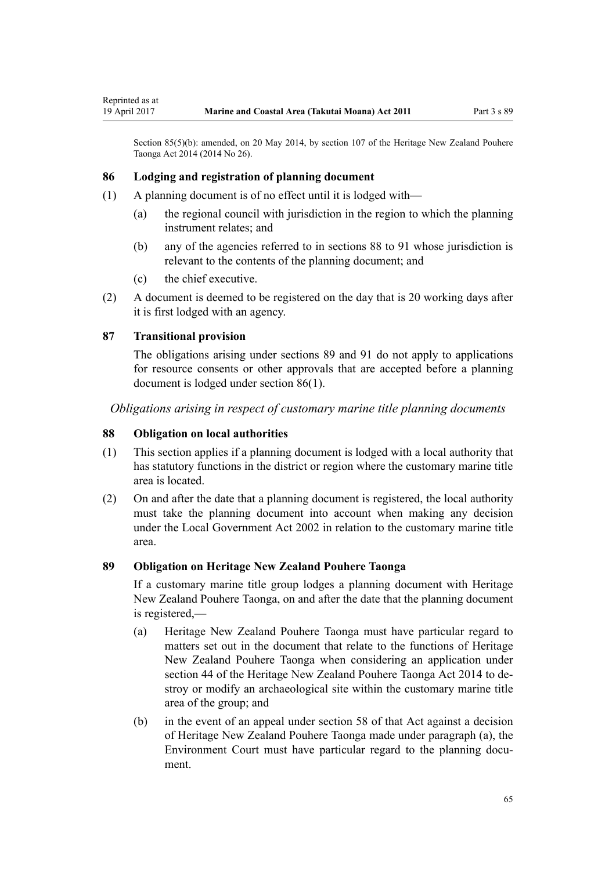<span id="page-64-0"></span>Section 85(5)(b): amended, on 20 May 2014, by [section 107](http://prd-lgnz-nlb.prd.pco.net.nz/pdflink.aspx?id=DLM4005646) of the Heritage New Zealand Pouhere Taonga Act 2014 (2014 No 26).

### **86 Lodging and registration of planning document**

- (1) A planning document is of no effect until it is lodged with—
	- (a) the regional council with jurisdiction in the region to which the planning instrument relates; and
	- (b) any of the agencies referred to in sections 88 to 91 whose jurisdiction is relevant to the contents of the planning document; and
	- (c) the chief executive.
- (2) A document is deemed to be registered on the day that is 20 working days after it is first lodged with an agency.

### **87 Transitional provision**

The obligations arising under sections 89 and [91](#page-65-0) do not apply to applications for resource consents or other approvals that are accepted before a planning document is lodged under section 86(1).

*Obligations arising in respect of customary marine title planning documents*

### **88 Obligation on local authorities**

- (1) This section applies if a planning document is lodged with a local authority that has statutory functions in the district or region where the customary marine title area is located.
- (2) On and after the date that a planning document is registered, the local authority must take the planning document into account when making any decision under the [Local Government Act 2002](http://prd-lgnz-nlb.prd.pco.net.nz/pdflink.aspx?id=DLM170872) in relation to the customary marine title area.

### **89 Obligation on Heritage New Zealand Pouhere Taonga**

If a customary marine title group lodges a planning document with Heritage New Zealand Pouhere Taonga, on and after the date that the planning document is registered,—

- (a) Heritage New Zealand Pouhere Taonga must have particular regard to matters set out in the document that relate to the functions of Heritage New Zealand Pouhere Taonga when considering an application under [section 44](http://prd-lgnz-nlb.prd.pco.net.nz/pdflink.aspx?id=DLM4005562) of the Heritage New Zealand Pouhere Taonga Act 2014 to destroy or modify an archaeological site within the customary marine title area of the group; and
- (b) in the event of an appeal under [section 58](http://prd-lgnz-nlb.prd.pco.net.nz/pdflink.aspx?id=DLM4005583) of that Act against a decision of Heritage New Zealand Pouhere Taonga made under paragraph (a), the Environment Court must have particular regard to the planning document.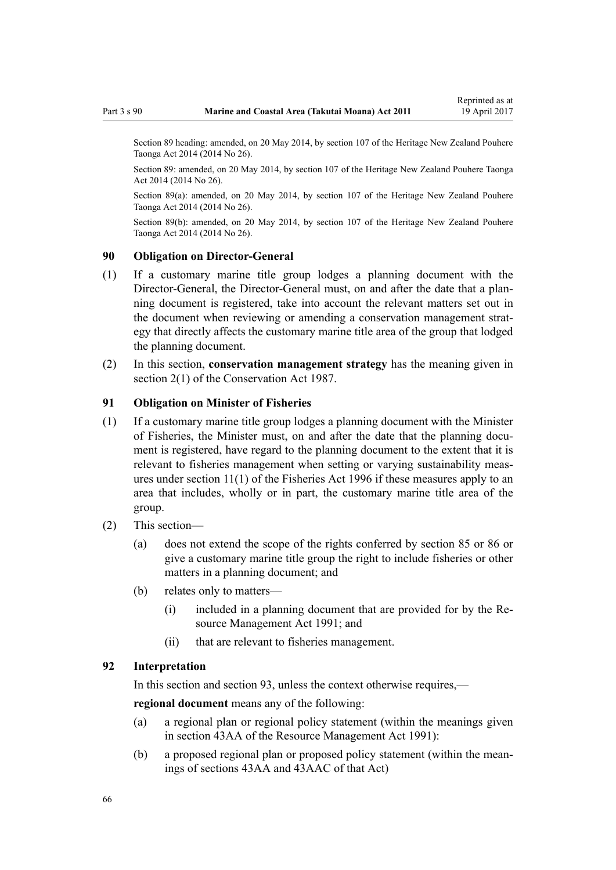<span id="page-65-0"></span>Section 89 heading: amended, on 20 May 2014, by [section 107](http://prd-lgnz-nlb.prd.pco.net.nz/pdflink.aspx?id=DLM4005646) of the Heritage New Zealand Pouhere Taonga Act 2014 (2014 No 26).

Section 89: amended, on 20 May 2014, by [section 107](http://prd-lgnz-nlb.prd.pco.net.nz/pdflink.aspx?id=DLM4005646) of the Heritage New Zealand Pouhere Taonga Act 2014 (2014 No 26).

Section 89(a): amended, on 20 May 2014, by [section 107](http://prd-lgnz-nlb.prd.pco.net.nz/pdflink.aspx?id=DLM4005646) of the Heritage New Zealand Pouhere Taonga Act 2014 (2014 No 26).

Section 89(b): amended, on 20 May 2014, by [section 107](http://prd-lgnz-nlb.prd.pco.net.nz/pdflink.aspx?id=DLM4005646) of the Heritage New Zealand Pouhere Taonga Act 2014 (2014 No 26).

### **90 Obligation on Director-General**

- (1) If a customary marine title group lodges a planning document with the Director-General, the Director-General must, on and after the date that a planning document is registered, take into account the relevant matters set out in the document when reviewing or amending a conservation management strategy that directly affects the customary marine title area of the group that lodged the planning document.
- (2) In this section, **conservation management strategy** has the meaning given in [section 2\(1\)](http://prd-lgnz-nlb.prd.pco.net.nz/pdflink.aspx?id=DLM103616) of the Conservation Act 1987.

#### **91 Obligation on Minister of Fisheries**

- (1) If a customary marine title group lodges a planning document with the Minister of Fisheries, the Minister must, on and after the date that the planning document is registered, have regard to the planning document to the extent that it is relevant to fisheries management when setting or varying sustainability measures under [section 11\(1\)](http://prd-lgnz-nlb.prd.pco.net.nz/pdflink.aspx?id=DLM395397) of the Fisheries Act 1996 if these measures apply to an area that includes, wholly or in part, the customary marine title area of the group.
- (2) This section—
	- (a) does not extend the scope of the rights conferred by [section 85](#page-63-0) or [86](#page-64-0) or give a customary marine title group the right to include fisheries or other matters in a planning document; and
	- (b) relates only to matters—
		- (i) included in a planning document that are provided for by the [Re](http://prd-lgnz-nlb.prd.pco.net.nz/pdflink.aspx?id=DLM230264)[source Management Act 1991](http://prd-lgnz-nlb.prd.pco.net.nz/pdflink.aspx?id=DLM230264); and
		- (ii) that are relevant to fisheries management.

### **92 Interpretation**

In this section and section 93, unless the context otherwise requires,—

**regional document** means any of the following:

- (a) a regional plan or regional policy statement (within the meanings given in [section 43AA](http://prd-lgnz-nlb.prd.pco.net.nz/pdflink.aspx?id=DLM2412743) of the Resource Management Act 1991):
- (b) a proposed regional plan or proposed policy statement (within the meanings of [sections 43AA](http://prd-lgnz-nlb.prd.pco.net.nz/pdflink.aspx?id=DLM2412743) and [43AAC](http://prd-lgnz-nlb.prd.pco.net.nz/pdflink.aspx?id=DLM2412769) of that Act)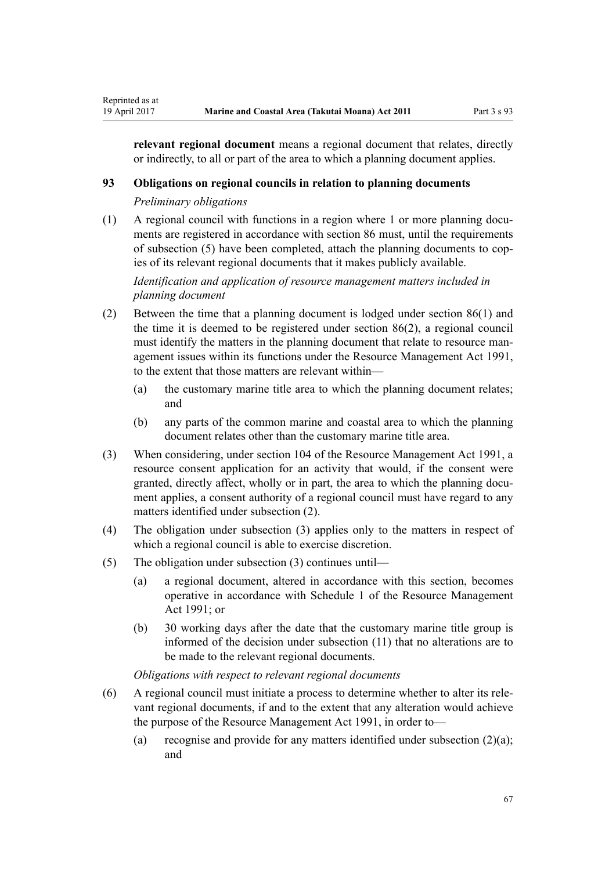**relevant regional document** means a regional document that relates, directly or indirectly, to all or part of the area to which a planning document applies.

#### **93 Obligations on regional councils in relation to planning documents**

*Preliminary obligations*

Reprinted as at

(1) A regional council with functions in a region where 1 or more planning documents are registered in accordance with [section 86](#page-64-0) must, until the requirements of subsection (5) have been completed, attach the planning documents to copies of its relevant regional documents that it makes publicly available.

*Identification and application of resource management matters included in planning document*

- (2) Between the time that a planning document is lodged under [section 86\(1\)](#page-64-0) and the time it is deemed to be registered under section 86(2), a regional council must identify the matters in the planning document that relate to resource management issues within its functions under the [Resource Management Act 1991](http://prd-lgnz-nlb.prd.pco.net.nz/pdflink.aspx?id=DLM230264), to the extent that those matters are relevant within—
	- (a) the customary marine title area to which the planning document relates; and
	- (b) any parts of the common marine and coastal area to which the planning document relates other than the customary marine title area.
- (3) When considering, under [section 104](http://prd-lgnz-nlb.prd.pco.net.nz/pdflink.aspx?id=DLM234355) of the Resource Management Act 1991, a resource consent application for an activity that would, if the consent were granted, directly affect, wholly or in part, the area to which the planning document applies, a consent authority of a regional council must have regard to any matters identified under subsection (2).
- (4) The obligation under subsection (3) applies only to the matters in respect of which a regional council is able to exercise discretion.
- (5) The obligation under subsection (3) continues until—
	- (a) a regional document, altered in accordance with this section, becomes operative in accordance with [Schedule 1](http://prd-lgnz-nlb.prd.pco.net.nz/pdflink.aspx?id=DLM240686) of the Resource Management Act 1991; or
	- (b) 30 working days after the date that the customary marine title group is informed of the decision under subsection (11) that no alterations are to be made to the relevant regional documents.

*Obligations with respect to relevant regional documents*

- (6) A regional council must initiate a process to determine whether to alter its relevant regional documents, if and to the extent that any alteration would achieve the purpose of the [Resource Management Act 1991,](http://prd-lgnz-nlb.prd.pco.net.nz/pdflink.aspx?id=DLM230264) in order to—
	- (a) recognise and provide for any matters identified under subsection  $(2)(a)$ ; and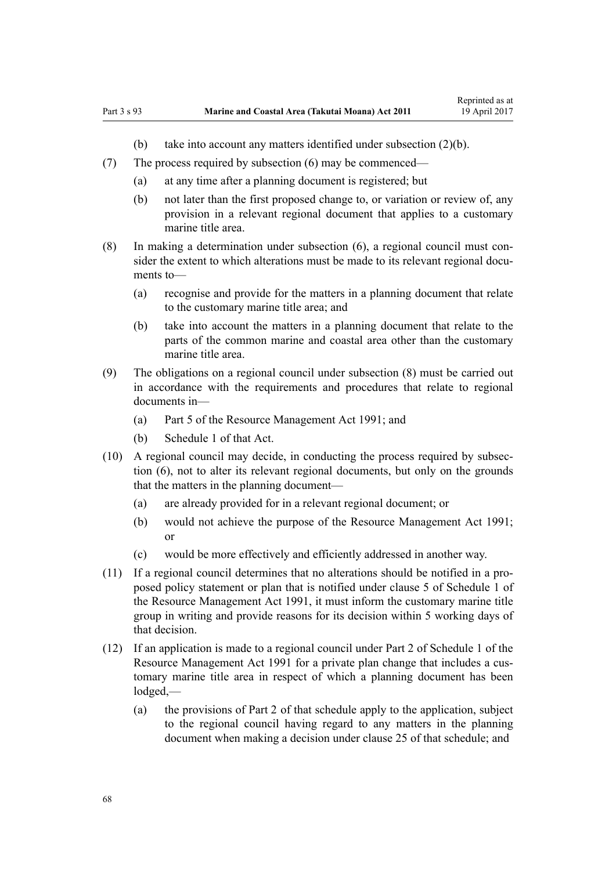- (b) take into account any matters identified under subsection (2)(b).
- (7) The process required by subsection (6) may be commenced—
	- (a) at any time after a planning document is registered; but
	- (b) not later than the first proposed change to, or variation or review of, any provision in a relevant regional document that applies to a customary marine title area.
- (8) In making a determination under subsection (6), a regional council must consider the extent to which alterations must be made to its relevant regional documents to—
	- (a) recognise and provide for the matters in a planning document that relate to the customary marine title area; and
	- (b) take into account the matters in a planning document that relate to the parts of the common marine and coastal area other than the customary marine title area.
- (9) The obligations on a regional council under subsection (8) must be carried out in accordance with the requirements and procedures that relate to regional documents in—
	- (a) [Part 5](http://prd-lgnz-nlb.prd.pco.net.nz/pdflink.aspx?id=DLM233301) of the Resource Management Act 1991; and
	- (b) [Schedule 1](http://prd-lgnz-nlb.prd.pco.net.nz/pdflink.aspx?id=DLM240686) of that Act.
- (10) A regional council may decide, in conducting the process required by subsection (6), not to alter its relevant regional documents, but only on the grounds that the matters in the planning document—
	- (a) are already provided for in a relevant regional document; or
	- (b) would not achieve the purpose of the [Resource Management Act 1991;](http://prd-lgnz-nlb.prd.pco.net.nz/pdflink.aspx?id=DLM230264) or
	- (c) would be more effectively and efficiently addressed in another way.
- (11) If a regional council determines that no alterations should be notified in a proposed policy statement or plan that is notified under [clause 5](http://prd-lgnz-nlb.prd.pco.net.nz/pdflink.aspx?id=DLM241213) of Schedule 1 of the Resource Management Act 1991, it must inform the customary marine title group in writing and provide reasons for its decision within 5 working days of that decision.
- (12) If an application is made to a regional council under [Part 2](http://prd-lgnz-nlb.prd.pco.net.nz/pdflink.aspx?id=DLM241513) of Schedule 1 of the Resource Management Act 1991 for a private plan change that includes a customary marine title area in respect of which a planning document has been lodged,—
	- (a) the provisions of [Part 2](http://prd-lgnz-nlb.prd.pco.net.nz/pdflink.aspx?id=DLM241513) of that schedule apply to the application, subject to the regional council having regard to any matters in the planning document when making a decision under [clause 25](http://prd-lgnz-nlb.prd.pco.net.nz/pdflink.aspx?id=DLM241526) of that schedule; and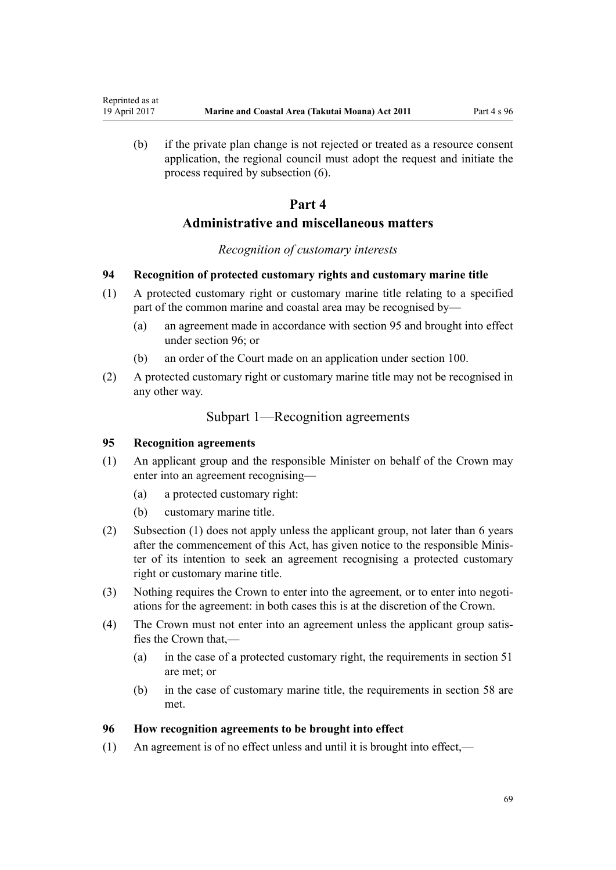(b) if the private plan change is not rejected or treated as a resource consent application, the regional council must adopt the request and initiate the process required by subsection (6).

## **Part 4**

## **Administrative and miscellaneous matters**

#### *Recognition of customary interests*

#### **94 Recognition of protected customary rights and customary marine title**

- (1) A protected customary right or customary marine title relating to a specified part of the common marine and coastal area may be recognised by—
	- (a) an agreement made in accordance with section 95 and brought into effect under section 96; or
	- (b) an order of the Court made on an application under [section 100](#page-70-0).
- (2) A protected customary right or customary marine title may not be recognised in any other way.

### Subpart 1—Recognition agreements

### **95 Recognition agreements**

<span id="page-68-0"></span>Reprinted as at

- (1) An applicant group and the responsible Minister on behalf of the Crown may enter into an agreement recognising—
	- (a) a protected customary right:
	- (b) customary marine title.
- (2) Subsection (1) does not apply unless the applicant group, not later than 6 years after the commencement of this Act, has given notice to the responsible Minister of its intention to seek an agreement recognising a protected customary right or customary marine title.
- (3) Nothing requires the Crown to enter into the agreement, or to enter into negotiations for the agreement: in both cases this is at the discretion of the Crown.
- (4) The Crown must not enter into an agreement unless the applicant group satisfies the Crown that,—
	- (a) in the case of a protected customary right, the requirements in [section 51](#page-39-0) are met; or
	- (b) in the case of customary marine title, the requirements in [section 58](#page-43-0) are met.

#### **96 How recognition agreements to be brought into effect**

(1) An agreement is of no effect unless and until it is brought into effect,—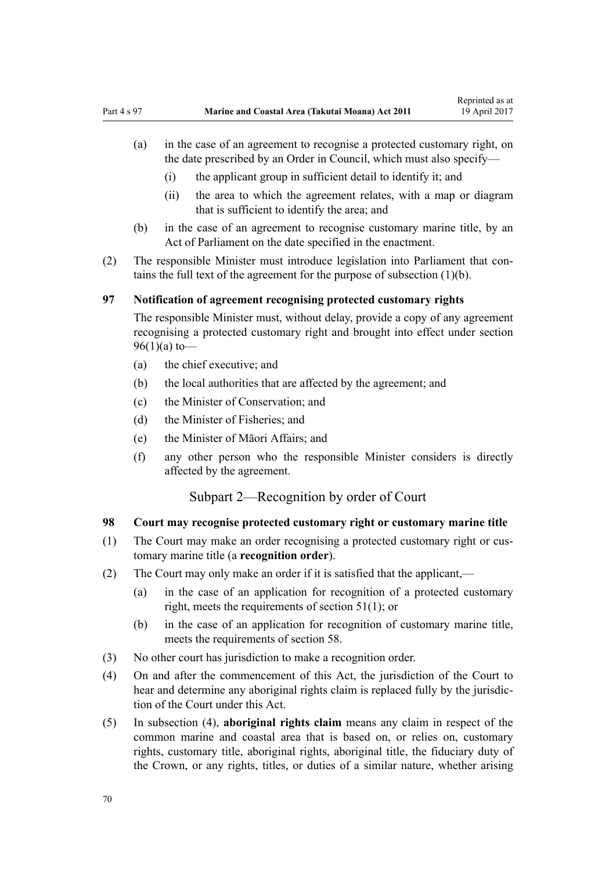- <span id="page-69-0"></span>(a) in the case of an agreement to recognise a protected customary right, on the date prescribed by an Order in Council, which must also specify—
	- (i) the applicant group in sufficient detail to identify it; and
	- (ii) the area to which the agreement relates, with a map or diagram that is sufficient to identify the area; and
- (b) in the case of an agreement to recognise customary marine title, by an Act of Parliament on the date specified in the enactment.
- (2) The responsible Minister must introduce legislation into Parliament that contains the full text of the agreement for the purpose of subsection (1)(b).

### **97 Notification of agreement recognising protected customary rights**

The responsible Minister must, without delay, provide a copy of any agreement recognising a protected customary right and brought into effect under [section](#page-68-0)  $96(1)(a)$  to —

- (a) the chief executive; and
- (b) the local authorities that are affected by the agreement; and
- (c) the Minister of Conservation; and
- (d) the Minister of Fisheries; and
- (e) the Minister of Māori Affairs; and
- (f) any other person who the responsible Minister considers is directly affected by the agreement.

## Subpart 2—Recognition by order of Court

### **98 Court may recognise protected customary right or customary marine title**

- (1) The Court may make an order recognising a protected customary right or customary marine title (a **recognition order**).
- (2) The Court may only make an order if it is satisfied that the applicant,—
	- (a) in the case of an application for recognition of a protected customary right, meets the requirements of [section 51\(1\)](#page-39-0); or
	- (b) in the case of an application for recognition of customary marine title, meets the requirements of [section 58](#page-43-0).
- (3) No other court has jurisdiction to make a recognition order.
- (4) On and after the commencement of this Act, the jurisdiction of the Court to hear and determine any aboriginal rights claim is replaced fully by the jurisdiction of the Court under this Act.
- (5) In subsection (4), **aboriginal rights claim** means any claim in respect of the common marine and coastal area that is based on, or relies on, customary rights, customary title, aboriginal rights, aboriginal title, the fiduciary duty of the Crown, or any rights, titles, or duties of a similar nature, whether arising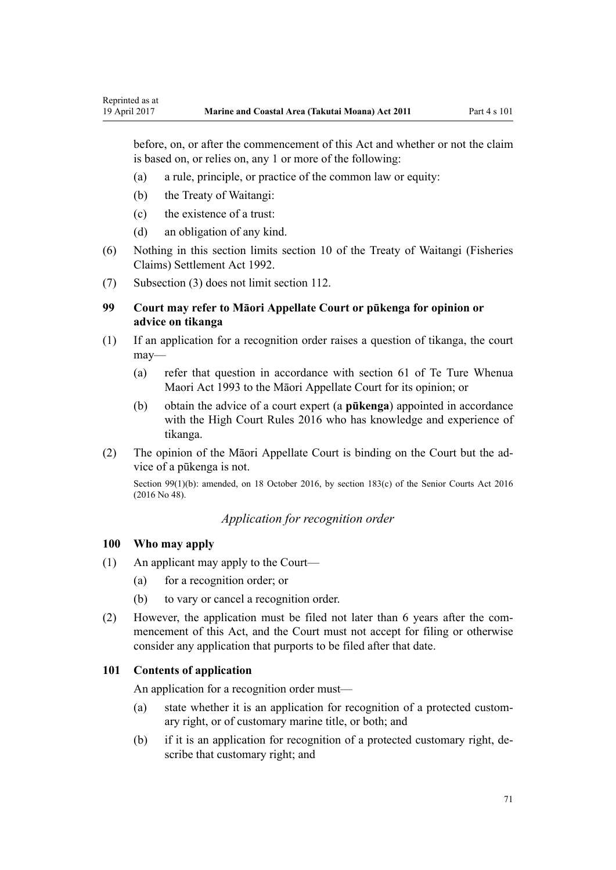before, on, or after the commencement of this Act and whether or not the claim is based on, or relies on, any 1 or more of the following:

- (a) a rule, principle, or practice of the common law or equity:
- (b) the Treaty of Waitangi:

<span id="page-70-0"></span>Reprinted as at

- (c) the existence of a trust:
- (d) an obligation of any kind.
- (6) Nothing in this section limits [section 10](http://prd-lgnz-nlb.prd.pco.net.nz/pdflink.aspx?id=DLM281461) of the Treaty of Waitangi (Fisheries Claims) Settlement Act 1992.
- (7) Subsection (3) does not limit [section 112](#page-75-0).

### **99 Court may refer to Māori Appellate Court or pūkenga for opinion or advice on tikanga**

- (1) If an application for a recognition order raises a question of tikanga, the court may—
	- (a) refer that question in accordance with [section 61](http://prd-lgnz-nlb.prd.pco.net.nz/pdflink.aspx?id=DLM290946) of Te Ture Whenua Maori Act 1993 to the Māori Appellate Court for its opinion; or
	- (b) obtain the advice of a court expert (a **pūkenga**) appointed in accordance with the [High Court Rules 2016](http://prd-lgnz-nlb.prd.pco.net.nz/pdflink.aspx?id=DLM6959800) who has knowledge and experience of tikanga.
- (2) The opinion of the Māori Appellate Court is binding on the Court but the advice of a pūkenga is not.

Section 99(1)(b): amended, on 18 October 2016, by [section 183\(c\)](http://prd-lgnz-nlb.prd.pco.net.nz/pdflink.aspx?id=DLM5759564) of the Senior Courts Act 2016 (2016 No 48).

## *Application for recognition order*

#### **100 Who may apply**

- (1) An applicant may apply to the Court—
	- (a) for a recognition order; or
	- (b) to vary or cancel a recognition order.
- (2) However, the application must be filed not later than 6 years after the commencement of this Act, and the Court must not accept for filing or otherwise consider any application that purports to be filed after that date.

#### **101 Contents of application**

An application for a recognition order must—

- (a) state whether it is an application for recognition of a protected customary right, or of customary marine title, or both; and
- (b) if it is an application for recognition of a protected customary right, describe that customary right; and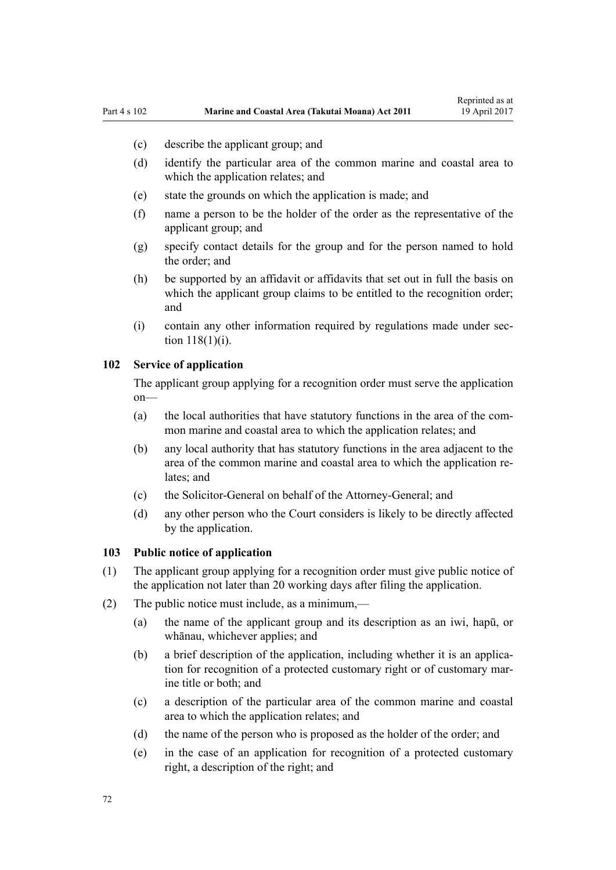- <span id="page-71-0"></span>(c) describe the applicant group; and
- (d) identify the particular area of the common marine and coastal area to which the application relates; and
- (e) state the grounds on which the application is made; and
- (f) name a person to be the holder of the order as the representative of the applicant group; and
- (g) specify contact details for the group and for the person named to hold the order; and
- (h) be supported by an affidavit or affidavits that set out in full the basis on which the applicant group claims to be entitled to the recognition order; and
- (i) contain any other information required by regulations made under [sec](#page-77-0)[tion 118\(1\)\(i\)](#page-77-0).

### **102 Service of application**

The applicant group applying for a recognition order must serve the application on—

- (a) the local authorities that have statutory functions in the area of the common marine and coastal area to which the application relates; and
- (b) any local authority that has statutory functions in the area adjacent to the area of the common marine and coastal area to which the application relates; and
- (c) the Solicitor-General on behalf of the Attorney-General; and
- (d) any other person who the Court considers is likely to be directly affected by the application.

#### **103 Public notice of application**

- (1) The applicant group applying for a recognition order must give public notice of the application not later than 20 working days after filing the application.
- (2) The public notice must include, as a minimum,—
	- (a) the name of the applicant group and its description as an iwi, hapū, or whānau, whichever applies; and
	- (b) a brief description of the application, including whether it is an application for recognition of a protected customary right or of customary marine title or both; and
	- (c) a description of the particular area of the common marine and coastal area to which the application relates; and
	- (d) the name of the person who is proposed as the holder of the order; and
	- (e) in the case of an application for recognition of a protected customary right, a description of the right; and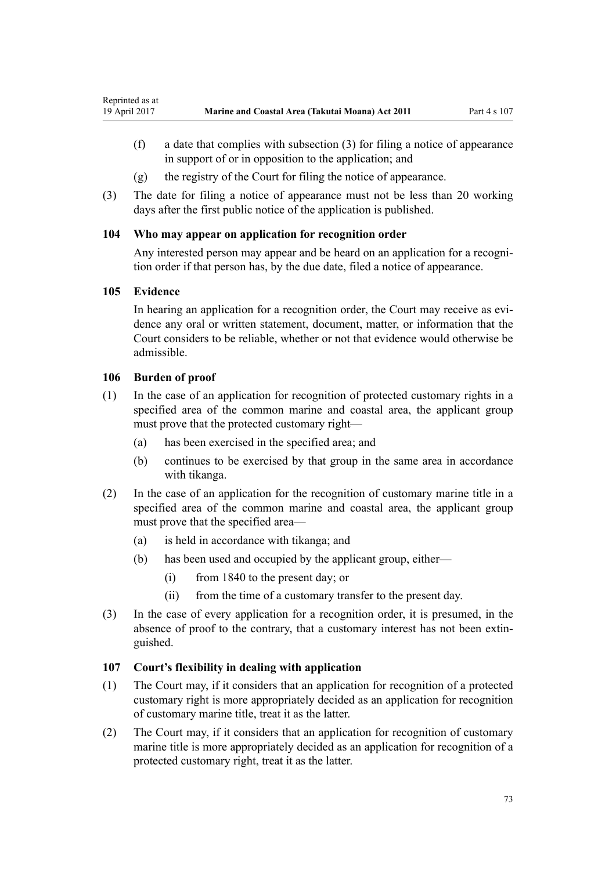- <span id="page-72-0"></span>(f) a date that complies with subsection (3) for filing a notice of appearance in support of or in opposition to the application; and
- (g) the registry of the Court for filing the notice of appearance.
- (3) The date for filing a notice of appearance must not be less than 20 working days after the first public notice of the application is published.

# **104 Who may appear on application for recognition order**

Any interested person may appear and be heard on an application for a recognition order if that person has, by the due date, filed a notice of appearance.

# **105 Evidence**

In hearing an application for a recognition order, the Court may receive as evidence any oral or written statement, document, matter, or information that the Court considers to be reliable, whether or not that evidence would otherwise be admissible.

# **106 Burden of proof**

- (1) In the case of an application for recognition of protected customary rights in a specified area of the common marine and coastal area, the applicant group must prove that the protected customary right—
	- (a) has been exercised in the specified area; and
	- (b) continues to be exercised by that group in the same area in accordance with tikanga.
- (2) In the case of an application for the recognition of customary marine title in a specified area of the common marine and coastal area, the applicant group must prove that the specified area—
	- (a) is held in accordance with tikanga; and
	- (b) has been used and occupied by the applicant group, either—
		- (i) from 1840 to the present day; or
		- (ii) from the time of a customary transfer to the present day.
- (3) In the case of every application for a recognition order, it is presumed, in the absence of proof to the contrary, that a customary interest has not been extinguished.

# **107 Court's flexibility in dealing with application**

- (1) The Court may, if it considers that an application for recognition of a protected customary right is more appropriately decided as an application for recognition of customary marine title, treat it as the latter.
- (2) The Court may, if it considers that an application for recognition of customary marine title is more appropriately decided as an application for recognition of a protected customary right, treat it as the latter.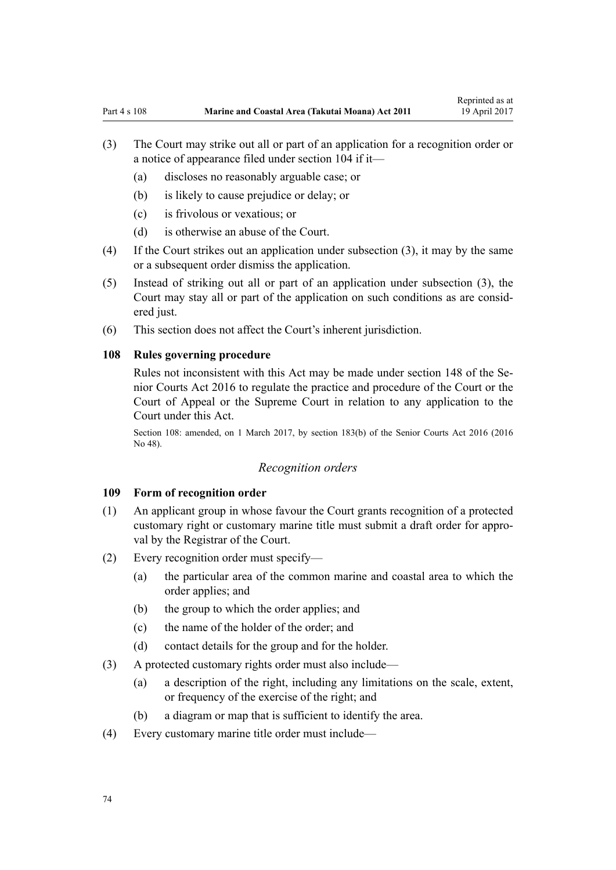- <span id="page-73-0"></span>(3) The Court may strike out all or part of an application for a recognition order or a notice of appearance filed under [section 104](#page-72-0) if it—
	- (a) discloses no reasonably arguable case; or
	- (b) is likely to cause prejudice or delay; or
	- (c) is frivolous or vexatious; or
	- (d) is otherwise an abuse of the Court.
- (4) If the Court strikes out an application under subsection (3), it may by the same or a subsequent order dismiss the application.
- (5) Instead of striking out all or part of an application under subsection (3), the Court may stay all or part of the application on such conditions as are considered just.
- (6) This section does not affect the Court's inherent jurisdiction.

#### **108 Rules governing procedure**

Rules not inconsistent with this Act may be made under [section 148](http://prd-lgnz-nlb.prd.pco.net.nz/pdflink.aspx?id=DLM5759504) of the Senior Courts Act 2016 to regulate the practice and procedure of the Court or the Court of Appeal or the Supreme Court in relation to any application to the Court under this Act.

Section 108: amended, on 1 March 2017, by [section 183\(b\)](http://prd-lgnz-nlb.prd.pco.net.nz/pdflink.aspx?id=DLM5759564) of the Senior Courts Act 2016 (2016 No 48).

#### *Recognition orders*

#### **109 Form of recognition order**

- (1) An applicant group in whose favour the Court grants recognition of a protected customary right or customary marine title must submit a draft order for approval by the Registrar of the Court.
- (2) Every recognition order must specify—
	- (a) the particular area of the common marine and coastal area to which the order applies; and
	- (b) the group to which the order applies; and
	- (c) the name of the holder of the order; and
	- (d) contact details for the group and for the holder.
- (3) A protected customary rights order must also include—
	- (a) a description of the right, including any limitations on the scale, extent, or frequency of the exercise of the right; and
	- (b) a diagram or map that is sufficient to identify the area.
- (4) Every customary marine title order must include—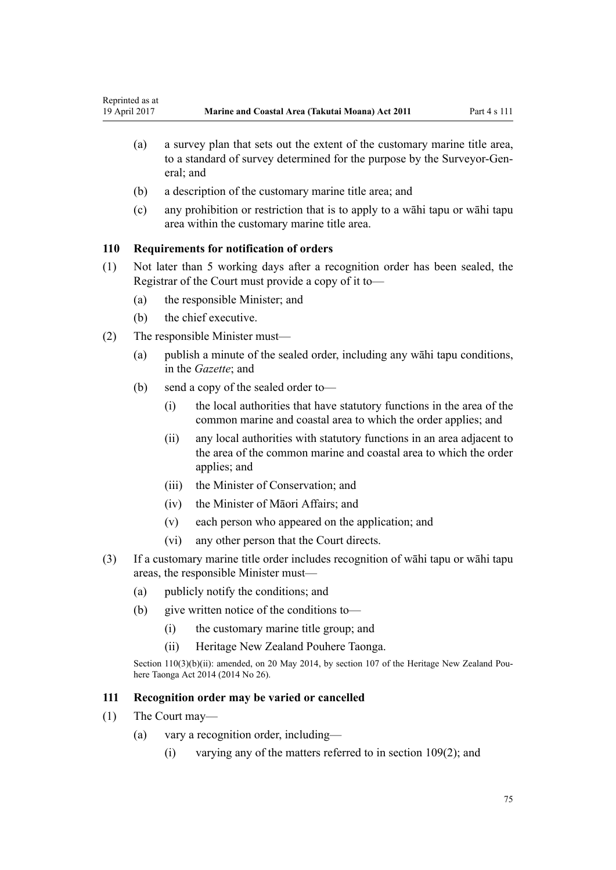- <span id="page-74-0"></span>(a) a survey plan that sets out the extent of the customary marine title area, to a standard of survey determined for the purpose by the Surveyor-General; and
- (b) a description of the customary marine title area; and
- (c) any prohibition or restriction that is to apply to a wāhi tapu or wāhi tapu area within the customary marine title area.

# **110 Requirements for notification of orders**

- (1) Not later than 5 working days after a recognition order has been sealed, the Registrar of the Court must provide a copy of it to—
	- (a) the responsible Minister; and
	- (b) the chief executive.
- (2) The responsible Minister must—
	- (a) publish a minute of the sealed order, including any wāhi tapu conditions, in the *Gazette*; and
	- (b) send a copy of the sealed order to—
		- (i) the local authorities that have statutory functions in the area of the common marine and coastal area to which the order applies; and
		- (ii) any local authorities with statutory functions in an area adjacent to the area of the common marine and coastal area to which the order applies; and
		- (iii) the Minister of Conservation; and
		- (iv) the Minister of Māori Affairs; and
		- (v) each person who appeared on the application; and
		- (vi) any other person that the Court directs.
- (3) If a customary marine title order includes recognition of wāhi tapu or wāhi tapu areas, the responsible Minister must—
	- (a) publicly notify the conditions; and
	- (b) give written notice of the conditions to—
		- (i) the customary marine title group; and
		- (ii) Heritage New Zealand Pouhere Taonga.

Section 110(3)(b)(ii): amended, on 20 May 2014, by [section 107](http://prd-lgnz-nlb.prd.pco.net.nz/pdflink.aspx?id=DLM4005646) of the Heritage New Zealand Pouhere Taonga Act 2014 (2014 No 26).

# **111 Recognition order may be varied or cancelled**

- (1) The Court may—
	- (a) vary a recognition order, including—
		- (i) varying any of the matters referred to in [section 109\(2\);](#page-73-0) and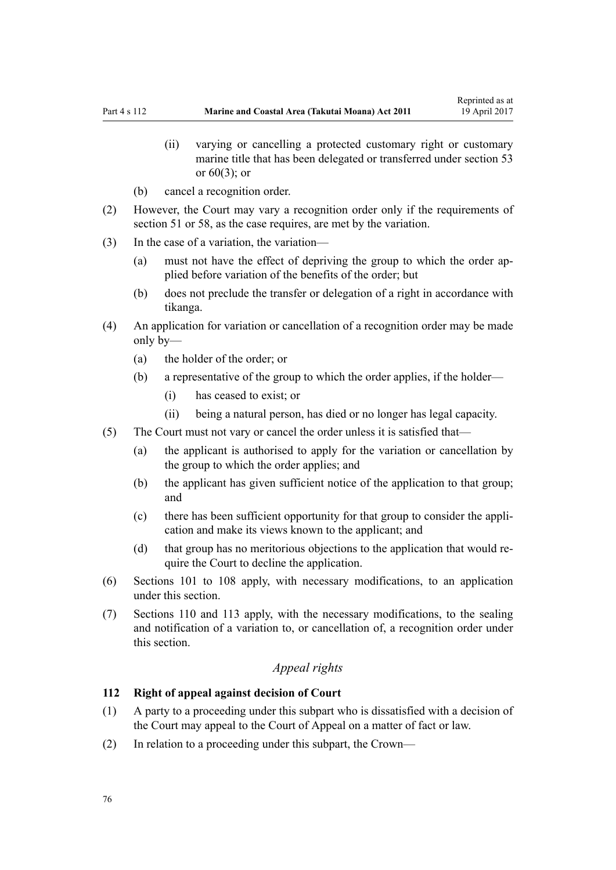- (ii) varying or cancelling a protected customary right or customary marine title that has been delegated or transferred under [section 53](#page-40-0) or [60\(3\);](#page-45-0) or
- (b) cancel a recognition order.
- (2) However, the Court may vary a recognition order only if the requirements of [section 51](#page-39-0) or [58,](#page-43-0) as the case requires, are met by the variation.
- (3) In the case of a variation, the variation—
	- (a) must not have the effect of depriving the group to which the order applied before variation of the benefits of the order; but
	- (b) does not preclude the transfer or delegation of a right in accordance with tikanga.
- (4) An application for variation or cancellation of a recognition order may be made only by—
	- (a) the holder of the order; or
	- (b) a representative of the group to which the order applies, if the holder—
		- (i) has ceased to exist; or
		- (ii) being a natural person, has died or no longer has legal capacity.
- (5) The Court must not vary or cancel the order unless it is satisfied that—
	- (a) the applicant is authorised to apply for the variation or cancellation by the group to which the order applies; and
	- (b) the applicant has given sufficient notice of the application to that group; and
	- (c) there has been sufficient opportunity for that group to consider the application and make its views known to the applicant; and
	- (d) that group has no meritorious objections to the application that would require the Court to decline the application.
- (6) [Sections 101 to 108](#page-70-0) apply, with necessary modifications, to an application under this section.
- (7) [Sections 110](#page-74-0) and [113](#page-76-0) apply, with the necessary modifications, to the sealing and notification of a variation to, or cancellation of, a recognition order under this section.

# *Appeal rights*

#### **112 Right of appeal against decision of Court**

- (1) A party to a proceeding under this subpart who is dissatisfied with a decision of the Court may appeal to the Court of Appeal on a matter of fact or law.
- (2) In relation to a proceeding under this subpart, the Crown—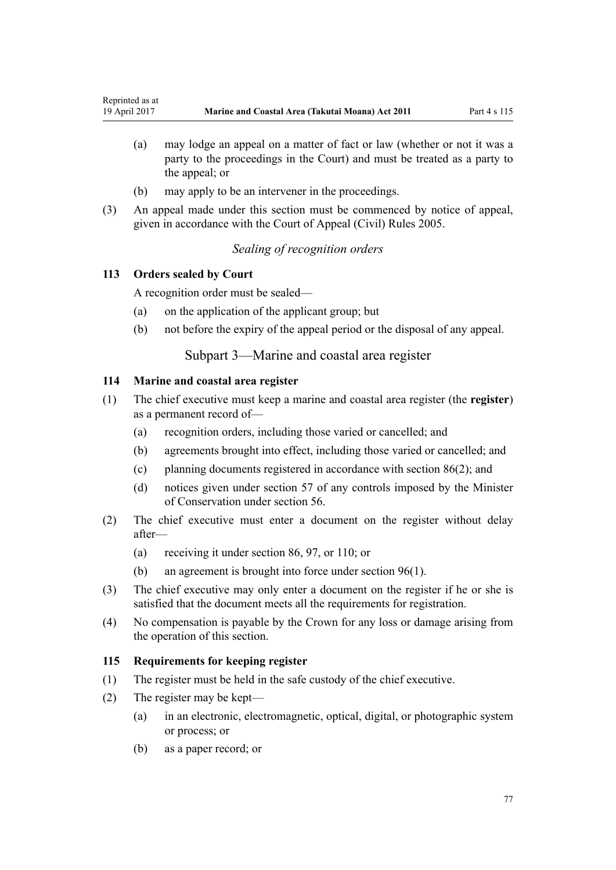- <span id="page-76-0"></span>(a) may lodge an appeal on a matter of fact or law (whether or not it was a party to the proceedings in the Court) and must be treated as a party to the appeal; or
- (b) may apply to be an intervener in the proceedings.
- (3) An appeal made under this section must be commenced by notice of appeal, given in accordance with the [Court of Appeal \(Civil\) Rules 2005](http://prd-lgnz-nlb.prd.pco.net.nz/pdflink.aspx?id=DLM319745).

# *Sealing of recognition orders*

# **113 Orders sealed by Court**

A recognition order must be sealed—

- (a) on the application of the applicant group; but
- (b) not before the expiry of the appeal period or the disposal of any appeal.

# Subpart 3—Marine and coastal area register

### **114 Marine and coastal area register**

- (1) The chief executive must keep a marine and coastal area register (the **register**) as a permanent record of—
	- (a) recognition orders, including those varied or cancelled; and
	- (b) agreements brought into effect, including those varied or cancelled; and
	- (c) planning documents registered in accordance with [section 86\(2\)](#page-64-0); and
	- (d) notices given under [section 57](#page-43-0) of any controls imposed by the Minister of Conservation under [section 56.](#page-42-0)
- (2) The chief executive must enter a document on the register without delay after—
	- (a) receiving it under [section 86](#page-64-0), [97](#page-69-0), or [110](#page-74-0); or
	- (b) an agreement is brought into force under [section 96\(1\).](#page-68-0)
- (3) The chief executive may only enter a document on the register if he or she is satisfied that the document meets all the requirements for registration.
- (4) No compensation is payable by the Crown for any loss or damage arising from the operation of this section.

# **115 Requirements for keeping register**

- (1) The register must be held in the safe custody of the chief executive.
- (2) The register may be kept—
	- (a) in an electronic, electromagnetic, optical, digital, or photographic system or process; or
	- (b) as a paper record; or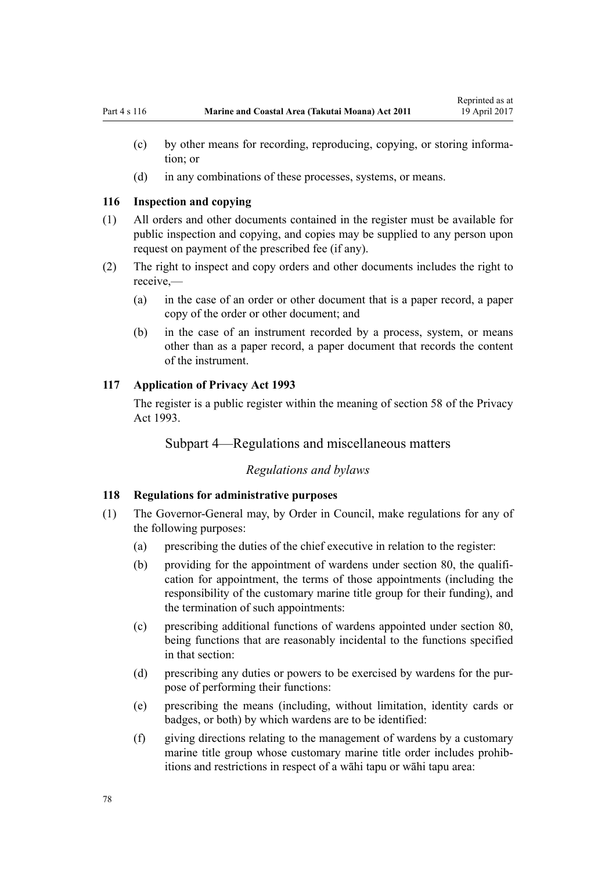- (c) by other means for recording, reproducing, copying, or storing information; or
- (d) in any combinations of these processes, systems, or means.

### **116 Inspection and copying**

- (1) All orders and other documents contained in the register must be available for public inspection and copying, and copies may be supplied to any person upon request on payment of the prescribed fee (if any).
- (2) The right to inspect and copy orders and other documents includes the right to receive,—
	- (a) in the case of an order or other document that is a paper record, a paper copy of the order or other document; and
	- (b) in the case of an instrument recorded by a process, system, or means other than as a paper record, a paper document that records the content of the instrument.

### **117 Application of Privacy Act 1993**

The register is a public register within the meaning of [section 58](http://prd-lgnz-nlb.prd.pco.net.nz/pdflink.aspx?id=DLM297424) of the Privacy Act 1993.

# Subpart 4—Regulations and miscellaneous matters

### *Regulations and bylaws*

#### **118 Regulations for administrative purposes**

- (1) The Governor-General may, by Order in Council, make regulations for any of the following purposes:
	- (a) prescribing the duties of the chief executive in relation to the register:
	- (b) providing for the appointment of wardens under [section 80,](#page-59-0) the qualification for appointment, the terms of those appointments (including the responsibility of the customary marine title group for their funding), and the termination of such appointments:
	- (c) prescribing additional functions of wardens appointed under [section 80](#page-59-0), being functions that are reasonably incidental to the functions specified in that section:
	- (d) prescribing any duties or powers to be exercised by wardens for the purpose of performing their functions:
	- (e) prescribing the means (including, without limitation, identity cards or badges, or both) by which wardens are to be identified:
	- (f) giving directions relating to the management of wardens by a customary marine title group whose customary marine title order includes prohibitions and restrictions in respect of a wāhi tapu or wāhi tapu area: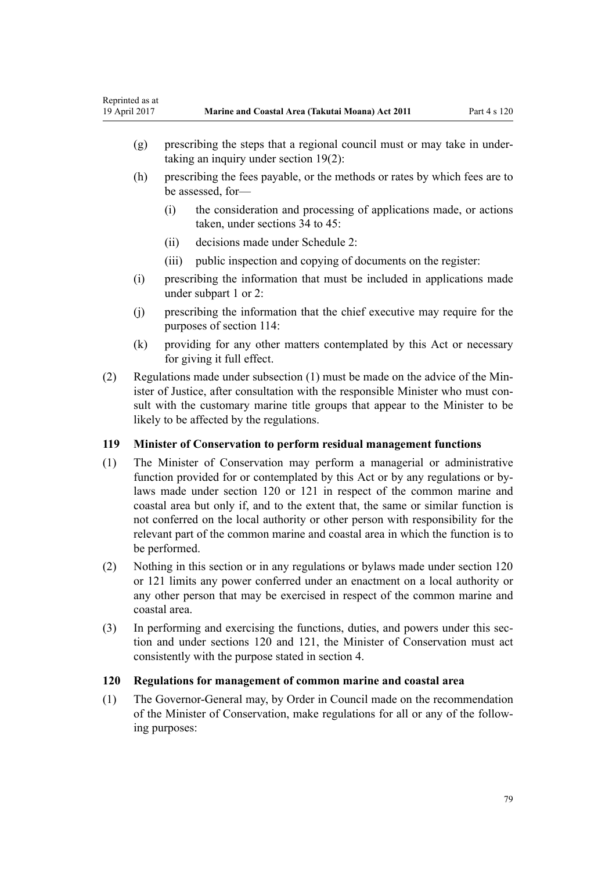- <span id="page-78-0"></span>(g) prescribing the steps that a regional council must or may take in undertaking an inquiry under [section 19\(2\)](#page-20-0):
- (h) prescribing the fees payable, or the methods or rates by which fees are to be assessed, for—
	- (i) the consideration and processing of applications made, or actions taken, under [sections 34 to 45:](#page-28-0)
	- (ii) decisions made under [Schedule 2:](#page-91-0)
	- (iii) public inspection and copying of documents on the register:
- (i) prescribing the information that must be included in applications made under [subpart 1](#page-68-0) or [2:](#page-69-0)
- (j) prescribing the information that the chief executive may require for the purposes of [section 114:](#page-76-0)
- (k) providing for any other matters contemplated by this Act or necessary for giving it full effect.
- (2) Regulations made under subsection (1) must be made on the advice of the Minister of Justice, after consultation with the responsible Minister who must consult with the customary marine title groups that appear to the Minister to be likely to be affected by the regulations.

# **119 Minister of Conservation to perform residual management functions**

- (1) The Minister of Conservation may perform a managerial or administrative function provided for or contemplated by this Act or by any regulations or bylaws made under section 120 or [121](#page-79-0) in respect of the common marine and coastal area but only if, and to the extent that, the same or similar function is not conferred on the local authority or other person with responsibility for the relevant part of the common marine and coastal area in which the function is to be performed.
- (2) Nothing in this section or in any regulations or bylaws made under section 120 or [121](#page-79-0) limits any power conferred under an enactment on a local authority or any other person that may be exercised in respect of the common marine and coastal area.
- (3) In performing and exercising the functions, duties, and powers under this section and under sections 120 and [121,](#page-79-0) the Minister of Conservation must act consistently with the purpose stated in [section 4](#page-8-0).

### **120 Regulations for management of common marine and coastal area**

(1) The Governor-General may, by Order in Council made on the recommendation of the Minister of Conservation, make regulations for all or any of the following purposes: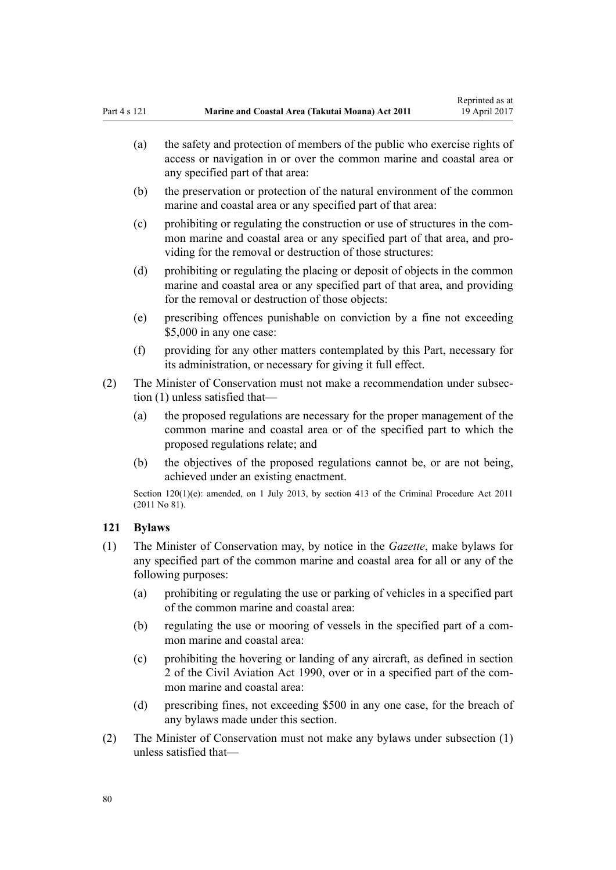<span id="page-79-0"></span>(a) the safety and protection of members of the public who exercise rights of access or navigation in or over the common marine and coastal area or any specified part of that area:

Reprinted as at

- (b) the preservation or protection of the natural environment of the common marine and coastal area or any specified part of that area:
- (c) prohibiting or regulating the construction or use of structures in the common marine and coastal area or any specified part of that area, and providing for the removal or destruction of those structures:
- (d) prohibiting or regulating the placing or deposit of objects in the common marine and coastal area or any specified part of that area, and providing for the removal or destruction of those objects:
- (e) prescribing offences punishable on conviction by a fine not exceeding \$5,000 in any one case:
- (f) providing for any other matters contemplated by this Part, necessary for its administration, or necessary for giving it full effect.
- (2) The Minister of Conservation must not make a recommendation under subsection (1) unless satisfied that—
	- (a) the proposed regulations are necessary for the proper management of the common marine and coastal area or of the specified part to which the proposed regulations relate; and
	- (b) the objectives of the proposed regulations cannot be, or are not being, achieved under an existing enactment.

Section 120(1)(e): amended, on 1 July 2013, by [section 413](http://prd-lgnz-nlb.prd.pco.net.nz/pdflink.aspx?id=DLM3360714) of the Criminal Procedure Act 2011 (2011 No 81).

# **121 Bylaws**

- (1) The Minister of Conservation may, by notice in the *Gazette*, make bylaws for any specified part of the common marine and coastal area for all or any of the following purposes:
	- (a) prohibiting or regulating the use or parking of vehicles in a specified part of the common marine and coastal area:
	- (b) regulating the use or mooring of vessels in the specified part of a common marine and coastal area:
	- (c) prohibiting the hovering or landing of any aircraft, as defined in [section](http://prd-lgnz-nlb.prd.pco.net.nz/pdflink.aspx?id=DLM214692) [2](http://prd-lgnz-nlb.prd.pco.net.nz/pdflink.aspx?id=DLM214692) of the Civil Aviation Act 1990, over or in a specified part of the common marine and coastal area:
	- (d) prescribing fines, not exceeding \$500 in any one case, for the breach of any bylaws made under this section.
- (2) The Minister of Conservation must not make any bylaws under subsection (1) unless satisfied that—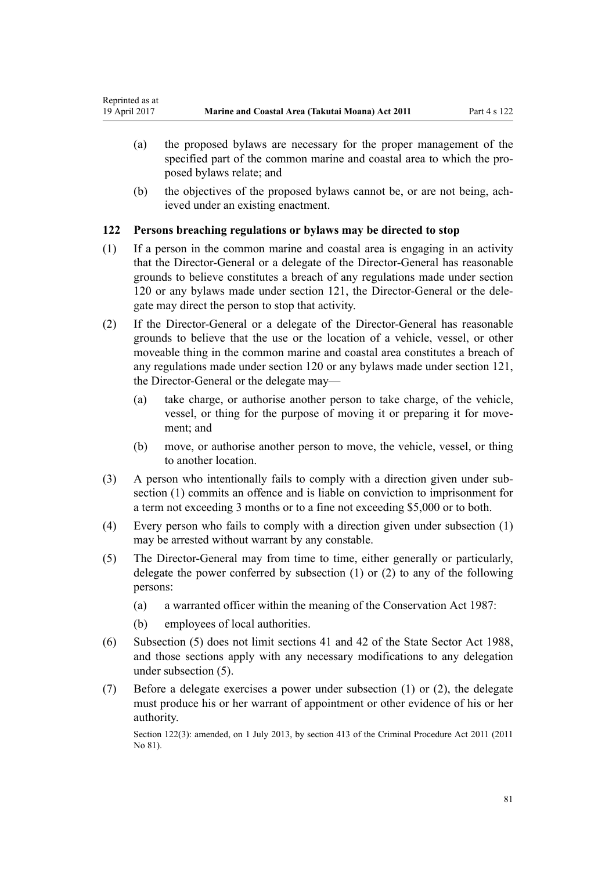- (a) the proposed bylaws are necessary for the proper management of the specified part of the common marine and coastal area to which the proposed bylaws relate; and
- (b) the objectives of the proposed bylaws cannot be, or are not being, achieved under an existing enactment.

# **122 Persons breaching regulations or bylaws may be directed to stop**

- (1) If a person in the common marine and coastal area is engaging in an activity that the Director-General or a delegate of the Director-General has reasonable grounds to believe constitutes a breach of any regulations made under [section](#page-78-0) [120](#page-78-0) or any bylaws made under [section 121](#page-79-0), the Director-General or the delegate may direct the person to stop that activity.
- (2) If the Director-General or a delegate of the Director-General has reasonable grounds to believe that the use or the location of a vehicle, vessel, or other moveable thing in the common marine and coastal area constitutes a breach of any regulations made under [section 120](#page-78-0) or any bylaws made under [section 121](#page-78-0), the Director-General or the delegate may—
	- (a) take charge, or authorise another person to take charge, of the vehicle, vessel, or thing for the purpose of moving it or preparing it for movement; and
	- (b) move, or authorise another person to move, the vehicle, vessel, or thing to another location.
- (3) A person who intentionally fails to comply with a direction given under subsection (1) commits an offence and is liable on conviction to imprisonment for a term not exceeding 3 months or to a fine not exceeding \$5,000 or to both.
- (4) Every person who fails to comply with a direction given under subsection (1) may be arrested without warrant by any constable.
- (5) The Director-General may from time to time, either generally or particularly, delegate the power conferred by subsection (1) or (2) to any of the following persons:
	- (a) a warranted officer within the meaning of the [Conservation Act 1987](http://prd-lgnz-nlb.prd.pco.net.nz/pdflink.aspx?id=DLM103609):
	- (b) employees of local authorities.
- (6) Subsection (5) does not limit [sections 41](http://prd-lgnz-nlb.prd.pco.net.nz/pdflink.aspx?id=DLM129566) and [42](http://prd-lgnz-nlb.prd.pco.net.nz/pdflink.aspx?id=DLM129571) of the State Sector Act 1988, and those sections apply with any necessary modifications to any delegation under subsection (5).
- (7) Before a delegate exercises a power under subsection (1) or (2), the delegate must produce his or her warrant of appointment or other evidence of his or her authority.

Section 122(3): amended, on 1 July 2013, by [section 413](http://prd-lgnz-nlb.prd.pco.net.nz/pdflink.aspx?id=DLM3360714) of the Criminal Procedure Act 2011 (2011) No 81).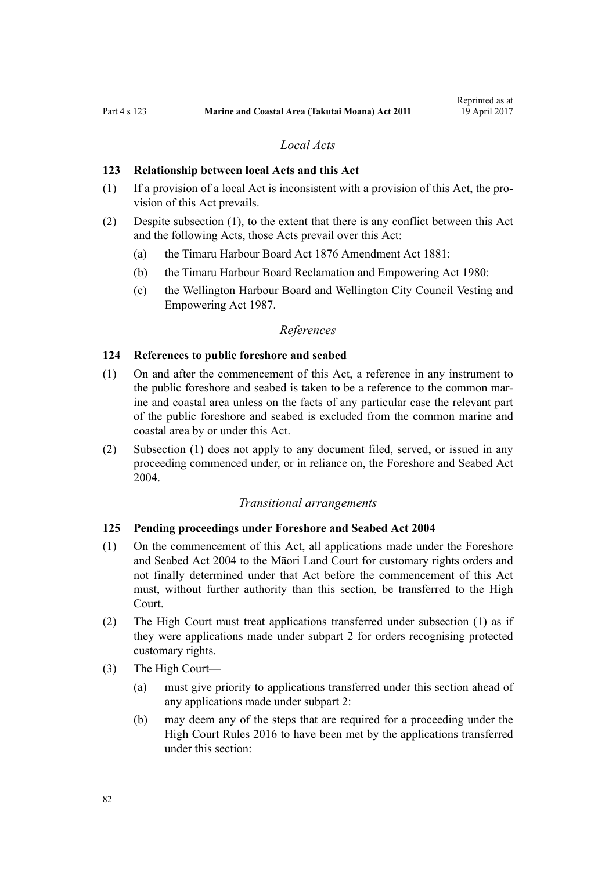# *Local Acts*

### **123 Relationship between local Acts and this Act**

- (1) If a provision of a local Act is inconsistent with a provision of this Act, the provision of this Act prevails.
- (2) Despite subsection (1), to the extent that there is any conflict between this Act and the following Acts, those Acts prevail over this Act:
	- (a) the [Timaru Harbour Board Act 1876 Amendment Act 1881](http://prd-lgnz-nlb.prd.pco.net.nz/pdflink.aspx?id=DLM15371):
	- (b) the [Timaru Harbour Board Reclamation and Empowering Act 1980:](http://prd-lgnz-nlb.prd.pco.net.nz/pdflink.aspx?id=DLM74774)
	- (c) the [Wellington Harbour Board and Wellington City Council Vesting and](http://prd-lgnz-nlb.prd.pco.net.nz/pdflink.aspx?id=DLM78106) [Empowering Act 1987.](http://prd-lgnz-nlb.prd.pco.net.nz/pdflink.aspx?id=DLM78106)

### *References*

#### **124 References to public foreshore and seabed**

- (1) On and after the commencement of this Act, a reference in any instrument to the public foreshore and seabed is taken to be a reference to the common marine and coastal area unless on the facts of any particular case the relevant part of the public foreshore and seabed is excluded from the common marine and coastal area by or under this Act.
- (2) Subsection (1) does not apply to any document filed, served, or issued in any proceeding commenced under, or in reliance on, the [Foreshore and Seabed Act](http://prd-lgnz-nlb.prd.pco.net.nz/pdflink.aspx?id=DLM319838) [2004](http://prd-lgnz-nlb.prd.pco.net.nz/pdflink.aspx?id=DLM319838).

### *Transitional arrangements*

### **125 Pending proceedings under Foreshore and Seabed Act 2004**

- (1) On the commencement of this Act, all applications made under the [Foreshore](http://prd-lgnz-nlb.prd.pco.net.nz/pdflink.aspx?id=DLM319838) [and Seabed Act 2004](http://prd-lgnz-nlb.prd.pco.net.nz/pdflink.aspx?id=DLM319838) to the Māori Land Court for customary rights orders and not finally determined under that Act before the commencement of this Act must, without further authority than this section, be transferred to the High Court.
- (2) The High Court must treat applications transferred under subsection (1) as if they were applications made under [subpart 2](#page-69-0) for orders recognising protected customary rights.
- (3) The High Court—
	- (a) must give priority to applications transferred under this section ahead of any applications made under [subpart 2](#page-69-0):
	- (b) may deem any of the steps that are required for a proceeding under the [High Court Rules 2016](http://prd-lgnz-nlb.prd.pco.net.nz/pdflink.aspx?id=DLM6959800) to have been met by the applications transferred under this section: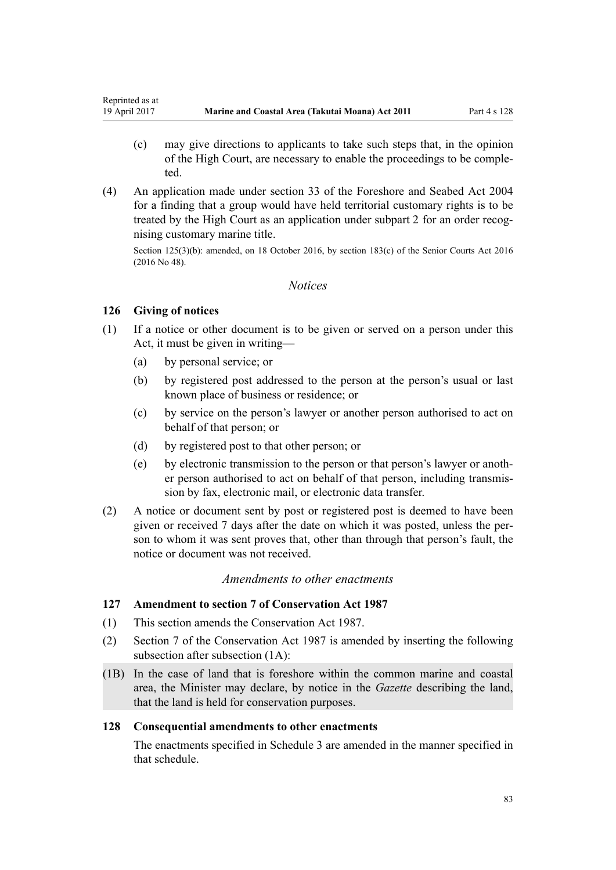- <span id="page-82-0"></span>(c) may give directions to applicants to take such steps that, in the opinion of the High Court, are necessary to enable the proceedings to be completed.
- (4) An application made under [section 33](http://prd-lgnz-nlb.prd.pco.net.nz/pdflink.aspx?id=DLM320263) of the Foreshore and Seabed Act 2004 for a finding that a group would have held territorial customary rights is to be treated by the High Court as an application under [subpart 2](#page-69-0) for an order recognising customary marine title.

Section 125(3)(b): amended, on 18 October 2016, by [section 183\(c\)](http://prd-lgnz-nlb.prd.pco.net.nz/pdflink.aspx?id=DLM5759564) of the Senior Courts Act 2016 (2016 No 48).

### *Notices*

# **126 Giving of notices**

- (1) If a notice or other document is to be given or served on a person under this Act, it must be given in writing—
	- (a) by personal service; or
	- (b) by registered post addressed to the person at the person's usual or last known place of business or residence; or
	- (c) by service on the person's lawyer or another person authorised to act on behalf of that person; or
	- (d) by registered post to that other person; or
	- (e) by electronic transmission to the person or that person's lawyer or another person authorised to act on behalf of that person, including transmission by fax, electronic mail, or electronic data transfer.
- (2) A notice or document sent by post or registered post is deemed to have been given or received 7 days after the date on which it was posted, unless the person to whom it was sent proves that, other than through that person's fault, the notice or document was not received.

### *Amendments to other enactments*

# **127 Amendment to section 7 of Conservation Act 1987**

- (1) This section amends the [Conservation Act 1987.](http://prd-lgnz-nlb.prd.pco.net.nz/pdflink.aspx?id=DLM103609)
- (2) [Section 7](http://prd-lgnz-nlb.prd.pco.net.nz/pdflink.aspx?id=DLM104251) of the Conservation Act 1987 is amended by inserting the following subsection after subsection (1A):
- (1B) In the case of land that is foreshore within the common marine and coastal area, the Minister may declare, by notice in the *Gazette* describing the land, that the land is held for conservation purposes.

### **128 Consequential amendments to other enactments**

The enactments specified in [Schedule 3 a](#page-97-0)re amended in the manner specified in that schedule.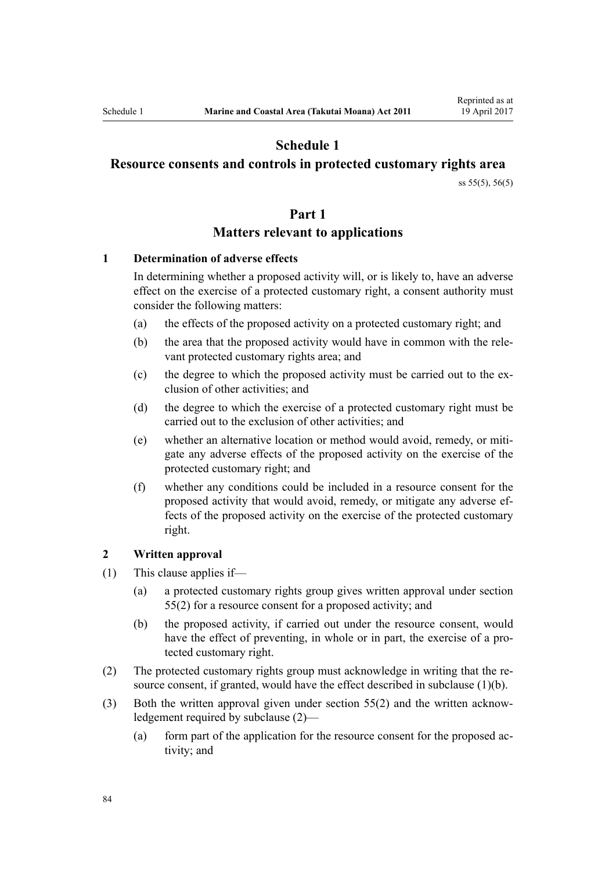# **Schedule 1**

# <span id="page-83-0"></span>**Resource consents and controls in protected customary rights area**

[ss 55\(5\)](#page-41-0), [56\(5\)](#page-42-0)

### **Part 1**

# **Matters relevant to applications**

### **1 Determination of adverse effects**

In determining whether a proposed activity will, or is likely to, have an adverse effect on the exercise of a protected customary right, a consent authority must consider the following matters:

- (a) the effects of the proposed activity on a protected customary right; and
- (b) the area that the proposed activity would have in common with the relevant protected customary rights area; and
- (c) the degree to which the proposed activity must be carried out to the exclusion of other activities; and
- (d) the degree to which the exercise of a protected customary right must be carried out to the exclusion of other activities; and
- (e) whether an alternative location or method would avoid, remedy, or mitigate any adverse effects of the proposed activity on the exercise of the protected customary right; and
- (f) whether any conditions could be included in a resource consent for the proposed activity that would avoid, remedy, or mitigate any adverse effects of the proposed activity on the exercise of the protected customary right.

#### **2 Written approval**

- (1) This clause applies if—
	- (a) a protected customary rights group gives written approval under [section](#page-41-0) [55\(2\)](#page-41-0) for a resource consent for a proposed activity; and
	- (b) the proposed activity, if carried out under the resource consent, would have the effect of preventing, in whole or in part, the exercise of a protected customary right.
- (2) The protected customary rights group must acknowledge in writing that the resource consent, if granted, would have the effect described in subclause (1)(b).
- (3) Both the written approval given under [section 55\(2\)](#page-41-0) and the written acknowledgement required by subclause (2)—
	- (a) form part of the application for the resource consent for the proposed activity; and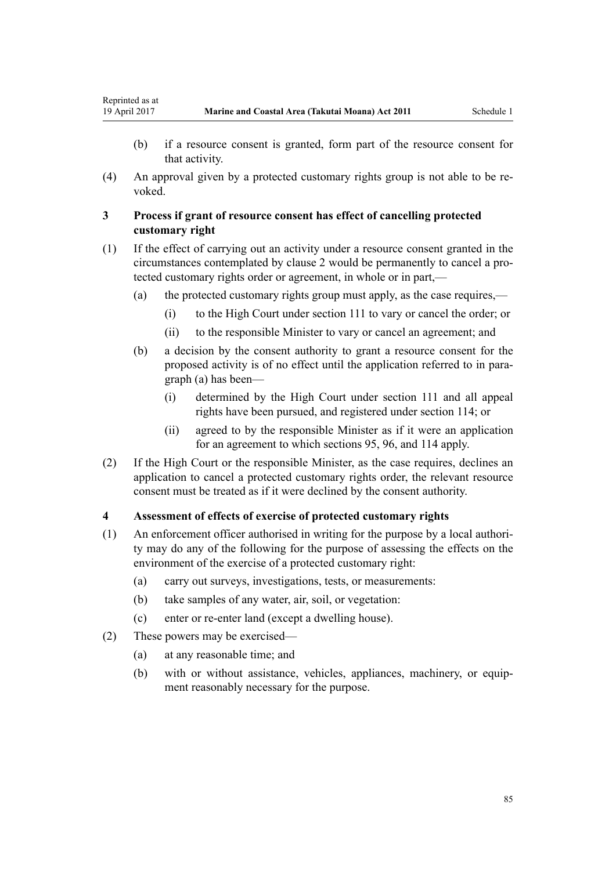Reprinted as at

- (b) if a resource consent is granted, form part of the resource consent for that activity.
- (4) An approval given by a protected customary rights group is not able to be revoked.

# **3 Process if grant of resource consent has effect of cancelling protected customary right**

- (1) If the effect of carrying out an activity under a resource consent granted in the circumstances contemplated by [clause 2](#page-83-0) would be permanently to cancel a protected customary rights order or agreement, in whole or in part,—
	- (a) the protected customary rights group must apply, as the case requires,—
		- (i) to the High Court under [section 111](#page-74-0) to vary or cancel the order; or
		- (ii) to the responsible Minister to vary or cancel an agreement; and
	- (b) a decision by the consent authority to grant a resource consent for the proposed activity is of no effect until the application referred to in paragraph (a) has been—
		- (i) determined by the High Court under [section 111](#page-74-0) and all appeal rights have been pursued, and registered under [section 114;](#page-76-0) or
		- (ii) agreed to by the responsible Minister as if it were an application for an agreement to which [sections 95](#page-68-0), [96](#page-68-0), and [114](#page-76-0) apply.
- (2) If the High Court or the responsible Minister, as the case requires, declines an application to cancel a protected customary rights order, the relevant resource consent must be treated as if it were declined by the consent authority.

### **4 Assessment of effects of exercise of protected customary rights**

- (1) An enforcement officer authorised in writing for the purpose by a local authority may do any of the following for the purpose of assessing the effects on the environment of the exercise of a protected customary right:
	- (a) carry out surveys, investigations, tests, or measurements:
	- (b) take samples of any water, air, soil, or vegetation:
	- (c) enter or re-enter land (except a dwelling house).
- (2) These powers may be exercised—
	- (a) at any reasonable time; and
	- (b) with or without assistance, vehicles, appliances, machinery, or equipment reasonably necessary for the purpose.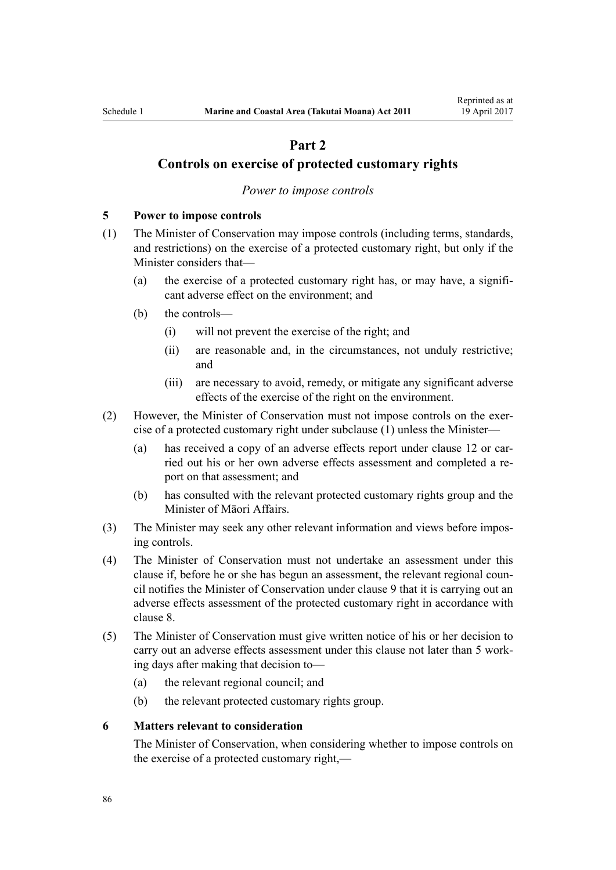# **Part 2**

# <span id="page-85-0"></span>**Controls on exercise of protected customary rights**

### *Power to impose controls*

## **5 Power to impose controls**

- (1) The Minister of Conservation may impose controls (including terms, standards, and restrictions) on the exercise of a protected customary right, but only if the Minister considers that—
	- (a) the exercise of a protected customary right has, or may have, a significant adverse effect on the environment; and
	- (b) the controls—
		- (i) will not prevent the exercise of the right; and
		- (ii) are reasonable and, in the circumstances, not unduly restrictive; and
		- (iii) are necessary to avoid, remedy, or mitigate any significant adverse effects of the exercise of the right on the environment.
- (2) However, the Minister of Conservation must not impose controls on the exercise of a protected customary right under subclause (1) unless the Minister—
	- (a) has received a copy of an adverse effects report under [clause 12](#page-89-0) or carried out his or her own adverse effects assessment and completed a report on that assessment; and
	- (b) has consulted with the relevant protected customary rights group and the Minister of Māori Affairs.
- (3) The Minister may seek any other relevant information and views before imposing controls.
- (4) The Minister of Conservation must not undertake an assessment under this clause if, before he or she has begun an assessment, the relevant regional council notifies the Minister of Conservation under [clause 9](#page-87-0) that it is carrying out an adverse effects assessment of the protected customary right in accordance with [clause 8.](#page-86-0)
- (5) The Minister of Conservation must give written notice of his or her decision to carry out an adverse effects assessment under this clause not later than 5 working days after making that decision to—
	- (a) the relevant regional council; and
	- (b) the relevant protected customary rights group.

### **6 Matters relevant to consideration**

The Minister of Conservation, when considering whether to impose controls on the exercise of a protected customary right,—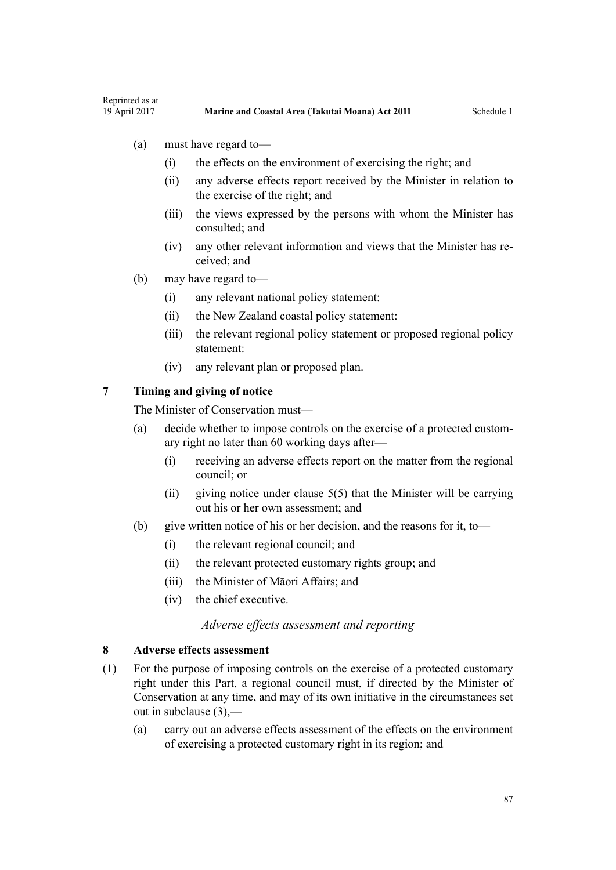- <span id="page-86-0"></span>(a) must have regard to—
	- (i) the effects on the environment of exercising the right; and
	- (ii) any adverse effects report received by the Minister in relation to the exercise of the right; and
	- (iii) the views expressed by the persons with whom the Minister has consulted; and
	- (iv) any other relevant information and views that the Minister has received; and
- (b) may have regard to—
	- (i) any relevant national policy statement:
	- (ii) the New Zealand coastal policy statement:
	- (iii) the relevant regional policy statement or proposed regional policy statement:
	- (iv) any relevant plan or proposed plan.

# **7 Timing and giving of notice**

The Minister of Conservation must—

- (a) decide whether to impose controls on the exercise of a protected customary right no later than 60 working days after—
	- (i) receiving an adverse effects report on the matter from the regional council; or
	- (ii) giving notice under clause  $5(5)$  that the Minister will be carrying out his or her own assessment; and
- (b) give written notice of his or her decision, and the reasons for it, to—
	- (i) the relevant regional council; and
	- (ii) the relevant protected customary rights group; and
	- (iii) the Minister of Māori Affairs; and
	- (iv) the chief executive.

### *Adverse effects assessment and reporting*

# **8 Adverse effects assessment**

- (1) For the purpose of imposing controls on the exercise of a protected customary right under this Part, a regional council must, if directed by the Minister of Conservation at any time, and may of its own initiative in the circumstances set out in subclause (3),—
	- (a) carry out an adverse effects assessment of the effects on the environment of exercising a protected customary right in its region; and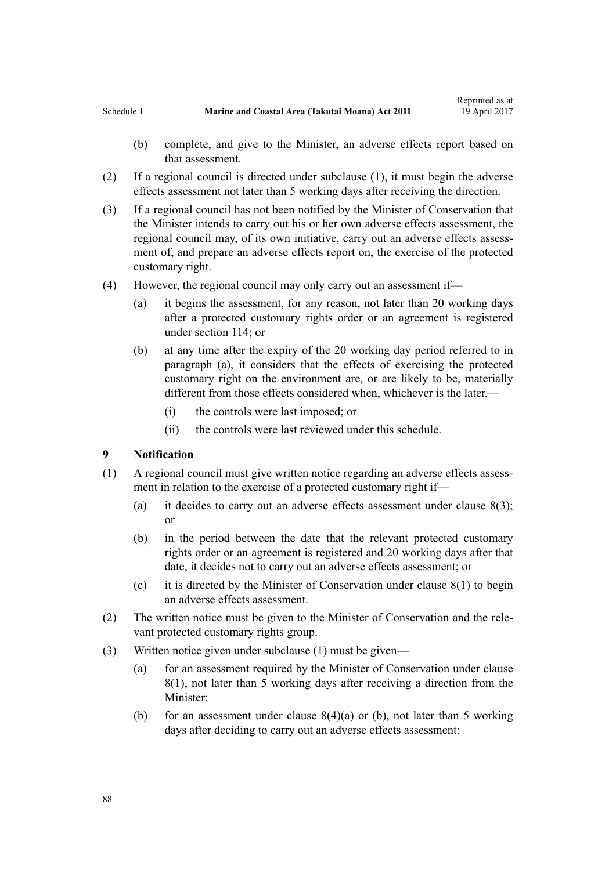- <span id="page-87-0"></span>(b) complete, and give to the Minister, an adverse effects report based on that assessment.
- (2) If a regional council is directed under subclause (1), it must begin the adverse effects assessment not later than 5 working days after receiving the direction.
- (3) If a regional council has not been notified by the Minister of Conservation that the Minister intends to carry out his or her own adverse effects assessment, the regional council may, of its own initiative, carry out an adverse effects assessment of, and prepare an adverse effects report on, the exercise of the protected customary right.
- (4) However, the regional council may only carry out an assessment if—
	- (a) it begins the assessment, for any reason, not later than 20 working days after a protected customary rights order or an agreement is registered under [section 114;](#page-76-0) or
	- (b) at any time after the expiry of the 20 working day period referred to in paragraph (a), it considers that the effects of exercising the protected customary right on the environment are, or are likely to be, materially different from those effects considered when, whichever is the later,—
		- (i) the controls were last imposed; or
		- (ii) the controls were last reviewed under this schedule.

#### **9 Notification**

- (1) A regional council must give written notice regarding an adverse effects assessment in relation to the exercise of a protected customary right if—
	- (a) it decides to carry out an adverse effects assessment under clause  $8(3)$ ; or
	- (b) in the period between the date that the relevant protected customary rights order or an agreement is registered and 20 working days after that date, it decides not to carry out an adverse effects assessment; or
	- (c) it is directed by the Minister of Conservation under [clause 8\(1\)](#page-86-0) to begin an adverse effects assessment.
- (2) The written notice must be given to the Minister of Conservation and the relevant protected customary rights group.
- (3) Written notice given under subclause (1) must be given—
	- (a) for an assessment required by the Minister of Conservation under [clause](#page-86-0) [8\(1\)](#page-86-0), not later than 5 working days after receiving a direction from the Minister:
	- (b) for an assessment under clause  $8(4)(a)$  or (b), not later than 5 working days after deciding to carry out an adverse effects assessment: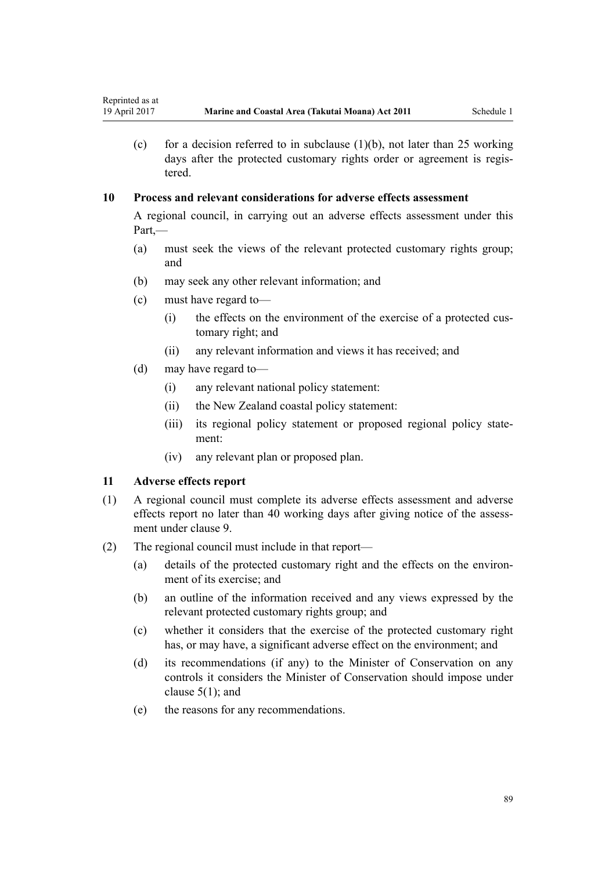(c) for a decision referred to in subclause  $(1)(b)$ , not later than 25 working days after the protected customary rights order or agreement is registered.

# **10 Process and relevant considerations for adverse effects assessment**

A regional council, in carrying out an adverse effects assessment under this Part,—

- (a) must seek the views of the relevant protected customary rights group; and
- (b) may seek any other relevant information; and
- (c) must have regard to—
	- (i) the effects on the environment of the exercise of a protected customary right; and
	- (ii) any relevant information and views it has received; and
- (d) may have regard to—
	- (i) any relevant national policy statement:
	- (ii) the New Zealand coastal policy statement:
	- (iii) its regional policy statement or proposed regional policy statement:
	- (iv) any relevant plan or proposed plan.

# **11 Adverse effects report**

- (1) A regional council must complete its adverse effects assessment and adverse effects report no later than 40 working days after giving notice of the assessment under [clause 9](#page-87-0).
- (2) The regional council must include in that report—
	- (a) details of the protected customary right and the effects on the environment of its exercise; and
	- (b) an outline of the information received and any views expressed by the relevant protected customary rights group; and
	- (c) whether it considers that the exercise of the protected customary right has, or may have, a significant adverse effect on the environment; and
	- (d) its recommendations (if any) to the Minister of Conservation on any controls it considers the Minister of Conservation should impose under [clause 5\(1\);](#page-85-0) and
	- (e) the reasons for any recommendations.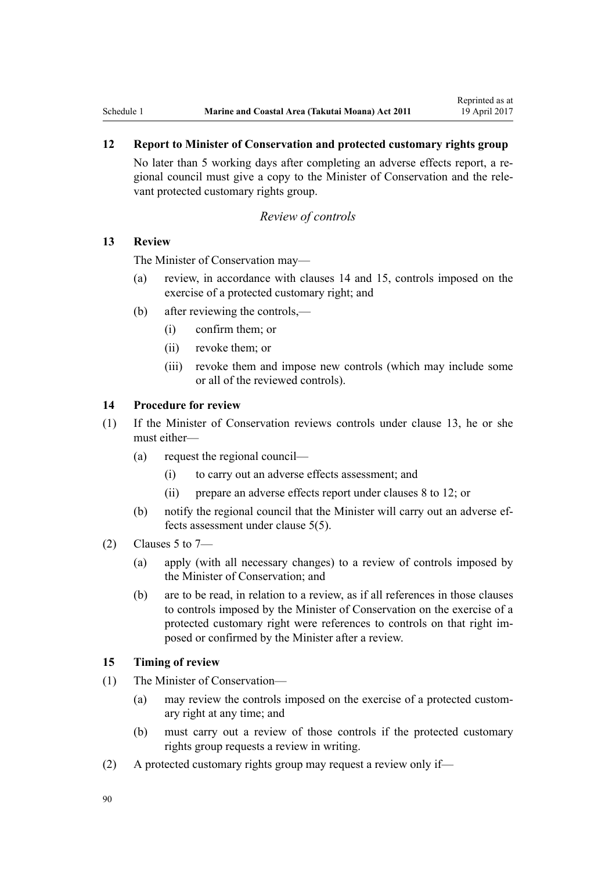# <span id="page-89-0"></span>**12 Report to Minister of Conservation and protected customary rights group**

No later than 5 working days after completing an adverse effects report, a regional council must give a copy to the Minister of Conservation and the relevant protected customary rights group.

### *Review of controls*

# **13 Review**

The Minister of Conservation may—

- (a) review, in accordance with clauses 14 and 15, controls imposed on the exercise of a protected customary right; and
- (b) after reviewing the controls,—
	- (i) confirm them; or
	- (ii) revoke them; or
	- (iii) revoke them and impose new controls (which may include some or all of the reviewed controls).

# **14 Procedure for review**

- (1) If the Minister of Conservation reviews controls under clause 13, he or she must either—
	- (a) request the regional council—
		- (i) to carry out an adverse effects assessment; and
		- (ii) prepare an adverse effects report under [clauses 8 to 12](#page-86-0); or
	- (b) notify the regional council that the Minister will carry out an adverse effects assessment under [clause 5\(5\).](#page-85-0)
- $(2)$  [Clauses 5 to 7](#page-85-0)
	- (a) apply (with all necessary changes) to a review of controls imposed by the Minister of Conservation; and
	- (b) are to be read, in relation to a review, as if all references in those clauses to controls imposed by the Minister of Conservation on the exercise of a protected customary right were references to controls on that right imposed or confirmed by the Minister after a review.

# **15 Timing of review**

- (1) The Minister of Conservation—
	- (a) may review the controls imposed on the exercise of a protected customary right at any time; and
	- (b) must carry out a review of those controls if the protected customary rights group requests a review in writing.
- (2) A protected customary rights group may request a review only if—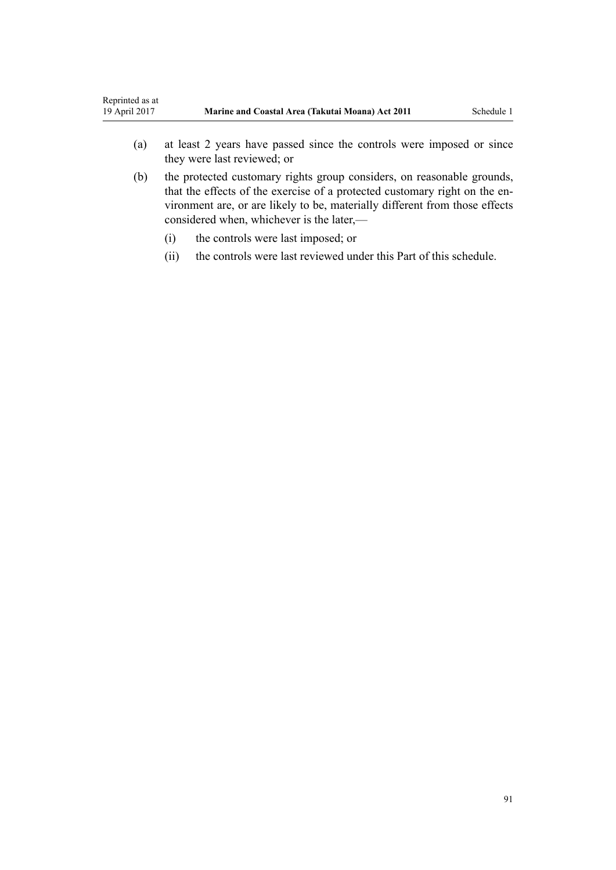- (a) at least 2 years have passed since the controls were imposed or since they were last reviewed; or
- (b) the protected customary rights group considers, on reasonable grounds, that the effects of the exercise of a protected customary right on the environment are, or are likely to be, materially different from those effects considered when, whichever is the later,—
	- (i) the controls were last imposed; or
	- (ii) the controls were last reviewed under this Part of this schedule.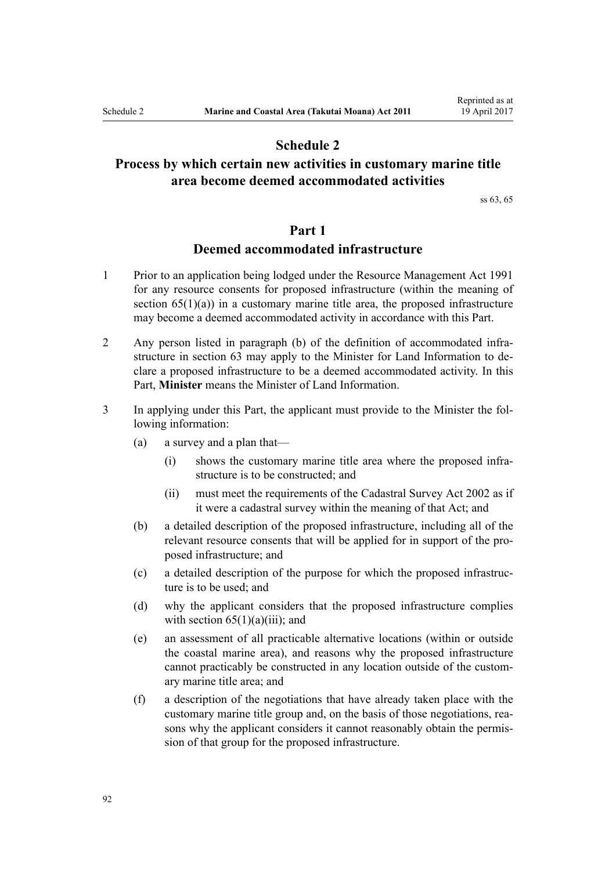# **Schedule 2**

# <span id="page-91-0"></span>**Process by which certain new activities in customary marine title area become deemed accommodated activities**

[ss 63,](#page-47-0) [65](#page-51-0)

# **Part 1**

# **Deemed accommodated infrastructure**

- 1 Prior to an application being lodged under the [Resource Management Act 1991](http://prd-lgnz-nlb.prd.pco.net.nz/pdflink.aspx?id=DLM230264) for any resource consents for proposed infrastructure (within the meaning of section  $65(1)(a)$  in a customary marine title area, the proposed infrastructure may become a deemed accommodated activity in accordance with this Part.
- 2 Any person listed in paragraph (b) of the definition of accommodated infrastructure in [section 63](#page-47-0) may apply to the Minister for Land Information to declare a proposed infrastructure to be a deemed accommodated activity. In this Part, **Minister** means the Minister of Land Information.
- 3 In applying under this Part, the applicant must provide to the Minister the following information:
	- (a) a survey and a plan that—
		- (i) shows the customary marine title area where the proposed infrastructure is to be constructed; and
		- (ii) must meet the requirements of the [Cadastral Survey Act 2002](http://prd-lgnz-nlb.prd.pco.net.nz/pdflink.aspx?id=DLM141994) as if it were a cadastral survey within the meaning of that Act; and
	- (b) a detailed description of the proposed infrastructure, including all of the relevant resource consents that will be applied for in support of the proposed infrastructure; and
	- (c) a detailed description of the purpose for which the proposed infrastructure is to be used; and
	- (d) why the applicant considers that the proposed infrastructure complies with section  $65(1)(a)(iii)$ ; and
	- (e) an assessment of all practicable alternative locations (within or outside the coastal marine area), and reasons why the proposed infrastructure cannot practicably be constructed in any location outside of the customary marine title area; and
	- (f) a description of the negotiations that have already taken place with the customary marine title group and, on the basis of those negotiations, reasons why the applicant considers it cannot reasonably obtain the permission of that group for the proposed infrastructure.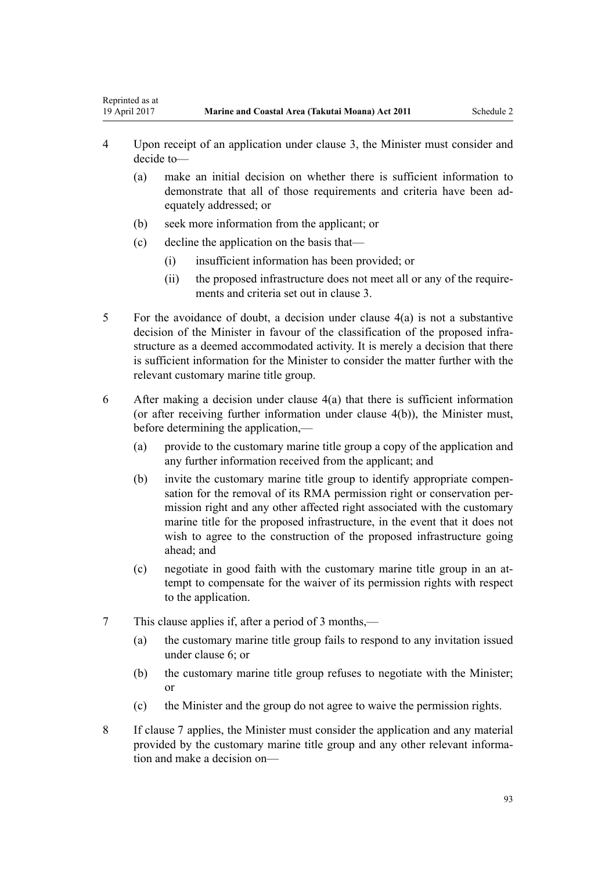- 4 Upon receipt of an application under clause 3, the Minister must consider and decide to—
	- (a) make an initial decision on whether there is sufficient information to demonstrate that all of those requirements and criteria have been adequately addressed; or
	- (b) seek more information from the applicant; or
	- (c) decline the application on the basis that—

<span id="page-92-0"></span>Reprinted as at

- (i) insufficient information has been provided; or
- (ii) the proposed infrastructure does not meet all or any of the requirements and criteria set out in [clause 3.](#page-91-0)
- 5 For the avoidance of doubt, a decision under clause 4(a) is not a substantive decision of the Minister in favour of the classification of the proposed infrastructure as a deemed accommodated activity. It is merely a decision that there is sufficient information for the Minister to consider the matter further with the relevant customary marine title group.
- 6 After making a decision under clause 4(a) that there is sufficient information (or after receiving further information under clause 4(b)), the Minister must, before determining the application,—
	- (a) provide to the customary marine title group a copy of the application and any further information received from the applicant; and
	- (b) invite the customary marine title group to identify appropriate compensation for the removal of its RMA permission right or conservation permission right and any other affected right associated with the customary marine title for the proposed infrastructure, in the event that it does not wish to agree to the construction of the proposed infrastructure going ahead; and
	- (c) negotiate in good faith with the customary marine title group in an attempt to compensate for the waiver of its permission rights with respect to the application.
- 7 This clause applies if, after a period of 3 months,—
	- (a) the customary marine title group fails to respond to any invitation issued under clause 6; or
	- (b) the customary marine title group refuses to negotiate with the Minister; or
	- (c) the Minister and the group do not agree to waive the permission rights.
- 8 If clause 7 applies, the Minister must consider the application and any material provided by the customary marine title group and any other relevant information and make a decision on—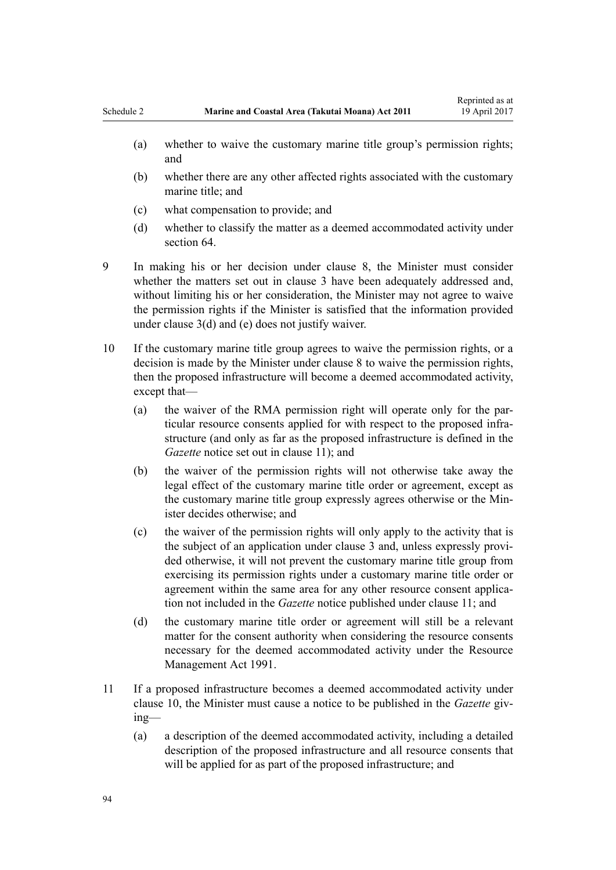- (a) whether to waive the customary marine title group's permission rights; and
- (b) whether there are any other affected rights associated with the customary marine title; and
- (c) what compensation to provide; and
- (d) whether to classify the matter as a deemed accommodated activity under [section 64](#page-49-0).
- 9 In making his or her decision under [clause 8,](#page-92-0) the Minister must consider whether the matters set out in [clause 3](#page-91-0) have been adequately addressed and, without limiting his or her consideration, the Minister may not agree to waive the permission rights if the Minister is satisfied that the information provided under [clause 3\(d\) and \(e\)](#page-91-0) does not justify waiver.
- 10 If the customary marine title group agrees to waive the permission rights, or a decision is made by the Minister under [clause 8](#page-92-0) to waive the permission rights, then the proposed infrastructure will become a deemed accommodated activity, except that—
	- (a) the waiver of the RMA permission right will operate only for the particular resource consents applied for with respect to the proposed infrastructure (and only as far as the proposed infrastructure is defined in the *Gazette* notice set out in clause 11); and
	- (b) the waiver of the permission rights will not otherwise take away the legal effect of the customary marine title order or agreement, except as the customary marine title group expressly agrees otherwise or the Minister decides otherwise; and
	- (c) the waiver of the permission rights will only apply to the activity that is the subject of an application under [clause 3](#page-91-0) and, unless expressly provided otherwise, it will not prevent the customary marine title group from exercising its permission rights under a customary marine title order or agreement within the same area for any other resource consent application not included in the *Gazette* notice published under clause 11; and
	- (d) the customary marine title order or agreement will still be a relevant matter for the consent authority when considering the resource consents necessary for the deemed accommodated activity under the [Resource](http://prd-lgnz-nlb.prd.pco.net.nz/pdflink.aspx?id=DLM230264) [Management Act 1991.](http://prd-lgnz-nlb.prd.pco.net.nz/pdflink.aspx?id=DLM230264)
- 11 If a proposed infrastructure becomes a deemed accommodated activity under clause 10, the Minister must cause a notice to be published in the *Gazette* giving—
	- (a) a description of the deemed accommodated activity, including a detailed description of the proposed infrastructure and all resource consents that will be applied for as part of the proposed infrastructure; and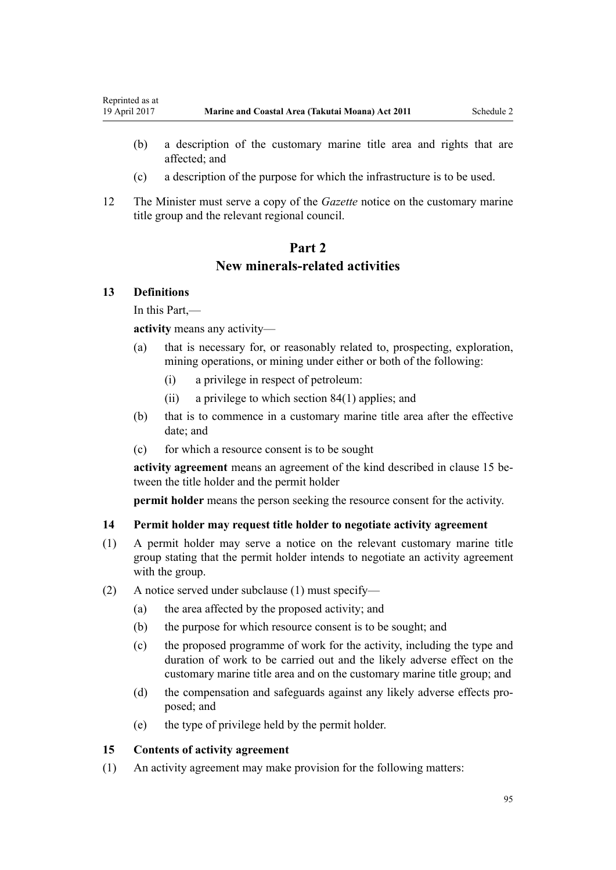- (b) a description of the customary marine title area and rights that are affected; and
- (c) a description of the purpose for which the infrastructure is to be used.
- 12 The Minister must serve a copy of the *Gazette* notice on the customary marine title group and the relevant regional council.

# **Part 2 New minerals-related activities**

# **13 Definitions**

<span id="page-94-0"></span>Reprinted as at

In this Part,—

**activity** means any activity—

- (a) that is necessary for, or reasonably related to, prospecting, exploration, mining operations, or mining under either or both of the following:
	- (i) a privilege in respect of petroleum:
	- (ii) a privilege to which [section 84\(1\)](#page-62-0) applies; and
- (b) that is to commence in a customary marine title area after the effective date; and
- (c) for which a resource consent is to be sought

**activity agreement** means an agreement of the kind described in clause 15 between the title holder and the permit holder

**permit holder** means the person seeking the resource consent for the activity.

#### **14 Permit holder may request title holder to negotiate activity agreement**

- (1) A permit holder may serve a notice on the relevant customary marine title group stating that the permit holder intends to negotiate an activity agreement with the group.
- (2) A notice served under subclause (1) must specify—
	- (a) the area affected by the proposed activity; and
	- (b) the purpose for which resource consent is to be sought; and
	- (c) the proposed programme of work for the activity, including the type and duration of work to be carried out and the likely adverse effect on the customary marine title area and on the customary marine title group; and
	- (d) the compensation and safeguards against any likely adverse effects proposed; and
	- (e) the type of privilege held by the permit holder.

# **15 Contents of activity agreement**

(1) An activity agreement may make provision for the following matters: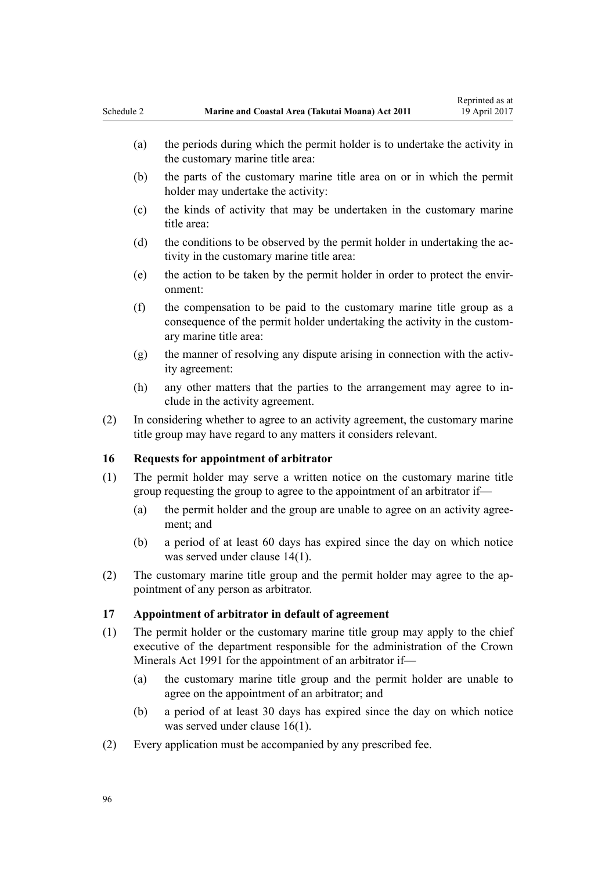- <span id="page-95-0"></span>(b) the parts of the customary marine title area on or in which the permit holder may undertake the activity:
- (c) the kinds of activity that may be undertaken in the customary marine title area:
- (d) the conditions to be observed by the permit holder in undertaking the activity in the customary marine title area:
- (e) the action to be taken by the permit holder in order to protect the environment:
- (f) the compensation to be paid to the customary marine title group as a consequence of the permit holder undertaking the activity in the customary marine title area:
- (g) the manner of resolving any dispute arising in connection with the activity agreement:
- (h) any other matters that the parties to the arrangement may agree to include in the activity agreement.
- (2) In considering whether to agree to an activity agreement, the customary marine title group may have regard to any matters it considers relevant.

### **16 Requests for appointment of arbitrator**

- (1) The permit holder may serve a written notice on the customary marine title group requesting the group to agree to the appointment of an arbitrator if—
	- (a) the permit holder and the group are unable to agree on an activity agreement; and
	- (b) a period of at least 60 days has expired since the day on which notice was served under [clause 14\(1\)](#page-94-0).
- (2) The customary marine title group and the permit holder may agree to the appointment of any person as arbitrator.

### **17 Appointment of arbitrator in default of agreement**

- (1) The permit holder or the customary marine title group may apply to the chief executive of the department responsible for the administration of the [Crown](http://prd-lgnz-nlb.prd.pco.net.nz/pdflink.aspx?id=DLM242535) [Minerals Act 1991](http://prd-lgnz-nlb.prd.pco.net.nz/pdflink.aspx?id=DLM242535) for the appointment of an arbitrator if—
	- (a) the customary marine title group and the permit holder are unable to agree on the appointment of an arbitrator; and
	- (b) a period of at least 30 days has expired since the day on which notice was served under clause 16(1).
- (2) Every application must be accompanied by any prescribed fee.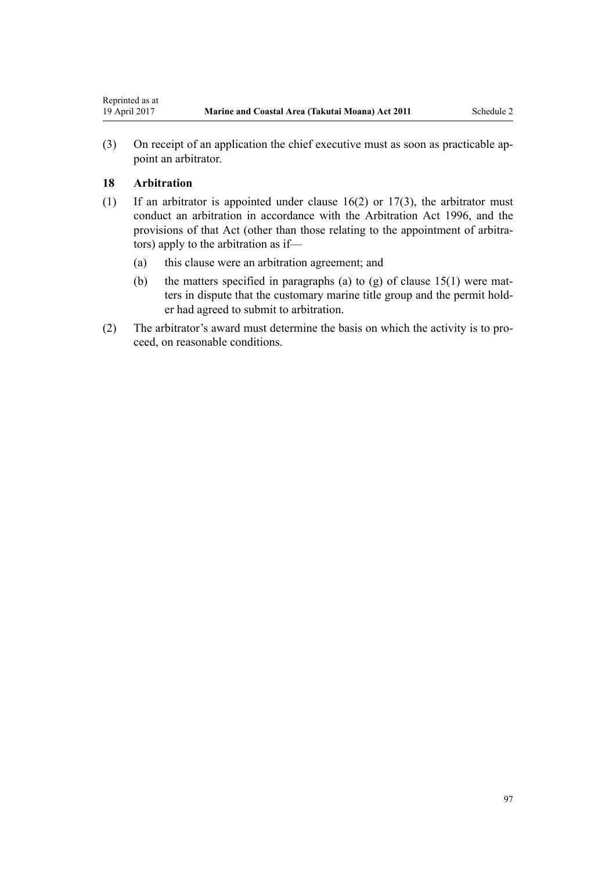(3) On receipt of an application the chief executive must as soon as practicable appoint an arbitrator.

# **18 Arbitration**

- (1) If an arbitrator is appointed under [clause 16\(2\)](#page-95-0) or [17\(3\),](#page-95-0) the arbitrator must conduct an arbitration in accordance with the [Arbitration Act 1996](http://prd-lgnz-nlb.prd.pco.net.nz/pdflink.aspx?id=DLM403276), and the provisions of that Act (other than those relating to the appointment of arbitrators) apply to the arbitration as if—
	- (a) this clause were an arbitration agreement; and
	- (b) the matters specified in paragraphs (a) to (g) of clause  $15(1)$  were matters in dispute that the customary marine title group and the permit holder had agreed to submit to arbitration.
- (2) The arbitrator's award must determine the basis on which the activity is to proceed, on reasonable conditions.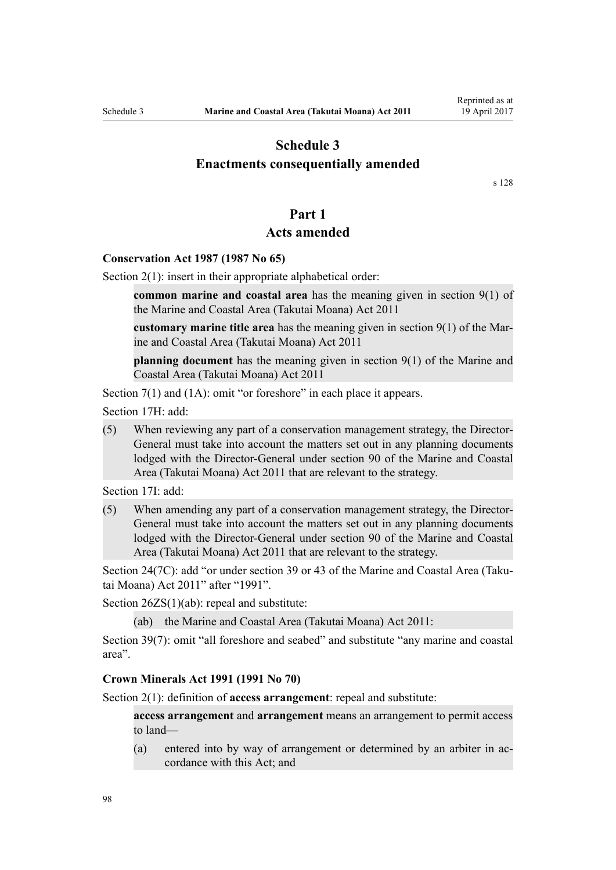# **Schedule 3**

# <span id="page-97-0"></span>**Enactments consequentially amended**

[s 128](#page-82-0)

# **Part 1**

# **Acts amended**

# **[Conservation Act 1987](http://prd-lgnz-nlb.prd.pco.net.nz/pdflink.aspx?id=DLM103609) (1987 No 65)**

[Section 2\(1\):](http://prd-lgnz-nlb.prd.pco.net.nz/pdflink.aspx?id=DLM103616) insert in their appropriate alphabetical order:

**common marine and coastal area** has the meaning given in section 9(1) of the Marine and Coastal Area (Takutai Moana) Act 2011

**customary marine title area** has the meaning given in section 9(1) of the Marine and Coastal Area (Takutai Moana) Act 2011

**planning document** has the meaning given in section 9(1) of the Marine and Coastal Area (Takutai Moana) Act 2011

[Section 7\(1\)](http://prd-lgnz-nlb.prd.pco.net.nz/pdflink.aspx?id=DLM104251) and (1A): omit "or foreshore" in each place it appears.

[Section 17H](http://prd-lgnz-nlb.prd.pco.net.nz/pdflink.aspx?id=DLM104613): add:

(5) When reviewing any part of a conservation management strategy, the Director-General must take into account the matters set out in any planning documents lodged with the Director-General under section 90 of the Marine and Coastal Area (Takutai Moana) Act 2011 that are relevant to the strategy.

[Section 17I:](http://prd-lgnz-nlb.prd.pco.net.nz/pdflink.aspx?id=DLM104615) add:

(5) When amending any part of a conservation management strategy, the Director-General must take into account the matters set out in any planning documents lodged with the Director-General under section 90 of the Marine and Coastal Area (Takutai Moana) Act 2011 that are relevant to the strategy.

[Section 24\(7C\)](http://prd-lgnz-nlb.prd.pco.net.nz/pdflink.aspx?id=DLM104699): add "or under section 39 or 43 of the Marine and Coastal Area (Takutai Moana) Act 2011" after "1991".

[Section 26ZS\(1\)\(ab\)](http://prd-lgnz-nlb.prd.pco.net.nz/pdflink.aspx?id=DLM106043): repeal and substitute:

(ab) the Marine and Coastal Area (Takutai Moana) Act 2011:

[Section 39\(7\):](http://prd-lgnz-nlb.prd.pco.net.nz/pdflink.aspx?id=DLM106641) omit "all foreshore and seabed" and substitute "any marine and coastal area".

#### **[Crown Minerals Act 1991](http://prd-lgnz-nlb.prd.pco.net.nz/pdflink.aspx?id=DLM242535) (1991 No 70)**

[Section 2\(1\):](http://prd-lgnz-nlb.prd.pco.net.nz/pdflink.aspx?id=DLM242543) definition of **access arrangement**: repeal and substitute:

**access arrangement** and **arrangement** means an arrangement to permit access to land—

(a) entered into by way of arrangement or determined by an arbiter in accordance with this Act; and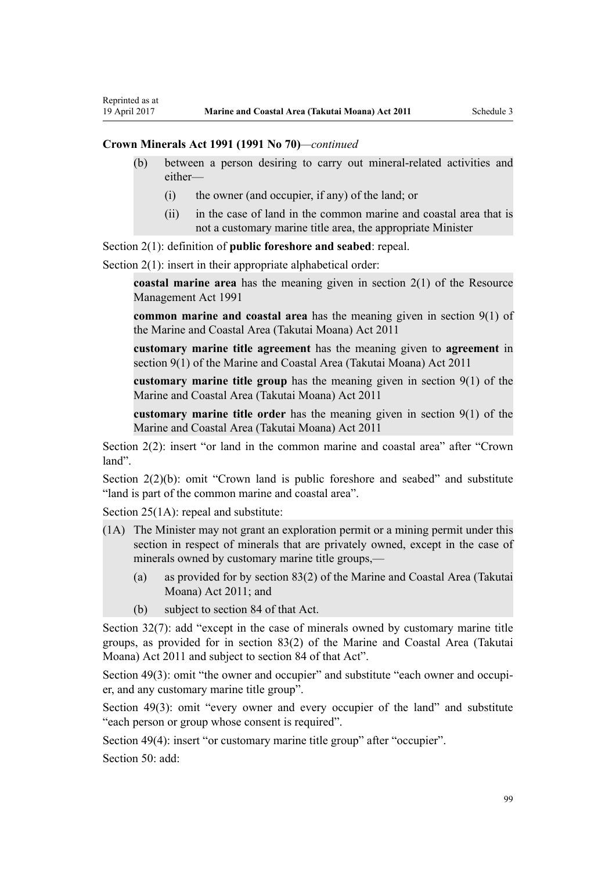Reprinted as at

- (b) between a person desiring to carry out mineral-related activities and either—
	- (i) the owner (and occupier, if any) of the land; or
	- (ii) in the case of land in the common marine and coastal area that is not a customary marine title area, the appropriate Minister

[Section 2\(1\):](http://prd-lgnz-nlb.prd.pco.net.nz/pdflink.aspx?id=DLM242543) definition of **public foreshore and seabed**: repeal.

[Section 2\(1\):](http://prd-lgnz-nlb.prd.pco.net.nz/pdflink.aspx?id=DLM242543) insert in their appropriate alphabetical order:

**coastal marine area** has the meaning given in section 2(1) of the Resource Management Act 1991

**common marine and coastal area** has the meaning given in section 9(1) of the Marine and Coastal Area (Takutai Moana) Act 2011

**customary marine title agreement** has the meaning given to **agreement** in section 9(1) of the Marine and Coastal Area (Takutai Moana) Act 2011

**customary marine title group** has the meaning given in section 9(1) of the Marine and Coastal Area (Takutai Moana) Act 2011

**customary marine title order** has the meaning given in section 9(1) of the Marine and Coastal Area (Takutai Moana) Act 2011

[Section 2\(2\)](http://prd-lgnz-nlb.prd.pco.net.nz/pdflink.aspx?id=DLM242543): insert "or land in the common marine and coastal area" after "Crown land".

[Section 2\(2\)\(b\)](http://prd-lgnz-nlb.prd.pco.net.nz/pdflink.aspx?id=DLM242543): omit "Crown land is public foreshore and seabed" and substitute "land is part of the common marine and coastal area".

[Section 25\(1A\):](http://prd-lgnz-nlb.prd.pco.net.nz/pdflink.aspx?id=DLM246328) repeal and substitute:

- (1A) The Minister may not grant an exploration permit or a mining permit under this section in respect of minerals that are privately owned, except in the case of minerals owned by customary marine title groups,—
	- (a) as provided for by section 83(2) of the Marine and Coastal Area (Takutai Moana) Act 2011; and
	- (b) subject to section 84 of that Act.

[Section 32\(7\):](http://prd-lgnz-nlb.prd.pco.net.nz/pdflink.aspx?id=DLM246341) add "except in the case of minerals owned by customary marine title groups, as provided for in section 83(2) of the Marine and Coastal Area (Takutai Moana) Act 2011 and subject to section 84 of that Act".

[Section 49\(3\):](http://prd-lgnz-nlb.prd.pco.net.nz/pdflink.aspx?id=DLM246396) omit "the owner and occupier" and substitute "each owner and occupier, and any customary marine title group".

[Section 49\(3\):](http://prd-lgnz-nlb.prd.pco.net.nz/pdflink.aspx?id=DLM246396) omit "every owner and every occupier of the land" and substitute "each person or group whose consent is required".

[Section 49\(4\)](http://prd-lgnz-nlb.prd.pco.net.nz/pdflink.aspx?id=DLM246396): insert "or customary marine title group" after "occupier".

[Section 50](http://prd-lgnz-nlb.prd.pco.net.nz/pdflink.aspx?id=DLM246397): add: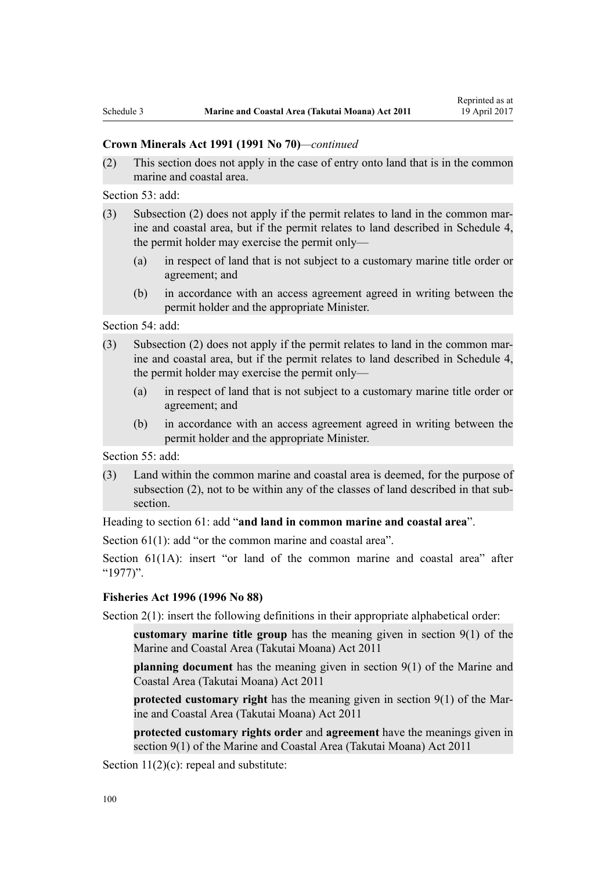### **Crown Minerals Act 1991 (1991 No 70)***—continued*

(2) This section does not apply in the case of entry onto land that is in the common marine and coastal area.

[Section 53](http://prd-lgnz-nlb.prd.pco.net.nz/pdflink.aspx?id=DLM246703): add:

- (3) Subsection (2) does not apply if the permit relates to land in the common marine and coastal area, but if the permit relates to land described in Schedule 4, the permit holder may exercise the permit only—
	- (a) in respect of land that is not subject to a customary marine title order or agreement; and
	- (b) in accordance with an access agreement agreed in writing between the permit holder and the appropriate Minister.

[Section 54](http://prd-lgnz-nlb.prd.pco.net.nz/pdflink.aspx?id=DLM246704): add:

- (3) Subsection (2) does not apply if the permit relates to land in the common marine and coastal area, but if the permit relates to land described in Schedule 4, the permit holder may exercise the permit only—
	- (a) in respect of land that is not subject to a customary marine title order or agreement; and
	- (b) in accordance with an access agreement agreed in writing between the permit holder and the appropriate Minister.

[Section 55](http://prd-lgnz-nlb.prd.pco.net.nz/pdflink.aspx?id=DLM246706): add:

(3) Land within the common marine and coastal area is deemed, for the purpose of subsection (2), not to be within any of the classes of land described in that subsection.

Heading to [section 61:](http://prd-lgnz-nlb.prd.pco.net.nz/pdflink.aspx?id=DLM246714) add "**and land in common marine and coastal area**".

[Section 61\(1\)](http://prd-lgnz-nlb.prd.pco.net.nz/pdflink.aspx?id=DLM246714): add "or the common marine and coastal area".

[Section 61\(1A\)](http://prd-lgnz-nlb.prd.pco.net.nz/pdflink.aspx?id=DLM246714): insert "or land of the common marine and coastal area" after "1977)".

# **[Fisheries Act 1996](http://prd-lgnz-nlb.prd.pco.net.nz/pdflink.aspx?id=DLM394191) (1996 No 88)**

[Section 2\(1\):](http://prd-lgnz-nlb.prd.pco.net.nz/pdflink.aspx?id=DLM394199) insert the following definitions in their appropriate alphabetical order:

**customary marine title group** has the meaning given in section 9(1) of the Marine and Coastal Area (Takutai Moana) Act 2011

**planning document** has the meaning given in section 9(1) of the Marine and Coastal Area (Takutai Moana) Act 2011

**protected customary right** has the meaning given in section 9(1) of the Marine and Coastal Area (Takutai Moana) Act 2011

**protected customary rights order** and **agreement** have the meanings given in section 9(1) of the Marine and Coastal Area (Takutai Moana) Act 2011

[Section 11\(2\)\(c\):](http://prd-lgnz-nlb.prd.pco.net.nz/pdflink.aspx?id=DLM395397) repeal and substitute: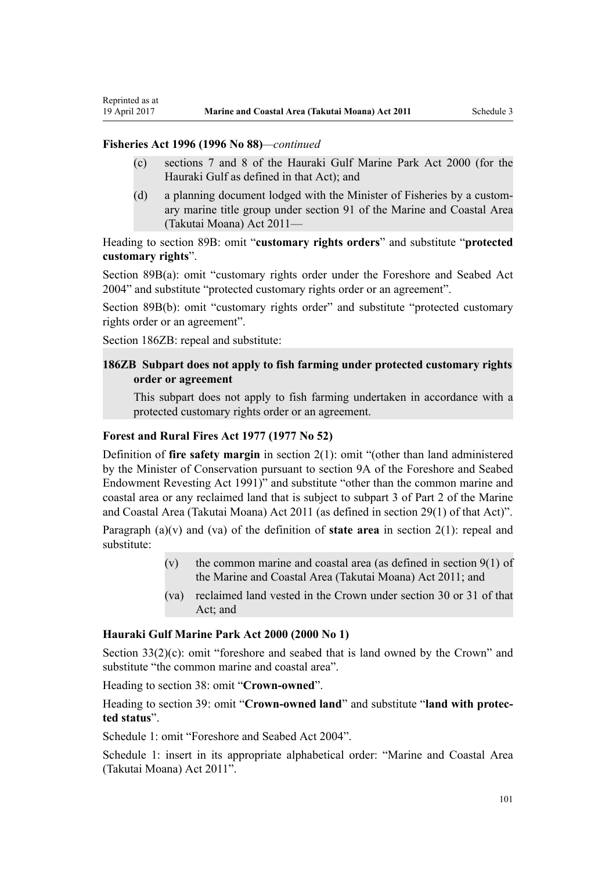Reprinted as at

- (c) sections 7 and 8 of the Hauraki Gulf Marine Park Act 2000 (for the Hauraki Gulf as defined in that Act); and
- (d) a planning document lodged with the Minister of Fisheries by a customary marine title group under section 91 of the Marine and Coastal Area (Takutai Moana) Act 2011—

Heading to [section 89B](http://prd-lgnz-nlb.prd.pco.net.nz/pdflink.aspx?id=DLM396920): omit "**customary rights orders**" and substitute "**protected customary rights**".

[Section 89B\(a\)](http://prd-lgnz-nlb.prd.pco.net.nz/pdflink.aspx?id=DLM396920): omit "customary rights order under the Foreshore and Seabed Act 2004" and substitute "protected customary rights order or an agreement".

[Section 89B\(b\):](http://prd-lgnz-nlb.prd.pco.net.nz/pdflink.aspx?id=DLM396920) omit "customary rights order" and substitute "protected customary rights order or an agreement".

[Section 186ZB:](http://prd-lgnz-nlb.prd.pco.net.nz/pdflink.aspx?id=DLM398342) repeal and substitute:

# **186ZB Subpart does not apply to fish farming under protected customary rights order or agreement**

This subpart does not apply to fish farming undertaken in accordance with a protected customary rights order or an agreement.

# **[Forest and Rural Fires Act 1977](http://prd-lgnz-nlb.prd.pco.net.nz/pdflink.aspx?id=DLM442946) (1977 No 52)**

Definition of **fire safety margin** in [section 2\(1\):](http://prd-lgnz-nlb.prd.pco.net.nz/pdflink.aspx?id=DLM442952) omit "(other than land administered by the Minister of Conservation pursuant to section 9A of the Foreshore and Seabed Endowment Revesting Act 1991)" and substitute "other than the common marine and coastal area or any reclaimed land that is subject to subpart 3 of Part 2 of the Marine and Coastal Area (Takutai Moana) Act 2011 (as defined in section 29(1) of that Act)".

Paragraph (a)(v) and (va) of the definition of **state area** in [section 2\(1\):](http://prd-lgnz-nlb.prd.pco.net.nz/pdflink.aspx?id=DLM442952) repeal and substitute:

- (v) the common marine and coastal area (as defined in section  $9(1)$  of the Marine and Coastal Area (Takutai Moana) Act 2011; and
- (va) reclaimed land vested in the Crown under section 30 or 31 of that Act; and

#### **[Hauraki Gulf Marine Park Act 2000](http://prd-lgnz-nlb.prd.pco.net.nz/pdflink.aspx?id=DLM52557) (2000 No 1)**

[Section 33\(2\)\(c\)](http://prd-lgnz-nlb.prd.pco.net.nz/pdflink.aspx?id=DLM53174): omit "foreshore and seabed that is land owned by the Crown" and substitute "the common marine and coastal area".

Heading to [section 38:](http://prd-lgnz-nlb.prd.pco.net.nz/pdflink.aspx?id=DLM53180) omit "**Crown-owned**".

Heading to [section 39:](http://prd-lgnz-nlb.prd.pco.net.nz/pdflink.aspx?id=DLM53181) omit "**Crown-owned land**" and substitute "**land with protected status**".

[Schedule 1:](http://prd-lgnz-nlb.prd.pco.net.nz/pdflink.aspx?id=DLM53199) omit "Foreshore and Seabed Act 2004".

[Schedule 1:](http://prd-lgnz-nlb.prd.pco.net.nz/pdflink.aspx?id=DLM53199) insert in its appropriate alphabetical order: "Marine and Coastal Area (Takutai Moana) Act 2011".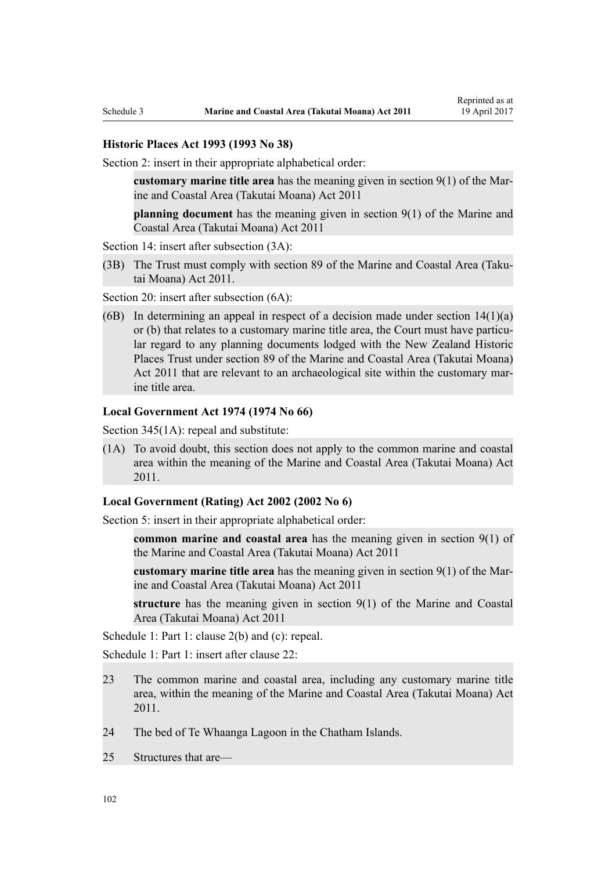#### **[Historic Places Act 1993](http://prd-lgnz-nlb.prd.pco.net.nz/pdflink.aspx?id=DLM300510) (1993 No 38)**

[Section 2](http://prd-lgnz-nlb.prd.pco.net.nz/pdflink.aspx?id=DLM300516): insert in their appropriate alphabetical order:

**customary marine title area** has the meaning given in section 9(1) of the Marine and Coastal Area (Takutai Moana) Act 2011

**planning document** has the meaning given in section 9(1) of the Marine and Coastal Area (Takutai Moana) Act 2011

[Section 14](http://prd-lgnz-nlb.prd.pco.net.nz/pdflink.aspx?id=DLM300610): insert after subsection  $(3A)$ :

(3B) The Trust must comply with section 89 of the Marine and Coastal Area (Takutai Moana) Act 2011.

[Section 20](http://prd-lgnz-nlb.prd.pco.net.nz/pdflink.aspx?id=DLM300622): insert after subsection  $(6A)$ :

(6B) In determining an appeal in respect of a decision made under section  $14(1)(a)$ or (b) that relates to a customary marine title area, the Court must have particular regard to any planning documents lodged with the New Zealand Historic Places Trust under section 89 of the Marine and Coastal Area (Takutai Moana) Act 2011 that are relevant to an archaeological site within the customary marine title area.

#### **[Local Government Act 1974](http://prd-lgnz-nlb.prd.pco.net.nz/pdflink.aspx?id=DLM415531) (1974 No 66)**

[Section 345\(1A\):](http://prd-lgnz-nlb.prd.pco.net.nz/pdflink.aspx?id=DLM420626) repeal and substitute:

(1A) To avoid doubt, this section does not apply to the common marine and coastal area within the meaning of the Marine and Coastal Area (Takutai Moana) Act 2011.

### **[Local Government \(Rating\) Act 2002](http://prd-lgnz-nlb.prd.pco.net.nz/pdflink.aspx?id=DLM131393) (2002 No 6)**

[Section 5](http://prd-lgnz-nlb.prd.pco.net.nz/pdflink.aspx?id=DLM132004): insert in their appropriate alphabetical order:

**common marine and coastal area** has the meaning given in section 9(1) of the Marine and Coastal Area (Takutai Moana) Act 2011

**customary marine title area** has the meaning given in section 9(1) of the Marine and Coastal Area (Takutai Moana) Act 2011

**structure** has the meaning given in section 9(1) of the Marine and Coastal Area (Takutai Moana) Act 2011

[Schedule 1:](http://prd-lgnz-nlb.prd.pco.net.nz/pdflink.aspx?id=DLM133512) Part 1: clause 2(b) and (c): repeal.

[Schedule 1:](http://prd-lgnz-nlb.prd.pco.net.nz/pdflink.aspx?id=DLM133512) Part 1: insert after clause 22:

- 23 The common marine and coastal area, including any customary marine title area, within the meaning of the Marine and Coastal Area (Takutai Moana) Act 2011.
- 24 The bed of Te Whaanga Lagoon in the Chatham Islands.
- 25 Structures that are—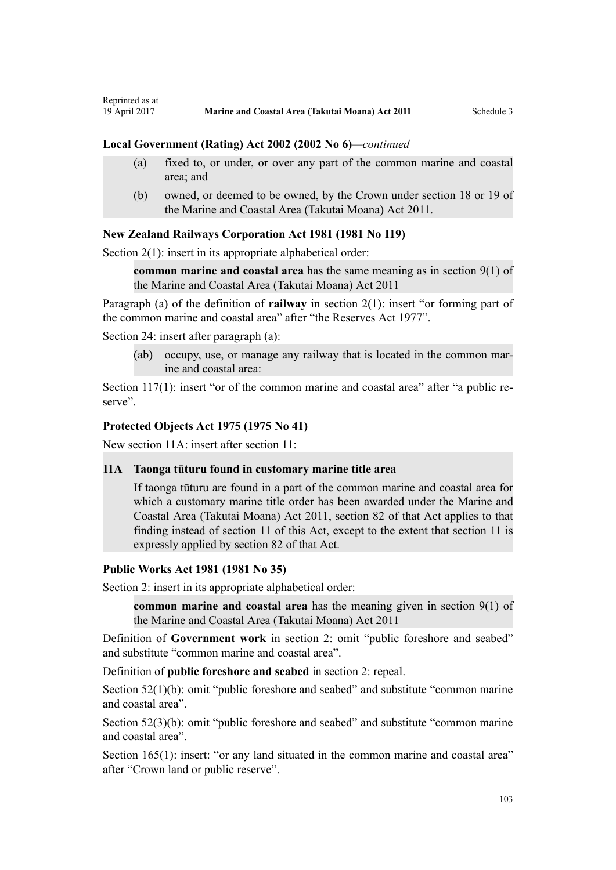#### **Local Government (Rating) Act 2002 (2002 No 6)***—continued*

- (a) fixed to, or under, or over any part of the common marine and coastal area; and
- (b) owned, or deemed to be owned, by the Crown under section 18 or 19 of the Marine and Coastal Area (Takutai Moana) Act 2011.

#### **[New Zealand Railways Corporation Act 1981](http://prd-lgnz-nlb.prd.pco.net.nz/pdflink.aspx?id=DLM57005) (1981 No 119)**

[Section 2\(1\):](http://prd-lgnz-nlb.prd.pco.net.nz/pdflink.aspx?id=DLM57011) insert in its appropriate alphabetical order:

**common marine and coastal area** has the same meaning as in section 9(1) of the Marine and Coastal Area (Takutai Moana) Act 2011

Paragraph (a) of the definition of **railway** in section 2(1): insert "or forming part of the common marine and coastal area" after "the Reserves Act 1977".

[Section 24](http://prd-lgnz-nlb.prd.pco.net.nz/pdflink.aspx?id=DLM57642): insert after paragraph (a):

Reprinted as at

(ab) occupy, use, or manage any railway that is located in the common marine and coastal area:

[Section 117\(1\)](http://prd-lgnz-nlb.prd.pco.net.nz/pdflink.aspx?id=DLM58268): insert "or of the common marine and coastal area" after "a public reserve".

### **[Protected Objects Act 1975](http://prd-lgnz-nlb.prd.pco.net.nz/pdflink.aspx?id=DLM432115) (1975 No 41)**

New section 11A: insert after section 11:

#### **11A Taonga tūturu found in customary marine title area**

If taonga tūturu are found in a part of the common marine and coastal area for which a customary marine title order has been awarded under the Marine and Coastal Area (Takutai Moana) Act 2011, section 82 of that Act applies to that finding instead of section 11 of this Act, except to the extent that section 11 is expressly applied by section 82 of that Act.

### **[Public Works Act 1981](http://prd-lgnz-nlb.prd.pco.net.nz/pdflink.aspx?id=DLM45426) (1981 No 35)**

Section 2: insert in its appropriate alphabetical order:

**common marine and coastal area** has the meaning given in section 9(1) of the Marine and Coastal Area (Takutai Moana) Act 2011

Definition of **Government work** in section 2: omit "public foreshore and seabed" and substitute "common marine and coastal area".

Definition of **public foreshore and seabed** in section 2: repeal.

[Section 52\(1\)\(b\)](http://prd-lgnz-nlb.prd.pco.net.nz/pdflink.aspx?id=DLM46307): omit "public foreshore and seabed" and substitute "common marine" and coastal area".

[Section 52\(3\)\(b\)](http://prd-lgnz-nlb.prd.pco.net.nz/pdflink.aspx?id=DLM46307): omit "public foreshore and seabed" and substitute "common marine and coastal area".

[Section 165\(1\):](http://prd-lgnz-nlb.prd.pco.net.nz/pdflink.aspx?id=DLM47750) insert: "or any land situated in the common marine and coastal area" after "Crown land or public reserve".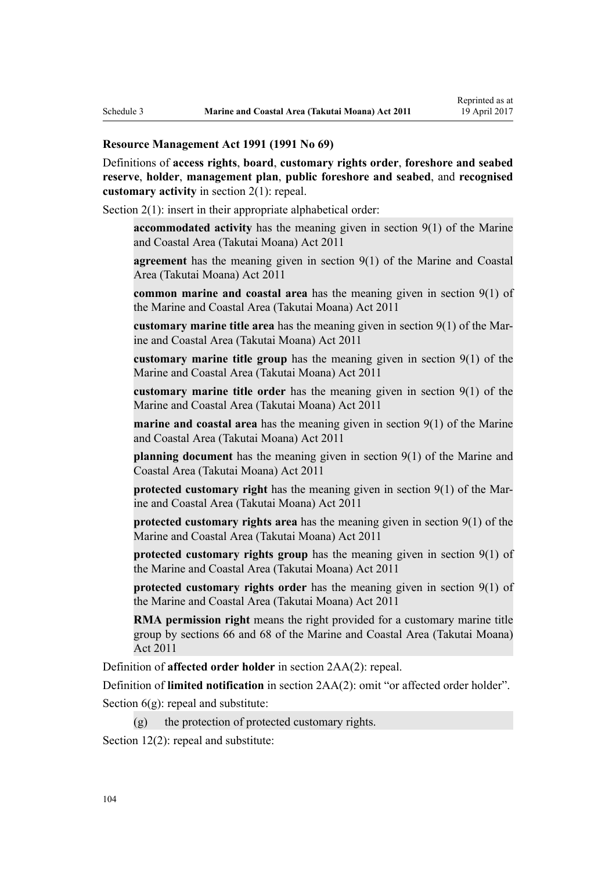#### **[Resource Management Act 1991](http://prd-lgnz-nlb.prd.pco.net.nz/pdflink.aspx?id=DLM230264) (1991 No 69)**

Definitions of **access rights**, **board**, **customary rights order**, **foreshore and seabed reserve**, **holder**, **management plan**, **public foreshore and seabed**, and **recognised customary activity** in [section 2\(1\):](http://prd-lgnz-nlb.prd.pco.net.nz/pdflink.aspx?id=DLM230272) repeal.

[Section 2\(1\):](http://prd-lgnz-nlb.prd.pco.net.nz/pdflink.aspx?id=DLM230272) insert in their appropriate alphabetical order:

**accommodated activity** has the meaning given in section 9(1) of the Marine and Coastal Area (Takutai Moana) Act 2011

**agreement** has the meaning given in section 9(1) of the Marine and Coastal Area (Takutai Moana) Act 2011

**common marine and coastal area** has the meaning given in section 9(1) of the Marine and Coastal Area (Takutai Moana) Act 2011

**customary marine title area** has the meaning given in section 9(1) of the Marine and Coastal Area (Takutai Moana) Act 2011

**customary marine title group** has the meaning given in section 9(1) of the Marine and Coastal Area (Takutai Moana) Act 2011

**customary marine title order** has the meaning given in section 9(1) of the Marine and Coastal Area (Takutai Moana) Act 2011

**marine and coastal area** has the meaning given in section 9(1) of the Marine and Coastal Area (Takutai Moana) Act 2011

**planning document** has the meaning given in section 9(1) of the Marine and Coastal Area (Takutai Moana) Act 2011

**protected customary right** has the meaning given in section 9(1) of the Marine and Coastal Area (Takutai Moana) Act 2011

**protected customary rights area** has the meaning given in section 9(1) of the Marine and Coastal Area (Takutai Moana) Act 2011

**protected customary rights group** has the meaning given in section 9(1) of the Marine and Coastal Area (Takutai Moana) Act 2011

**protected customary rights order** has the meaning given in section 9(1) of the Marine and Coastal Area (Takutai Moana) Act 2011

**RMA permission right** means the right provided for a customary marine title group by sections 66 and 68 of the Marine and Coastal Area (Takutai Moana) Act 2011

Definition of **affected order holder** in [section 2AA\(2\):](http://prd-lgnz-nlb.prd.pco.net.nz/pdflink.aspx?id=DLM2408220) repeal.

Definition of **limited notification** in [section 2AA\(2\)](http://prd-lgnz-nlb.prd.pco.net.nz/pdflink.aspx?id=DLM2408220): omit "or affected order holder".

Section  $6(g)$ : repeal and substitute:

 $(g)$  the protection of protected customary rights.

[Section 12\(2\)](http://prd-lgnz-nlb.prd.pco.net.nz/pdflink.aspx?id=DLM231949): repeal and substitute: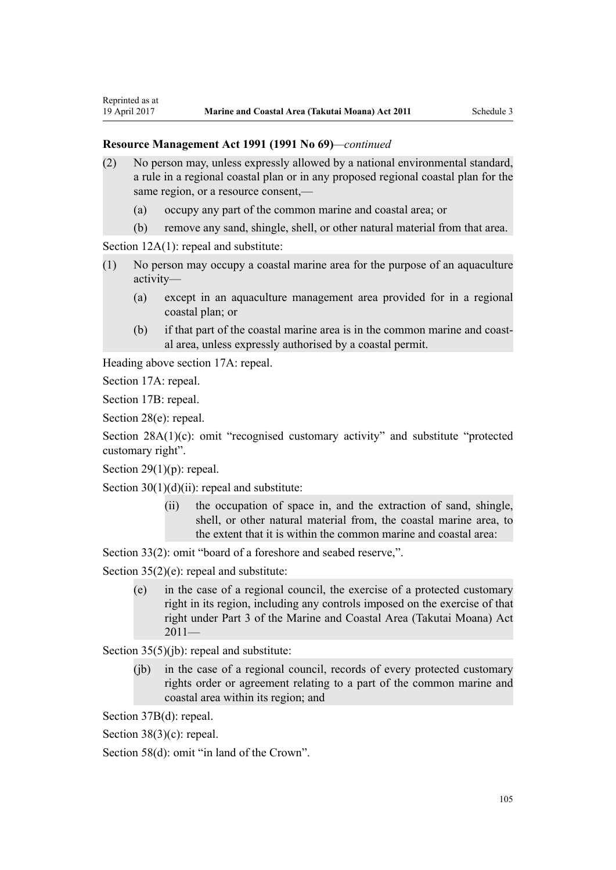- (2) No person may, unless expressly allowed by a national environmental standard, a rule in a regional coastal plan or in any proposed regional coastal plan for the same region, or a resource consent,—
	- (a) occupy any part of the common marine and coastal area; or
	- (b) remove any sand, shingle, shell, or other natural material from that area.

[Section 12A\(1\):](http://prd-lgnz-nlb.prd.pco.net.nz/pdflink.aspx?id=DLM231965) repeal and substitute:

- (1) No person may occupy a coastal marine area for the purpose of an aquaculture activity—
	- (a) except in an aquaculture management area provided for in a regional coastal plan; or
	- (b) if that part of the coastal marine area is in the common marine and coastal area, unless expressly authorised by a coastal permit.

Heading above [section 17A:](http://prd-lgnz-nlb.prd.pco.net.nz/pdflink.aspx?id=DLM232508) repeal.

[Section 17A](http://prd-lgnz-nlb.prd.pco.net.nz/pdflink.aspx?id=DLM232508): repeal.

Reprinted as at

[Section 17B:](http://prd-lgnz-nlb.prd.pco.net.nz/pdflink.aspx?id=DLM232510) repeal.

[Section 28\(e\):](http://prd-lgnz-nlb.prd.pco.net.nz/pdflink.aspx?id=DLM232548) repeal.

[Section 28A\(1\)\(c\):](http://prd-lgnz-nlb.prd.pco.net.nz/pdflink.aspx?id=DLM232552) omit "recognised customary activity" and substitute "protected customary right".

Section  $29(1)(p)$ : repeal.

Section  $30(1)(d)(ii)$ : repeal and substitute:

(ii) the occupation of space in, and the extraction of sand, shingle, shell, or other natural material from, the coastal marine area, to the extent that it is within the common marine and coastal area:

[Section 33\(2\)](http://prd-lgnz-nlb.prd.pco.net.nz/pdflink.aspx?id=DLM232593): omit "board of a foreshore and seabed reserve,".

[Section 35\(2\)\(e\)](http://prd-lgnz-nlb.prd.pco.net.nz/pdflink.aspx?id=DLM233009): repeal and substitute:

(e) in the case of a regional council, the exercise of a protected customary right in its region, including any controls imposed on the exercise of that right under Part 3 of the Marine and Coastal Area (Takutai Moana) Act  $2011-$ 

[Section 35\(5\)\(jb\)](http://prd-lgnz-nlb.prd.pco.net.nz/pdflink.aspx?id=DLM233009): repeal and substitute:

(jb) in the case of a regional council, records of every protected customary rights order or agreement relating to a part of the common marine and coastal area within its region; and

[Section 37B\(d\)](http://prd-lgnz-nlb.prd.pco.net.nz/pdflink.aspx?id=DLM233052): repeal.

[Section 38\(3\)\(c\)](http://prd-lgnz-nlb.prd.pco.net.nz/pdflink.aspx?id=DLM233057): repeal.

[Section 58\(d\)](http://prd-lgnz-nlb.prd.pco.net.nz/pdflink.aspx?id=DLM233381): omit "in land of the Crown".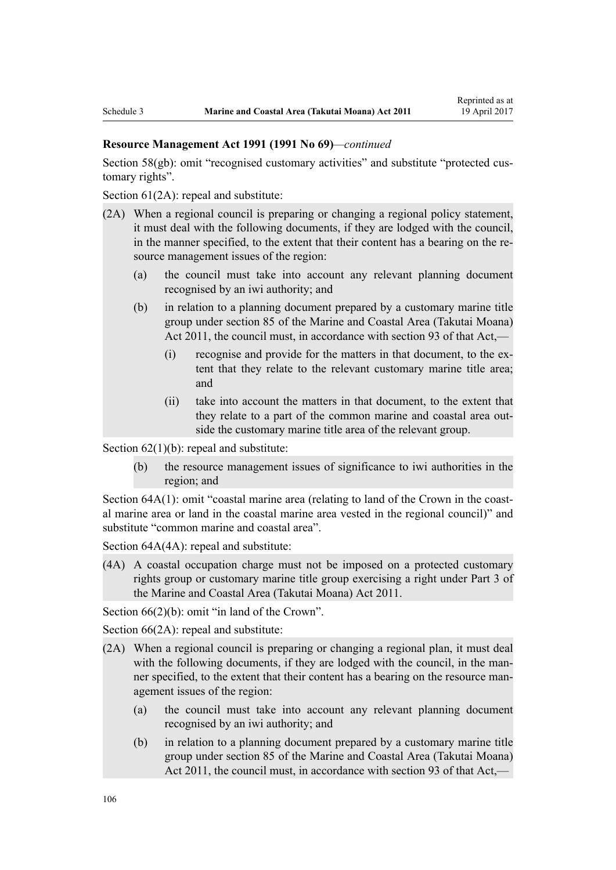[Section 58\(gb\):](http://prd-lgnz-nlb.prd.pco.net.nz/pdflink.aspx?id=DLM233381) omit "recognised customary activities" and substitute "protected customary rights".

[Section 61\(2A\):](http://prd-lgnz-nlb.prd.pco.net.nz/pdflink.aspx?id=DLM233389) repeal and substitute:

- (2A) When a regional council is preparing or changing a regional policy statement, it must deal with the following documents, if they are lodged with the council, in the manner specified, to the extent that their content has a bearing on the resource management issues of the region:
	- (a) the council must take into account any relevant planning document recognised by an iwi authority; and
	- (b) in relation to a planning document prepared by a customary marine title group under section 85 of the Marine and Coastal Area (Takutai Moana) Act 2011, the council must, in accordance with section 93 of that Act,—
		- (i) recognise and provide for the matters in that document, to the extent that they relate to the relevant customary marine title area; and
		- (ii) take into account the matters in that document, to the extent that they relate to a part of the common marine and coastal area outside the customary marine title area of the relevant group.

Section  $62(1)(b)$ : repeal and substitute:

(b) the resource management issues of significance to iwi authorities in the region; and

[Section 64A\(1\)](http://prd-lgnz-nlb.prd.pco.net.nz/pdflink.aspx?id=DLM233610): omit "coastal marine area (relating to land of the Crown in the coastal marine area or land in the coastal marine area vested in the regional council)" and substitute "common marine and coastal area".

[Section 64A\(4A\)](http://prd-lgnz-nlb.prd.pco.net.nz/pdflink.aspx?id=DLM233610): repeal and substitute:

(4A) A coastal occupation charge must not be imposed on a protected customary rights group or customary marine title group exercising a right under Part 3 of the Marine and Coastal Area (Takutai Moana) Act 2011.

[Section 66\(2\)\(b\):](http://prd-lgnz-nlb.prd.pco.net.nz/pdflink.aspx?id=DLM233620) omit "in land of the Crown".

[Section 66\(2A\):](http://prd-lgnz-nlb.prd.pco.net.nz/pdflink.aspx?id=DLM233620) repeal and substitute:

- (2A) When a regional council is preparing or changing a regional plan, it must deal with the following documents, if they are lodged with the council, in the manner specified, to the extent that their content has a bearing on the resource management issues of the region:
	- (a) the council must take into account any relevant planning document recognised by an iwi authority; and
	- (b) in relation to a planning document prepared by a customary marine title group under section 85 of the Marine and Coastal Area (Takutai Moana) Act 2011, the council must, in accordance with section 93 of that Act,—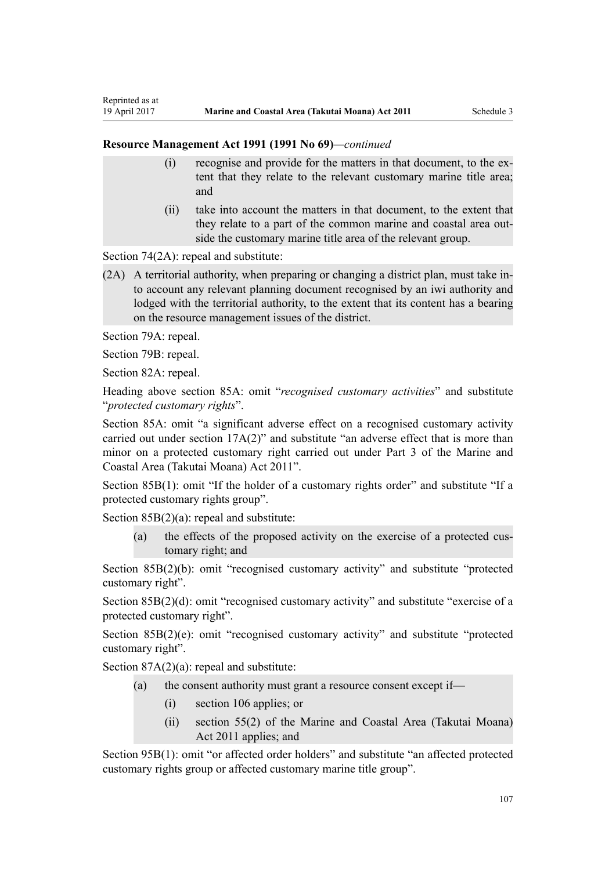- (i) recognise and provide for the matters in that document, to the extent that they relate to the relevant customary marine title area; and
- (ii) take into account the matters in that document, to the extent that they relate to a part of the common marine and coastal area outside the customary marine title area of the relevant group.

[Section 74\(2A\):](http://prd-lgnz-nlb.prd.pco.net.nz/pdflink.aspx?id=DLM233671) repeal and substitute:

(2A) A territorial authority, when preparing or changing a district plan, must take into account any relevant planning document recognised by an iwi authority and lodged with the territorial authority, to the extent that its content has a bearing on the resource management issues of the district.

[Section 79A](http://prd-lgnz-nlb.prd.pco.net.nz/pdflink.aspx?id=DLM233815): repeal.

Reprinted as at

[Section 79B:](http://prd-lgnz-nlb.prd.pco.net.nz/pdflink.aspx?id=DLM233818) repeal.

[Section 82A](http://prd-lgnz-nlb.prd.pco.net.nz/pdflink.aspx?id=DLM233827): repeal.

Heading above [section 85A](http://prd-lgnz-nlb.prd.pco.net.nz/pdflink.aspx?id=DLM233840): omit "*recognised customary activities*" and substitute "*protected customary rights*".

[Section 85A](http://prd-lgnz-nlb.prd.pco.net.nz/pdflink.aspx?id=DLM233840): omit "a significant adverse effect on a recognised customary activity carried out under section 17A(2)" and substitute "an adverse effect that is more than minor on a protected customary right carried out under Part 3 of the Marine and Coastal Area (Takutai Moana) Act 2011".

[Section 85B\(1\)](http://prd-lgnz-nlb.prd.pco.net.nz/pdflink.aspx?id=DLM233842): omit "If the holder of a customary rights order" and substitute "If a protected customary rights group".

[Section 85B\(2\)\(a\):](http://prd-lgnz-nlb.prd.pco.net.nz/pdflink.aspx?id=DLM233842) repeal and substitute:

(a) the effects of the proposed activity on the exercise of a protected customary right; and

[Section 85B\(2\)\(b\):](http://prd-lgnz-nlb.prd.pco.net.nz/pdflink.aspx?id=DLM233842) omit "recognised customary activity" and substitute "protected customary right".

[Section 85B\(2\)\(d\):](http://prd-lgnz-nlb.prd.pco.net.nz/pdflink.aspx?id=DLM233842) omit "recognised customary activity" and substitute "exercise of a protected customary right".

[Section 85B\(2\)\(e\)](http://prd-lgnz-nlb.prd.pco.net.nz/pdflink.aspx?id=DLM233842): omit "recognised customary activity" and substitute "protected customary right".

Section  $87A(2)(a)$ : repeal and substitute:

- (a) the consent authority must grant a resource consent except if—
	- (i) section 106 applies; or
	- (ii) section 55(2) of the Marine and Coastal Area (Takutai Moana) Act 2011 applies; and

[Section 95B\(1\)](http://prd-lgnz-nlb.prd.pco.net.nz/pdflink.aspx?id=DLM2416410): omit "or affected order holders" and substitute "an affected protected customary rights group or affected customary marine title group".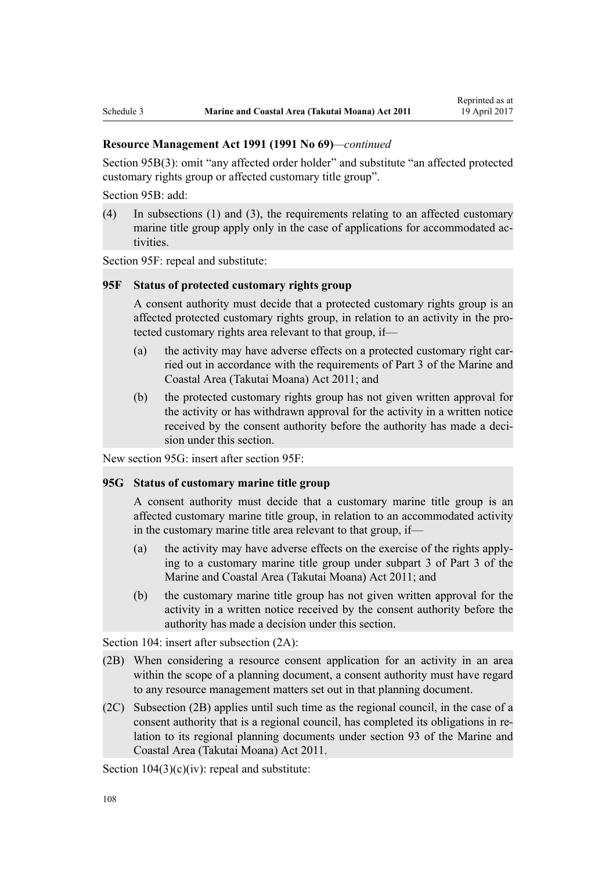[Section 95B\(3\)](http://prd-lgnz-nlb.prd.pco.net.nz/pdflink.aspx?id=DLM2416410): omit "any affected order holder" and substitute "an affected protected customary rights group or affected customary title group".

[Section 95B:](http://prd-lgnz-nlb.prd.pco.net.nz/pdflink.aspx?id=DLM2416410) add:

(4) In subsections (1) and (3), the requirements relating to an affected customary marine title group apply only in the case of applications for accommodated activities.

[Section 95F](http://prd-lgnz-nlb.prd.pco.net.nz/pdflink.aspx?id=DLM2416414): repeal and substitute:

#### **95F Status of protected customary rights group**

A consent authority must decide that a protected customary rights group is an affected protected customary rights group, in relation to an activity in the protected customary rights area relevant to that group, if—

- (a) the activity may have adverse effects on a protected customary right carried out in accordance with the requirements of Part 3 of the Marine and Coastal Area (Takutai Moana) Act 2011; and
- (b) the protected customary rights group has not given written approval for the activity or has withdrawn approval for the activity in a written notice received by the consent authority before the authority has made a decision under this section.

New section 95G: insert after [section 95F:](http://prd-lgnz-nlb.prd.pco.net.nz/pdflink.aspx?id=DLM2416414)

### **95G Status of customary marine title group**

A consent authority must decide that a customary marine title group is an affected customary marine title group, in relation to an accommodated activity in the customary marine title area relevant to that group, if—

- (a) the activity may have adverse effects on the exercise of the rights applying to a customary marine title group under subpart 3 of Part 3 of the Marine and Coastal Area (Takutai Moana) Act 2011; and
- (b) the customary marine title group has not given written approval for the activity in a written notice received by the consent authority before the authority has made a decision under this section.

[Section 104:](http://prd-lgnz-nlb.prd.pco.net.nz/pdflink.aspx?id=DLM234355) insert after subsection  $(2A)$ :

- (2B) When considering a resource consent application for an activity in an area within the scope of a planning document, a consent authority must have regard to any resource management matters set out in that planning document.
- (2C) Subsection (2B) applies until such time as the regional council, in the case of a consent authority that is a regional council, has completed its obligations in relation to its regional planning documents under section 93 of the Marine and Coastal Area (Takutai Moana) Act 2011.

Section  $104(3)(c)(iv)$ : repeal and substitute: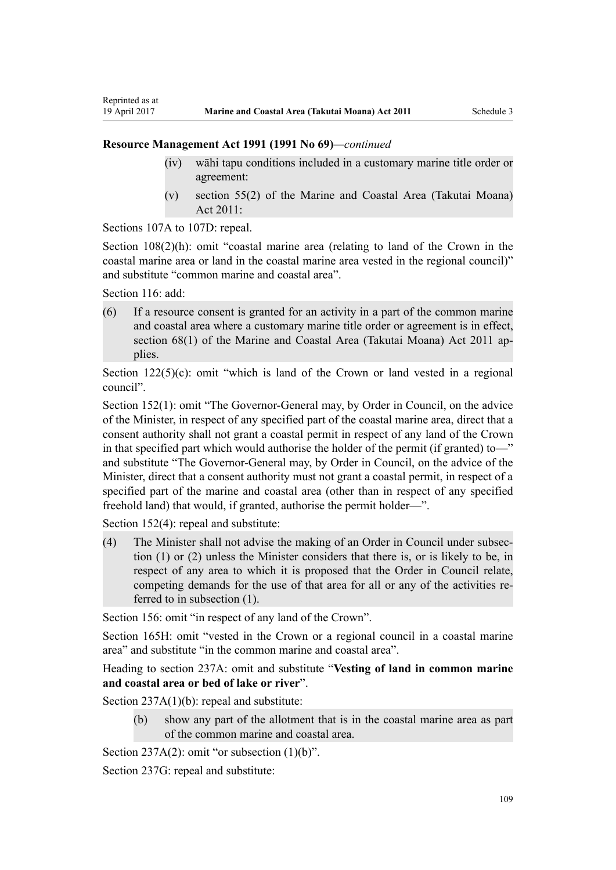### **Resource Management Act 1991 (1991 No 69)***—continued*

- (iv) wāhi tapu conditions included in a customary marine title order or agreement:
- (v) section 55(2) of the Marine and Coastal Area (Takutai Moana) Act 2011:

[Sections 107A to 107D:](http://prd-lgnz-nlb.prd.pco.net.nz/pdflink.aspx?id=DLM234801) repeal.

[Section 108\(2\)\(h\)](http://prd-lgnz-nlb.prd.pco.net.nz/pdflink.aspx?id=DLM234810): omit "coastal marine area (relating to land of the Crown in the coastal marine area or land in the coastal marine area vested in the regional council)" and substitute "common marine and coastal area".

[Section 116](http://prd-lgnz-nlb.prd.pco.net.nz/pdflink.aspx?id=DLM234865): add:

Reprinted as at

(6) If a resource consent is granted for an activity in a part of the common marine and coastal area where a customary marine title order or agreement is in effect, section 68(1) of the Marine and Coastal Area (Takutai Moana) Act 2011 applies.

Section  $122(5)(c)$ : omit "which is land of the Crown or land vested in a regional council".

[Section 152\(1\)](http://prd-lgnz-nlb.prd.pco.net.nz/pdflink.aspx?id=DLM235468): omit "The Governor-General may, by Order in Council, on the advice of the Minister, in respect of any specified part of the coastal marine area, direct that a consent authority shall not grant a coastal permit in respect of any land of the Crown in that specified part which would authorise the holder of the permit (if granted) to—" and substitute "The Governor-General may, by Order in Council, on the advice of the Minister, direct that a consent authority must not grant a coastal permit, in respect of a specified part of the marine and coastal area (other than in respect of any specified freehold land) that would, if granted, authorise the permit holder—".

[Section 152\(4\)](http://prd-lgnz-nlb.prd.pco.net.nz/pdflink.aspx?id=DLM235468): repeal and substitute:

(4) The Minister shall not advise the making of an Order in Council under subsection (1) or (2) unless the Minister considers that there is, or is likely to be, in respect of any area to which it is proposed that the Order in Council relate, competing demands for the use of that area for all or any of the activities referred to in subsection (1).

[Section 156:](http://prd-lgnz-nlb.prd.pco.net.nz/pdflink.aspx?id=DLM235484) omit "in respect of any land of the Crown".

[Section 165H:](http://prd-lgnz-nlb.prd.pco.net.nz/pdflink.aspx?id=DLM236036) omit "vested in the Crown or a regional council in a coastal marine area" and substitute "in the common marine and coastal area".

Heading to section 237A: omit and substitute "**Vesting of land in common marine and coastal area or bed of lake or river**".

[Section 237A\(1\)\(b\):](http://prd-lgnz-nlb.prd.pco.net.nz/pdflink.aspx?id=DLM237276) repeal and substitute:

(b) show any part of the allotment that is in the coastal marine area as part of the common marine and coastal area.

[Section 237A\(2\):](http://prd-lgnz-nlb.prd.pco.net.nz/pdflink.aspx?id=DLM237276) omit "or subsection  $(1)(b)$ ".

[Section 237G](http://prd-lgnz-nlb.prd.pco.net.nz/pdflink.aspx?id=DLM237291): repeal and substitute: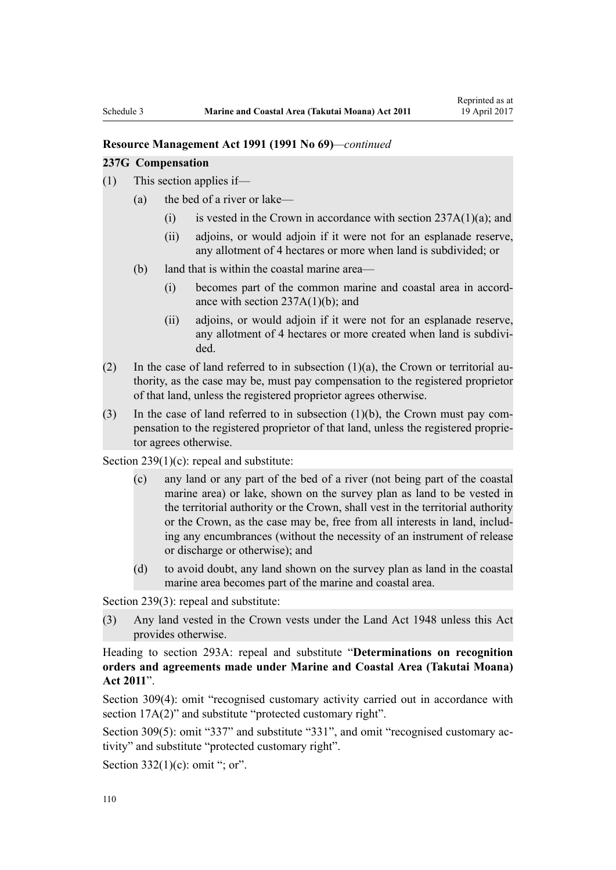#### **Resource Management Act 1991 (1991 No 69)***—continued*

#### **237G Compensation**

- (1) This section applies if—
	- (a) the bed of a river or lake—
		- (i) is vested in the Crown in accordance with section  $237A(1)(a)$ ; and
		- (ii) adjoins, or would adjoin if it were not for an esplanade reserve, any allotment of 4 hectares or more when land is subdivided; or
	- (b) land that is within the coastal marine area—
		- (i) becomes part of the common marine and coastal area in accordance with section 237A(1)(b); and
		- (ii) adjoins, or would adjoin if it were not for an esplanade reserve, any allotment of 4 hectares or more created when land is subdivided.
- (2) In the case of land referred to in subsection  $(1)(a)$ , the Crown or territorial authority, as the case may be, must pay compensation to the registered proprietor of that land, unless the registered proprietor agrees otherwise.
- (3) In the case of land referred to in subsection (1)(b), the Crown must pay compensation to the registered proprietor of that land, unless the registered proprietor agrees otherwise.

[Section 239\(1\)\(c\):](http://prd-lgnz-nlb.prd.pco.net.nz/pdflink.aspx?id=DLM237600) repeal and substitute:

- (c) any land or any part of the bed of a river (not being part of the coastal marine area) or lake, shown on the survey plan as land to be vested in the territorial authority or the Crown, shall vest in the territorial authority or the Crown, as the case may be, free from all interests in land, including any encumbrances (without the necessity of an instrument of release or discharge or otherwise); and
- (d) to avoid doubt, any land shown on the survey plan as land in the coastal marine area becomes part of the marine and coastal area.

[Section 239\(3\)](http://prd-lgnz-nlb.prd.pco.net.nz/pdflink.aspx?id=DLM237600): repeal and substitute:

(3) Any land vested in the Crown vests under the Land Act 1948 unless this Act provides otherwise.

Heading to [section 293A:](http://prd-lgnz-nlb.prd.pco.net.nz/pdflink.aspx?id=DLM238254) repeal and substitute "**Determinations on recognition orders and agreements made under Marine and Coastal Area (Takutai Moana) Act 2011**".

[Section 309\(4\):](http://prd-lgnz-nlb.prd.pco.net.nz/pdflink.aspx?id=DLM238505) omit "recognised customary activity carried out in accordance with section  $17A(2)$ " and substitute "protected customary right".

[Section 309\(5\)](http://prd-lgnz-nlb.prd.pco.net.nz/pdflink.aspx?id=DLM238505): omit "337" and substitute "331", and omit "recognised customary activity" and substitute "protected customary right".

Section  $332(1)(c)$ : omit "; or".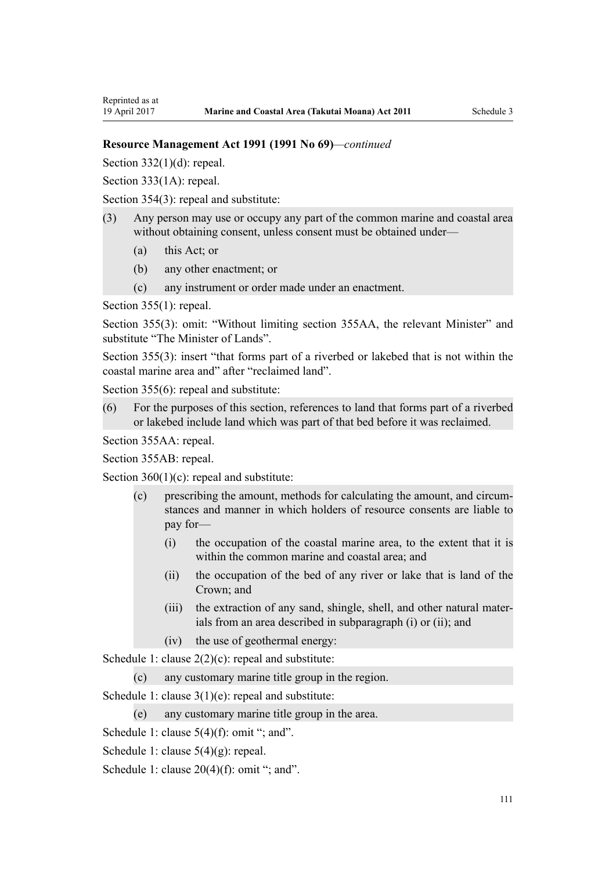Reprinted as at

### **Resource Management Act 1991 (1991 No 69)***—continued*

Section  $332(1)(d)$ : repeal.

[Section 333\(1A\):](http://prd-lgnz-nlb.prd.pco.net.nz/pdflink.aspx?id=DLM239027) repeal.

[Section 354\(3\)](http://prd-lgnz-nlb.prd.pco.net.nz/pdflink.aspx?id=DLM239318): repeal and substitute:

- (3) Any person may use or occupy any part of the common marine and coastal area without obtaining consent, unless consent must be obtained under—
	- (a) this Act; or
	- (b) any other enactment; or
	- (c) any instrument or order made under an enactment.

[Section 355\(1\)](http://prd-lgnz-nlb.prd.pco.net.nz/pdflink.aspx?id=DLM239322): repeal.

[Section 355\(3\):](http://prd-lgnz-nlb.prd.pco.net.nz/pdflink.aspx?id=DLM239322) omit: "Without limiting section 355AA, the relevant Minister" and substitute "The Minister of Lands".

[Section 355\(3\)](http://prd-lgnz-nlb.prd.pco.net.nz/pdflink.aspx?id=DLM239322): insert "that forms part of a riverbed or lakebed that is not within the coastal marine area and" after "reclaimed land".

[Section 355\(6\)](http://prd-lgnz-nlb.prd.pco.net.nz/pdflink.aspx?id=DLM239322): repeal and substitute:

(6) For the purposes of this section, references to land that forms part of a riverbed or lakebed include land which was part of that bed before it was reclaimed.

[Section 355AA](http://prd-lgnz-nlb.prd.pco.net.nz/pdflink.aspx?id=DLM239326): repeal.

[Section 355AB:](http://prd-lgnz-nlb.prd.pco.net.nz/pdflink.aspx?id=DLM239328) repeal.

Section  $360(1)(c)$ : repeal and substitute:

- (c) prescribing the amount, methods for calculating the amount, and circumstances and manner in which holders of resource consents are liable to pay for—
	- (i) the occupation of the coastal marine area, to the extent that it is within the common marine and coastal area; and
	- (ii) the occupation of the bed of any river or lake that is land of the Crown; and
	- (iii) the extraction of any sand, shingle, shell, and other natural materials from an area described in subparagraph (i) or (ii); and
	- (iv) the use of geothermal energy:

[Schedule 1:](http://prd-lgnz-nlb.prd.pco.net.nz/pdflink.aspx?id=DLM240686) clause  $2(2)(c)$ : repeal and substitute:

(c) any customary marine title group in the region.

[Schedule 1:](http://prd-lgnz-nlb.prd.pco.net.nz/pdflink.aspx?id=DLM240686) clause 3(1)(e): repeal and substitute:

(e) any customary marine title group in the area.

[Schedule 1:](http://prd-lgnz-nlb.prd.pco.net.nz/pdflink.aspx?id=DLM240686) clause  $5(4)(f)$ : omit "; and".

[Schedule 1:](http://prd-lgnz-nlb.prd.pco.net.nz/pdflink.aspx?id=DLM240686) clause 5(4)(g): repeal.

[Schedule 1:](http://prd-lgnz-nlb.prd.pco.net.nz/pdflink.aspx?id=DLM240686) clause  $20(4)(f)$ : omit "; and".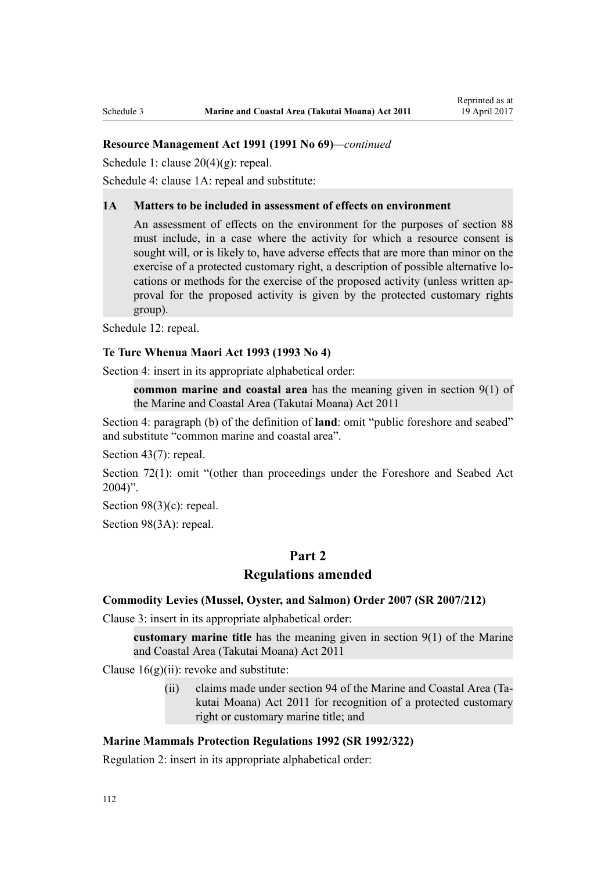### **Resource Management Act 1991 (1991 No 69)***—continued*

[Schedule 1:](http://prd-lgnz-nlb.prd.pco.net.nz/pdflink.aspx?id=DLM240686) clause 20(4)(g): repeal.

[Schedule 4:](http://prd-lgnz-nlb.prd.pco.net.nz/pdflink.aspx?id=DLM242008) clause 1A: repeal and substitute:

#### **1A Matters to be included in assessment of effects on environment**

An assessment of effects on the environment for the purposes of section 88 must include, in a case where the activity for which a resource consent is sought will, or is likely to, have adverse effects that are more than minor on the exercise of a protected customary right, a description of possible alternative locations or methods for the exercise of the proposed activity (unless written approval for the proposed activity is given by the protected customary rights group).

[Schedule 12:](http://prd-lgnz-nlb.prd.pco.net.nz/pdflink.aspx?id=DLM242515) repeal.

#### **[Te Ture Whenua Maori Act 1993](http://prd-lgnz-nlb.prd.pco.net.nz/pdflink.aspx?id=DLM289881) (1993 No 4)**

[Section 4](http://prd-lgnz-nlb.prd.pco.net.nz/pdflink.aspx?id=DLM289897): insert in its appropriate alphabetical order:

**common marine and coastal area** has the meaning given in section 9(1) of the Marine and Coastal Area (Takutai Moana) Act 2011

[Section 4:](http://prd-lgnz-nlb.prd.pco.net.nz/pdflink.aspx?id=DLM289897) paragraph (b) of the definition of **land**: omit "public foreshore and seabed" and substitute "common marine and coastal area".

[Section 43\(7\)](http://prd-lgnz-nlb.prd.pco.net.nz/pdflink.aspx?id=DLM290907): repeal.

[Section 72\(1\)](http://prd-lgnz-nlb.prd.pco.net.nz/pdflink.aspx?id=DLM290961): omit "(other than proceedings under the Foreshore and Seabed Act  $2004$ ".

[Section 98\(3\)\(c\)](http://prd-lgnz-nlb.prd.pco.net.nz/pdflink.aspx?id=DLM291203): repeal.

[Section 98\(3A\):](http://prd-lgnz-nlb.prd.pco.net.nz/pdflink.aspx?id=DLM291203) repeal.

# **Part 2**

### **Regulations amended**

#### **[Commodity Levies \(Mussel, Oyster, and Salmon\) Order 2007](http://prd-lgnz-nlb.prd.pco.net.nz/pdflink.aspx?id=DLM443982) (SR 2007/212)**

[Clause 3](http://prd-lgnz-nlb.prd.pco.net.nz/pdflink.aspx?id=DLM443990): insert in its appropriate alphabetical order:

**customary marine title** has the meaning given in section 9(1) of the Marine and Coastal Area (Takutai Moana) Act 2011

Clause  $16(g)(ii)$ : revoke and substitute:

(ii) claims made under section 94 of the Marine and Coastal Area (Takutai Moana) Act 2011 for recognition of a protected customary right or customary marine title; and

### **[Marine Mammals Protection Regulations 1992](http://prd-lgnz-nlb.prd.pco.net.nz/pdflink.aspx?id=DLM168285) (SR 1992/322)**

[Regulation 2](http://prd-lgnz-nlb.prd.pco.net.nz/pdflink.aspx?id=DLM168290): insert in its appropriate alphabetical order: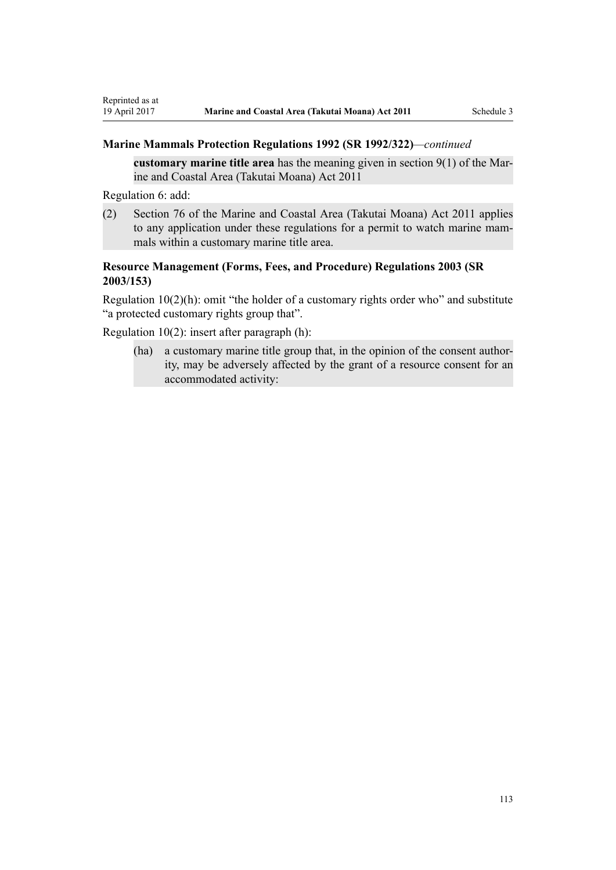## **Marine Mammals Protection Regulations 1992 (SR 1992/322)***—continued*

**customary marine title area** has the meaning given in section 9(1) of the Marine and Coastal Area (Takutai Moana) Act 2011

[Regulation 6](http://prd-lgnz-nlb.prd.pco.net.nz/pdflink.aspx?id=DLM168824): add:

(2) Section 76 of the Marine and Coastal Area (Takutai Moana) Act 2011 applies to any application under these regulations for a permit to watch marine mammals within a customary marine title area.

# **[Resource Management \(Forms, Fees, and Procedure\) Regulations 2003](http://prd-lgnz-nlb.prd.pco.net.nz/pdflink.aspx?id=DLM195259) (SR 2003/153)**

[Regulation 10\(2\)\(h\)](http://prd-lgnz-nlb.prd.pco.net.nz/pdflink.aspx?id=DLM168828): omit "the holder of a customary rights order who" and substitute "a protected customary rights group that".

[Regulation 10\(2\)](http://prd-lgnz-nlb.prd.pco.net.nz/pdflink.aspx?id=DLM168828): insert after paragraph (h):

(ha) a customary marine title group that, in the opinion of the consent authority, may be adversely affected by the grant of a resource consent for an accommodated activity: